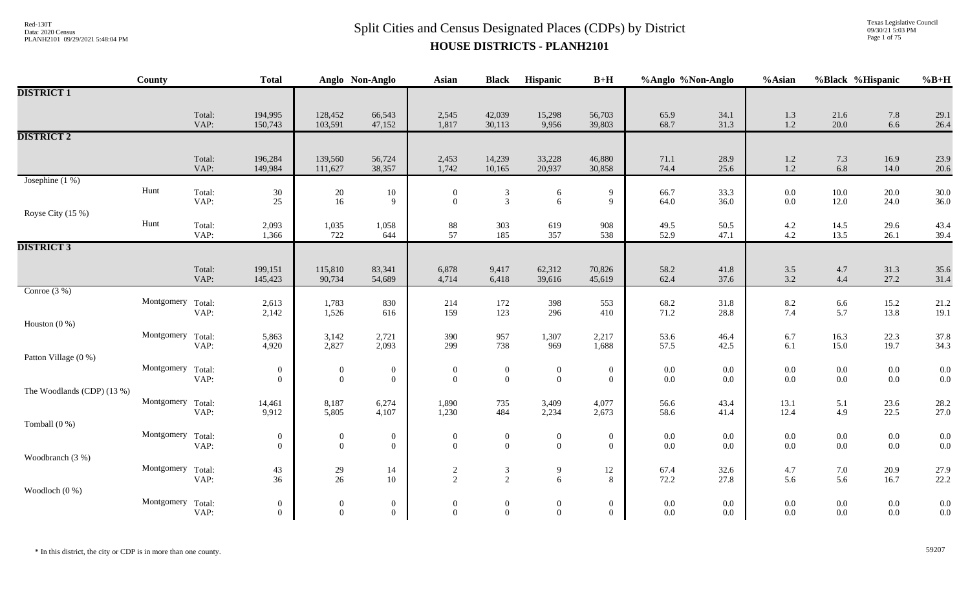Texas Legislative Council 09/30/21 5:03 PM Page 1 of 75

|                            | County            |                | <b>Total</b>                     |                                      | Anglo Non-Anglo                  | <b>Asian</b>                         | <b>Black</b>                       | Hispanic                           | $B+H$                              | %Anglo %Non-Anglo  |                | %Asian                                    | %Black %Hispanic   |                    | $%B+H$       |
|----------------------------|-------------------|----------------|----------------------------------|--------------------------------------|----------------------------------|--------------------------------------|------------------------------------|------------------------------------|------------------------------------|--------------------|----------------|-------------------------------------------|--------------------|--------------------|--------------|
| <b>DISTRICT 1</b>          |                   |                |                                  |                                      |                                  |                                      |                                    |                                    |                                    |                    |                |                                           |                    |                    |              |
|                            |                   | Total:<br>VAP: | 194,995<br>150,743               | 128,452<br>103,591                   | 66,543<br>47,152                 | 2,545<br>1,817                       | 42,039<br>30,113                   | 15,298<br>9,956                    | 56,703<br>39,803                   | 65.9<br>68.7       | 34.1<br>31.3   | $1.3$<br>1.2                              | 21.6<br>20.0       | 7.8<br>6.6         | 29.1<br>26.4 |
| <b>DISTRICT 2</b>          |                   |                |                                  |                                      |                                  |                                      |                                    |                                    |                                    |                    |                |                                           |                    |                    |              |
|                            |                   | Total:<br>VAP: | 196,284<br>149,984               | 139,560<br>111,627                   | 56,724<br>38,357                 | 2,453<br>1,742                       | 14,239<br>10,165                   | 33,228<br>20,937                   | 46,880<br>30,858                   | 71.1<br>74.4       | 28.9<br>25.6   | $\begin{array}{c} 1.2 \\ 1.2 \end{array}$ | 7.3<br>6.8         | 16.9<br>14.0       | 23.9<br>20.6 |
| Josephine $(1%)$           |                   |                |                                  |                                      |                                  |                                      |                                    |                                    |                                    |                    |                |                                           |                    |                    |              |
|                            | Hunt              | Total:<br>VAP: | 30<br>$25\,$                     | 20<br>16                             | 10<br>9                          | $\boldsymbol{0}$<br>$\boldsymbol{0}$ | $\mathfrak{Z}$<br>$\overline{3}$   | 6<br>6                             | 9<br>9                             | 66.7<br>64.0       | 33.3<br>36.0   | 0.0<br>0.0                                | $10.0\,$<br>12.0   | 20.0<br>24.0       | 30.0<br>36.0 |
| Royse City (15 %)          |                   |                |                                  |                                      |                                  |                                      |                                    |                                    |                                    |                    |                |                                           |                    |                    |              |
|                            | Hunt              | Total:<br>VAP: | 2,093<br>1,366                   | 1,035<br>722                         | 1,058<br>644                     | $88\,$<br>57                         | 303<br>185                         | 619<br>357                         | 908<br>538                         | 49.5<br>52.9       | 50.5<br>47.1   | 4.2<br>4.2                                | 14.5<br>13.5       | 29.6<br>26.1       | 43.4<br>39.4 |
| <b>DISTRICT 3</b>          |                   |                |                                  |                                      |                                  |                                      |                                    |                                    |                                    |                    |                |                                           |                    |                    |              |
|                            |                   | Total:<br>VAP: | 199,151<br>145,423               | 115,810<br>90,734                    | 83,341<br>54,689                 | 6,878<br>4,714                       | 9,417<br>6,418                     | 62,312<br>39,616                   | 70,826<br>45,619                   | 58.2<br>62.4       | 41.8<br>37.6   | 3.5<br>3.2                                | 4.7<br>4.4         | 31.3<br>27.2       | 35.6<br>31.4 |
| Conroe $(3\%)$             |                   |                |                                  |                                      |                                  |                                      |                                    |                                    |                                    |                    |                |                                           |                    |                    |              |
|                            | Montgomery Total: | VAP:           | 2,613<br>2,142                   | 1,783<br>1,526                       | 830<br>616                       | 214<br>159                           | 172<br>123                         | 398<br>296                         | 553<br>410                         | 68.2<br>71.2       | 31.8<br>28.8   | 8.2<br>7.4                                | $6.6\,$<br>5.7     | 15.2<br>13.8       | 21.2<br>19.1 |
| Houston $(0\%)$            |                   |                |                                  |                                      |                                  |                                      |                                    |                                    |                                    |                    |                |                                           |                    |                    |              |
|                            | Montgomery Total: | VAP:           | 5,863<br>4,920                   | 3,142<br>2,827                       | 2,721<br>2,093                   | 390<br>299                           | 957<br>738                         | 1,307<br>969                       | 2,217<br>1,688                     | 53.6<br>57.5       | 46.4<br>42.5   | 6.7<br>6.1                                | 16.3<br>15.0       | 22.3<br>19.7       | 37.8<br>34.3 |
| Patton Village (0 %)       |                   |                |                                  |                                      |                                  |                                      |                                    |                                    |                                    |                    |                |                                           |                    |                    |              |
|                            | Montgomery Total: | VAP:           | $\mathbf{0}$<br>$\overline{0}$   | $\boldsymbol{0}$<br>$\boldsymbol{0}$ | $\overline{0}$<br>$\mathbf{0}$   | $\boldsymbol{0}$<br>$\boldsymbol{0}$ | $\boldsymbol{0}$<br>$\mathbf{0}$   | $\boldsymbol{0}$<br>$\overline{0}$ | $\boldsymbol{0}$<br>$\overline{0}$ | $0.0\,$<br>$0.0\,$ | $0.0\,$<br>0.0 | 0.0<br>0.0                                | $0.0\,$<br>$0.0\,$ | $0.0\,$<br>$0.0\,$ | 0.0<br>0.0   |
| The Woodlands (CDP) (13 %) |                   |                |                                  |                                      |                                  |                                      |                                    |                                    |                                    |                    |                |                                           |                    |                    |              |
|                            | Montgomery Total: | VAP:           | 14,461<br>9,912                  | 8,187<br>5,805                       | 6,274<br>4,107                   | 1,890<br>1,230                       | 735<br>484                         | 3,409<br>2,234                     | 4,077<br>2,673                     | 56.6<br>58.6       | 43.4<br>41.4   | 13.1<br>12.4                              | 5.1<br>4.9         | 23.6<br>22.5       | 28.2<br>27.0 |
| Tomball $(0\%)$            |                   |                |                                  |                                      |                                  |                                      |                                    |                                    |                                    |                    |                |                                           |                    |                    |              |
|                            | Montgomery Total: | VAP:           | $\overline{0}$<br>$\overline{0}$ | $\boldsymbol{0}$<br>$\boldsymbol{0}$ | $\bf{0}$<br>$\mathbf{0}$         | $\mathbf{0}$<br>$\boldsymbol{0}$     | $\boldsymbol{0}$<br>$\overline{0}$ | $\boldsymbol{0}$<br>$\overline{0}$ | $\overline{0}$<br>$\overline{0}$   | $0.0\,$<br>$0.0\,$ | 0.0<br>$0.0\,$ | 0.0<br>0.0                                | $0.0\,$<br>$0.0\,$ | $0.0\,$<br>$0.0\,$ | 0.0<br>0.0   |
| Woodbranch (3 %)           |                   |                |                                  |                                      |                                  |                                      |                                    |                                    |                                    |                    |                |                                           |                    |                    |              |
|                            | Montgomery Total: | VAP:           | 43<br>36                         | $29\,$<br>26                         | 14<br>10                         | $\frac{2}{2}$                        | $\mathfrak{Z}$<br>2                | 9<br>6                             | 12<br>8                            | 67.4<br>72.2       | 32.6<br>27.8   | 4.7<br>5.6                                | 7.0<br>5.6         | 20.9<br>16.7       | 27.9<br>22.2 |
| Woodloch $(0\%)$           |                   |                |                                  |                                      |                                  |                                      |                                    |                                    |                                    |                    |                |                                           |                    |                    |              |
|                            | Montgomery Total: | VAP:           | $\overline{0}$<br>$\overline{0}$ | $\boldsymbol{0}$<br>$\theta$         | $\overline{0}$<br>$\overline{0}$ | $\boldsymbol{0}$<br>$\overline{0}$   | $\boldsymbol{0}$<br>$\theta$       | $\boldsymbol{0}$<br>$\overline{0}$ | $\overline{0}$<br>$\theta$         | $0.0\,$<br>$0.0\,$ | 0.0<br>$0.0\,$ | 0.0<br>$0.0\,$                            | $0.0\,$<br>$0.0\,$ | $0.0\,$<br>$0.0\,$ | 0.0<br>0.0   |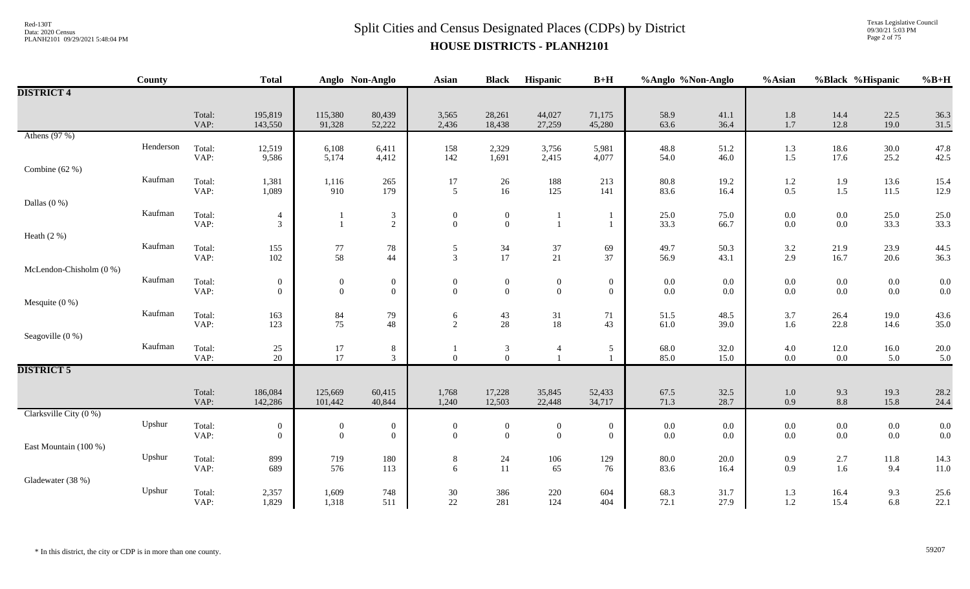# $Split$  Cities and Census Designated Places (CDPs) by District Data: 2020 Census **HOUSE DISTRICTS - PLANH2101**

Texas Legislative Council 09/30/21 5:03 PM Page 2 of 75

|                          | County    |                | <b>Total</b>       |                   | Anglo Non-Anglo           | <b>Asian</b>     | <b>Black</b>                         | Hispanic         | $B+H$            | %Anglo %Non-Anglo |              | %Asian             | %Black %Hispanic        |              | $%B+H$       |
|--------------------------|-----------|----------------|--------------------|-------------------|---------------------------|------------------|--------------------------------------|------------------|------------------|-------------------|--------------|--------------------|-------------------------|--------------|--------------|
| <b>DISTRICT 4</b>        |           |                |                    |                   |                           |                  |                                      |                  |                  |                   |              |                    |                         |              |              |
|                          |           | Total:<br>VAP: | 195,819<br>143,550 | 115,380<br>91,328 | 80,439<br>52,222          | 3,565<br>2,436   | 28,261<br>18,438                     | 44,027<br>27,259 | 71,175<br>45,280 | 58.9<br>63.6      | 41.1<br>36.4 | $1.8\,$<br>$1.7$   | 14.4<br>12.8            | 22.5<br>19.0 | 36.3<br>31.5 |
| Athens $(97%)$           |           |                |                    |                   |                           |                  |                                      |                  |                  |                   |              |                    |                         |              |              |
|                          | Henderson | Total:<br>VAP: | 12,519<br>9,586    | 6,108<br>5,174    | 6,411<br>4,412            | 158<br>142       | 2,329<br>1,691                       | 3,756<br>2,415   | 5,981<br>4,077   | 48.8<br>54.0      | 51.2<br>46.0 | 1.3<br>1.5         | 18.6<br>17.6            | 30.0<br>25.2 | 47.8<br>42.5 |
| Combine $(62%)$          |           |                |                    |                   |                           |                  |                                      |                  |                  |                   |              |                    |                         |              |              |
|                          | Kaufman   | Total:<br>VAP: | 1,381<br>1,089     | 1,116<br>910      | 265<br>179                | 17<br>5          | 26<br>16                             | 188<br>125       | 213<br>141       | 80.8<br>83.6      | 19.2<br>16.4 | $1.2\,$<br>0.5     | 1.9<br>1.5              | 13.6<br>11.5 | 15.4<br>12.9 |
| Dallas $(0\%)$           |           |                |                    |                   |                           |                  |                                      |                  |                  |                   |              |                    |                         |              |              |
|                          | Kaufman   | Total:         | $\overline{4}$     |                   | $\frac{3}{2}$             | $\Omega$         | $\overline{0}$                       |                  |                  | 25.0              | 75.0         | $0.0\,$            | $0.0\,$                 | 25.0         | 25.0         |
| Heath $(2\%)$            |           | VAP:           | $\mathfrak{Z}$     | $\mathbf{1}$      |                           | $\overline{0}$   | $\mathbf{0}$                         |                  | -1               | 33.3              | 66.7         | $0.0\,$            | $0.0\,$                 | 33.3         | 33.3         |
|                          | Kaufman   | Total:         | 155                | 77                | 78                        | 5                | $\frac{34}{17}$                      | $37\,$           | 69               | 49.7              | 50.3         | 3.2                | 21.9                    | 23.9         | 44.5         |
| McLendon-Chisholm (0 %)  |           | VAP:           | 102                | 58                | 44                        | $\mathfrak{Z}$   |                                      | $21\,$           | 37               | 56.9              | 43.1         | 2.9                | 16.7                    | 20.6         | 36.3         |
|                          | Kaufman   | Total:         | $\boldsymbol{0}$   | $\boldsymbol{0}$  | $\mathbf{0}$              | $\mathbf{0}$     | $\overline{0}$                       | $\boldsymbol{0}$ | $\boldsymbol{0}$ | $0.0\,$           | $0.0\,$      | $0.0\,$            | $0.0\,$                 | $0.0\,$      | 0.0          |
|                          |           | VAP:           | $\overline{0}$     | $\overline{0}$    | $\mathbf{0}$              | $\Omega$         | $\overline{0}$                       | $\boldsymbol{0}$ | $\overline{0}$   | 0.0               | 0.0          | $0.0\,$            | $0.0\,$                 | $0.0\,$      | 0.0          |
| Mesquite $(0\%)$         | Kaufman   | Total:         | 163                | 84                | 79                        | 6                | 43                                   | 31               | 71               | 51.5              | 48.5         | 3.7                | 26.4                    | 19.0         | 43.6         |
|                          |           | VAP:           | 123                | 75                | 48                        | 2                | 28                                   | 18               | 43               | 61.0              | 39.0         | 1.6                | 22.8                    | 14.6         | 35.0         |
| Seagoville (0 %)         | Kaufman   |                |                    |                   |                           |                  |                                      |                  |                  |                   |              |                    |                         |              |              |
|                          |           | Total:<br>VAP: | 25<br>20           | 17<br>17          | $\,8\,$<br>3 <sup>7</sup> | $\overline{0}$   | $\begin{matrix} 3 \\ 0 \end{matrix}$ | $\overline{4}$   | 5                | 68.0<br>85.0      | 32.0<br>15.0 | $4.0\,$<br>$0.0\,$ | 12.0<br>$0.0\,$         | 16.0<br>5.0  | 20.0<br>5.0  |
| <b>DISTRICT 5</b>        |           |                |                    |                   |                           |                  |                                      |                  |                  |                   |              |                    |                         |              |              |
|                          |           | Total:         | 186,084            | 125,669           | 60,415                    | 1,768            | 17,228                               | 35,845           | 52,433           | 67.5              | 32.5         | $1.0\,$            | 9.3                     | 19.3         | 28.2         |
|                          |           | VAP:           | 142,286            | 101,442           | 40,844                    | 1,240            | 12,503                               | 22,448           | 34,717           | 71.3              | 28.7         | 0.9                | 8.8                     | 15.8         | 24.4         |
| Clarksville City $(0\%)$ | Upshur    | Total:         | $\boldsymbol{0}$   | $\boldsymbol{0}$  | $\boldsymbol{0}$          | $\boldsymbol{0}$ | $\boldsymbol{0}$                     | $\boldsymbol{0}$ | $\boldsymbol{0}$ | $0.0\,$           | $0.0\,$      | $0.0\,$            | $0.0\,$                 | $0.0\,$      | 0.0          |
|                          |           | VAP:           | $\overline{0}$     | $\overline{0}$    | $\mathbf{0}$              | $\Omega$         | $\mathbf{0}$                         | $\overline{0}$   | $\overline{0}$   | 0.0               | 0.0          | $0.0\,$            | 0.0                     | $0.0\,$      | 0.0          |
| East Mountain (100 %)    | Upshur    |                |                    |                   |                           |                  |                                      |                  |                  |                   |              |                    |                         |              |              |
|                          |           | Total:<br>VAP: | 899<br>689         | 719<br>576        | $180\,$<br>113            | $8\,$<br>6       | $24\,$<br>11                         | 106<br>65        | 129<br>76        | 80.0<br>83.6      | 20.0<br>16.4 | 0.9<br>0.9         | 2.7<br>$1.6\phantom{0}$ | 11.8<br>9.4  | 14.3<br>11.0 |
| Gladewater (38 %)        |           |                |                    |                   |                           |                  |                                      |                  |                  |                   |              |                    |                         |              |              |
|                          | Upshur    | Total:<br>VAP: | 2,357<br>1,829     | 1,609<br>1,318    | 748<br>511                | 30<br>22         | 386<br>281                           | 220<br>124       | 604<br>404       | 68.3<br>72.1      | 31.7<br>27.9 | 1.3<br>1.2         | 16.4<br>15.4            | 9.3<br>6.8   | 25.6<br>22.1 |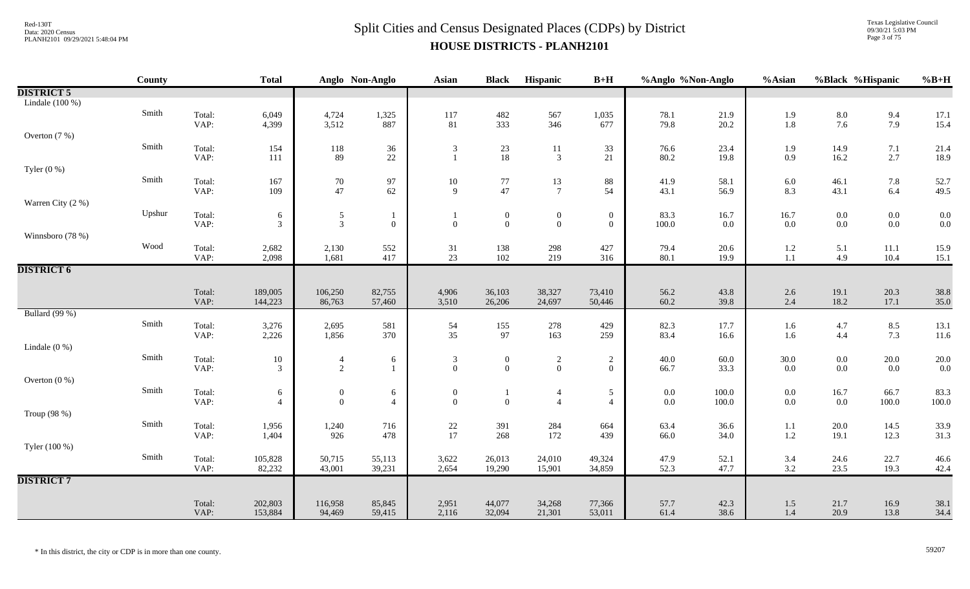Texas Legislative Council 09/30/21 5:03 PM Page 3 of 75

|                   | <b>County</b> |                | <b>Total</b>       |                                  | Anglo Non-Anglo  | <b>Asian</b>                            | <b>Black</b>                            | Hispanic                                  | $B+H$            | %Anglo %Non-Anglo |                 | %Asian         |              | %Black %Hispanic   | $%B+H$       |
|-------------------|---------------|----------------|--------------------|----------------------------------|------------------|-----------------------------------------|-----------------------------------------|-------------------------------------------|------------------|-------------------|-----------------|----------------|--------------|--------------------|--------------|
| <b>DISTRICT 5</b> |               |                |                    |                                  |                  |                                         |                                         |                                           |                  |                   |                 |                |              |                    |              |
| Lindale $(100\%)$ |               |                |                    |                                  |                  |                                         |                                         |                                           |                  |                   |                 |                |              |                    |              |
|                   | Smith         | Total:         | 6,049              | 4,724                            | 1,325            | 117                                     | 482                                     | 567                                       | 1,035            | 78.1              | 21.9            | 1.9            | $8.0\,$      | 9.4                | 17.1         |
|                   |               | VAP:           | 4,399              | 3,512                            | 887              | 81                                      | 333                                     | 346                                       | 677              | 79.8              | 20.2            | $1.8\,$        | 7.6          | 7.9                | 15.4         |
| Overton $(7%)$    |               |                |                    |                                  |                  |                                         |                                         |                                           |                  |                   |                 |                |              |                    |              |
|                   | Smith         | Total:         | 154                | 118                              | 36               | 3                                       | 23                                      | 11                                        | 33               | 76.6              | 23.4            | 1.9            | 14.9         | 7.1                | 21.4         |
|                   |               | VAP:           | 111                | 89                               | $22\,$           | $\mathbf{1}$                            | 18                                      | $\mathfrak{Z}$                            | 21               | 80.2              | 19.8            | 0.9            | 16.2         | 2.7                | 18.9         |
| Tyler $(0\%)$     |               |                |                    |                                  |                  |                                         |                                         |                                           |                  |                   |                 |                |              |                    |              |
|                   | Smith         | Total:         | 167                | $70\,$                           | 97               | 10                                      | $\begin{array}{c} 77 \\ 47 \end{array}$ | 13                                        | 88               | 41.9              | 58.1            | 6.0            | 46.1         | 7.8                | 52.7         |
|                   |               | VAP:           | 109                | 47                               | 62               | $\mathbf{Q}$                            |                                         | $\overline{7}$                            | 54               | 43.1              | 56.9            | 8.3            | 43.1         | 6.4                | 49.5         |
| Warren City (2 %) |               |                |                    |                                  |                  |                                         |                                         |                                           |                  |                   |                 |                |              |                    |              |
|                   | Upshur        | Total:<br>VAP: | 6<br>3             | $\mathfrak{S}$<br>$\mathfrak{Z}$ | $\boldsymbol{0}$ | $\mathbf{1}$<br>$\mathbf{0}$            | $\boldsymbol{0}$<br>$\overline{0}$      | $\boldsymbol{0}$<br>$\overline{0}$        | $\boldsymbol{0}$ | 83.3              | 16.7<br>$0.0\,$ | 16.7<br>0.0    | $0.0\,$      | $0.0\,$<br>$0.0\,$ | 0.0<br>0.0   |
|                   |               |                |                    |                                  |                  |                                         |                                         |                                           | $\overline{0}$   | 100.0             |                 |                | $0.0\,$      |                    |              |
| Winnsboro (78 %)  | Wood          |                |                    |                                  |                  |                                         |                                         |                                           |                  |                   |                 |                |              |                    |              |
|                   |               | Total:<br>VAP: | 2,682<br>2,098     | $^{2,130}_{1,681}$               | 552<br>417       | 31<br>23                                | 138<br>102                              | 298<br>219                                | 427<br>316       | 79.4<br>80.1      | 20.6<br>19.9    | $1.2\,$<br>1.1 | 5.1<br>4.9   | $11.1\,$<br>10.4   | 15.9<br>15.1 |
| <b>DISTRICT 6</b> |               |                |                    |                                  |                  |                                         |                                         |                                           |                  |                   |                 |                |              |                    |              |
|                   |               |                |                    |                                  |                  |                                         |                                         |                                           |                  |                   |                 |                |              |                    |              |
|                   |               | Total:         | 189,005            | 106,250                          | 82,755           | 4,906                                   | 36,103                                  | 38,327                                    | 73,410           | 56.2              | 43.8            | $2.6\,$        | 19.1         | 20.3               | 38.8         |
|                   |               | VAP:           | 144,223            | 86,763                           | 57,460           | 3,510                                   | 26,206                                  | 24,697                                    | 50,446           | 60.2              | 39.8            | 2.4            | 18.2         | 17.1               | 35.0         |
| Bullard (99 %)    |               |                |                    |                                  |                  |                                         |                                         |                                           |                  |                   |                 |                |              |                    |              |
|                   | Smith         | Total:         | 3,276              | 2,695                            | 581              | 54                                      | 155                                     | 278                                       | 429              | 82.3              | 17.7            | 1.6            | 4.7          | 8.5                | 13.1         |
|                   |               | VAP:           | 2,226              | 1,856                            | 370              | 35                                      | 97                                      | 163                                       | 259              | 83.4              | 16.6            | 1.6            | 4.4          | 7.3                | 11.6         |
| Lindale $(0\%)$   |               |                |                    |                                  |                  |                                         |                                         |                                           |                  |                   |                 |                |              |                    |              |
|                   | Smith         | Total:         | $10\,$             | $\overline{4}$                   | 6                | $\mathfrak{Z}$                          | $\boldsymbol{0}$                        |                                           | $\overline{c}$   | 40.0              | 60.0            | $30.0\,$       | $0.0\,$      | $20.0\,$           | 20.0         |
|                   |               | VAP:           | 3                  | $\overline{2}$                   | $\mathbf{1}$     | $\mathbf{0}$                            | $\mathbf{0}$                            | $\begin{smallmatrix}2\0\end{smallmatrix}$ | $\overline{0}$   | 66.7              | 33.3            | $0.0\,$        | $0.0\,$      | 0.0                | 0.0          |
| Overton $(0\%)$   |               |                |                    |                                  |                  |                                         |                                         |                                           |                  |                   |                 |                |              |                    |              |
|                   | Smith         | Total:         | 6                  | $\overline{0}$                   | 6                | $\boldsymbol{0}$                        | 1                                       | $\overline{4}$                            | 5                | $0.0\,$           | 100.0           | $0.0\,$        | 16.7         | 66.7               | 83.3         |
|                   |               | VAP:           | $\overline{4}$     | $\overline{0}$                   | $\overline{4}$   | $\mathbf{0}$                            | $\mathbf{0}$                            | $\overline{4}$                            | $\overline{4}$   | $0.0\,$           | 100.0           | $0.0\,$        | 0.0          | 100.0              | 100.0        |
| Troup (98 %)      |               |                |                    |                                  |                  |                                         |                                         |                                           |                  |                   |                 |                |              |                    |              |
|                   | Smith         | Total:         | 1,956              | 1,240                            | 716              | $\begin{array}{c} 22 \\ 17 \end{array}$ | 391                                     | 284                                       | 664              | 63.4              | 36.6            | 1.1            | 20.0         | 14.5               | 33.9         |
|                   |               | VAP:           | 1,404              | 926                              | 478              |                                         | 268                                     | 172                                       | 439              | 66.0              | 34.0            | $1.2\,$        | 19.1         | 12.3               | 31.3         |
| Tyler (100 %)     |               |                |                    |                                  |                  |                                         |                                         |                                           |                  |                   |                 |                |              |                    |              |
|                   | Smith         | Total:         | 105,828            | 50,715                           | 55,113           | 3,622                                   | 26,013                                  | 24,010                                    | 49,324           | 47.9              | 52.1            | 3.4            | 24.6         | 22.7               | 46.6         |
|                   |               | VAP:           | 82,232             | 43,001                           | 39,231           | 2,654                                   | 19,290                                  | 15,901                                    | 34,859           | 52.3              | 47.7            | 3.2            | 23.5         | 19.3               | 42.4         |
| <b>DISTRICT 7</b> |               |                |                    |                                  |                  |                                         |                                         |                                           |                  |                   |                 |                |              |                    |              |
|                   |               |                |                    |                                  |                  |                                         |                                         |                                           |                  |                   |                 |                |              |                    |              |
|                   |               | Total:<br>VAP: | 202,803<br>153,884 | 116,958<br>94,469                | 85,845<br>59,415 | 2,951<br>2,116                          | 44,077<br>32,094                        | 34,268<br>21,301                          | 77,366<br>53,011 | 57.7<br>61.4      | 42.3<br>38.6    | 1.5<br>1.4     | 21.7<br>20.9 | 16.9<br>13.8       | 38.1<br>34.4 |
|                   |               |                |                    |                                  |                  |                                         |                                         |                                           |                  |                   |                 |                |              |                    |              |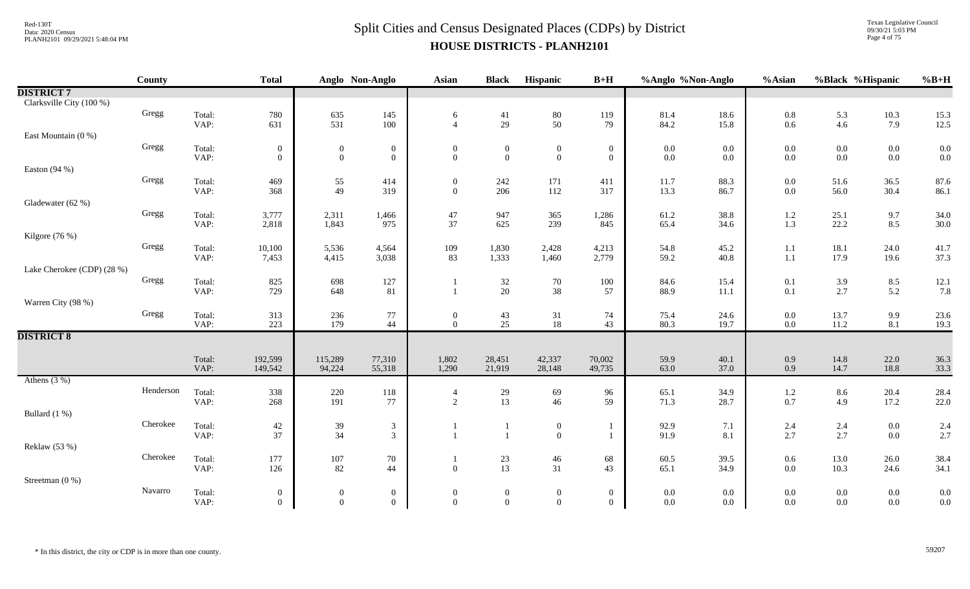Texas Legislative Council 09/30/21 5:03 PM Page 4 of 75

|                            | County    |                | <b>Total</b>                 |                                  | Anglo Non-Anglo                      | Asian                              | <b>Black</b>                     | Hispanic                                | $B+H$                            | %Anglo %Non-Anglo  |              | %Asian         | %Black %Hispanic   |                    | $%B+H$       |
|----------------------------|-----------|----------------|------------------------------|----------------------------------|--------------------------------------|------------------------------------|----------------------------------|-----------------------------------------|----------------------------------|--------------------|--------------|----------------|--------------------|--------------------|--------------|
| <b>DISTRICT 7</b>          |           |                |                              |                                  |                                      |                                    |                                  |                                         |                                  |                    |              |                |                    |                    |              |
| Clarksville City (100 %)   |           |                |                              |                                  |                                      |                                    |                                  |                                         |                                  |                    |              |                |                    |                    |              |
|                            | Gregg     | Total:         | 780                          | 635                              | 145                                  | 6                                  | 41                               | $\begin{array}{c} 80 \\ 50 \end{array}$ | 119                              | 81.4               | 18.6         | $0.8\,$        | 5.3                | $10.3\,$           | 15.3         |
|                            |           | VAP:           | 631                          | 531                              | 100                                  | $\overline{4}$                     | 29                               |                                         | 79                               | 84.2               | 15.8         | 0.6            | 4.6                | 7.9                | 12.5         |
| East Mountain (0 %)        | Gregg     |                |                              |                                  |                                      |                                    |                                  |                                         |                                  |                    |              |                |                    |                    |              |
|                            |           | Total:<br>VAP: | $\boldsymbol{0}$<br>$\Omega$ | $\mathbf{0}$<br>$\boldsymbol{0}$ | $\boldsymbol{0}$<br>$\boldsymbol{0}$ | $\boldsymbol{0}$<br>$\overline{0}$ | $\overline{0}$<br>$\overline{0}$ | $\boldsymbol{0}$<br>$\boldsymbol{0}$    | $\overline{0}$<br>$\overline{0}$ | $0.0\,$<br>$0.0\,$ | 0.0<br>0.0   | 0.0<br>0.0     | $0.0\,$<br>$0.0\,$ | $0.0\,$<br>$0.0\,$ | 0.0<br>0.0   |
| Easton (94 %)              |           |                |                              |                                  |                                      |                                    |                                  |                                         |                                  |                    |              |                |                    |                    |              |
|                            | Gregg     | Total:         | 469                          |                                  | 414                                  | $\overline{0}$                     | 242                              | 171                                     | 411                              | 11.7               | 88.3         | 0.0            | 51.6               | 36.5               | 87.6         |
|                            |           | VAP:           | 368                          | $\frac{55}{49}$                  | 319                                  | $\overline{0}$                     | 206                              | 112                                     | 317                              | 13.3               | 86.7         | 0.0            | 56.0               | 30.4               | 86.1         |
| Gladewater (62 %)          |           |                |                              |                                  |                                      |                                    |                                  |                                         |                                  |                    |              |                |                    |                    |              |
|                            | Gregg     | Total:         | 3,777                        | 2,311                            | 1,466                                | 47                                 | 947                              | 365                                     | 1,286                            | 61.2               | 38.8         | 1.2            | 25.1               | 9.7                | 34.0         |
|                            |           | VAP:           | 2,818                        | 1,843                            | 975                                  | 37                                 | 625                              | 239                                     | 845                              | 65.4               | 34.6         | 1.3            | 22.2               | 8.5                | 30.0         |
| Kilgore (76 %)             | Gregg     |                |                              |                                  |                                      |                                    |                                  |                                         |                                  |                    |              |                |                    |                    |              |
|                            |           | Total:<br>VAP: | 10,100<br>7,453              | 5,536<br>4,415                   | 4,564<br>3,038                       | 109<br>83                          | 1,830<br>1,333                   | 2,428<br>1,460                          | 4,213<br>2,779                   | 54.8<br>59.2       | 45.2<br>40.8 | 1.1<br>$1.1\,$ | 18.1<br>17.9       | 24.0<br>19.6       | 41.7<br>37.3 |
| Lake Cherokee (CDP) (28 %) |           |                |                              |                                  |                                      |                                    |                                  |                                         |                                  |                    |              |                |                    |                    |              |
|                            | Gregg     | Total:         | 825                          | 698                              | 127                                  |                                    | 32                               | $70\,$                                  | 100                              | 84.6               | 15.4         | 0.1            | 3.9                | 8.5                | 12.1         |
|                            |           | VAP:           | 729                          | 648                              | 81                                   |                                    | 20                               | 38                                      | 57                               | 88.9               | 11.1         | 0.1            | 2.7                | 5.2                | 7.8          |
| Warren City (98 %)         |           |                |                              |                                  |                                      |                                    |                                  |                                         |                                  |                    |              |                |                    |                    |              |
|                            | Gregg     | Total:         | 313                          | 236                              | 77                                   | $\boldsymbol{0}$                   | 43                               | 31                                      | 74                               | 75.4               | 24.6         | 0.0            | 13.7               | 9.9                | 23.6         |
|                            |           | VAP:           | 223                          | 179                              | 44                                   | $\Omega$                           | 25                               | 18                                      | 43                               | 80.3               | 19.7         | 0.0            | 11.2               | 8.1                | 19.3         |
| <b>DISTRICT 8</b>          |           |                |                              |                                  |                                      |                                    |                                  |                                         |                                  |                    |              |                |                    |                    |              |
|                            |           | Total:         | 192,599                      | 115,289                          | 77,310                               | 1,802                              | 28,451                           | 42,337                                  | 70,002                           | 59.9               | 40.1         | 0.9            | 14.8               | 22.0               | 36.3         |
|                            |           | VAP:           | 149,542                      | 94,224                           | 55,318                               | 1,290                              | 21,919                           | 28,148                                  | 49,735                           | 63.0               | 37.0         | 0.9            | 14.7               | 18.8               | 33.3         |
| Athens $(3\%)$             |           |                |                              |                                  |                                      |                                    |                                  |                                         |                                  |                    |              |                |                    |                    |              |
|                            | Henderson | Total:         | 338                          | $220\,$                          | 118                                  | $\overline{4}$                     | $29\,$                           | 69                                      | 96                               | 65.1               | 34.9         | 1.2            | 8.6                | 20.4               | 28.4         |
|                            |           | VAP:           | 268                          | 191                              | 77                                   | 2                                  | 13                               | 46                                      | 59                               | 71.3               | 28.7         | 0.7            | 4.9                | 17.2               | 22.0         |
| Bullard (1 %)              | Cherokee  | Total:         |                              |                                  |                                      |                                    |                                  |                                         |                                  |                    |              |                |                    |                    |              |
|                            |           | VAP:           | 42<br>37                     | 39<br>34                         | $\mathfrak{Z}$<br>$\overline{3}$     |                                    | $\mathbf{1}$<br>$\mathbf{1}$     | $\boldsymbol{0}$<br>$\mathbf{0}$        | -1<br>$\mathbf{1}$               | 92.9<br>91.9       | 7.1<br>8.1   | 2.4<br>2.7     | 2.4<br>2.7         | $0.0\,$<br>0.0     | 2.4<br>2.7   |
| Reklaw (53 %)              |           |                |                              |                                  |                                      |                                    |                                  |                                         |                                  |                    |              |                |                    |                    |              |
|                            | Cherokee  | Total:         | 177                          | $107\,$                          | 70                                   |                                    |                                  | $46\,$                                  | 68                               | 60.5               | 39.5         | $0.6\,$        | 13.0               | 26.0               | 38.4         |
|                            |           | VAP:           | 126                          | 82                               | 44                                   | $\Omega$                           | $\frac{23}{13}$                  | 31                                      | 43                               | 65.1               | 34.9         | 0.0            | 10.3               | 24.6               | 34.1         |
| Streetman (0 %)            |           |                |                              |                                  |                                      |                                    |                                  |                                         |                                  |                    |              |                |                    |                    |              |
|                            | Navarro   | Total:         | $\overline{0}$               | $\boldsymbol{0}$                 | $\boldsymbol{0}$                     | $\mathbf{0}$                       | $\mathbf{0}$                     | $\boldsymbol{0}$                        | $\overline{0}$                   | $0.0\,$            | 0.0          | 0.0            | $0.0\,$            | $0.0\,$            | 0.0          |
|                            |           | VAP:           | $\Omega$                     | $\Omega$                         | $\overline{0}$                       | $\Omega$                           | $\overline{0}$                   | $\mathbf{0}$                            | $\theta$                         | $0.0\,$            | $0.0\,$      | 0.0            | $0.0\,$            | $0.0\,$            | 0.0          |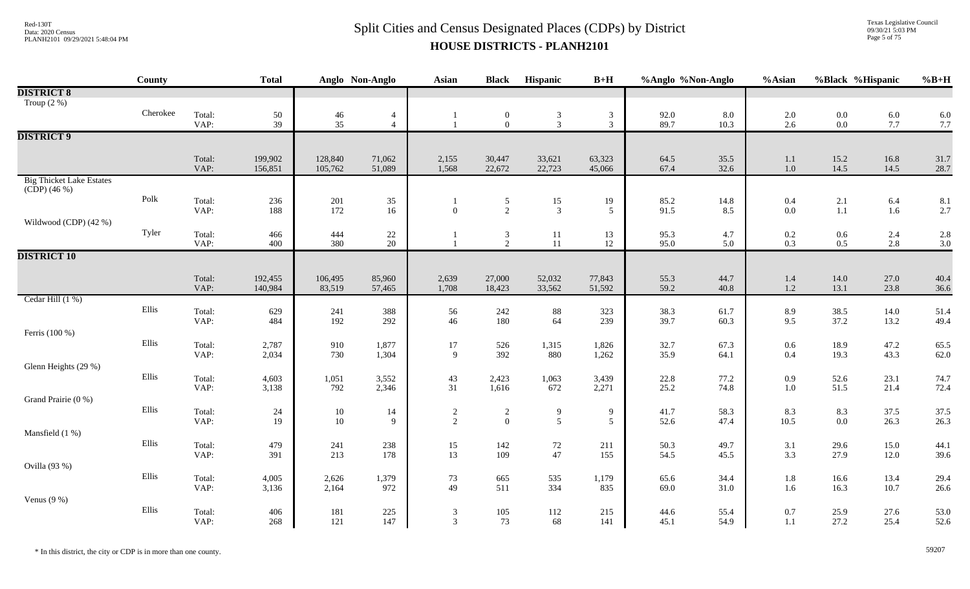Texas Legislative Council 09/30/21 5:03 PM Page 5 of 75

|                                 | County         |                | <b>Total</b>       |                    | Anglo Non-Anglo      | Asian           | <b>Black</b>                     | Hispanic         | $B+H$               | %Anglo %Non-Anglo |              | %Asian                                    | %Black %Hispanic                          |              | $%B+H$       |
|---------------------------------|----------------|----------------|--------------------|--------------------|----------------------|-----------------|----------------------------------|------------------|---------------------|-------------------|--------------|-------------------------------------------|-------------------------------------------|--------------|--------------|
| <b>DISTRICT 8</b>               |                |                |                    |                    |                      |                 |                                  |                  |                     |                   |              |                                           |                                           |              |              |
| Troup $(2 \%)$                  |                |                |                    |                    |                      |                 |                                  |                  |                     |                   |              |                                           |                                           |              |              |
|                                 | Cherokee       | Total:         | $\frac{50}{39}$    | $\frac{46}{35}$    | $\overline{4}$       |                 | $\boldsymbol{0}$                 | $\frac{3}{3}$    | $\mathfrak{Z}$      | 92.0<br>89.7      | 8.0          | $\begin{array}{c} 2.0 \\ 2.6 \end{array}$ | $\begin{array}{c} 0.0 \\ 0.0 \end{array}$ | $6.0$<br>7.7 | 6.0          |
|                                 |                | VAP:           |                    |                    | $\overline{4}$       | $\mathbf{1}$    | $\overline{0}$                   |                  | $\mathfrak{Z}$      |                   | 10.3         |                                           |                                           |              | 7.7          |
| <b>DISTRICT 9</b>               |                |                |                    |                    |                      |                 |                                  |                  |                     |                   |              |                                           |                                           |              |              |
|                                 |                |                |                    |                    |                      |                 |                                  |                  |                     |                   |              |                                           |                                           |              |              |
|                                 |                | Total:<br>VAP: | 199,902<br>156,851 | 128,840<br>105,762 | 71,062<br>51,089     | 2,155<br>1,568  | 30,447<br>22,672                 | 33,621<br>22,723 | 63,323<br>45,066    | 64.5<br>67.4      | 35.5<br>32.6 | 1.1<br>$1.0\,$                            | 15.2<br>14.5                              | 16.8<br>14.5 | 31.7<br>28.7 |
| <b>Big Thicket Lake Estates</b> |                |                |                    |                    |                      |                 |                                  |                  |                     |                   |              |                                           |                                           |              |              |
| $(CDP)$ (46 %)                  |                |                |                    |                    |                      |                 |                                  |                  |                     |                   |              |                                           |                                           |              |              |
|                                 | Polk           | Total:         | 236                | $201\,$            | $35\,$               | $\mathbf{1}$    | $\frac{5}{2}$                    | 15               | 19                  | 85.2              | 14.8         | 0.4                                       |                                           | $6.4\,$      | 8.1          |
|                                 |                | VAP:           | 188                | 172                | 16                   | $\theta$        |                                  | $\mathfrak{Z}$   | 5                   | 91.5              | 8.5          | 0.0                                       | $\begin{array}{c} 2.1 \\ 1.1 \end{array}$ | 1.6          | 2.7          |
| Wildwood (CDP) (42 %)           |                |                |                    |                    |                      |                 |                                  |                  |                     |                   |              |                                           |                                           |              |              |
|                                 | Tyler          | Total:         | 466                | 444                | $\substack{22 \ 20}$ | -1              | $\mathfrak{Z}$                   | 11               | 13                  | 95.3              | 4.7          | $\begin{array}{c} 0.2 \\ 0.3 \end{array}$ | $0.6\,$                                   | 2.4          | 2.8          |
|                                 |                | VAP:           | 400                | 380                |                      | $\mathbf{1}$    | 2                                | 11               | 12                  | 95.0              | 5.0          |                                           | $0.5\,$                                   | 2.8          | 3.0          |
| <b>DISTRICT 10</b>              |                |                |                    |                    |                      |                 |                                  |                  |                     |                   |              |                                           |                                           |              |              |
|                                 |                |                |                    |                    |                      |                 |                                  |                  |                     |                   |              |                                           |                                           |              |              |
|                                 |                | Total:<br>VAP: | 192,455<br>140,984 | 106,495<br>83,519  | 85,960<br>57,465     | 2,639<br>1,708  | 27,000<br>18,423                 | 52,032<br>33,562 | 77,843<br>51,592    | 55.3<br>59.2      | 44.7<br>40.8 | 1.4<br>$1.2\,$                            | 14.0<br>13.1                              | 27.0<br>23.8 | 40.4<br>36.6 |
| Cedar Hill (1 %)                |                |                |                    |                    |                      |                 |                                  |                  |                     |                   |              |                                           |                                           |              |              |
|                                 | Ellis          | Total:         | 629                | 241                | 388                  | 56              | 242                              | 88               | 323                 | 38.3              | 61.7         | 8.9                                       | 38.5                                      | 14.0         | 51.4         |
|                                 |                | VAP:           | 484                | 192                | 292                  | 46              | 180                              | 64               | 239                 | 39.7              | 60.3         | 9.5                                       | 37.2                                      | 13.2         | 49.4         |
| Ferris (100 %)                  |                |                |                    |                    |                      |                 |                                  |                  |                     |                   |              |                                           |                                           |              |              |
|                                 | Ellis          | Total:         | $2,787$<br>$2,034$ | $\frac{910}{730}$  | 1,877                | 17              | 526                              | 1,315            | 1,826               | 32.7              | 67.3         | $0.6\,$                                   | 18.9                                      | 47.2         | 65.5         |
|                                 |                | VAP:           |                    |                    | 1,304                | 9               | 392                              | 880              | 1,262               | 35.9              | 64.1         | 0.4                                       | 19.3                                      | 43.3         | 62.0         |
| Glenn Heights (29 %)            |                |                |                    |                    |                      |                 |                                  |                  |                     |                   |              |                                           |                                           |              |              |
|                                 | Ellis          | Total:         | 4,603              | 1,051              | 3,552                | 43              | 2,423                            | 1,063            | 3,439               | 22.8              | 77.2<br>74.8 | 0.9                                       | 52.6                                      | 23.1         | 74.7         |
| Grand Prairie (0 %)             |                | VAP:           | 3,138              | 792                | 2,346                | 31              | 1,616                            | 672              | 2,271               | 25.2              |              | 1.0                                       | 51.5                                      | 21.4         | 72.4         |
|                                 | $\hbox{Ellis}$ | Total:         | 24                 |                    |                      |                 |                                  |                  |                     | 41.7              |              |                                           |                                           |              | 37.5         |
|                                 |                | VAP:           | 19                 | $10\,$<br>10       | 14<br>9              | $\frac{2}{2}$   | $\overline{c}$<br>$\overline{0}$ | $\frac{9}{5}$    | 9<br>$\overline{5}$ | 52.6              | 58.3<br>47.4 | 8.3<br>$10.5\,$                           | 8.3<br>$0.0\,$                            | 37.5<br>26.3 | 26.3         |
| Mansfield (1 %)                 |                |                |                    |                    |                      |                 |                                  |                  |                     |                   |              |                                           |                                           |              |              |
|                                 | $\hbox{Ellis}$ | Total:         | 479                | 241                | 238                  | 15              | 142                              | $72\,$           | 211                 | 50.3              | 49.7         | 3.1                                       | 29.6                                      | 15.0         | 44.1         |
|                                 |                | VAP:           | 391                | 213                | 178                  | 13              | 109                              | 47               | 155                 | 54.5              | 45.5         | 3.3                                       | 27.9                                      | 12.0         | 39.6         |
| Ovilla (93 %)                   |                |                |                    |                    |                      |                 |                                  |                  |                     |                   |              |                                           |                                           |              |              |
|                                 | Ellis          | Total:         | 4,005              | 2,626              | 1,379                | $\frac{73}{49}$ | 665                              | 535              | 1,179               | 65.6              | 34.4         | $1.8\,$                                   | 16.6                                      | 13.4         | 29.4         |
|                                 |                | VAP:           | 3,136              | 2,164              | 972                  |                 | 511                              | 334              | 835                 | 69.0              | 31.0         | 1.6                                       | 16.3                                      | 10.7         | 26.6         |
| Venus $(9\%)$                   |                |                |                    |                    |                      |                 |                                  |                  |                     |                   |              |                                           |                                           |              |              |
|                                 | Ellis          | Total:         | 406                | 181                | 225                  | 3               | 105                              | 112              | 215                 | 44.6              | 55.4         | 0.7                                       | 25.9                                      | 27.6         | 53.0         |
|                                 |                | VAP:           | 268                | 121                | 147                  | 3               | 73                               | 68               | 141                 | 45.1              | 54.9         | 1.1                                       | 27.2                                      | 25.4         | 52.6         |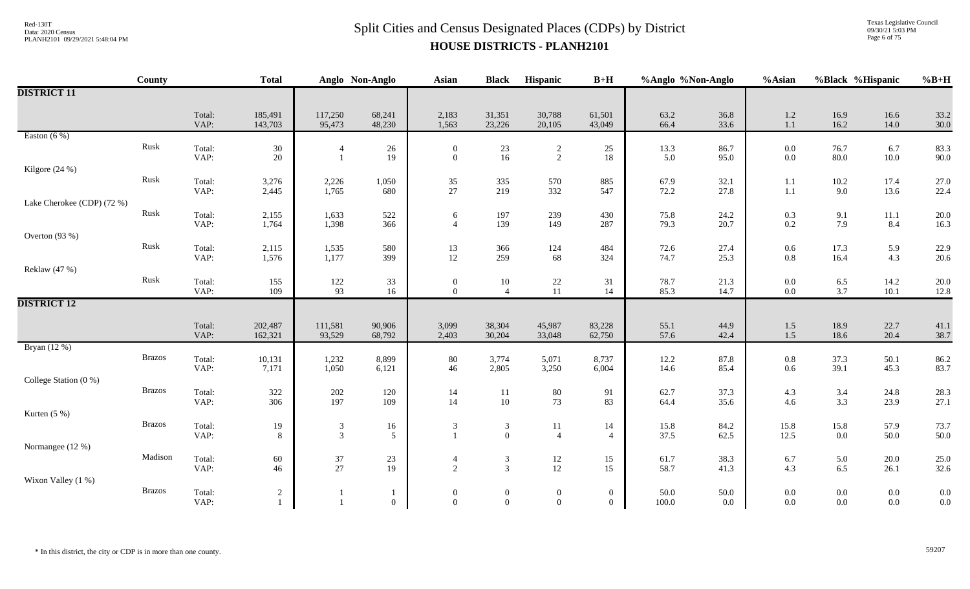Texas Legislative Council 09/30/21 5:03 PM Page 6 of 75

|                            | County        |                | <b>Total</b>       |                                  | Anglo Non-Anglo   | <b>Asian</b>                     | <b>Black</b>                     | Hispanic                     | $B+H$                      | %Anglo %Non-Anglo |                 | %Asian             | %Black %Hispanic |                  | $%B+H$       |
|----------------------------|---------------|----------------|--------------------|----------------------------------|-------------------|----------------------------------|----------------------------------|------------------------------|----------------------------|-------------------|-----------------|--------------------|------------------|------------------|--------------|
| <b>DISTRICT 11</b>         |               |                |                    |                                  |                   |                                  |                                  |                              |                            |                   |                 |                    |                  |                  |              |
|                            |               | Total:<br>VAP: | 185,491<br>143,703 | 117,250<br>95,473                | 68,241<br>48,230  | 2,183<br>1,563                   | 31,351<br>23,226                 | 30,788<br>20,105             | 61,501<br>43,049           | 63.2<br>66.4      | 36.8<br>33.6    | $1.2\,$<br>1.1     | 16.9<br>16.2     | 16.6<br>14.0     | 33.2<br>30.0 |
| Easton $(6\%)$             |               |                |                    |                                  |                   |                                  |                                  |                              |                            |                   |                 |                    |                  |                  |              |
|                            | Rusk          | Total:<br>VAP: | 30<br>20           |                                  | 26<br>19          | $\overline{0}$<br>$\overline{0}$ | $\frac{23}{16}$                  | $\overline{c}$<br>$\sqrt{2}$ | 25<br>18                   | 13.3<br>5.0       | 86.7<br>95.0    | $0.0\,$<br>$0.0\,$ | 76.7<br>80.0     | 6.7<br>$10.0\,$  | 83.3<br>90.0 |
| Kilgore (24 %)             |               |                |                    |                                  |                   |                                  |                                  |                              |                            |                   |                 |                    |                  |                  |              |
|                            | ${\rm Rusk}$  | Total:<br>VAP: | 3,276<br>2,445     | 2,226<br>1,765                   | 1,050<br>680      | $\frac{35}{27}$                  | 335<br>219                       | 570<br>332                   | 885<br>547                 | 67.9<br>72.2      | 32.1<br>27.8    | 1.1<br>1.1         | 10.2<br>9.0      | 17.4<br>13.6     | 27.0<br>22.4 |
| Lake Cherokee (CDP) (72 %) |               |                |                    |                                  |                   |                                  |                                  |                              |                            |                   |                 |                    |                  |                  |              |
|                            | Rusk          | Total:<br>VAP: | 2,155<br>1,764     | 1,633<br>1,398                   | 522<br>366        | 6<br>$\overline{4}$              | 197<br>139                       | 239<br>149                   | 430<br>287                 | 75.8<br>79.3      | 24.2<br>20.7    | $0.3\,$<br>$0.2\,$ | 9.1<br>7.9       | $11.1\,$<br>8.4  | 20.0<br>16.3 |
| Overton (93 %)             |               |                |                    |                                  |                   |                                  |                                  |                              |                            |                   |                 |                    |                  |                  |              |
|                            | ${\rm Rusk}$  | Total:<br>VAP: | 2,115<br>1,576     | 1,535<br>1,177                   | 580<br>399        | 13<br>12                         | 366<br>259                       | 124<br>68                    | 484<br>324                 | 72.6<br>74.7      | 27.4<br>25.3    | $0.6\,$<br>$0.8\,$ | 17.3<br>16.4     | 5.9<br>4.3       | 22.9<br>20.6 |
| Reklaw (47 %)              |               |                |                    |                                  |                   |                                  |                                  |                              |                            |                   |                 |                    |                  |                  |              |
|                            | Rusk          | Total:<br>VAP: | 155<br>109         | 122<br>93                        | 33<br>16          | $\boldsymbol{0}$<br>$\mathbf{0}$ | 10<br>$\overline{4}$             | $22\,$<br>11                 | 31<br>14                   | 78.7<br>85.3      | 21.3<br>14.7    | $0.0\,$<br>$0.0\,$ | 6.5<br>3.7       | 14.2<br>$10.1\,$ | 20.0<br>12.8 |
| <b>DISTRICT 12</b>         |               |                |                    |                                  |                   |                                  |                                  |                              |                            |                   |                 |                    |                  |                  |              |
|                            |               |                |                    |                                  |                   |                                  |                                  |                              |                            |                   |                 |                    |                  |                  |              |
|                            |               | Total:<br>VAP: | 202,487<br>162,321 | 111,581<br>93,529                | 90,906<br>68,792  | 3,099<br>2,403                   | 38,304<br>30,204                 | 45,987<br>33,048             | 83,228<br>62,750           | 55.1<br>57.6      | 44.9<br>42.4    | $1.5\,$<br>1.5     | 18.9<br>18.6     | 22.7<br>20.4     | 41.1<br>38.7 |
| Bryan (12 %)               |               |                |                    |                                  |                   |                                  |                                  |                              |                            |                   |                 |                    |                  |                  |              |
|                            | <b>Brazos</b> | Total:<br>VAP: | 10,131<br>7,171    | 1,232<br>1,050                   | 8,899<br>6,121    | $80\,$<br>46                     | 3,774<br>2,805                   | 5,071<br>3,250               | 8,737<br>6,004             | 12.2<br>14.6      | 87.8<br>85.4    | $0.8\,$<br>$0.6\,$ | 37.3<br>39.1     | 50.1<br>45.3     | 86.2<br>83.7 |
| College Station (0 %)      |               |                |                    |                                  |                   |                                  |                                  |                              |                            |                   |                 |                    |                  |                  |              |
|                            | <b>Brazos</b> | Total:<br>VAP: | 322<br>306         | $202\,$<br>197                   | 120<br>109        | 14<br>14                         | $11\,$<br>10                     | $80\,$<br>73                 | 91<br>83                   | 62.7<br>64.4      | 37.3<br>35.6    | 4.3<br>4.6         | 3.4<br>3.3       | 24.8<br>23.9     | 28.3<br>27.1 |
| Kurten $(5%)$              |               |                |                    |                                  |                   |                                  |                                  |                              |                            |                   |                 |                    |                  |                  |              |
|                            | <b>Brazos</b> | Total:<br>VAP: | 19<br>8            | $\mathfrak{Z}$<br>$\mathfrak{Z}$ | 16<br>5           | $\mathfrak{Z}$                   | $\mathfrak{Z}$<br>$\overline{0}$ | $11\,$<br>$\overline{4}$     | 14<br>$\overline{4}$       | 15.8<br>37.5      | 84.2<br>62.5    | 15.8<br>12.5       | 15.8<br>$0.0\,$  | 57.9<br>50.0     | 73.7<br>50.0 |
| Normangee (12 %)           |               |                |                    |                                  |                   |                                  |                                  |                              |                            |                   |                 |                    |                  |                  |              |
|                            | Madison       | Total:<br>VAP: | 60<br>46           | $37\,$<br>27                     | $23\,$<br>19      | $\overline{4}$<br>$\overline{2}$ | $\mathfrak{Z}$<br>$\overline{3}$ | $12\,$<br>12                 | 15<br>15                   | 61.7<br>58.7      | 38.3<br>41.3    | 6.7<br>4.3         | 5.0<br>6.5       | 20.0<br>26.1     | 25.0<br>32.6 |
| Wixon Valley (1 %)         |               |                |                    |                                  |                   |                                  |                                  |                              |                            |                   |                 |                    |                  |                  |              |
|                            | <b>Brazos</b> | Total:<br>VAP: | $\sqrt{2}$         |                                  | 1<br>$\mathbf{0}$ | $\overline{0}$<br>$\overline{0}$ | $\mathbf{0}$<br>$\mathbf{0}$     | $\mathbf{0}$<br>$\mathbf{0}$ | $\overline{0}$<br>$\theta$ | 50.0<br>100.0     | $50.0\,$<br>0.0 | $0.0\,$<br>0.0     | 0.0<br>0.0       | $0.0\,$<br>0.0   | 0.0<br>0.0   |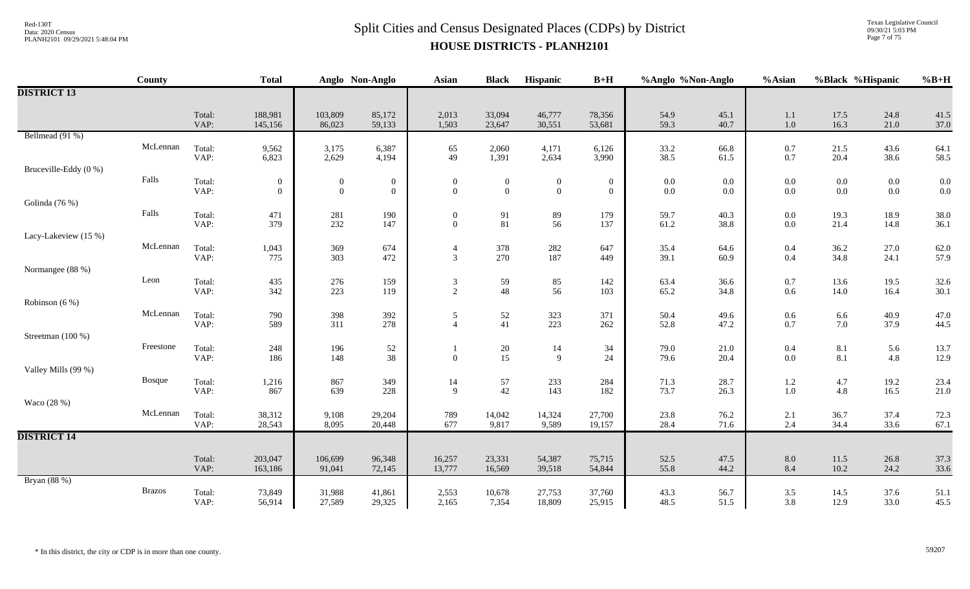# $Split$  Cities and Census Designated Places (CDPs) by District Data: 2020 Census **HOUSE DISTRICTS - PLANH2101**

Texas Legislative Council 09/30/21 5:03 PM Page 7 of 75

|                       | County        |                | <b>Total</b>       |                   | Anglo Non-Anglo  | <b>Asian</b>        | <b>Black</b>                            | Hispanic                                  | $B+H$            | %Anglo %Non-Anglo |              | %Asian                                    | %Black %Hispanic |                                           | $%B+H$       |
|-----------------------|---------------|----------------|--------------------|-------------------|------------------|---------------------|-----------------------------------------|-------------------------------------------|------------------|-------------------|--------------|-------------------------------------------|------------------|-------------------------------------------|--------------|
| <b>DISTRICT 13</b>    |               |                |                    |                   |                  |                     |                                         |                                           |                  |                   |              |                                           |                  |                                           |              |
|                       |               | Total:<br>VAP: | 188,981<br>145,156 | 103,809<br>86,023 | 85,172<br>59,133 | 2,013<br>1,503      | 33,094<br>23,647                        | 46,777<br>30,551                          | 78,356<br>53,681 | 54.9<br>59.3      | 45.1<br>40.7 | 1.1<br>$1.0\,$                            | 17.5<br>16.3     | 24.8<br>21.0                              | 41.5<br>37.0 |
| Bellmead (91 %)       |               |                |                    |                   |                  |                     |                                         |                                           |                  |                   |              |                                           |                  |                                           |              |
|                       | McLennan      | Total:<br>VAP: | 9,562<br>6,823     | 3,175<br>2,629    | 6,387<br>4,194   | 65<br>49            | 2,060<br>1,391                          | 4,171<br>2,634                            | 6,126<br>3,990   | 33.2<br>38.5      | 66.8<br>61.5 | $0.7\,$<br>$0.7\,$                        | 21.5<br>20.4     | 43.6<br>38.6                              | 64.1<br>58.5 |
| Bruceville-Eddy (0 %) |               |                |                    |                   |                  |                     |                                         |                                           |                  |                   |              |                                           |                  |                                           |              |
|                       | Falls         | Total:         | $\boldsymbol{0}$   | $\boldsymbol{0}$  | $\boldsymbol{0}$ | $\boldsymbol{0}$    | $\boldsymbol{0}$                        | $\mathbf{0}$                              | $\boldsymbol{0}$ | $0.0\,$           | $0.0\,$      | $\begin{array}{c} 0.0 \\ 0.0 \end{array}$ | $0.0\,$          | $\begin{array}{c} 0.0 \\ 0.0 \end{array}$ | $0.0\,$      |
|                       |               | VAP:           | $\overline{0}$     | $\mathbf{0}$      | $\mathbf{0}$     | $\mathbf{0}$        | $\theta$                                | $\overline{0}$                            | $\overline{0}$   | $0.0\,$           | 0.0          |                                           | $0.0\,$          |                                           | $0.0\,$      |
| Golinda (76 %)        | Falls         | Total:         | 471                | 281               | 190              | $\overline{0}$      | 91                                      | $89\,$                                    | 179              | 59.7              | 40.3         | $0.0\,$                                   | 19.3             | 18.9                                      | 38.0         |
|                       |               | VAP:           | 379                | 232               | 147              | $\mathbf{0}$        | 81                                      | 56                                        | 137              | 61.2              | 38.8         | $0.0\,$                                   | 21.4             | 14.8                                      | 36.1         |
| Lacy-Lakeview (15 %)  |               |                |                    |                   |                  |                     |                                         |                                           |                  |                   |              |                                           |                  |                                           |              |
|                       | McLennan      | Total:<br>VAP: | 1,043<br>775       | 369<br>303        | 674<br>472       | $\overline{4}$<br>3 | 378<br>270                              | $282\,$<br>187                            | 647<br>449       | 35.4<br>39.1      | 64.6<br>60.9 | 0.4<br>$0.4\,$                            | 36.2<br>34.8     | 27.0<br>24.1                              | 62.0<br>57.9 |
| Normangee (88 %)      |               |                |                    |                   |                  |                     |                                         |                                           |                  |                   |              |                                           |                  |                                           |              |
|                       | Leon          | Total:         | 435                | 276               | 159              | $\mathfrak{Z}$      | 59                                      | $\begin{array}{c} 85 \\ 56 \end{array}$   | 142              | 63.4              | 36.6         | $0.7\,$                                   | 13.6             | 19.5                                      | 32.6         |
|                       |               | VAP:           | 342                | 223               | 119              | 2                   | 48                                      |                                           | 103              | 65.2              | 34.8         | $0.6\,$                                   | 14.0             | 16.4                                      | 30.1         |
| Robinson (6 %)        | McLennan      | Total:         | 790                | 398               | 392              | 5                   |                                         |                                           | 371              | 50.4              | 49.6         | $0.6\,$                                   | 6.6              | 40.9                                      | 47.0         |
|                       |               | VAP:           | 589                | 311               | 278              | $\Delta$            | $\begin{array}{c} 52 \\ 41 \end{array}$ | $\begin{array}{c} 323 \\ 223 \end{array}$ | 262              | 52.8              | 47.2         | $0.7\,$                                   | 7.0              | 37.9                                      | 44.5         |
| Streetman (100 %)     |               |                |                    |                   |                  |                     |                                         |                                           |                  |                   |              |                                           |                  |                                           |              |
|                       | Freestone     | Total:<br>VAP: | 248<br>186         | 196<br>148        | 52<br>38         | $\overline{0}$      | $\frac{20}{15}$                         | 14<br>9                                   | 34<br>24         | 79.0<br>79.6      | 21.0<br>20.4 | 0.4<br>$0.0\,$                            | 8.1<br>8.1       | 5.6<br>4.8                                | 13.7<br>12.9 |
| Valley Mills (99 %)   |               |                |                    |                   |                  |                     |                                         |                                           |                  |                   |              |                                           |                  |                                           |              |
|                       | Bosque        | Total:         | 1,216              | 867               | 349              | 14                  | 57                                      | 233                                       | 284              | 71.3              | 28.7         | $1.2\,$                                   | 4.7              | 19.2                                      | 23.4         |
|                       |               | VAP:           | 867                | 639               | 228              | 9                   | 42                                      | 143                                       | 182              | 73.7              | 26.3         | $1.0\,$                                   | 4.8              | 16.5                                      | 21.0         |
| Waco (28 %)           | McLennan      | Total:         | 38,312             | 9,108             | 29,204           | 789                 | 14,042                                  | 14,324                                    | 27,700           | 23.8              | 76.2         | $2.1\,$                                   | 36.7             | 37.4                                      | 72.3         |
|                       |               | VAP:           | 28,543             | 8,095             | 20,448           | 677                 | 9,817                                   | 9,589                                     | 19,157           | 28.4              | 71.6         | 2.4                                       | 34.4             | 33.6                                      | 67.1         |
| <b>DISTRICT 14</b>    |               |                |                    |                   |                  |                     |                                         |                                           |                  |                   |              |                                           |                  |                                           |              |
|                       |               | Total:         | 203,047            | 106,699           | 96,348           | 16,257              | 23,331                                  | 54,387                                    | 75,715           | 52.5              | 47.5         | $8.0\,$                                   | 11.5             | 26.8                                      | 37.3         |
|                       |               | VAP:           | 163,186            | 91,041            | 72,145           | 13,777              | 16,569                                  | 39,518                                    | 54,844           | 55.8              | 44.2         | 8.4                                       | 10.2             | 24.2                                      | 33.6         |
| Bryan (88 %)          |               |                |                    |                   |                  |                     |                                         |                                           |                  |                   |              |                                           |                  |                                           |              |
|                       | <b>Brazos</b> | Total:<br>VAP: | 73,849<br>56,914   | 31,988<br>27,589  | 41,861<br>29,325 | 2,553<br>2,165      | 10,678<br>7,354                         | 27,753<br>18,809                          | 37,760<br>25,915 | 43.3<br>48.5      | 56.7<br>51.5 | 3.5<br>3.8                                | 14.5<br>12.9     | 37.6<br>33.0                              | 51.1<br>45.5 |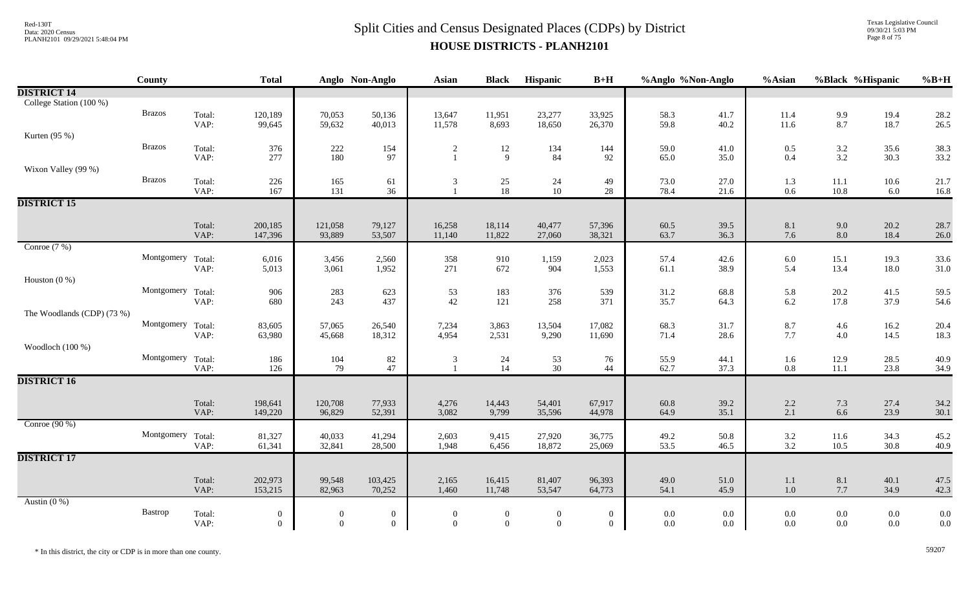Texas Legislative Council 09/30/21 5:03 PM Page 8 of 75

|                            | County            |                | <b>Total</b>     |                  | Anglo Non-Anglo  | Asian            | <b>Black</b>    | Hispanic       | $B+H$            | %Anglo %Non-Anglo |              | %Asian             | %Black %Hispanic  |              | $%B+H$       |
|----------------------------|-------------------|----------------|------------------|------------------|------------------|------------------|-----------------|----------------|------------------|-------------------|--------------|--------------------|-------------------|--------------|--------------|
| <b>DISTRICT 14</b>         |                   |                |                  |                  |                  |                  |                 |                |                  |                   |              |                    |                   |              |              |
| College Station (100 %)    |                   |                |                  |                  |                  |                  |                 |                |                  |                   |              |                    |                   |              |              |
|                            | <b>Brazos</b>     | Total:         | 120,189          | 70,053           | 50,136           | 13,647           | 11,951          | 23,277         | 33,925           | 58.3              | 41.7         | 11.4               | $\frac{9.9}{8.7}$ | 19.4         | 28.2         |
|                            |                   | VAP:           | 99,645           | 59,632           | 40,013           | 11,578           | 8,693           | 18,650         | 26,370           | 59.8              | 40.2         | 11.6               |                   | 18.7         | 26.5         |
| Kurten $(95\%)$            | <b>Brazos</b>     |                |                  |                  |                  |                  |                 |                |                  |                   |              |                    |                   |              |              |
|                            |                   | Total:<br>VAP: | 376<br>277       | $222\,$<br>180   | 154<br>97        | $\overline{2}$   | 12<br>9         | 134<br>84      | 144<br>92        | 59.0<br>65.0      | 41.0<br>35.0 | $0.5\,$<br>$0.4\,$ | $3.2$<br>$3.2$    | 35.6<br>30.3 | 38.3<br>33.2 |
| Wixon Valley (99 %)        |                   |                |                  |                  |                  |                  |                 |                |                  |                   |              |                    |                   |              |              |
|                            | <b>Brazos</b>     | Total:         | 226              | 165              | 61               | $\mathfrak{Z}$   |                 | 24             | 49               | 73.0              | 27.0         | 1.3                | $11.1\,$          | 10.6         | 21.7         |
|                            |                   | VAP:           | 167              | 131              | 36               |                  | $\frac{25}{18}$ | 10             | 28               | 78.4              | 21.6         | 0.6                | 10.8              | 6.0          | 16.8         |
| <b>DISTRICT 15</b>         |                   |                |                  |                  |                  |                  |                 |                |                  |                   |              |                    |                   |              |              |
|                            |                   |                |                  |                  |                  |                  |                 |                |                  |                   |              |                    |                   |              |              |
|                            |                   | Total:         | 200,185          | 121,058          | 79,127           | 16,258           | 18,114          | 40,477         | 57,396           | 60.5              | 39.5         | $8.1\,$            | $9.0\,$           | 20.2         | 28.7         |
| Conroe $(7%)$              |                   | VAP:           | 147,396          | 93,889           | 53,507           | 11,140           | 11,822          | 27,060         | 38,321           | 63.7              | 36.3         | 7.6                | 8.0               | 18.4         | 26.0         |
|                            | Montgomery Total: |                | 6,016            |                  | 2,560            | 358              | 910             | 1,159          | 2,023            | 57.4              | 42.6         |                    | 15.1              | 19.3         | 33.6         |
|                            |                   | VAP:           | 5,013            | 3,456<br>3,061   | 1,952            | 271              | 672             | 904            | 1,553            | 61.1              | 38.9         | 6.0<br>5.4         | 13.4              | 18.0         | 31.0         |
| Houston $(0\%)$            |                   |                |                  |                  |                  |                  |                 |                |                  |                   |              |                    |                   |              |              |
|                            | Montgomery Total: |                | 906              | 283              | 623              | 53               | 183             | 376            | 539              | 31.2              | 68.8         | 5.8                | 20.2              | 41.5         | 59.5         |
|                            |                   | VAP:           | 680              | 243              | 437              | 42               | 121             | 258            | 371              | 35.7              | 64.3         | 6.2                | 17.8              | 37.9         | 54.6         |
| The Woodlands (CDP) (73 %) |                   |                |                  |                  |                  |                  |                 |                |                  |                   |              |                    |                   |              |              |
|                            | Montgomery Total: |                | 83,605           | 57,065           | 26,540           | 7,234            | 3,863           | 13,504         | 17,082           | 68.3              | 31.7         | 8.7                | 4.6               | 16.2         | 20.4         |
|                            |                   | VAP:           | 63,980           | 45,668           | 18,312           | 4,954            | 2,531           | 9,290          | 11,690           | 71.4              | 28.6         | 7.7                | 4.0               | 14.5         | 18.3         |
| Woodloch (100 %)           |                   |                |                  |                  |                  |                  |                 |                |                  |                   |              |                    |                   |              |              |
|                            | Montgomery Total: | VAP:           | 186<br>126       | 104<br>79        | 82<br>47         | 3                | 24<br>14        | 53<br>30       | 76<br>44         | 55.9<br>62.7      | 44.1<br>37.3 | 1.6<br>0.8         | 12.9<br>$11.1\,$  | 28.5<br>23.8 | 40.9<br>34.9 |
| <b>DISTRICT 16</b>         |                   |                |                  |                  |                  |                  |                 |                |                  |                   |              |                    |                   |              |              |
|                            |                   |                |                  |                  |                  |                  |                 |                |                  |                   |              |                    |                   |              |              |
|                            |                   | Total:         | 198,641          | 120,708          | 77,933           | 4,276            | 14,443          | 54,401         | 67,917           | 60.8              | 39.2         | 2.2                | 7.3               | 27.4         | 34.2         |
|                            |                   | VAP:           | 149,220          | 96,829           | 52,391           | 3,082            | 9,799           | 35,596         | 44,978           | 64.9              | 35.1         | 2.1                | 6.6               | 23.9         | 30.1         |
| Conroe $(90\%)$            |                   |                |                  |                  |                  |                  |                 |                |                  |                   |              |                    |                   |              |              |
|                            | Montgomery Total: |                | 81,327           | 40,033           | 41,294           | 2,603            | 9,415           | 27,920         | 36,775           | 49.2              | 50.8         | $\frac{3.2}{3.2}$  | 11.6              | 34.3         | 45.2         |
|                            |                   | VAP:           | 61,341           | 32,841           | 28,500           | 1,948            | 6,456           | 18,872         | 25,069           | 53.5              | 46.5         |                    | 10.5              | 30.8         | 40.9         |
| <b>DISTRICT 17</b>         |                   |                |                  |                  |                  |                  |                 |                |                  |                   |              |                    |                   |              |              |
|                            |                   | Total:         | 202,973          | 99,548           | 103,425          | 2,165            | 16,415          | 81,407         | 96,393           | 49.0              | 51.0         | 1.1                | 8.1               | 40.1         | 47.5         |
|                            |                   | VAP:           | 153,215          | 82,963           | 70,252           | 1,460            | 11,748          | 53,547         | 64,773           | 54.1              | 45.9         | $1.0\,$            | $7.7\,$           | 34.9         | 42.3         |
| Austin $(0\%)$             |                   |                |                  |                  |                  |                  |                 |                |                  |                   |              |                    |                   |              |              |
|                            | <b>Bastrop</b>    | Total:         | $\boldsymbol{0}$ | $\boldsymbol{0}$ | $\boldsymbol{0}$ | $\boldsymbol{0}$ | $\overline{0}$  | $\overline{0}$ | $\boldsymbol{0}$ | $0.0\,$           | $0.0\,$      | $0.0\,$            | $0.0\,$           | $0.0\,$      | 0.0          |
|                            |                   | VAP:           | $\overline{0}$   | $\overline{0}$   | $\boldsymbol{0}$ | $\mathbf{0}$     | $\overline{0}$  | $\overline{0}$ | $\overline{0}$   | $0.0\,$           | 0.0          | 0.0                | $0.0\,$           | $0.0\,$      | 0.0          |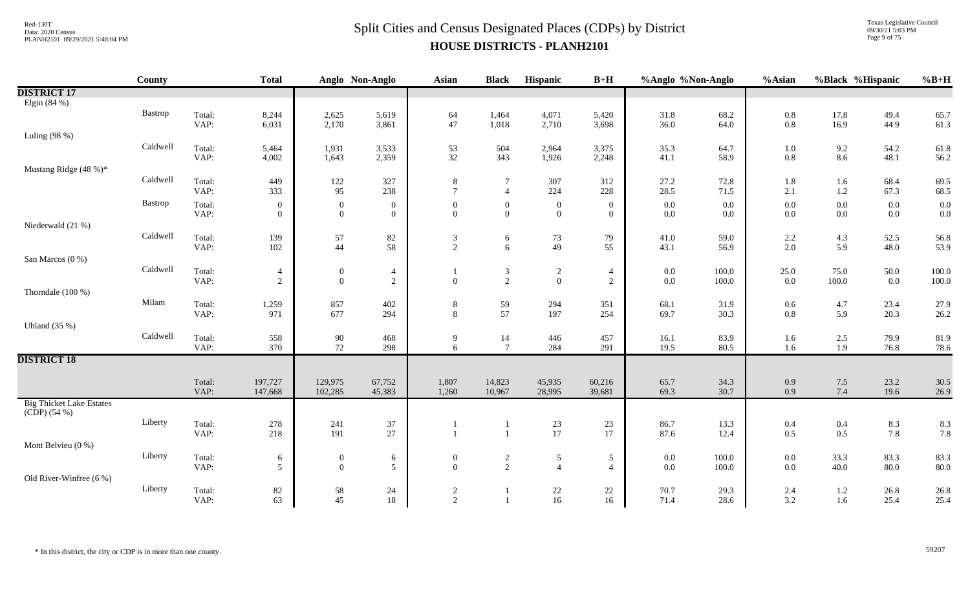Texas Legislative Council 09/30/21 5:03 PM Page 9 of 75

|                                 | County   |                | <b>Total</b>       |                    | Anglo Non-Anglo  | Asian          | <b>Black</b>     | Hispanic         | $B+H$            | %Anglo %Non-Anglo |              | %Asian     | %Black %Hispanic |              | $%B+H$       |
|---------------------------------|----------|----------------|--------------------|--------------------|------------------|----------------|------------------|------------------|------------------|-------------------|--------------|------------|------------------|--------------|--------------|
| <b>DISTRICT 17</b>              |          |                |                    |                    |                  |                |                  |                  |                  |                   |              |            |                  |              |              |
| Elgin (84 %)                    |          |                |                    |                    |                  |                |                  |                  |                  |                   |              |            |                  |              |              |
|                                 | Bastrop  | Total:         | 8,244              | 2,625              | 5,619            | 64             | 1,464            | 4,071            | 5,420            | 31.8              | 68.2         | $0.8\,$    | 17.8             | 49.4         | 65.7         |
|                                 |          | VAP:           | 6,031              | 2,170              | 3,861            | 47             | 1,018            | 2,710            | 3,698            | 36.0              | 64.0         | 0.8        | 16.9             | 44.9         | 61.3         |
| Luling $(98%)$                  |          |                |                    |                    |                  |                |                  |                  |                  |                   |              |            |                  |              |              |
|                                 | Caldwell | Total:         | 5,464              | 1,931              | 3,533            | 53             | 504              | 2,964            | 3,375            | 35.3              | 64.7         | $1.0\,$    | 9.2              | 54.2         | 61.8         |
|                                 |          | VAP:           | 4,002              | 1,643              | 2,359            | 32             | 343              | 1,926            | 2,248            | 41.1              | 58.9         | 0.8        | 8.6              | 48.1         | 56.2         |
| Mustang Ridge (48 %)*           |          |                |                    |                    |                  |                |                  |                  |                  |                   |              |            |                  |              |              |
|                                 | Caldwell | Total:         | 449                | $122\,$            | 327              | 8              | -7               | 307              | 312              | 27.2              | 72.8         | 1.8        | 1.6              | 68.4         | 69.5         |
|                                 |          | VAP:           | 333                | 95                 | 238              | $\tau$         | $\overline{4}$   | 224              | 228              | 28.5              | 71.5         | 2.1        | $1.2\,$          | 67.3         | 68.5         |
|                                 | Bastrop  | Total:         | $\overline{0}$     | $\mathbf{0}$       | $\boldsymbol{0}$ | $\mathbf{0}$   | $\boldsymbol{0}$ | $\boldsymbol{0}$ | $\mathbf{0}$     | $0.0\,$           | 0.0          | 0.0        | $0.0\,$          | $0.0\,$      | 0.0          |
|                                 |          | VAP:           | $\overline{0}$     | $\overline{0}$     | $\overline{0}$   | $\Omega$       | $\overline{0}$   | $\overline{0}$   | $\overline{0}$   | $0.0\,$           | 0.0          | 0.0        | $0.0\,$          | $0.0\,$      | 0.0          |
| Niederwald (21 %)               |          |                |                    |                    |                  |                |                  |                  |                  |                   |              |            |                  |              |              |
|                                 | Caldwell | Total:         | 139                | 57                 | 82               | 3              | 6                | 73               | 79               | 41.0              | 59.0         | $2.2\,$    | 4.3              | 52.5         | 56.8         |
|                                 |          | VAP:           | 102                | $44\,$             | 58               | $\overline{2}$ | 6                | 49               | 55               | 43.1              | 56.9         | $2.0\,$    | 5.9              | 48.0         | 53.9         |
| San Marcos (0 %)                |          |                |                    |                    |                  |                |                  |                  |                  |                   |              |            |                  |              |              |
|                                 | Caldwell | Total:         | 4                  | $\overline{0}$     | $\overline{4}$   |                | $\mathfrak{Z}$   | $\overline{2}$   | 4                | 0.0               | 100.0        | 25.0       | 75.0             | 50.0         | 100.0        |
|                                 |          | VAP:           | $\overline{c}$     | $\boldsymbol{0}$   | $\overline{2}$   | $\Omega$       | 2                | $\mathbf{0}$     | $\sqrt{2}$       | $0.0\,$           | 100.0        | $0.0\,$    | $100.0\,$        | $0.0\,$      | 100.0        |
| Thorndale (100 %)               |          |                |                    |                    |                  |                |                  |                  |                  |                   |              |            |                  |              |              |
|                                 | Milam    | Total:         | 1,259              | 857                | 402              | $\,8\,$        | 59               | 294              | 351              | 68.1              | 31.9         | 0.6        | 4.7              | 23.4         | 27.9         |
|                                 |          | VAP:           | 971                | 677                | 294              | 8              | 57               | 197              | 254              | 69.7              | 30.3         | $0.8\,$    | 5.9              | 20.3         | 26.2         |
| Uhland $(35\%)$                 |          |                |                    |                    |                  |                |                  |                  |                  |                   |              |            |                  |              |              |
|                                 | Caldwell | Total:         | 558                | $90\,$             | 468              | 9              | 14               | 446              | 457              | 16.1              | 83.9         | 1.6        | $2.5\,$          | 79.9         | 81.9         |
|                                 |          | VAP:           | 370                | 72                 | 298              | 6              | $7\phantom{.0}$  | 284              | 291              | 19.5              | 80.5         | 1.6        | 1.9              | 76.8         | 78.6         |
| <b>DISTRICT 18</b>              |          |                |                    |                    |                  |                |                  |                  |                  |                   |              |            |                  |              |              |
|                                 |          |                |                    |                    |                  |                |                  |                  |                  |                   |              |            |                  |              |              |
|                                 |          | Total:<br>VAP: | 197,727<br>147,668 | 129,975<br>102,285 | 67,752<br>45,383 | 1,807<br>1,260 | 14,823<br>10,967 | 45,935<br>28,995 | 60,216<br>39,681 | 65.7<br>69.3      | 34.3<br>30.7 | 0.9<br>0.9 | $7.5\,$<br>7.4   | 23.2<br>19.6 | 30.5<br>26.9 |
| <b>Big Thicket Lake Estates</b> |          |                |                    |                    |                  |                |                  |                  |                  |                   |              |            |                  |              |              |
| $(CDP)$ (54 %)                  |          |                |                    |                    |                  |                |                  |                  |                  |                   |              |            |                  |              |              |
|                                 | Liberty  | Total:         | 278                | 241                | 37               |                |                  |                  | 23               | 86.7              | 13.3         | 0.4        | 0.4              | 8.3          | 8.3          |
|                                 |          | VAP:           | 218                | 191                | $27\,$           |                | $\overline{1}$   | $\frac{23}{17}$  | 17               | 87.6              | 12.4         | 0.5        | $0.5\,$          | $7.8\,$      | 7.8          |
| Mont Belvieu (0 %)              |          |                |                    |                    |                  |                |                  |                  |                  |                   |              |            |                  |              |              |
|                                 | Liberty  | Total:         | 6                  | $\overline{0}$     | 6                | $\mathbf{0}$   |                  | 5                | 5                | $0.0\,$           | 100.0        | $0.0\,$    | 33.3             | 83.3         | 83.3         |
|                                 |          | VAP:           | 5                  | $\boldsymbol{0}$   | $\mathfrak{S}$   | $\Omega$       | $\frac{2}{2}$    | $\overline{4}$   | $\overline{4}$   | $0.0\,$           | 100.0        | $0.0\,$    | 40.0             | 80.0         | 80.0         |
| Old River-Winfree (6 %)         |          |                |                    |                    |                  |                |                  |                  |                  |                   |              |            |                  |              |              |
|                                 | Liberty  | Total:         | 82                 | 58                 | 24               | $\overline{2}$ |                  | $22\,$           | 22               | 70.7              | 29.3         | 2.4        | $1.2\,$          | 26.8         | 26.8         |
|                                 |          | VAP:           | 63                 | 45                 | 18               | $\overline{2}$ | $\mathbf{1}$     | 16               | 16               | 71.4              | 28.6         | 3.2        | 1.6              | 25.4         | 25.4         |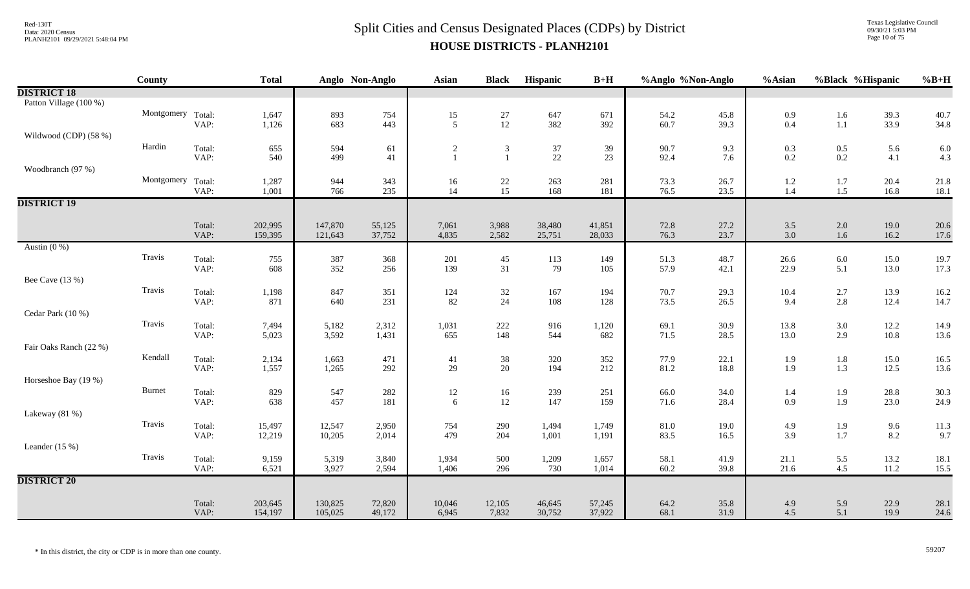#### $Split$  Cities and Census Designated Places (CDPs) by District Data: 2020 Census **HOUSE DISTRICTS - PLANH2101**

Texas Legislative Council 09/30/21 5:03 PM Page 10 of 75

|                        | County            |                | <b>Total</b> |            | Anglo Non-Anglo | Asian                      | <b>Black</b>                            | Hispanic     | $B+H$      | %Anglo %Non-Anglo |              | %Asian       |                    | %Black %Hispanic | $%B+H$       |
|------------------------|-------------------|----------------|--------------|------------|-----------------|----------------------------|-----------------------------------------|--------------|------------|-------------------|--------------|--------------|--------------------|------------------|--------------|
| <b>DISTRICT 18</b>     |                   |                |              |            |                 |                            |                                         |              |            |                   |              |              |                    |                  |              |
| Patton Village (100 %) |                   |                |              |            |                 |                            |                                         |              |            |                   |              |              |                    |                  |              |
|                        | Montgomery Total: |                | 1,647        | 893        | 754             | $\frac{15}{5}$             | $\begin{array}{c} 27 \\ 12 \end{array}$ | 647          | 671        | 54.2              | 45.8         | 0.9          | 1.6                | 39.3             | 40.7         |
|                        |                   | VAP:           | 1,126        | 683        | 443             |                            |                                         | 382          | 392        | 60.7              | 39.3         | 0.4          | $1.1\,$            | 33.9             | 34.8         |
| Wildwood (CDP) (58 %)  | Hardin            |                |              |            |                 |                            |                                         |              |            |                   |              |              |                    |                  |              |
|                        |                   | Total:<br>VAP: | 655<br>540   | 594<br>499 | 61<br>41        | $\sqrt{2}$<br>$\mathbf{1}$ | $\mathfrak{Z}$<br>$\mathbf{1}$          | $37\,$<br>22 | 39<br>23   | 90.7<br>92.4      | 9.3<br>7.6   | 0.3<br>0.2   | $0.5\,$<br>$0.2\,$ | 5.6<br>4.1       | 6.0<br>4.3   |
| Woodbranch (97 %)      |                   |                |              |            |                 |                            |                                         |              |            |                   |              |              |                    |                  |              |
|                        | Montgomery Total: |                | 1,287        | 944        | 343             | 16                         |                                         | 263          | 281        | 73.3              | 26.7         | 1.2          | 1.7                | 20.4             | 21.8         |
|                        |                   | VAP:           | 1,001        | 766        | 235             | 14                         | $\frac{22}{15}$                         | 168          | 181        | 76.5              | 23.5         | 1.4          | 1.5                | 16.8             | 18.1         |
| <b>DISTRICT 19</b>     |                   |                |              |            |                 |                            |                                         |              |            |                   |              |              |                    |                  |              |
|                        |                   |                |              |            |                 |                            |                                         |              |            |                   |              |              |                    |                  |              |
|                        |                   | Total:         | 202,995      | 147,870    | 55,125          | 7,061                      | 3,988                                   | 38,480       | 41,851     | 72.8              | 27.2         | 3.5          | $2.0\,$            | 19.0             | 20.6         |
|                        |                   | VAP:           | 159,395      | 121,643    | 37,752          | 4,835                      | 2,582                                   | 25,751       | 28,033     | 76.3              | 23.7         | 3.0          | 1.6                | 16.2             | 17.6         |
| Austin $(0\%)$         |                   |                |              |            |                 |                            |                                         |              |            |                   |              |              |                    |                  |              |
|                        | Travis            | Total:<br>VAP: | 755<br>608   | 387<br>352 | 368<br>256      | 201<br>139                 | 45<br>31                                | 113<br>79    | 149<br>105 | 51.3<br>57.9      | 48.7<br>42.1 | 26.6<br>22.9 | 6.0<br>5.1         | 15.0             | 19.7<br>17.3 |
| Bee Cave (13 %)        |                   |                |              |            |                 |                            |                                         |              |            |                   |              |              |                    | 13.0             |              |
|                        | Travis            | Total:         |              | 847        |                 |                            |                                         | 167          | 194        |                   |              |              |                    |                  |              |
|                        |                   | VAP:           | 1,198<br>871 | 640        | 351<br>231      | 124<br>82                  | $\frac{32}{24}$                         | 108          | 128        | 70.7<br>73.5      | 29.3<br>26.5 | 10.4<br>9.4  | 2.7<br>2.8         | 13.9<br>12.4     | 16.2<br>14.7 |
| Cedar Park (10 %)      |                   |                |              |            |                 |                            |                                         |              |            |                   |              |              |                    |                  |              |
|                        | Travis            | Total:         | 7,494        | 5,182      | 2,312           | 1,031                      | 222                                     | 916          | 1,120      | 69.1              | 30.9         | 13.8         | 3.0                | 12.2             | 14.9         |
|                        |                   | VAP:           | 5,023        | 3,592      | 1,431           | 655                        | 148                                     | 544          | 682        | 71.5              | 28.5         | 13.0         | 2.9                | $10.8\,$         | 13.6         |
| Fair Oaks Ranch (22 %) |                   |                |              |            |                 |                            |                                         |              |            |                   |              |              |                    |                  |              |
|                        | Kendall           | Total:         | 2,134        | 1,663      | 471             | 41                         | 38                                      | 320          | 352        | 77.9              | 22.1         | 1.9          | $1.8\,$            | 15.0             | 16.5         |
|                        |                   | VAP:           | 1,557        | 1,265      | 292             | 29                         | 20                                      | 194          | 212        | 81.2              | 18.8         | 1.9          | 1.3                | 12.5             | 13.6         |
| Horseshoe Bay (19 %)   |                   |                |              |            |                 |                            |                                         |              |            |                   |              |              |                    |                  |              |
|                        | <b>Burnet</b>     | Total:         | 829          | 547        | 282             | 12                         | $16\,$                                  | 239<br>147   | 251        | 66.0              | 34.0         | 1.4          | 1.9                | 28.8             | 30.3         |
| Lakeway (81 %)         |                   | VAP:           | 638          | 457        | 181             | 6                          | 12                                      |              | 159        | 71.6              | 28.4         | 0.9          | 1.9                | 23.0             | 24.9         |
|                        | Travis            | Total:         | 15,497       | 12,547     | 2,950           | 754                        | 290                                     | 1,494        | 1,749      | 81.0              | 19.0         | 4.9          |                    | 9.6              | 11.3         |
|                        |                   | VAP:           | 12,219       | 10,205     | 2,014           | 479                        | 204                                     | 1,001        | 1,191      | 83.5              | 16.5         | 3.9          | 1.9<br>1.7         | 8.2              | 9.7          |
| Leander $(15\%)$       |                   |                |              |            |                 |                            |                                         |              |            |                   |              |              |                    |                  |              |
|                        | Travis            | Total:         | 9,159        | 5,319      | 3,840           | 1,934                      | 500                                     | 1,209        | 1,657      | 58.1              | 41.9         | 21.1         | 5.5                | 13.2             | 18.1         |
|                        |                   | VAP:           | 6,521        | 3,927      | 2,594           | 1,406                      | 296                                     | 730          | 1,014      | 60.2              | 39.8         | 21.6         | 4.5                | 11.2             | 15.5         |
| <b>DISTRICT 20</b>     |                   |                |              |            |                 |                            |                                         |              |            |                   |              |              |                    |                  |              |
|                        |                   |                |              |            |                 |                            |                                         |              |            |                   |              |              |                    |                  |              |
|                        |                   | Total:         | 203,645      | 130,825    | 72,820          | 10,046                     | 12,105                                  | 46,645       | 57,245     | 64.2              | 35.8         | 4.9          | 5.9                | 22.9             | 28.1         |
|                        |                   | VAP:           | 154,197      | 105,025    | 49,172          | 6,945                      | 7,832                                   | 30,752       | 37,922     | 68.1              | 31.9         | 4.5          | 5.1                | 19.9             | 24.6         |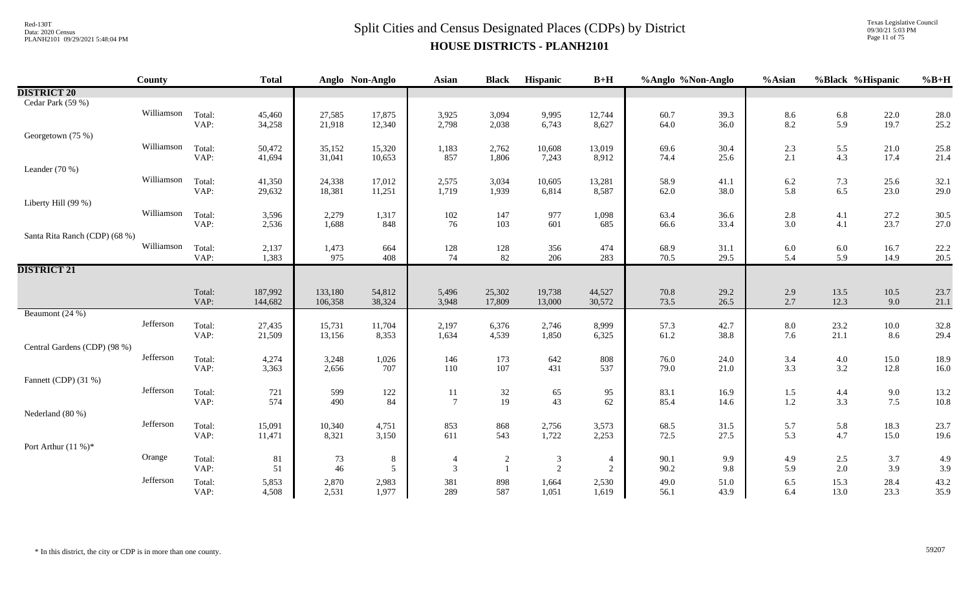Texas Legislative Council 09/30/21 5:03 PM Page 11 of 75

|                               | County     |                | <b>Total</b>     |                  | Anglo Non-Anglo  | Asian          | <b>Black</b>   | Hispanic        | $B+H$           | %Anglo %Non-Anglo |              | %Asian         | %Black %Hispanic |                 | $%B+H$       |
|-------------------------------|------------|----------------|------------------|------------------|------------------|----------------|----------------|-----------------|-----------------|-------------------|--------------|----------------|------------------|-----------------|--------------|
| <b>DISTRICT 20</b>            |            |                |                  |                  |                  |                |                |                 |                 |                   |              |                |                  |                 |              |
| Cedar Park (59 %)             |            |                |                  |                  |                  |                |                |                 |                 |                   |              |                |                  |                 |              |
|                               | Williamson | Total:         | 45,460           | 27,585           | 17,875           | 3,925          | 3,094          | 9,995           | 12,744          | 60.7              | 39.3         | 8.6            | 6.8              | 22.0            | 28.0         |
|                               |            | VAP:           | 34,258           | 21,918           | 12,340           | 2,798          | 2,038          | 6,743           | 8,627           | 64.0              | 36.0         | 8.2            | 5.9              | 19.7            | 25.2         |
| Georgetown (75 %)             |            |                |                  |                  |                  |                |                |                 |                 |                   |              |                |                  |                 |              |
|                               | Williamson | Total:         | 50,472           | 35,152           | 15,320           | 1,183          | 2,762          | 10,608          | 13,019          | 69.6              | 30.4         | $2.3\,$        | 5.5              | 21.0            | 25.8         |
|                               |            | VAP:           | 41,694           | 31,041           | 10,653           | 857            | 1,806          | 7,243           | 8,912           | 74.4              | 25.6         | 2.1            | 4.3              | 17.4            | 21.4         |
| Leander (70 %)                | Williamson |                |                  |                  |                  |                |                |                 |                 |                   |              |                |                  |                 |              |
|                               |            | Total:<br>VAP: | 41,350<br>29,632 | 24,338<br>18,381 | 17,012<br>11,251 | 2,575<br>1,719 | 3,034<br>1,939 | 10,605<br>6,814 | 13,281<br>8,587 | 58.9<br>62.0      | 41.1<br>38.0 | $6.2$<br>5.8   | 7.3<br>6.5       | 25.6<br>23.0    | 32.1<br>29.0 |
| Liberty Hill (99 %)           |            |                |                  |                  |                  |                |                |                 |                 |                   |              |                |                  |                 |              |
|                               | Williamson | Total:         | 3,596            | 2,279            | 1,317            | $102\,$        | 147            | 977             | 1,098           | 63.4              | 36.6         | $2.8\,$        | 4.1              | 27.2            | 30.5         |
|                               |            | VAP:           | 2,536            | 1,688            | 848              | 76             | 103            | 601             | 685             | 66.6              | 33.4         | 3.0            | 4.1              | 23.7            | 27.0         |
| Santa Rita Ranch (CDP) (68 %) |            |                |                  |                  |                  |                |                |                 |                 |                   |              |                |                  |                 |              |
|                               | Williamson | Total:         | 2,137            | 1,473            | 664              | $128\,$        | 128            | 356             | 474             | 68.9              | 31.1         | $6.0\,$        | 6.0              | 16.7            | 22.2         |
|                               |            | VAP:           | 1,383            | 975              | 408              | 74             | 82             | 206             | 283             | 70.5              | 29.5         | 5.4            | 5.9              | 14.9            | 20.5         |
| <b>DISTRICT 21</b>            |            |                |                  |                  |                  |                |                |                 |                 |                   |              |                |                  |                 |              |
|                               |            |                |                  |                  |                  |                |                |                 |                 |                   |              |                |                  |                 |              |
|                               |            | Total:         | 187,992          | 133,180          | 54,812           | 5,496          | 25,302         | 19,738          | 44,527          | 70.8              | 29.2         | 2.9            | 13.5             | $10.5\,$        | 23.7         |
|                               |            | VAP:           | 144,682          | 106,358          | 38,324           | 3,948          | 17,809         | 13,000          | 30,572          | 73.5              | 26.5         | 2.7            | 12.3             | 9.0             | 21.1         |
| Beaumont (24 %)               | Jefferson  |                |                  |                  |                  |                |                |                 |                 |                   |              |                |                  |                 |              |
|                               |            | Total:<br>VAP: | 27,435<br>21,509 | 15,731<br>13,156 | 11,704<br>8,353  | 2,197<br>1,634 | 6,376<br>4,539 | 2,746<br>1,850  | 8,999<br>6,325  | 57.3<br>61.2      | 42.7<br>38.8 | $8.0\,$<br>7.6 | 23.2<br>21.1     | $10.0\,$<br>8.6 | 32.8<br>29.4 |
| Central Gardens (CDP) (98 %)  |            |                |                  |                  |                  |                |                |                 |                 |                   |              |                |                  |                 |              |
|                               | Jefferson  | Total:         | 4,274            | 3,248            | 1,026            | 146            | 173            | 642             | 808             | 76.0              | 24.0         | 3.4            | $4.0\,$          | 15.0            | 18.9         |
|                               |            | VAP:           | 3,363            | 2,656            | 707              | 110            | 107            | 431             | 537             | 79.0              | 21.0         | 3.3            | 3.2              | 12.8            | 16.0         |
| Fannett (CDP) (31 %)          |            |                |                  |                  |                  |                |                |                 |                 |                   |              |                |                  |                 |              |
|                               | Jefferson  | Total:         | 721              | 599              | 122              | 11             | $32\,$         | 65              | 95              | 83.1              | 16.9         | $1.5$          | 4.4              | 9.0             | 13.2         |
|                               |            | VAP:           | 574              | 490              | 84               | $\tau$         | 19             | 43              | 62              | 85.4              | 14.6         | 1.2            | 3.3              | 7.5             | 10.8         |
| Nederland (80 %)              |            |                |                  |                  |                  |                |                |                 |                 |                   |              |                |                  |                 |              |
|                               | Jefferson  | Total:         | 15,091           | 10,340           | 4,751            | 853            | 868            | 2,756           | 3,573           | 68.5              | 31.5         | 5.7            | 5.8              | 18.3            | 23.7         |
|                               |            | VAP:           | 11,471           | 8,321            | 3,150            | 611            | 543            | 1,722           | 2,253           | 72.5              | 27.5         | 5.3            | 4.7              | 15.0            | 19.6         |
| Port Arthur $(11\%)^*$        |            |                |                  |                  |                  |                |                |                 |                 |                   |              |                |                  |                 |              |
|                               | Orange     | Total:         | 81               | 73               | $\,8\,$          | $\overline{4}$ | $\overline{c}$ | 3               | $\overline{4}$  | 90.1              | 9.9          | 4.9            | 2.5              | 3.7             | 4.9          |
|                               |            | VAP:           | 51               | 46               | $\mathfrak{S}$   | $\mathfrak{Z}$ | $\mathbf{1}$   | 2               | 2               | 90.2              | 9.8          | 5.9            | 2.0              | 3.9             | 3.9          |
|                               | Jefferson  | Total:         | 5,853            | 2,870            | 2,983            | 381            | 898            | 1,664           | 2,530           | 49.0              | 51.0         | $6.5\,$        | 15.3             | 28.4            | 43.2         |
|                               |            | VAP:           | 4,508            | 2,531            | 1,977            | 289            | 587            | 1,051           | 1,619           | 56.1              | 43.9         | 6.4            | 13.0             | 23.3            | 35.9         |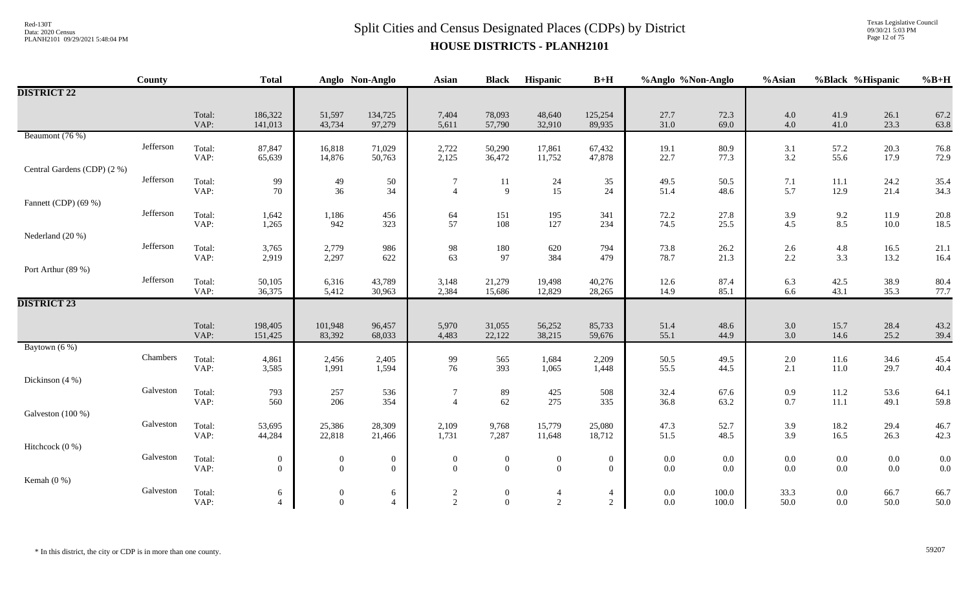Texas Legislative Council 09/30/21 5:03 PM Page 12 of 75

|                             | County    |                | <b>Total</b>                 |                                  | Anglo Non-Anglo                  | <b>Asian</b>                     | <b>Black</b>                       | Hispanic                         | $B+H$                        | %Anglo %Non-Anglo |              | %Asian             | %Black %Hispanic |                    | $%B+H$       |
|-----------------------------|-----------|----------------|------------------------------|----------------------------------|----------------------------------|----------------------------------|------------------------------------|----------------------------------|------------------------------|-------------------|--------------|--------------------|------------------|--------------------|--------------|
| <b>DISTRICT 22</b>          |           |                |                              |                                  |                                  |                                  |                                    |                                  |                              |                   |              |                    |                  |                    |              |
|                             |           | Total:<br>VAP: | 186,322<br>141,013           | 51,597<br>43,734                 | 134,725<br>97,279                | 7,404<br>5,611                   | 78,093<br>57,790                   | 48,640<br>32,910                 | 125,254<br>89,935            | 27.7<br>31.0      | 72.3<br>69.0 | $4.0\,$<br>$4.0\,$ | 41.9<br>41.0     | 26.1<br>23.3       | 67.2<br>63.8 |
| Beaumont (76 %)             |           |                |                              |                                  |                                  |                                  |                                    |                                  |                              |                   |              |                    |                  |                    |              |
|                             | Jefferson | Total:<br>VAP: | 87,847<br>65,639             | 16,818<br>14,876                 | 71,029<br>50,763                 | 2,722<br>2,125                   | 50,290<br>36,472                   | 17,861<br>11,752                 | 67,432<br>47,878             | 19.1<br>22.7      | 80.9<br>77.3 | 3.1<br>3.2         | 57.2<br>55.6     | 20.3<br>17.9       | 76.8<br>72.9 |
| Central Gardens (CDP) (2 %) |           |                |                              |                                  |                                  |                                  |                                    |                                  |                              |                   |              |                    |                  |                    |              |
|                             | Jefferson | Total:<br>VAP: | 99<br>70                     | 49<br>36                         | 50<br>34                         | $\tau$<br>$\Delta$               | 11<br>9                            | 24<br>15                         | 35<br>24                     | 49.5<br>51.4      | 50.5<br>48.6 | 7.1<br>5.7         | 11.1<br>12.9     | 24.2<br>21.4       | 35.4<br>34.3 |
| Fannett (CDP) (69 %)        |           |                |                              |                                  |                                  |                                  |                                    |                                  |                              |                   |              |                    |                  |                    |              |
|                             | Jefferson | Total:<br>VAP: | 1,642<br>1,265               | 1,186<br>942                     | 456<br>323                       | 64<br>57                         | 151<br>108                         | 195<br>127                       | 341<br>234                   | 72.2<br>74.5      | 27.8<br>25.5 | 3.9<br>4.5         | 9.2<br>8.5       | 11.9<br>$10.0\,$   | 20.8<br>18.5 |
| Nederland (20 %)            |           |                |                              |                                  |                                  |                                  |                                    |                                  |                              |                   |              |                    |                  |                    |              |
|                             | Jefferson | Total:<br>VAP: | 3,765<br>2,919               | 2,779<br>2,297                   | 986<br>622                       | 98<br>63                         | 180<br>97                          | 620<br>384                       | 794<br>479                   | 73.8<br>78.7      | 26.2<br>21.3 | 2.6<br>2.2         | 4.8<br>3.3       | 16.5<br>13.2       | 21.1<br>16.4 |
| Port Arthur (89 %)          |           |                |                              |                                  |                                  |                                  |                                    |                                  |                              |                   |              |                    |                  |                    |              |
|                             | Jefferson | Total:<br>VAP: | 50,105<br>36,375             | 6,316<br>5,412                   | 43,789<br>30,963                 | 3,148<br>2,384                   | 21,279<br>15,686                   | 19,498<br>12,829                 | 40,276<br>28,265             | 12.6<br>14.9      | 87.4<br>85.1 | 6.3<br>6.6         | 42.5<br>43.1     | 38.9<br>35.3       | 80.4<br>77.7 |
| <b>DISTRICT 23</b>          |           |                |                              |                                  |                                  |                                  |                                    |                                  |                              |                   |              |                    |                  |                    |              |
|                             |           |                |                              |                                  |                                  |                                  |                                    |                                  |                              |                   |              |                    |                  |                    |              |
|                             |           | Total:<br>VAP: | 198,405<br>151,425           | 101,948<br>83,392                | 96,457<br>68,033                 | 5,970<br>4,483                   | 31,055<br>22,122                   | 56,252<br>38,215                 | 85,733<br>59,676             | 51.4<br>55.1      | 48.6<br>44.9 | 3.0<br>3.0         | 15.7<br>14.6     | 28.4<br>25.2       | 43.2<br>39.4 |
| Baytown (6 %)               |           |                |                              |                                  |                                  |                                  |                                    |                                  |                              |                   |              |                    |                  |                    |              |
|                             | Chambers  | Total:         | 4,861                        | 2,456                            | 2,405                            | 99                               | 565                                | 1,684                            | 2,209                        | 50.5              | 49.5         | $2.0\,$            | 11.6             | 34.6               | 45.4         |
|                             |           | VAP:           | 3,585                        | 1,991                            | 1,594                            | 76                               | 393                                | 1,065                            | 1,448                        | 55.5              | 44.5         | 2.1                | $11.0\,$         | 29.7               | 40.4         |
| Dickinson (4 %)             | Galveston |                |                              |                                  |                                  |                                  |                                    |                                  |                              |                   |              |                    |                  |                    |              |
|                             |           | Total:<br>VAP: | 793<br>560                   | 257<br>206                       | 536<br>354                       | $\overline{7}$<br>$\overline{A}$ | 89<br>62                           | 425<br>275                       | 508<br>335                   | 32.4<br>36.8      | 67.6<br>63.2 | 0.9<br>$0.7\,$     | 11.2<br>11.1     | 53.6<br>49.1       | 64.1<br>59.8 |
| Galveston (100 %)           |           |                |                              |                                  |                                  |                                  |                                    |                                  |                              |                   |              |                    |                  |                    |              |
|                             | Galveston | Total:         | 53,695                       | 25,386                           | 28,309                           | 2,109                            | 9,768                              | 15,779                           | 25,080                       | 47.3              | 52.7         | 3.9                | 18.2             | 29.4               | 46.7         |
|                             |           | VAP:           | 44,284                       | 22,818                           | 21,466                           | 1,731                            | 7,287                              | 11,648                           | 18,712                       | 51.5              | 48.5         | 3.9                | 16.5             | 26.3               | 42.3         |
| Hitchcock (0 %)             |           |                |                              |                                  |                                  |                                  |                                    |                                  |                              |                   |              |                    |                  |                    |              |
|                             | Galveston | Total:         | $\boldsymbol{0}$<br>$\theta$ | $\overline{0}$<br>$\overline{0}$ | $\boldsymbol{0}$<br>$\mathbf{0}$ | $\theta$<br>$\Omega$             | $\boldsymbol{0}$<br>$\overline{0}$ | $\boldsymbol{0}$<br>$\mathbf{0}$ | $\boldsymbol{0}$<br>$\theta$ | $0.0\,$           | 0.0<br>0.0   | 0.0<br>0.0         | $0.0\,$<br>0.0   | $0.0\,$<br>$0.0\,$ | 0.0<br>0.0   |
| Kemah $(0\%)$               |           | VAP:           |                              |                                  |                                  |                                  |                                    |                                  |                              | $0.0\,$           |              |                    |                  |                    |              |
|                             | Galveston | Total:         | $\sqrt{6}$                   | $\overline{0}$                   | 6                                | $\boldsymbol{2}$                 | $\boldsymbol{0}$                   | $\overline{4}$                   | $\overline{4}$               | $0.0\,$           | 100.0        | 33.3               | $0.0\,$          | 66.7               | 66.7         |
|                             |           | VAP:           | $\overline{4}$               | $\overline{0}$                   | $\overline{4}$                   | 2                                | $\overline{0}$                     | 2                                | 2                            | $0.0\,$           | 100.0        | 50.0               | 0.0              | 50.0               | 50.0         |

\* In this district, the city or CDP is in more than one county. 59207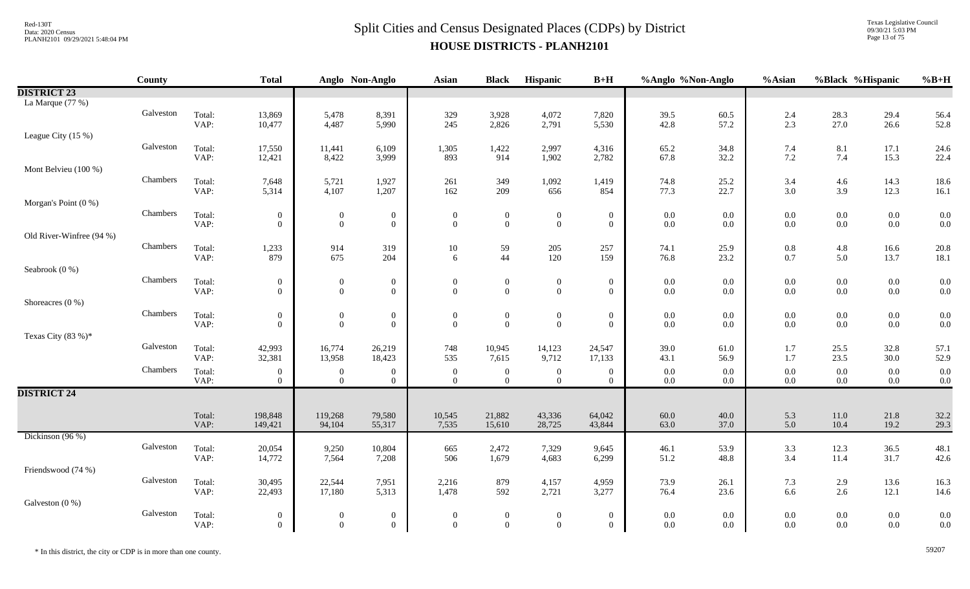Texas Legislative Council 09/30/21 5:03 PM Page 13 of 75

|                          | County    |                | <b>Total</b>                         |                                    | Anglo Non-Anglo                      | <b>Asian</b>                       | <b>Black</b>                     | Hispanic                           | $B+H$                                | %Anglo %Non-Anglo  |                | %Asian             | %Black %Hispanic   |                    | $%B+H$     |
|--------------------------|-----------|----------------|--------------------------------------|------------------------------------|--------------------------------------|------------------------------------|----------------------------------|------------------------------------|--------------------------------------|--------------------|----------------|--------------------|--------------------|--------------------|------------|
| <b>DISTRICT 23</b>       |           |                |                                      |                                    |                                      |                                    |                                  |                                    |                                      |                    |                |                    |                    |                    |            |
| La Marque (77 %)         |           |                |                                      |                                    |                                      |                                    |                                  |                                    |                                      |                    |                |                    |                    |                    |            |
|                          | Galveston | Total:         | 13,869                               | 5,478                              | 8,391                                | 329                                | 3,928                            | 4,072                              | 7,820                                | 39.5               | 60.5           | 2.4                | 28.3<br>27.0       | 29.4               | 56.4       |
| League City (15 %)       |           | VAP:           | 10,477                               | 4,487                              | 5,990                                | 245                                | 2,826                            | 2,791                              | 5,530                                | 42.8               | 57.2           | 2.3                |                    | 26.6               | 52.8       |
|                          | Galveston | Total:         | 17,550                               | 11,441                             | 6,109                                | 1,305                              | 1,422                            | 2,997                              | 4,316                                | 65.2               | 34.8           | 7.4                | 8.1                | 17.1               | 24.6       |
|                          |           | VAP:           | 12,421                               | 8,422                              | 3,999                                | 893                                | 914                              | 1,902                              | 2,782                                | 67.8               | 32.2           | $7.2\,$            | 7.4                | 15.3               | 22.4       |
| Mont Belvieu (100 %)     |           |                |                                      |                                    |                                      |                                    |                                  |                                    |                                      |                    |                |                    |                    |                    |            |
|                          | Chambers  | Total:         | 7,648                                | 5,721                              | 1,927                                | 261                                | 349                              | 1,092                              | 1,419                                | 74.8               | 25.2           | 3.4                | 4.6                | 14.3               | 18.6       |
|                          |           | VAP:           | 5,314                                | 4,107                              | 1,207                                | 162                                | 209                              | 656                                | 854                                  | 77.3               | 22.7           | $3.0\,$            | 3.9                | 12.3               | 16.1       |
| Morgan's Point (0 %)     | Chambers  |                |                                      |                                    |                                      |                                    |                                  |                                    |                                      |                    |                |                    |                    |                    |            |
|                          |           | Total:<br>VAP: | $\boldsymbol{0}$<br>$\overline{0}$   | $\mathbf{0}$<br>$\overline{0}$     | $\boldsymbol{0}$<br>$\mathbf{0}$     | $\boldsymbol{0}$<br>$\overline{0}$ | $\mathbf{0}$<br>$\overline{0}$   | $\boldsymbol{0}$<br>$\mathbf{0}$   | $\mathbf{0}$<br>$\overline{0}$       | $0.0\,$<br>0.0     | 0.0<br>0.0     | $0.0\,$<br>$0.0\,$ | $0.0\,$<br>0.0     | $0.0\,$<br>$0.0\,$ | 0.0<br>0.0 |
| Old River-Winfree (94 %) |           |                |                                      |                                    |                                      |                                    |                                  |                                    |                                      |                    |                |                    |                    |                    |            |
|                          | Chambers  | Total:         | 1,233                                | 914                                | 319                                  | 10                                 | 59                               | 205                                | 257                                  | 74.1               | 25.9           | $0.8\,$            | $4.8\,$            | 16.6               | 20.8       |
|                          |           | VAP:           | 879                                  | 675                                | 204                                  | 6                                  | 44                               | 120                                | 159                                  | 76.8               | 23.2           | $0.7\,$            | 5.0                | 13.7               | 18.1       |
| Seabrook (0 %)           |           |                |                                      |                                    |                                      |                                    |                                  |                                    |                                      |                    |                |                    |                    |                    |            |
|                          | Chambers  | Total:<br>VAP: | $\boldsymbol{0}$<br>$\Omega$         | $\boldsymbol{0}$<br>$\overline{0}$ | $\boldsymbol{0}$<br>$\overline{0}$   | $\boldsymbol{0}$<br>$\Omega$       | $\mathbf{0}$<br>$\overline{0}$   | $\boldsymbol{0}$<br>$\overline{0}$ | $\mathbf{0}$<br>$\mathbf{0}$         | $0.0\,$<br>$0.0\,$ | 0.0<br>0.0     | $0.0\,$<br>$0.0\,$ | $0.0\,$<br>$0.0\,$ | $0.0\,$<br>$0.0\,$ | 0.0<br>0.0 |
| Shoreacres $(0\%)$       |           |                |                                      |                                    |                                      |                                    |                                  |                                    |                                      |                    |                |                    |                    |                    |            |
|                          | Chambers  | Total:         | $\overline{0}$                       | $\boldsymbol{0}$                   | $\boldsymbol{0}$                     | $\boldsymbol{0}$                   | $\boldsymbol{0}$                 | $\boldsymbol{0}$                   | $\boldsymbol{0}$                     | 0.0                | 0.0            | $0.0\,$            | $0.0\,$            | $0.0\,$            | 0.0        |
|                          |           | VAP:           | $\overline{0}$                       | $\overline{0}$                     | $\boldsymbol{0}$                     | $\theta$                           | $\overline{0}$                   | $\mathbf{0}$                       | $\overline{0}$                       | 0.0                | 0.0            | $0.0\,$            | $0.0\,$            | 0.0                | 0.0        |
| Texas City (83 %)*       |           |                |                                      |                                    |                                      |                                    |                                  |                                    |                                      |                    |                |                    |                    |                    |            |
|                          | Galveston | Total:         | 42,993                               | 16,774                             | 26,219                               | 748                                | 10,945                           | 14,123                             | 24,547                               | 39.0               | 61.0           | 1.7                | 25.5               | 32.8               | 57.1       |
|                          | Chambers  | VAP:           | 32,381                               | 13,958                             | 18,423                               | 535                                | 7,615                            | 9,712                              | 17,133                               | 43.1               | 56.9           | 1.7                | 23.5               | 30.0               | 52.9       |
|                          |           | Total:<br>VAP: | $\theta$<br>$\overline{0}$           | $\boldsymbol{0}$<br>$\overline{0}$ | $\boldsymbol{0}$<br>$\overline{0}$   | $\mathbf{0}$<br>$\mathbf{0}$       | $\overline{0}$<br>$\overline{0}$ | $\bf{0}$<br>$\overline{0}$         | $\overline{0}$<br>$\overline{0}$     | $0.0\,$<br>$0.0\,$ | 0.0<br>$0.0\,$ | $0.0\,$<br>$0.0\,$ | 0.0<br>$0.0\,$     | $0.0\,$<br>$0.0\,$ | 0.0<br>0.0 |
| <b>DISTRICT 24</b>       |           |                |                                      |                                    |                                      |                                    |                                  |                                    |                                      |                    |                |                    |                    |                    |            |
|                          |           |                |                                      |                                    |                                      |                                    |                                  |                                    |                                      |                    |                |                    |                    |                    |            |
|                          |           | Total:         | 198,848                              | 119,268                            | 79,580                               | 10,545                             | 21,882                           | 43,336                             | 64,042                               | 60.0               | 40.0           | 5.3                | 11.0               | 21.8               | 32.2       |
| Dickinson (96 %)         |           | VAP:           | 149,421                              | 94,104                             | 55,317                               | 7,535                              | 15,610                           | 28,725                             | 43,844                               | 63.0               | 37.0           | 5.0                | 10.4               | 19.2               | 29.3       |
|                          | Galveston | Total:         | 20,054                               | 9,250                              | 10,804                               | 665                                | 2,472                            | 7,329                              | 9,645                                | 46.1               | 53.9           | 3.3                | 12.3               | 36.5               | 48.1       |
|                          |           | VAP:           | 14,772                               | 7,564                              | 7,208                                | 506                                | 1,679                            | 4,683                              | 6,299                                | 51.2               | 48.8           | 3.4                | 11.4               | 31.7               | 42.6       |
| Friendswood (74 %)       |           |                |                                      |                                    |                                      |                                    |                                  |                                    |                                      |                    |                |                    |                    |                    |            |
|                          | Galveston | Total:         | 30,495                               | 22,544                             | 7,951                                | 2,216                              | 879                              | 4,157                              | 4,959                                | 73.9               | 26.1           | $7.3$              | 2.9                | 13.6               | 16.3       |
|                          |           | VAP:           | 22,493                               | 17,180                             | 5,313                                | 1,478                              | 592                              | 2,721                              | 3,277                                | 76.4               | 23.6           | 6.6                | 2.6                | 12.1               | 14.6       |
| Galveston $(0\%)$        | Galveston | Total:         |                                      |                                    |                                      | $\mathbf{0}$                       |                                  |                                    |                                      |                    |                | $0.0\,$            |                    | $0.0\,$            | 0.0        |
|                          |           | VAP:           | $\boldsymbol{0}$<br>$\boldsymbol{0}$ | $\boldsymbol{0}$<br>$\overline{0}$ | $\boldsymbol{0}$<br>$\boldsymbol{0}$ | $\boldsymbol{0}$                   | $\overline{0}$<br>$\overline{0}$ | $\mathbf{0}$<br>$\mathbf{0}$       | $\boldsymbol{0}$<br>$\boldsymbol{0}$ | $0.0\,$<br>$0.0\,$ | $0.0\,$<br>0.0 | $0.0\,$            | $0.0\,$<br>0.0     | $0.0\,$            | 0.0        |
|                          |           |                |                                      |                                    |                                      |                                    |                                  |                                    |                                      |                    |                |                    |                    |                    |            |

\* In this district, the city or CDP is in more than one county. 59207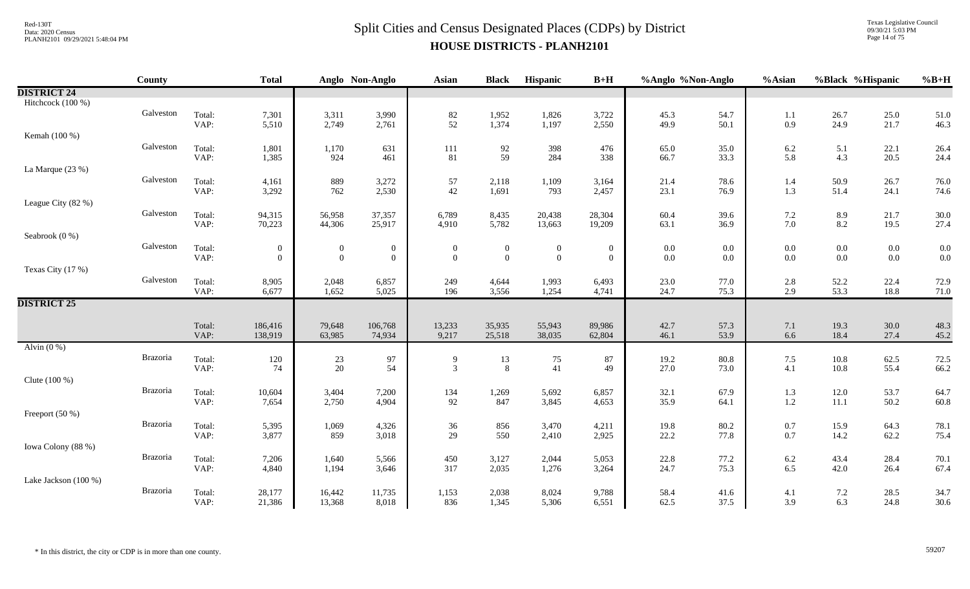### $Split$  Cities and Census Designated Places (CDPs) by District Data: 2020 Census **HOUSE DISTRICTS - PLANH2101**

Texas Legislative Council 09/30/21 5:03 PM Page 14 of 75

|                      | <b>County</b>   |                | <b>Total</b>     |                  | Anglo Non-Anglo  | <b>Asian</b>                            | <b>Black</b>          | Hispanic         | $B+H$            | %Anglo %Non-Anglo |              | %Asian             | %Black %Hispanic |              | $%B+H$       |
|----------------------|-----------------|----------------|------------------|------------------|------------------|-----------------------------------------|-----------------------|------------------|------------------|-------------------|--------------|--------------------|------------------|--------------|--------------|
| <b>DISTRICT 24</b>   |                 |                |                  |                  |                  |                                         |                       |                  |                  |                   |              |                    |                  |              |              |
| Hitchcock (100 %)    |                 |                |                  |                  |                  |                                         |                       |                  |                  |                   |              |                    |                  |              |              |
|                      | Galveston       | Total:         | 7,301            | 3,311            | 3,990            | $\begin{array}{c} 82 \\ 52 \end{array}$ | 1,952                 | 1,826            | 3,722            | 45.3              | 54.7         | 1.1                | 26.7             | 25.0         | 51.0         |
|                      |                 | VAP:           | 5,510            | 2,749            | 2,761            |                                         | 1,374                 | 1,197            | 2,550            | 49.9              | 50.1         | 0.9                | 24.9             | 21.7         | 46.3         |
| Kemah (100 %)        |                 |                |                  |                  |                  |                                         |                       |                  |                  |                   |              |                    |                  |              |              |
|                      | Galveston       | Total:         | 1,801            | 1,170            | 631              | $111\,$                                 | $92\,$                | 398              | 476              | 65.0              | 35.0         | $6.2\,$            | 5.1              | 22.1         | 26.4         |
|                      |                 | VAP:           | 1,385            | 924              | 461              | 81                                      | 59                    | 284              | 338              | 66.7              | 33.3         | 5.8                | 4.3              | 20.5         | 24.4         |
| La Marque (23 %)     |                 |                |                  |                  |                  |                                         |                       |                  |                  |                   |              |                    |                  |              |              |
|                      | Galveston       | Total:<br>VAP: | 4,161            | 889<br>762       | 3,272<br>2,530   | $\frac{57}{42}$                         | 2,118<br>1,691        | 1,109<br>793     | 3,164            | 21.4<br>23.1      | 78.6<br>76.9 | 1.4<br>1.3         | 50.9<br>51.4     | 26.7<br>24.1 | 76.0         |
|                      |                 |                | 3,292            |                  |                  |                                         |                       |                  | 2,457            |                   |              |                    |                  |              | 74.6         |
| League City (82 %)   | Galveston       |                |                  |                  |                  |                                         |                       |                  |                  |                   |              |                    |                  |              |              |
|                      |                 | Total:<br>VAP: | 94,315<br>70,223 | 56,958<br>44,306 | 37,357<br>25,917 | 6,789<br>4,910                          | 8,435<br>5,782        | 20,438<br>13,663 | 28,304<br>19,209 | 60.4<br>63.1      | 39.6<br>36.9 | $7.2\,$<br>$7.0\,$ | 8.9<br>8.2       | 21.7<br>19.5 | 30.0<br>27.4 |
| Seabrook (0 %)       |                 |                |                  |                  |                  |                                         |                       |                  |                  |                   |              |                    |                  |              |              |
|                      | Galveston       | Total:         | $\mathbf{0}$     | $\overline{0}$   | $\bf{0}$         | $\mathbf{0}$                            | $\boldsymbol{0}$      | $\boldsymbol{0}$ | $\overline{0}$   | 0.0               | $0.0\,$      | $0.0\,$            | $0.0\,$          | $0.0\,$      | 0.0          |
|                      |                 | VAP:           | $\overline{0}$   | $\mathbf{0}$     | $\boldsymbol{0}$ | $\overline{0}$                          | $\bf{0}$              | $\boldsymbol{0}$ | $\overline{0}$   | $0.0\,$           | 0.0          | $0.0\,$            | $0.0\,$          | $0.0\,$      | 0.0          |
| Texas City (17 %)    |                 |                |                  |                  |                  |                                         |                       |                  |                  |                   |              |                    |                  |              |              |
|                      | Galveston       | Total:         | 8,905            | 2,048            | 6,857            | 249                                     | 4,644                 | 1,993            | 6,493            | 23.0              | 77.0         | 2.8                | 52.2             | 22.4         | 72.9         |
|                      |                 | VAP:           | 6,677            | 1,652            | 5,025            | 196                                     | 3,556                 | 1,254            | 4,741            | 24.7              | 75.3         | 2.9                | 53.3             | 18.8         | 71.0         |
| <b>DISTRICT 25</b>   |                 |                |                  |                  |                  |                                         |                       |                  |                  |                   |              |                    |                  |              |              |
|                      |                 |                |                  |                  |                  |                                         |                       |                  |                  |                   |              |                    |                  |              |              |
|                      |                 | Total:         | 186,416          | 79,648           | 106,768          | 13,233                                  | 35,935                | 55,943           | 89,986           | 42.7              | 57.3         | 7.1                | 19.3             | $30.0\,$     | 48.3         |
|                      |                 | VAP:           | 138,919          | 63,985           | 74,934           | 9,217                                   | 25,518                | 38,035           | 62,804           | 46.1              | 53.9         | 6.6                | 18.4             | 27.4         | 45.2         |
| Alvin $(0\%)$        |                 |                |                  |                  |                  |                                         |                       |                  |                  |                   |              |                    |                  |              |              |
|                      | Brazoria        | Total:         | 120              | $23\,$<br>20     | 97               | 9                                       | 13<br>$8\phantom{.0}$ | $75\,$<br>41     | 87               | 19.2              | 80.8         | $7.5\,$            | $10.8\,$         | 62.5         | 72.5         |
|                      |                 | VAP:           | 74               |                  | 54               | $\mathfrak{Z}$                          |                       |                  | 49               | 27.0              | 73.0         | 4.1                | 10.8             | 55.4         | 66.2         |
| Clute (100 %)        | Brazoria        |                |                  |                  |                  |                                         |                       |                  |                  |                   |              |                    |                  |              |              |
|                      |                 | Total:<br>VAP: | 10,604<br>7,654  | 3,404<br>2,750   | 7,200<br>4,904   | 134<br>92                               | 1,269<br>847          | 5,692<br>3,845   | 6,857<br>4,653   | 32.1<br>35.9      | 67.9<br>64.1 | 1.3<br>$1.2\,$     | 12.0<br>11.1     | 53.7<br>50.2 | 64.7<br>60.8 |
| Freeport (50 %)      |                 |                |                  |                  |                  |                                         |                       |                  |                  |                   |              |                    |                  |              |              |
|                      | <b>Brazoria</b> | Total:         | 5,395            | 1,069            | 4,326            | 36                                      | 856                   | 3,470            | 4,211            | 19.8              | 80.2         | $0.7\,$            | 15.9             | 64.3         | 78.1         |
|                      |                 | VAP:           | 3,877            | 859              | 3,018            | 29                                      | 550                   | 2,410            | 2,925            | 22.2              | 77.8         | 0.7                | 14.2             | 62.2         | 75.4         |
| Iowa Colony (88 %)   |                 |                |                  |                  |                  |                                         |                       |                  |                  |                   |              |                    |                  |              |              |
|                      | Brazoria        | Total:         | 7,206            | 1,640            | 5,566            | 450                                     | 3,127                 | 2,044            | 5,053            | 22.8              | 77.2         | $6.2\,$            | 43.4             | 28.4         | 70.1         |
|                      |                 | VAP:           | 4,840            | 1,194            | 3,646            | 317                                     | 2,035                 | 1,276            | 3,264            | 24.7              | 75.3         | 6.5                | 42.0             | 26.4         | 67.4         |
| Lake Jackson (100 %) |                 |                |                  |                  |                  |                                         |                       |                  |                  |                   |              |                    |                  |              |              |
|                      | Brazoria        | Total:         | 28,177           | 16,442           | 11,735           | 1,153                                   | 2,038                 | 8,024            | 9,788            | 58.4              | 41.6         | 4.1                | $7.2\,$          | 28.5         | 34.7         |
|                      |                 | VAP:           | 21,386           | 13,368           | 8,018            | 836                                     | 1,345                 | 5,306            | 6,551            | 62.5              | 37.5         | 3.9                | 6.3              | 24.8         | 30.6         |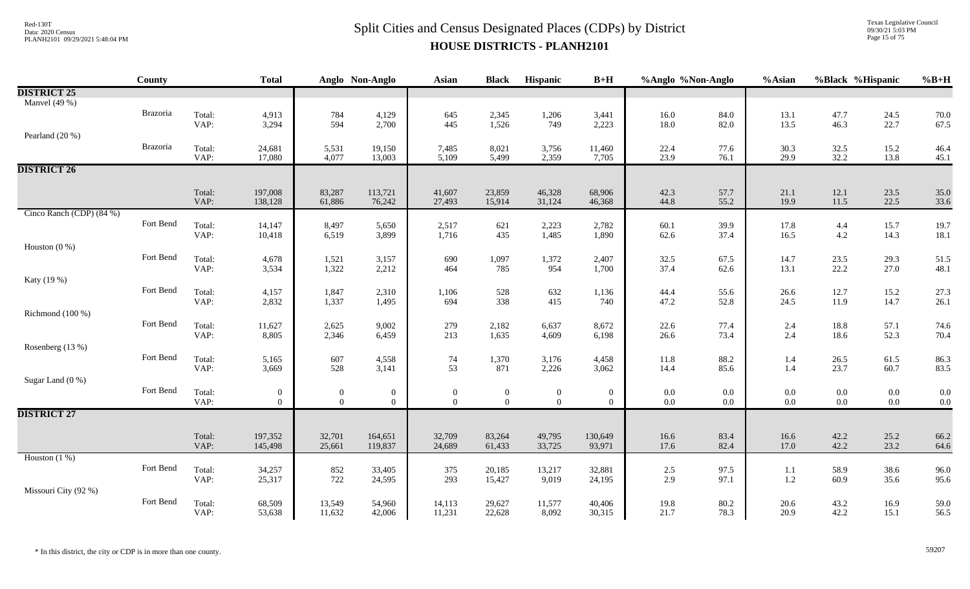Texas Legislative Council 09/30/21 5:03 PM Page 15 of 75

|                          | County    |                | <b>Total</b>             |                            | Anglo Non-Anglo                  | <b>Asian</b>             | <b>Black</b>                   | Hispanic                           | $B+H$                            | %Anglo %Non-Anglo  |              | %Asian         | %Black %Hispanic   |                    | $%B+H$     |
|--------------------------|-----------|----------------|--------------------------|----------------------------|----------------------------------|--------------------------|--------------------------------|------------------------------------|----------------------------------|--------------------|--------------|----------------|--------------------|--------------------|------------|
| <b>DISTRICT 25</b>       |           |                |                          |                            |                                  |                          |                                |                                    |                                  |                    |              |                |                    |                    |            |
| Manvel $(49%$            |           |                |                          |                            |                                  |                          |                                |                                    |                                  |                    |              |                |                    |                    |            |
|                          | Brazoria  | Total:         | 4,913                    | 784<br>594                 | 4,129                            | 645                      | 2,345                          | 1,206                              | 3,441                            | 16.0               | 84.0         | 13.1           | 47.7               | 24.5               | 70.0       |
|                          |           | VAP:           | 3,294                    |                            | 2,700                            | 445                      | 1,526                          | 749                                | 2,223                            | 18.0               | 82.0         | 13.5           | 46.3               | 22.7               | 67.5       |
| Pearland (20 %)          |           |                |                          |                            |                                  |                          |                                |                                    |                                  |                    |              |                |                    |                    |            |
|                          | Brazoria  | Total:<br>VAP: | 24,681<br>17,080         | 5,531<br>4,077             | 19,150<br>13,003                 | 7,485<br>5,109           | 8,021<br>5,499                 | 3,756<br>2,359                     | 11,460                           | 22.4<br>23.9       | 77.6<br>76.1 | 30.3<br>29.9   | 32.5<br>32.2       | 15.2<br>13.8       | 46.4       |
| <b>DISTRICT 26</b>       |           |                |                          |                            |                                  |                          |                                |                                    | 7,705                            |                    |              |                |                    |                    | 45.1       |
|                          |           |                |                          |                            |                                  |                          |                                |                                    |                                  |                    |              |                |                    |                    |            |
|                          |           | Total:         | 197,008                  | 83,287                     | 113,721                          | 41,607                   | 23,859                         | 46,328                             | 68,906                           | 42.3               | 57.7         | 21.1           | 12.1               | 23.5               | 35.0       |
|                          |           | VAP:           | 138,128                  | 61,886                     | 76,242                           | 27,493                   | 15,914                         | 31,124                             | 46,368                           | 44.8               | 55.2         | 19.9           | 11.5               | 22.5               | 33.6       |
| Cinco Ranch (CDP) (84 %) |           |                |                          |                            |                                  |                          |                                |                                    |                                  |                    |              |                |                    |                    |            |
|                          | Fort Bend | Total:         | 14,147                   | 8,497                      | 5,650                            | 2,517                    | 621                            | 2,223                              | 2,782                            | 60.1               | 39.9         | 17.8           | $4.4$<br>$4.2$     | 15.7               | 19.7       |
|                          |           | VAP:           | 10,418                   | 6,519                      | 3,899                            | 1,716                    | 435                            | 1,485                              | 1,890                            | 62.6               | 37.4         | 16.5           |                    | 14.3               | 18.1       |
| Houston $(0\;\%)$        |           |                |                          |                            |                                  |                          |                                |                                    |                                  |                    |              |                |                    |                    |            |
|                          | Fort Bend | Total:         | 4,678                    | 1,521                      | 3,157                            | 690                      | 1,097                          | 1,372                              | 2,407                            | 32.5               | 67.5         | 14.7           | 23.5               | 29.3               | 51.5       |
|                          |           | VAP:           | 3,534                    | 1,322                      | 2,212                            | 464                      | 785                            | 954                                | 1,700                            | 37.4               | 62.6         | 13.1           | 22.2               | 27.0               | 48.1       |
| Katy (19 %)              | Fort Bend | Total:         | 4,157                    | 1,847                      | 2,310                            | 1,106                    | 528                            | 632                                |                                  | 44.4               | 55.6         | 26.6           | 12.7               |                    | 27.3       |
|                          |           | VAP:           | 2,832                    | 1,337                      | 1,495                            | 694                      | 338                            | 415                                | 1,136<br>740                     | 47.2               | 52.8         | 24.5           | 11.9               | 15.2<br>14.7       | 26.1       |
| Richmond (100 %)         |           |                |                          |                            |                                  |                          |                                |                                    |                                  |                    |              |                |                    |                    |            |
|                          | Fort Bend | Total:         | 11,627                   | 2,625                      | 9,002                            | 279                      | 2,182                          | 6,637                              | 8,672                            | 22.6               | 77.4         | 2.4            | 18.8               | 57.1               | 74.6       |
|                          |           | VAP:           | 8,805                    | 2,346                      | 6,459                            | 213                      | 1,635                          | 4,609                              | 6,198                            | 26.6               | 73.4         | 2.4            | 18.6               | 52.3               | 70.4       |
| Rosenberg (13 %)         |           |                |                          |                            |                                  |                          |                                |                                    |                                  |                    |              |                |                    |                    |            |
|                          | Fort Bend | Total:         | 5,165                    | 607                        | 4,558                            | 74                       | 1,370                          | 3,176                              | 4,458                            | $11.8\,$           | 88.2         | 1.4            | 26.5               | 61.5               | 86.3       |
|                          |           | VAP:           | 3,669                    | 528                        | 3,141                            | 53                       | 871                            | 2,226                              | 3,062                            | 14.4               | 85.6         | 1.4            | 23.7               | 60.7               | 83.5       |
| Sugar Land (0 %)         |           |                |                          |                            |                                  |                          |                                |                                    |                                  |                    |              |                |                    |                    |            |
|                          | Fort Bend | Total:<br>VAP: | $\mathbf{0}$<br>$\Omega$ | $\overline{0}$<br>$\theta$ | $\overline{0}$<br>$\overline{0}$ | $\mathbf{0}$<br>$\theta$ | $\overline{0}$<br>$\mathbf{0}$ | $\boldsymbol{0}$<br>$\overline{0}$ | $\overline{0}$<br>$\overline{0}$ | $0.0\,$<br>$0.0\,$ | 0.0          | $0.0\,$<br>0.0 | $0.0\,$<br>$0.0\,$ | $0.0\,$<br>$0.0\,$ | 0.0<br>0.0 |
| <b>DISTRICT 27</b>       |           |                |                          |                            |                                  |                          |                                |                                    |                                  |                    | $0.0\,$      |                |                    |                    |            |
|                          |           |                |                          |                            |                                  |                          |                                |                                    |                                  |                    |              |                |                    |                    |            |
|                          |           | Total:         | 197,352                  | 32,701                     | 164,651                          | 32,709                   | 83,264                         | 49,795                             | 130,649                          | 16.6               | 83.4         | 16.6           | 42.2               | 25.2               | 66.2       |
|                          |           | VAP:           | 145,498                  | 25,661                     | 119,837                          | 24,689                   | 61,433                         | 33,725                             | 93,971                           | 17.6               | 82.4         | 17.0           | 42.2               | 23.2               | 64.6       |
| Houston $(1%)$           |           |                |                          |                            |                                  |                          |                                |                                    |                                  |                    |              |                |                    |                    |            |
|                          | Fort Bend | Total:         | 34,257                   | 852                        | 33,405                           | 375                      | 20,185                         | 13,217                             | 32,881                           | $2.5\,$            | 97.5         | 1.1            | 58.9               | 38.6               | 96.0       |
|                          |           | VAP:           | 25,317                   | 722                        | 24,595                           | 293                      | 15,427                         | 9,019                              | 24,195                           | 2.9                | 97.1         | 1.2            | 60.9               | 35.6               | 95.6       |
| Missouri City (92 %)     |           |                |                          |                            |                                  |                          |                                |                                    |                                  |                    |              |                |                    |                    |            |
|                          | Fort Bend | Total:         | 68,509                   | 13,549                     | 54,960                           | 14,113                   | 29,627                         | 11,577                             | 40,406                           | 19.8               | 80.2         | 20.6           | 43.2               | 16.9               | 59.0       |
|                          |           | VAP:           | 53,638                   | 11,632                     | 42,006                           | 11,231                   | 22,628                         | 8,092                              | 30,315                           | 21.7               | 78.3         | 20.9           | 42.2               | 15.1               | 56.5       |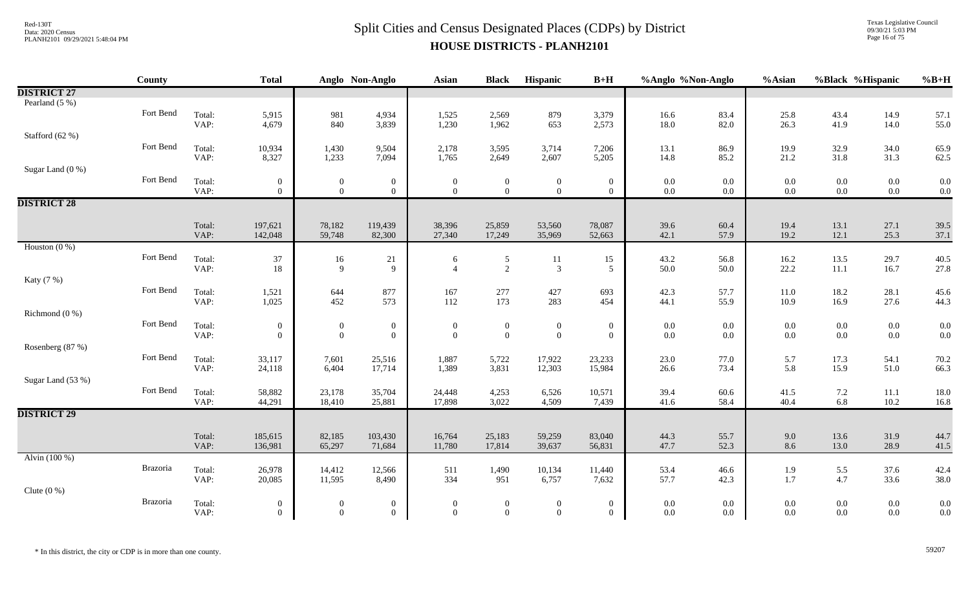Texas Legislative Council 09/30/21 5:03 PM Page 16 of 75

|                    | <b>County</b> |                | <b>Total</b>                     |                                    | Anglo Non-Anglo                  | <b>Asian</b>                     | <b>Black</b>                     | <b>Hispanic</b>                    | $B+H$                          | %Anglo %Non-Anglo |                | %Asian         | %Black %Hispanic   |                    | $%B+H$       |
|--------------------|---------------|----------------|----------------------------------|------------------------------------|----------------------------------|----------------------------------|----------------------------------|------------------------------------|--------------------------------|-------------------|----------------|----------------|--------------------|--------------------|--------------|
| <b>DISTRICT 27</b> |               |                |                                  |                                    |                                  |                                  |                                  |                                    |                                |                   |                |                |                    |                    |              |
| Pearland $(5\%)$   |               |                |                                  |                                    |                                  |                                  |                                  |                                    |                                |                   |                |                |                    |                    |              |
|                    | Fort Bend     | Total:<br>VAP: | 5,915<br>4,679                   | 981<br>840                         | 4,934<br>3,839                   | 1,525<br>1,230                   | 2,569<br>1,962                   | 879<br>653                         | 3,379<br>2,573                 | 16.6<br>18.0      | 83.4<br>82.0   | 25.8<br>26.3   | 43.4<br>41.9       | 14.9<br>14.0       | 57.1<br>55.0 |
| Stafford (62 %)    |               |                |                                  |                                    |                                  |                                  |                                  |                                    |                                |                   |                |                |                    |                    |              |
|                    | Fort Bend     | Total:         | 10,934                           | 1,430                              | 9,504                            | 2,178                            | 3,595                            | 3,714                              | 7,206                          | 13.1              | 86.9           | 19.9           | 32.9               | 34.0               | 65.9         |
|                    |               | VAP:           | 8,327                            | 1,233                              | 7,094                            | 1,765                            | 2,649                            | 2,607                              | 5,205                          | 14.8              | 85.2           | 21.2           | 31.8               | 31.3               | 62.5         |
| Sugar Land (0 %)   | Fort Bend     | Total:         | $\mathbf{0}$                     | $\boldsymbol{0}$                   | $\mathbf{0}$                     | $\bf{0}$                         | $\bf{0}$                         | $\boldsymbol{0}$                   | $\boldsymbol{0}$               | $0.0\,$           | $0.0\,$        | $0.0\,$        | $0.0\,$            | $0.0\,$            | 0.0          |
|                    |               | VAP:           | $\overline{0}$                   | $\overline{0}$                     | $\overline{0}$                   | $\theta$                         | $\overline{0}$                   | $\overline{0}$                     | $\overline{0}$                 | $0.0\,$           | $0.0\,$        | 0.0            | $0.0\,$            | $0.0\,$            | 0.0          |
| <b>DISTRICT 28</b> |               |                |                                  |                                    |                                  |                                  |                                  |                                    |                                |                   |                |                |                    |                    |              |
|                    |               | Total:         | 197,621                          | 78,182                             | 119,439                          | 38,396                           | 25,859                           | 53,560                             | 78,087                         | 39.6              | 60.4           | 19.4           | 13.1               | 27.1               | 39.5         |
|                    |               | VAP:           | 142,048                          | 59,748                             | 82,300                           | 27,340                           | 17,249                           | 35,969                             | 52,663                         | 42.1              | 57.9           | 19.2           | 12.1               | 25.3               | 37.1         |
| Houston $(0\%)$    |               |                |                                  |                                    |                                  |                                  |                                  |                                    |                                |                   |                |                |                    |                    |              |
|                    | Fort Bend     | Total:<br>VAP: | 37<br>18                         | $16\,$<br>$\mathbf Q$              | 21<br>9                          | 6<br>$\overline{4}$              | 5<br>2                           | $11\,$<br>3                        | 15<br>5                        | 43.2<br>50.0      | 56.8<br>50.0   | 16.2<br>22.2   | 13.5<br>11.1       | 29.7<br>16.7       | 40.5<br>27.8 |
| Katy (7 %)         |               |                |                                  |                                    |                                  |                                  |                                  |                                    |                                |                   |                |                |                    |                    |              |
|                    | Fort Bend     | Total:         | 1,521                            | 644                                | 877                              | 167                              | 277                              | 427                                | 693                            | 42.3              | 57.7           | $11.0\,$       | 18.2               | 28.1               | 45.6         |
| Richmond $(0\%)$   |               | VAP:           | 1,025                            | 452                                | 573                              | 112                              | 173                              | 283                                | 454                            | 44.1              | 55.9           | 10.9           | 16.9               | 27.6               | 44.3         |
|                    | Fort Bend     | Total:         | $\overline{0}$                   | $\boldsymbol{0}$                   | $\overline{0}$                   | $\overline{0}$                   | $\boldsymbol{0}$                 | $\boldsymbol{0}$                   | $\overline{0}$                 | $0.0\,$           | $0.0\,$        | $0.0\,$        | $0.0\,$            | $0.0\,$            | 0.0          |
|                    |               | VAP:           | $\overline{0}$                   | $\mathbf{0}$                       | $\overline{0}$                   | $\boldsymbol{0}$                 | $\mathbf{0}$                     | $\boldsymbol{0}$                   | $\mathbf{0}$                   | $0.0\,$           | 0.0            | $0.0\,$        | $0.0\,$            | $0.0\,$            | 0.0          |
| Rosenberg (87 %)   |               |                |                                  |                                    |                                  |                                  |                                  |                                    |                                |                   |                |                |                    |                    |              |
|                    | Fort Bend     | Total:<br>VAP: | 33,117<br>24,118                 | 7,601<br>6,404                     | 25,516<br>17,714                 | 1,887<br>1,389                   | 5,722<br>3,831                   | 17,922<br>12,303                   | 23,233<br>15,984               | 23.0<br>26.6      | 77.0<br>73.4   | 5.7<br>5.8     | 17.3<br>15.9       | 54.1<br>51.0       | 70.2<br>66.3 |
| Sugar Land (53 %)  |               |                |                                  |                                    |                                  |                                  |                                  |                                    |                                |                   |                |                |                    |                    |              |
|                    | Fort Bend     | Total:         | 58,882                           | 23,178                             | 35,704                           | 24,448                           | 4,253                            | 6,526                              | 10,571                         | 39.4              | 60.6           | 41.5           | 7.2                | 11.1               | 18.0         |
| <b>DISTRICT 29</b> |               | VAP:           | 44,291                           | 18,410                             | 25,881                           | 17,898                           | 3,022                            | 4,509                              | 7,439                          | 41.6              | 58.4           | 40.4           | 6.8                | 10.2               | 16.8         |
|                    |               |                |                                  |                                    |                                  |                                  |                                  |                                    |                                |                   |                |                |                    |                    |              |
|                    |               | Total:         | 185,615                          | 82,185                             | 103,430                          | 16,764                           | 25,183                           | 59,259                             | 83,040                         | 44.3              | 55.7           | 9.0            | 13.6               | 31.9               | 44.7         |
|                    |               | VAP:           | 136,981                          | 65,297                             | 71,684                           | 11,780                           | 17,814                           | 39,637                             | 56,831                         | 47.7              | 52.3           | 8.6            | 13.0               | 28.9               | 41.5         |
| Alvin (100 %)      | Brazoria      | Total:         | 26,978                           | 14,412                             | 12,566                           | 511                              | 1,490                            | 10,134                             | 11,440                         | 53.4              | 46.6           | 1.9            | 5.5                | 37.6               | 42.4         |
|                    |               | VAP:           | 20,085                           | 11,595                             | 8,490                            | 334                              | 951                              | 6,757                              | 7,632                          | 57.7              | 42.3           | 1.7            | 4.7                | 33.6               | 38.0         |
| Clute $(0\%)$      |               |                |                                  |                                    |                                  |                                  |                                  |                                    |                                |                   |                |                |                    |                    |              |
|                    | Brazoria      | Total:<br>VAP: | $\overline{0}$<br>$\overline{0}$ | $\boldsymbol{0}$<br>$\overline{0}$ | $\overline{0}$<br>$\overline{0}$ | $\overline{0}$<br>$\overline{0}$ | $\overline{0}$<br>$\overline{0}$ | $\boldsymbol{0}$<br>$\overline{0}$ | $\mathbf{0}$<br>$\overline{0}$ | 0.0<br>$0.0\,$    | $0.0\,$<br>0.0 | $0.0\,$<br>0.0 | $0.0\,$<br>$0.0\,$ | $0.0\,$<br>$0.0\,$ | 0.0<br>0.0   |
|                    |               |                |                                  |                                    |                                  |                                  |                                  |                                    |                                |                   |                |                |                    |                    |              |

\* In this district, the city or CDP is in more than one county. 59207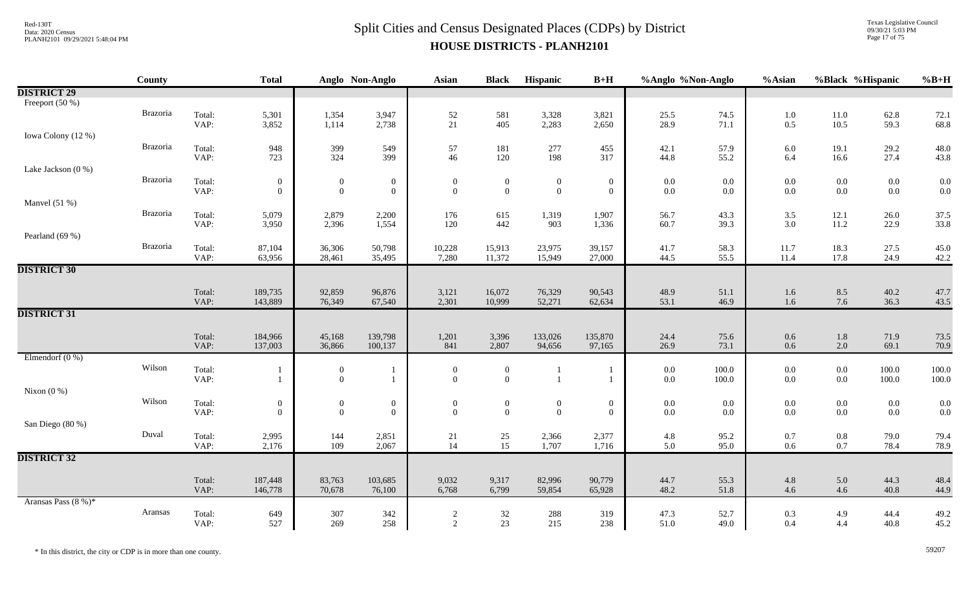Texas Legislative Council 09/30/21 5:03 PM Page 17 of 75

|                     | County   |                | <b>Total</b>                       |                                  | Anglo Non-Anglo                  | Asian                            | <b>Black</b>                       | Hispanic                         | $B+H$                              | %Anglo %Non-Anglo  |                    | %Asian             |                    | %Black %Hispanic | $%B+H$       |
|---------------------|----------|----------------|------------------------------------|----------------------------------|----------------------------------|----------------------------------|------------------------------------|----------------------------------|------------------------------------|--------------------|--------------------|--------------------|--------------------|------------------|--------------|
| <b>DISTRICT 29</b>  |          |                |                                    |                                  |                                  |                                  |                                    |                                  |                                    |                    |                    |                    |                    |                  |              |
| Freeport (50 %)     |          |                |                                    |                                  |                                  |                                  |                                    |                                  |                                    |                    |                    |                    |                    |                  |              |
|                     | Brazoria | Total:         | 5,301                              | 1,354                            | 3,947                            | $52\,$                           | 581                                | 3,328                            | 3,821                              | 25.5               | 74.5               | $1.0\,$            | 11.0               | 62.8             | 72.1         |
|                     |          | VAP:           | 3,852                              | 1,114                            | 2,738                            | 21                               | 405                                | 2,283                            | 2,650                              | 28.9               | 71.1               | 0.5                | 10.5               | 59.3             | 68.8         |
| Iowa Colony (12 %)  |          |                |                                    |                                  |                                  |                                  |                                    |                                  |                                    |                    |                    |                    |                    |                  |              |
|                     | Brazoria | Total:         | 948                                | 399                              | 549                              | 57                               | 181                                | 277                              | 455                                | 42.1               | 57.9               | $6.0\,$            | 19.1               | 29.2             | 48.0         |
|                     |          | VAP:           | 723                                | 324                              | 399                              | 46                               | 120                                | 198                              | 317                                | 44.8               | 55.2               | 6.4                | 16.6               | 27.4             | 43.8         |
| Lake Jackson (0 %)  | Brazoria |                |                                    |                                  |                                  |                                  |                                    |                                  |                                    |                    |                    |                    |                    |                  |              |
|                     |          | Total:<br>VAP: | $\boldsymbol{0}$<br>$\overline{0}$ | $\boldsymbol{0}$<br>$\mathbf{0}$ | $\overline{0}$<br>$\overline{0}$ | $\boldsymbol{0}$<br>$\mathbf{0}$ | $\boldsymbol{0}$<br>$\overline{0}$ | $\boldsymbol{0}$<br>$\mathbf{0}$ | $\boldsymbol{0}$<br>$\overline{0}$ | $0.0\,$<br>$0.0\,$ | $0.0\,$<br>$0.0\,$ | $0.0\,$<br>$0.0\,$ | $0.0\,$<br>0.0     | 0.0<br>0.0       | 0.0<br>0.0   |
| Manvel $(51%)$      |          |                |                                    |                                  |                                  |                                  |                                    |                                  |                                    |                    |                    |                    |                    |                  |              |
|                     | Brazoria | Total:         | 5,079                              | 2,879                            | 2,200                            | 176                              | 615                                | 1,319                            | 1,907                              | 56.7               | 43.3               | 3.5                | 12.1               | 26.0             | 37.5         |
|                     |          | VAP:           | 3,950                              | 2,396                            | 1,554                            | 120                              | 442                                | 903                              | 1,336                              | 60.7               | 39.3               | 3.0                | 11.2               | 22.9             | 33.8         |
| Pearland (69 %)     |          |                |                                    |                                  |                                  |                                  |                                    |                                  |                                    |                    |                    |                    |                    |                  |              |
|                     | Brazoria | Total:         | 87,104                             | 36,306                           | 50,798                           | 10,228                           | 15,913                             | 23,975                           | 39,157                             | 41.7               | 58.3               | 11.7               | 18.3               | 27.5             | 45.0         |
|                     |          | VAP:           | 63,956                             | 28,461                           | 35,495                           | 7,280                            | 11,372                             | 15,949                           | 27,000                             | 44.5               | 55.5               | 11.4               | 17.8               | 24.9             | 42.2         |
| <b>DISTRICT 30</b>  |          |                |                                    |                                  |                                  |                                  |                                    |                                  |                                    |                    |                    |                    |                    |                  |              |
|                     |          |                |                                    |                                  |                                  |                                  |                                    |                                  |                                    |                    |                    |                    |                    |                  |              |
|                     |          | Total:         | 189,735                            | 92,859                           | 96,876                           | 3,121                            | 16,072                             | 76,329                           | 90,543                             | 48.9               | 51.1               | 1.6                | 8.5                | 40.2             | 47.7         |
|                     |          | VAP:           | 143,889                            | 76,349                           | 67,540                           | 2,301                            | 10,999                             | 52,271                           | 62,634                             | 53.1               | 46.9               | 1.6                | 7.6                | 36.3             | 43.5         |
| <b>DISTRICT 31</b>  |          |                |                                    |                                  |                                  |                                  |                                    |                                  |                                    |                    |                    |                    |                    |                  |              |
|                     |          |                |                                    |                                  |                                  |                                  |                                    |                                  |                                    |                    |                    |                    |                    |                  |              |
|                     |          | Total:<br>VAP: | 184,966<br>137,003                 | 45,168<br>36,866                 | 139,798<br>100,137               | 1,201<br>841                     | 3,396<br>2,807                     | 133,026<br>94,656                | 135,870<br>97,165                  | 24.4<br>26.9       | 75.6<br>73.1       | $0.6\,$<br>0.6     | $1.8\,$<br>$2.0\,$ | 71.9<br>69.1     | 73.5<br>70.9 |
| Elmendorf $(0\%)$   |          |                |                                    |                                  |                                  |                                  |                                    |                                  |                                    |                    |                    |                    |                    |                  |              |
|                     | Wilson   | Total:         |                                    | $\boldsymbol{0}$                 | 1                                | $\boldsymbol{0}$                 | $\overline{0}$                     |                                  | $\mathbf{1}$                       | $0.0\,$            | 100.0              | $0.0\,$            | $0.0\,$            | 100.0            | 100.0        |
|                     |          | VAP:           | $\mathbf{1}$                       | $\boldsymbol{0}$                 | 1                                | $\boldsymbol{0}$                 | $\mathbf{0}$                       | $\mathbf{1}$                     | $\mathbf{1}$                       | $0.0\,$            | 100.0              | $0.0\,$            | $0.0\,$            | 100.0            | 100.0        |
| Nixon $(0\%)$       |          |                |                                    |                                  |                                  |                                  |                                    |                                  |                                    |                    |                    |                    |                    |                  |              |
|                     | Wilson   | Total:         | $\boldsymbol{0}$                   | $\boldsymbol{0}$                 | $\overline{0}$                   | $\boldsymbol{0}$                 | $\boldsymbol{0}$                   | $\mathbf{0}$                     | $\overline{0}$                     | $0.0\,$            | $0.0\,$            | $0.0\,$            | $0.0\,$            | $0.0\,$          | 0.0          |
|                     |          | VAP:           | $\theta$                           | $\mathbf{0}$                     | $\mathbf{0}$                     | $\theta$                         | $\overline{0}$                     | $\theta$                         | $\overline{0}$                     | $0.0\,$            | $0.0\,$            | $0.0\,$            | $0.0\,$            | 0.0              | 0.0          |
| San Diego (80 %)    |          |                |                                    |                                  |                                  |                                  |                                    |                                  |                                    |                    |                    |                    |                    |                  |              |
|                     | Duval    | Total:         | 2,995                              | 144                              | 2,851                            | 21                               | $\frac{25}{15}$                    | 2,366                            | 2,377                              | 4.8                | 95.2               | 0.7                | $0.8\,$            | 79.0             | 79.4         |
|                     |          | VAP:           | 2,176                              | 109                              | 2,067                            | 14                               |                                    | 1,707                            | 1,716                              | 5.0                | 95.0               | 0.6                | 0.7                | 78.4             | 78.9         |
| <b>DISTRICT 32</b>  |          |                |                                    |                                  |                                  |                                  |                                    |                                  |                                    |                    |                    |                    |                    |                  |              |
|                     |          |                |                                    |                                  |                                  |                                  |                                    |                                  |                                    |                    |                    |                    |                    |                  |              |
|                     |          | Total:<br>VAP: | 187,448                            | 83,763                           | 103,685                          | 9,032                            | 9,317                              | 82,996                           | 90,779                             | 44.7               | 55.3               | 4.8                | 5.0<br>4.6         | 44.3             | 48.4         |
| Aransas Pass (8 %)* |          |                | 146,778                            | 70,678                           | 76,100                           | 6,768                            | 6,799                              | 59,854                           | 65,928                             | 48.2               | 51.8               | 4.6                |                    | 40.8             | 44.9         |
|                     | Aransas  |                |                                    |                                  |                                  |                                  |                                    |                                  |                                    |                    |                    |                    |                    |                  |              |
|                     |          | Total:<br>VAP: | 649<br>527                         | 307<br>269                       | 342<br>258                       | $\sqrt{2}$<br>$\sqrt{2}$         | 32<br>23                           | 288<br>215                       | 319<br>238                         | 47.3<br>51.0       | 52.7<br>49.0       | 0.3<br>0.4         | 4.9<br>4.4         | 44.4<br>40.8     | 49.2<br>45.2 |
|                     |          |                |                                    |                                  |                                  |                                  |                                    |                                  |                                    |                    |                    |                    |                    |                  |              |

\* In this district, the city or CDP is in more than one county. 59207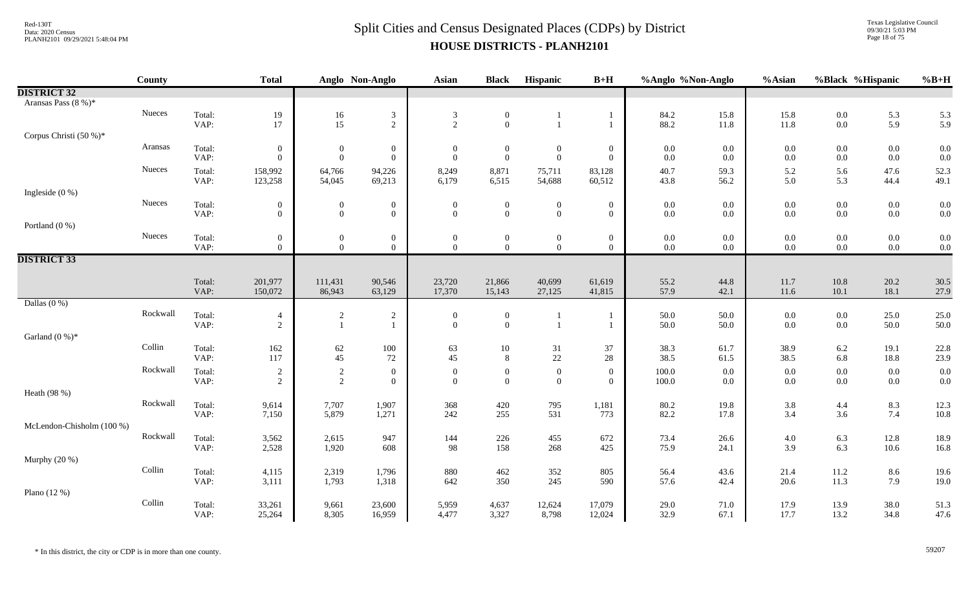Texas Legislative Council 09/30/21 5:03 PM Page 18 of 75

|                           | County   |                | <b>Total</b>                       |                                  | Anglo Non-Anglo                  | Asian                        | <b>Black</b>                     | Hispanic                         | $B+H$                              | %Anglo %Non-Anglo  |                    | %Asian             | %Black %Hispanic   |                    | $%B+H$       |
|---------------------------|----------|----------------|------------------------------------|----------------------------------|----------------------------------|------------------------------|----------------------------------|----------------------------------|------------------------------------|--------------------|--------------------|--------------------|--------------------|--------------------|--------------|
| <b>DISTRICT 32</b>        |          |                |                                    |                                  |                                  |                              |                                  |                                  |                                    |                    |                    |                    |                    |                    |              |
| Aransas Pass (8 %)*       |          |                |                                    |                                  |                                  |                              |                                  |                                  |                                    |                    |                    |                    |                    |                    |              |
|                           | Nueces   | Total:         | $19\,$                             | $16\,$                           | $\sqrt{3}$                       | $\mathfrak{Z}$               | $\boldsymbol{0}$                 |                                  | -1                                 | 84.2               | 15.8               | 15.8               | $0.0\,$            | 5.3                | 5.3          |
|                           |          | VAP:           | 17                                 | 15                               | $\sqrt{2}$                       | $\overline{2}$               | $\boldsymbol{0}$                 |                                  | $\mathbf{1}$                       | 88.2               | 11.8               | 11.8               | $0.0\,$            | 5.9                | 5.9          |
| Corpus Christi (50 %)*    |          |                |                                    |                                  |                                  |                              |                                  |                                  |                                    |                    |                    |                    |                    |                    |              |
|                           | Aransas  | Total:         | $\overline{0}$                     | $\boldsymbol{0}$                 | $\boldsymbol{0}$                 | $\boldsymbol{0}$             | $\boldsymbol{0}$                 | $\boldsymbol{0}$                 | $\boldsymbol{0}$                   | $0.0\,$            | $0.0\,$            | $0.0\,$            | $0.0\,$            | $0.0\,$            | 0.0          |
|                           |          | VAP:           | $\theta$                           | $\overline{0}$                   | $\overline{0}$                   | $\theta$                     | $\mathbf{0}$                     | $\mathbf{0}$                     | $\overline{0}$                     | $0.0\,$            | $0.0\,$            | 0.0                | $0.0\,$            | $0.0\,$            | 0.0          |
|                           | Nueces   | Total:         | 158,992                            | 64,766                           | 94,226                           | 8,249                        | 8,871                            | 75,711                           | 83,128                             | 40.7               | 59.3               | 5.2                | 5.6                | 47.6               | 52.3         |
|                           |          | VAP:           | 123,258                            | 54,045                           | 69,213                           | 6,179                        | 6,515                            | 54,688                           | 60,512                             | 43.8               | 56.2               | 5.0                | 5.3                | 44.4               | 49.1         |
| Ingleside $(0\%)$         | Nueces   |                |                                    |                                  |                                  |                              |                                  |                                  |                                    |                    |                    |                    |                    |                    |              |
|                           |          | Total:<br>VAP: | $\boldsymbol{0}$<br>$\overline{0}$ | $\boldsymbol{0}$<br>$\mathbf{0}$ | $\boldsymbol{0}$<br>$\mathbf{0}$ | $\boldsymbol{0}$<br>$\theta$ | $\boldsymbol{0}$<br>$\mathbf{0}$ | $\boldsymbol{0}$<br>$\theta$     | $\boldsymbol{0}$<br>$\overline{0}$ | $0.0\,$<br>$0.0\,$ | 0.0<br>$0.0\,$     | $0.0\,$<br>$0.0\,$ | $0.0\,$<br>$0.0\,$ | $0.0\,$<br>$0.0\,$ | 0.0<br>0.0   |
| Portland $(0\%)$          |          |                |                                    |                                  |                                  |                              |                                  |                                  |                                    |                    |                    |                    |                    |                    |              |
|                           | Nueces   | Total:         | $\boldsymbol{0}$                   | $\boldsymbol{0}$                 | $\boldsymbol{0}$                 | $\boldsymbol{0}$             | $\overline{0}$                   | $\boldsymbol{0}$                 | $\boldsymbol{0}$                   | $0.0\,$            | $0.0\,$            | $0.0\,$            | $0.0\,$            | $0.0\,$            | 0.0          |
|                           |          | VAP:           | $\overline{0}$                     | $\Omega$                         | $\mathbf{0}$                     | $\Omega$                     | $\mathbf{0}$                     | $\overline{0}$                   | $\overline{0}$                     | $0.0\,$            | $0.0\,$            | 0.0                | $0.0\,$            | $0.0\,$            | 0.0          |
| <b>DISTRICT 33</b>        |          |                |                                    |                                  |                                  |                              |                                  |                                  |                                    |                    |                    |                    |                    |                    |              |
|                           |          |                |                                    |                                  |                                  |                              |                                  |                                  |                                    |                    |                    |                    |                    |                    |              |
|                           |          | Total:         | 201,977                            | 111,431                          | 90,546                           | 23,720                       | 21,866                           | 40,699                           | 61,619                             | 55.2               | 44.8               | 11.7               | $10.8\,$           | 20.2               | 30.5         |
|                           |          | VAP:           | 150,072                            | 86,943                           | 63,129                           | 17,370                       | 15,143                           | 27,125                           | 41,815                             | 57.9               | 42.1               | $11.6\,$           | 10.1               | 18.1               | 27.9         |
| Dallas $(0\%)$            |          |                |                                    |                                  |                                  |                              |                                  |                                  |                                    |                    |                    |                    |                    |                    |              |
|                           | Rockwall | Total:         | $\overline{4}$                     | $\boldsymbol{2}$                 | $\sqrt{2}$                       | $\overline{0}$               | $\boldsymbol{0}$                 |                                  |                                    | 50.0               | 50.0               | $0.0\,$            | $0.0\,$            | 25.0               | 25.0         |
|                           |          | VAP:           | $\overline{2}$                     | $\mathbf{1}$                     | $\mathbf{1}$                     | $\theta$                     | $\mathbf{0}$                     |                                  | $\mathbf{1}$                       | 50.0               | 50.0               | $0.0\,$            | $0.0\,$            | 50.0               | 50.0         |
| Garland $(0\%)^*$         |          |                |                                    |                                  |                                  |                              |                                  |                                  |                                    |                    |                    |                    |                    |                    |              |
|                           | Collin   | Total:         | 162<br>117                         | 62                               | 100                              | 63                           | 10                               | 31<br>22                         | 37                                 | 38.3<br>38.5       | 61.7               | 38.9               | 6.2                | 19.1               | 22.8         |
|                           |          | VAP:           |                                    | 45                               | 72                               | 45                           | 8                                |                                  | 28                                 |                    | 61.5               | 38.5               | 6.8                | 18.8               | 23.9         |
|                           | Rockwall | Total:<br>VAP: | $\overline{c}$<br>$\sqrt{2}$       | $\overline{c}$<br>$\sqrt{2}$     | $\overline{0}$<br>$\overline{0}$ | $\overline{0}$<br>$\theta$   | $\overline{0}$<br>$\overline{0}$ | $\boldsymbol{0}$<br>$\mathbf{0}$ | $\overline{0}$<br>$\overline{0}$   | 100.0<br>100.0     | $0.0\,$<br>$0.0\,$ | $0.0\,$<br>$0.0\,$ | $0.0\,$<br>$0.0\,$ | $0.0\,$<br>$0.0\,$ | 0.0<br>0.0   |
| Heath (98 %)              |          |                |                                    |                                  |                                  |                              |                                  |                                  |                                    |                    |                    |                    |                    |                    |              |
|                           | Rockwall | Total:         |                                    |                                  | 1,907                            |                              |                                  |                                  |                                    | 80.2               |                    |                    |                    |                    |              |
|                           |          | VAP:           | 9,614<br>7,150                     | 7,707<br>5,879                   | 1,271                            | 368<br>242                   | 420<br>255                       | 795<br>531                       | 1,181<br>773                       | 82.2               | 19.8<br>17.8       | 3.8<br>3.4         | 4.4<br>3.6         | 8.3<br>7.4         | 12.3<br>10.8 |
| McLendon-Chisholm (100 %) |          |                |                                    |                                  |                                  |                              |                                  |                                  |                                    |                    |                    |                    |                    |                    |              |
|                           | Rockwall | Total:         | 3,562                              | 2,615                            | 947                              | 144                          | 226                              | 455                              | 672                                | 73.4               | 26.6               | 4.0                | 6.3                | 12.8               | 18.9         |
|                           |          | VAP:           | 2,528                              | 1,920                            | 608                              | 98                           | 158                              | 268                              | 425                                | 75.9               | 24.1               | 3.9                | 6.3                | 10.6               | 16.8         |
| Murphy (20 %)             |          |                |                                    |                                  |                                  |                              |                                  |                                  |                                    |                    |                    |                    |                    |                    |              |
|                           | Collin   | Total:         | 4,115                              | 2,319                            | 1,796                            | 880                          | 462                              | 352                              | 805                                | 56.4               | 43.6               | 21.4               | 11.2               | 8.6                | 19.6         |
|                           |          | VAP:           | 3,111                              | 1,793                            | 1,318                            | 642                          | 350                              | 245                              | 590                                | 57.6               | 42.4               | 20.6               | 11.3               | 7.9                | 19.0         |
| Plano $(12%)$             |          |                |                                    |                                  |                                  |                              |                                  |                                  |                                    |                    |                    |                    |                    |                    |              |
|                           | Collin   | Total:         | 33,261                             | 9,661                            | 23,600                           | 5,959                        | 4,637                            | 12,624                           | 17,079                             | 29.0               | 71.0               | 17.9               | 13.9               | 38.0               | 51.3         |
|                           |          | VAP:           | 25,264                             | 8,305                            | 16,959                           | 4,477                        | 3,327                            | 8,798                            | 12,024                             | 32.9               | 67.1               | 17.7               | 13.2               | 34.8               | 47.6         |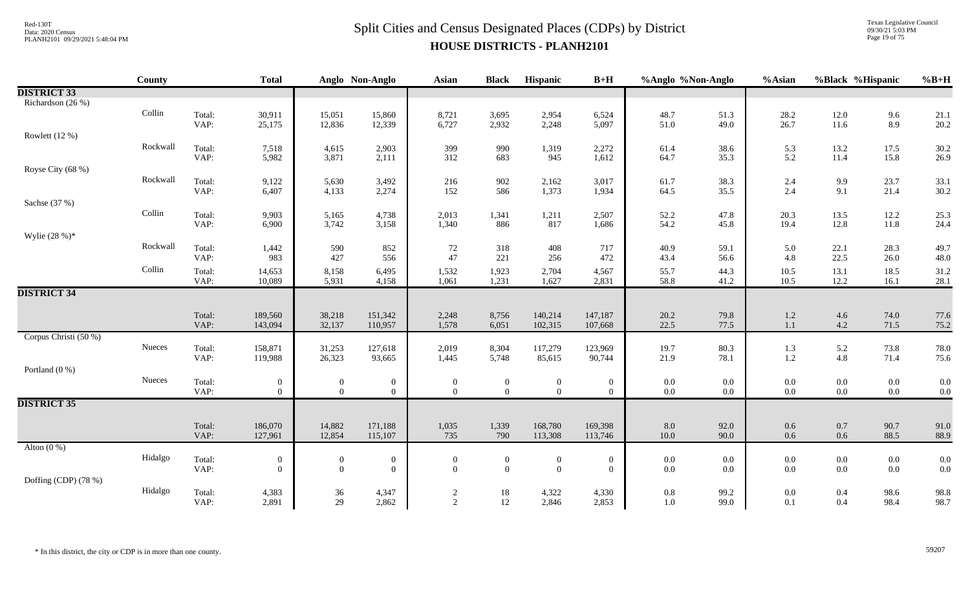Texas Legislative Council 09/30/21 5:03 PM Page 19 of 75

|                       | County   |                | <b>Total</b>       |                  | Anglo Non-Anglo    | Asian            | <b>Black</b>     | Hispanic           | $B+H$              | %Anglo %Non-Anglo |              | %Asian         | %Black %Hispanic   |              | $%B+H$       |
|-----------------------|----------|----------------|--------------------|------------------|--------------------|------------------|------------------|--------------------|--------------------|-------------------|--------------|----------------|--------------------|--------------|--------------|
| <b>DISTRICT 33</b>    |          |                |                    |                  |                    |                  |                  |                    |                    |                   |              |                |                    |              |              |
| Richardson (26 %)     |          |                |                    |                  |                    |                  |                  |                    |                    |                   |              |                |                    |              |              |
|                       | Collin   | Total:         | 30,911             | 15,051           | 15,860             | 8,721            | 3,695            | 2,954              | 6,524              | 48.7              | 51.3         | 28.2           | 12.0               | 9.6          | 21.1         |
|                       |          | VAP:           | 25,175             | 12,836           | 12,339             | 6,727            | 2,932            | 2,248              | 5,097              | 51.0              | 49.0         | 26.7           | 11.6               | 8.9          | 20.2         |
| Rowlett $(12%)$       |          |                |                    |                  |                    |                  |                  |                    |                    |                   |              |                |                    |              |              |
|                       | Rockwall | Total:<br>VAP: | 7,518<br>5,982     | 4,615<br>3,871   | 2,903<br>2,111     | 399<br>312       | 990<br>683       | 1,319<br>945       | 2,272<br>1,612     | 61.4<br>64.7      | 38.6<br>35.3 | 5.3<br>5.2     | 13.2<br>11.4       | 17.5<br>15.8 | 30.2<br>26.9 |
| Royse City (68 %)     |          |                |                    |                  |                    |                  |                  |                    |                    |                   |              |                |                    |              |              |
|                       | Rockwall | Total:         | 9,122              | 5,630            | 3,492              | 216              | 902              | 2,162              | 3,017              | 61.7              | 38.3         |                |                    | 23.7         | 33.1         |
|                       |          | VAP:           | 6,407              | 4,133            | 2,274              | 152              | 586              | 1,373              | 1,934              | 64.5              | 35.5         | $2.4$<br>$2.4$ | $\frac{9.9}{9.1}$  | 21.4         | 30.2         |
| Sachse (37 %)         |          |                |                    |                  |                    |                  |                  |                    |                    |                   |              |                |                    |              |              |
|                       | Collin   | Total:         | 9,903              | 5,165            | 4,738              | 2,013            | 1,341            | 1,211              | 2,507              | 52.2              | 47.8         | 20.3           | 13.5               | 12.2         | 25.3         |
|                       |          | VAP:           | 6,900              | 3,742            | 3,158              | 1,340            | 886              | 817                | 1,686              | 54.2              | 45.8         | 19.4           | 12.8               | $11.8\,$     | 24.4         |
| Wylie $(28%)$ *       |          |                |                    |                  |                    |                  |                  |                    |                    |                   |              |                |                    |              |              |
|                       | Rockwall | Total:         | 1,442              | 590              | 852                | 72               | 318              | 408                | 717                | 40.9              | 59.1         | 5.0            | 22.1               | 28.3         | 49.7         |
|                       |          | VAP:           | 983                | 427              | 556                | 47               | 221              | 256                | 472                | 43.4              | 56.6         | 4.8            | 22.5               | 26.0         | 48.0         |
|                       | Collin   | Total:         | 14,653             | 8,158            | 6,495              | 1,532            | 1,923            | 2,704              | 4,567              | 55.7              | 44.3         | 10.5           | 13.1               | 18.5         | 31.2         |
|                       |          | VAP:           | 10,089             | 5,931            | 4,158              | 1,061            | 1,231            | 1,627              | 2,831              | 58.8              | 41.2         | 10.5           | 12.2               | 16.1         | 28.1         |
| <b>DISTRICT 34</b>    |          |                |                    |                  |                    |                  |                  |                    |                    |                   |              |                |                    |              |              |
|                       |          |                |                    |                  | 151,342            |                  |                  | 140,214            | 147,187            |                   |              |                |                    |              | 77.6         |
|                       |          | Total:<br>VAP: | 189,560<br>143,094 | 38,218<br>32,137 | 110,957            | 2,248<br>1,578   | 8,756<br>6,051   | 102,315            | 107,668            | 20.2<br>22.5      | 79.8<br>77.5 | 1.2<br>1.1     | $4.6\,$<br>$4.2\,$ | 74.0<br>71.5 | 75.2         |
| Corpus Christi (50 %) |          |                |                    |                  |                    |                  |                  |                    |                    |                   |              |                |                    |              |              |
|                       | Nueces   | Total:         | 158,871            | 31,253           | 127,618            | 2,019            | 8,304            | 117,279            | 123,969            | 19.7              | 80.3         | 1.3            | 5.2                | 73.8         | 78.0         |
|                       |          | VAP:           | 119,988            | 26,323           | 93,665             | 1,445            | 5,748            | 85,615             | 90,744             | 21.9              | 78.1         | 1.2            | $4.8\,$            | 71.4         | 75.6         |
| Portland (0 %)        |          |                |                    |                  |                    |                  |                  |                    |                    |                   |              |                |                    |              |              |
|                       | Nueces   | Total:         | $\overline{0}$     | $\boldsymbol{0}$ | $\boldsymbol{0}$   | $\boldsymbol{0}$ | $\boldsymbol{0}$ | $\boldsymbol{0}$   | $\overline{0}$     | $0.0\,$           | $0.0\,$      | $0.0\,$        | $0.0\,$            | $0.0\,$      | 0.0          |
|                       |          | VAP:           | $\overline{0}$     | $\overline{0}$   | $\overline{0}$     | $\mathbf{0}$     | $\overline{0}$   | $\overline{0}$     | $\overline{0}$     | $0.0\,$           | $0.0\,$      | $0.0\,$        | $0.0\,$            | $0.0\,$      | 0.0          |
| <b>DISTRICT 35</b>    |          |                |                    |                  |                    |                  |                  |                    |                    |                   |              |                |                    |              |              |
|                       |          |                |                    |                  |                    |                  |                  |                    |                    |                   |              |                |                    |              |              |
|                       |          | Total:<br>VAP: | 186,070<br>127,961 | 14,882<br>12,854 | 171,188<br>115,107 | 1,035<br>735     | 1,339<br>790     | 168,780<br>113,308 | 169,398<br>113,746 | $8.0\,$<br>10.0   | 92.0<br>90.0 | 0.6<br>0.6     | $0.7\,$<br>$0.6\,$ | 90.7<br>88.5 | 91.0<br>88.9 |
| Alton $(0\%)$         |          |                |                    |                  |                    |                  |                  |                    |                    |                   |              |                |                    |              |              |
|                       | Hidalgo  | Total:         | $\boldsymbol{0}$   | $\overline{0}$   | $\mathbf{0}$       | $\bf{0}$         | $\mathbf{0}$     | $\boldsymbol{0}$   | $\boldsymbol{0}$   | $0.0\,$           | 0.0          | $0.0\,$        | $0.0\,$            | $0.0\,$      | 0.0          |
|                       |          | VAP:           | $\overline{0}$     | $\overline{0}$   | $\theta$           | $\overline{0}$   | $\overline{0}$   | $\overline{0}$     | $\overline{0}$     | $0.0\,$           | 0.0          | 0.0            | $0.0\,$            | $0.0\,$      | 0.0          |
| Doffing (CDP) (78 %)  |          |                |                    |                  |                    |                  |                  |                    |                    |                   |              |                |                    |              |              |
|                       | Hidalgo  | Total:         | 4,383              | $36\,$           | 4,347              | $\overline{c}$   | 18               | 4,322              | 4,330              | $0.8\,$           | 99.2         | 0.0            | $0.4\,$            | 98.6         | 98.8         |
|                       |          | VAP:           | 2,891              | 29               | 2,862              | $\overline{2}$   | 12               | 2,846              | 2,853              | $1.0\,$           | 99.0         | 0.1            | 0.4                | 98.4         | 98.7         |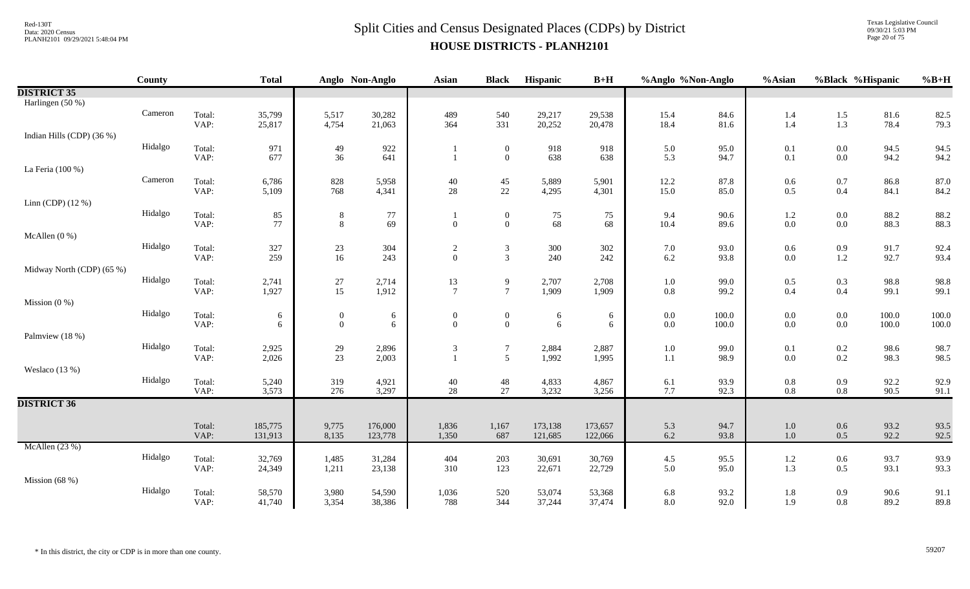Texas Legislative Council 09/30/21 5:03 PM Page 20 of 75

|                           | <b>County</b> |                | <b>Total</b>       |                  | Anglo Non-Anglo | <b>Asian</b>                   | <b>Black</b>                     | Hispanic   | $B+H$      | %Anglo %Non-Anglo |              | %Asian             | %Black %Hispanic   |              | $%B+H$       |
|---------------------------|---------------|----------------|--------------------|------------------|-----------------|--------------------------------|----------------------------------|------------|------------|-------------------|--------------|--------------------|--------------------|--------------|--------------|
| <b>DISTRICT 35</b>        |               |                |                    |                  |                 |                                |                                  |            |            |                   |              |                    |                    |              |              |
| Harlingen (50 %)          |               |                |                    |                  |                 |                                |                                  |            |            |                   |              |                    |                    |              |              |
|                           | Cameron       | Total:         | 35,799             | 5,517            | 30,282          | 489                            | 540                              | 29,217     | 29,538     | 15.4              | 84.6         | 1.4                | 1.5                | 81.6         | 82.5         |
|                           |               | VAP:           | 25,817             | 4,754            | 21,063          | 364                            | 331                              | 20,252     | 20,478     | 18.4              | 81.6         | 1.4                | $1.3\,$            | 78.4         | 79.3         |
| Indian Hills (CDP) (36 %) | Hidalgo       |                |                    |                  |                 |                                |                                  |            |            |                   |              |                    |                    |              |              |
|                           |               | Total:<br>VAP: | 971<br>677         | 49<br>36         | 922<br>641      |                                | $\boldsymbol{0}$<br>$\mathbf{0}$ | 918<br>638 | 918<br>638 | 5.0<br>5.3        | 95.0<br>94.7 | 0.1<br>0.1         | $0.0\,$<br>$0.0\,$ | 94.5<br>94.2 | 94.5<br>94.2 |
| La Feria (100 %)          |               |                |                    |                  |                 |                                |                                  |            |            |                   |              |                    |                    |              |              |
|                           | Cameron       | Total:         | 6,786              | 828              | 5,958           | 40                             | $45\,$                           | 5,889      | 5,901      | 12.2              | 87.8         | 0.6                | $0.7\,$            | 86.8         | 87.0         |
|                           |               | VAP:           | 5,109              | 768              | 4,341           | $28\,$                         | $22\,$                           | 4,295      | 4,301      | 15.0              | 85.0         | 0.5                | 0.4                | 84.1         | 84.2         |
| Linn (CDP) $(12\%)$       |               |                |                    |                  |                 |                                |                                  |            |            |                   |              |                    |                    |              |              |
|                           | Hidalgo       | Total:         | 85                 | 8                | 77              |                                | $\boldsymbol{0}$                 | 75         | 75         | 9.4               | 90.6         | 1.2                | $0.0\,$            | 88.2         | 88.2         |
|                           |               | VAP:           | 77                 | $8\,$            | 69              | $\mathbf{0}$                   | $\overline{0}$                   | 68         | 68         | 10.4              | 89.6         | 0.0                | $0.0\,$            | 88.3         | 88.3         |
| McAllen $(0\%)$           | Hidalgo       |                | 327                |                  | 304             |                                |                                  | 300        | 302        |                   | 93.0         |                    |                    |              |              |
|                           |               | Total:<br>VAP: | 259                | $23\,$<br>16     | 243             | $\overline{c}$<br>$\mathbf{0}$ | $\mathfrak{Z}$<br>$\overline{3}$ | 240        | 242        | 7.0<br>6.2        | 93.8         | $0.6\,$<br>0.0     | $0.9\,$<br>$1.2\,$ | 91.7<br>92.7 | 92.4<br>93.4 |
| Midway North (CDP) (65 %) |               |                |                    |                  |                 |                                |                                  |            |            |                   |              |                    |                    |              |              |
|                           | Hidalgo       | Total:         | 2,741              | $27\,$           | 2,714           | 13                             | 9                                | 2,707      | 2,708      | $1.0\,$           | 99.0         | 0.5                | 0.3                | 98.8         | 98.8         |
|                           |               | VAP:           | 1,927              | 15               | 1,912           | $\tau$                         | $\tau$                           | 1,909      | 1,909      | $0.8\,$           | 99.2         | 0.4                | 0.4                | 99.1         | 99.1         |
| Mission $(0\%)$           |               |                |                    |                  |                 |                                |                                  |            |            |                   |              |                    |                    |              |              |
|                           | Hidalgo       | Total:         | 6                  | $\boldsymbol{0}$ | 6               | $\overline{0}$                 | $\boldsymbol{0}$                 | $\sqrt{6}$ | 6          | $0.0\,$           | 100.0        | 0.0                | $0.0\,$            | 100.0        | 100.0        |
| Palmview (18 %)           |               | VAP:           | 6                  | $\overline{0}$   | 6               | $\Omega$                       | $\overline{0}$                   | 6          | 6          | $0.0\,$           | 100.0        | 0.0                | $0.0\,$            | 100.0        | 100.0        |
|                           | Hidalgo       | Total:         | 2,925              |                  | 2,896           | 3                              | $\tau$                           | 2,884      | 2,887      | $1.0\,$           | 99.0         | 0.1                | $0.2\,$            | 98.6         | 98.7         |
|                           |               | VAP:           | 2,026              | 29<br>23         | 2,003           |                                | 5                                | 1,992      | 1,995      | 1.1               | 98.9         | 0.0                | $0.2\,$            | 98.3         | 98.5         |
| Weslaco $(13%)$           |               |                |                    |                  |                 |                                |                                  |            |            |                   |              |                    |                    |              |              |
|                           | Hidalgo       | Total:         | 5,240              | 319              | 4,921           | 40                             | 48                               | 4,833      | 4,867      | 6.1               | 93.9         | $0.8\,$            | $0.9\,$            | 92.2         | 92.9         |
|                           |               | VAP:           | 3,573              | 276              | 3,297           | 28                             | 27                               | 3,232      | 3,256      | 7.7               | 92.3         | 0.8                | $0.8\,$            | 90.5         | 91.1         |
| <b>DISTRICT 36</b>        |               |                |                    |                  |                 |                                |                                  |            |            |                   |              |                    |                    |              |              |
|                           |               | Total:         |                    | 9,775            | 176,000         | 1,836                          |                                  | 173,138    | 173,657    | 5.3               |              |                    |                    | 93.2         | 93.5         |
|                           |               | VAP:           | 185,775<br>131,913 | 8,135            | 123,778         | 1,350                          | 1,167<br>687                     | 121,685    | 122,066    | 6.2               | 94.7<br>93.8 | $1.0\,$<br>$1.0\,$ | $0.6\,$<br>0.5     | 92.2         | 92.5         |
| McAllen $(23%)$           |               |                |                    |                  |                 |                                |                                  |            |            |                   |              |                    |                    |              |              |
|                           | Hidalgo       | Total:         | 32,769             | 1,485            | 31,284          | 404                            | 203                              | 30,691     | 30,769     | 4.5               | 95.5         | 1.2                | $0.6\,$            | 93.7         | 93.9         |
|                           |               | VAP:           | 24,349             | 1,211            | 23,138          | 310                            | 123                              | 22,671     | 22,729     | 5.0               | 95.0         | 1.3                | $0.5\,$            | 93.1         | 93.3         |
| Mission $(68%)$           |               |                |                    |                  |                 |                                |                                  |            |            |                   |              |                    |                    |              |              |
|                           | Hidalgo       | Total:         | 58,570             | 3,980            | 54,590          | 1,036                          | 520                              | 53,074     | 53,368     | 6.8               | 93.2         | 1.8                | 0.9                | 90.6         | 91.1         |
|                           |               | VAP:           | 41,740             | 3,354            | 38,386          | 788                            | 344                              | 37,244     | 37,474     | 8.0               | 92.0         | 1.9                | $0.8\,$            | 89.2         | 89.8         |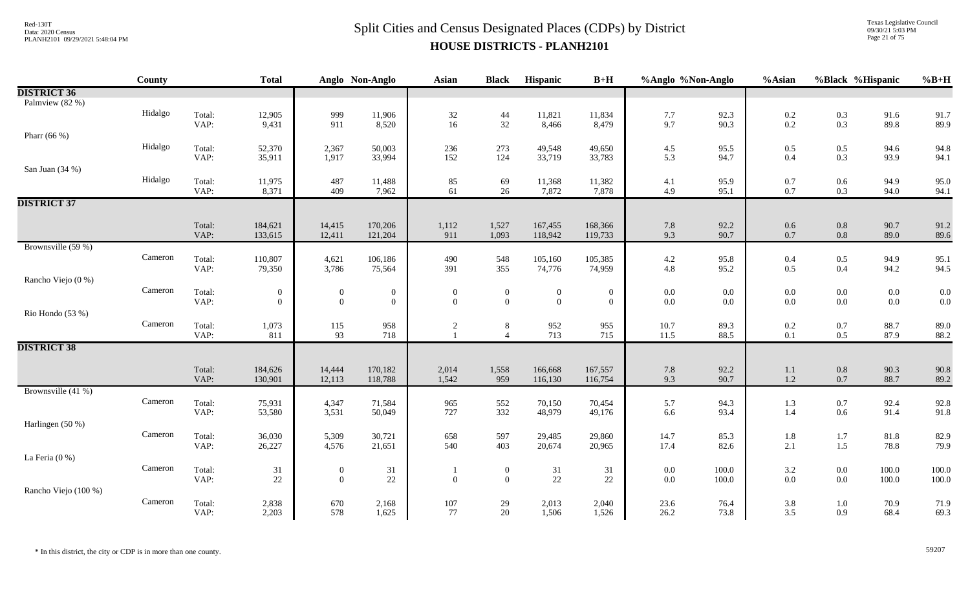Texas Legislative Council 09/30/21 5:03 PM Page 21 of 75

|                      | County  |                | <b>Total</b>                       |                              | Anglo Non-Anglo                  | <b>Asian</b>                   | <b>Black</b>                     | Hispanic                     | $B+H$                            | %Anglo %Non-Anglo  |              | %Asian                                    | %Black %Hispanic   |                    | $%B+H$         |
|----------------------|---------|----------------|------------------------------------|------------------------------|----------------------------------|--------------------------------|----------------------------------|------------------------------|----------------------------------|--------------------|--------------|-------------------------------------------|--------------------|--------------------|----------------|
| <b>DISTRICT 36</b>   |         |                |                                    |                              |                                  |                                |                                  |                              |                                  |                    |              |                                           |                    |                    |                |
| Palmview (82 %)      |         |                |                                    |                              |                                  |                                |                                  |                              |                                  |                    |              |                                           |                    |                    |                |
|                      | Hidalgo | Total:         | 12,905                             | 999                          | 11,906                           | $\frac{32}{16}$                | $44\,$                           | 11,821                       | 11,834                           | 7.7                | 92.3         | $0.2\,$                                   | $0.3\,$            | 91.6               | 91.7           |
|                      |         | VAP:           | 9,431                              | 911                          | 8,520                            |                                | 32                               | 8,466                        | 8,479                            | 9.7                | 90.3         | 0.2                                       | 0.3                | 89.8               | 89.9           |
| Pharr (66 %)         |         |                |                                    |                              |                                  |                                |                                  |                              |                                  |                    |              |                                           |                    |                    |                |
|                      | Hidalgo | Total:<br>VAP: | 52,370                             | 2,367                        | 50,003                           | 236<br>152                     | 273<br>124                       | 49,548                       | 49,650                           | 4.5                | 95.5<br>94.7 | 0.5                                       | $0.5\,$<br>0.3     | 94.6<br>93.9       | 94.8           |
| San Juan (34 %)      |         |                | 35,911                             | 1,917                        | 33,994                           |                                |                                  | 33,719                       | 33,783                           | 5.3                |              | 0.4                                       |                    |                    | 94.1           |
|                      | Hidalgo |                |                                    |                              |                                  |                                |                                  |                              |                                  |                    |              |                                           |                    |                    |                |
|                      |         | Total:<br>VAP: | 11,975<br>8,371                    | 487<br>409                   | 11,488<br>7,962                  | 85<br>61                       | 69<br>26                         | 11,368<br>7,872              | 11,382<br>7,878                  | 4.1<br>4.9         | 95.9<br>95.1 | 0.7<br>0.7                                | $0.6\,$<br>0.3     | 94.9<br>94.0       | 95.0<br>94.1   |
| <b>DISTRICT 37</b>   |         |                |                                    |                              |                                  |                                |                                  |                              |                                  |                    |              |                                           |                    |                    |                |
|                      |         |                |                                    |                              |                                  |                                |                                  |                              |                                  |                    |              |                                           |                    |                    |                |
|                      |         | Total:         | 184,621                            | 14,415                       | 170,206                          | 1,112                          | 1,527                            | 167,455                      | 168,366                          | $7.8\,$            | 92.2         | $0.6\,$                                   | $0.8\,$            | 90.7               | 91.2           |
|                      |         | VAP:           | 133,615                            | 12,411                       | 121,204                          | 911                            | 1,093                            | 118,942                      | 119,733                          | 9.3                | 90.7         | 0.7                                       | $0.8\,$            | 89.0               | 89.6           |
| Brownsville (59 %)   |         |                |                                    |                              |                                  |                                |                                  |                              |                                  |                    |              |                                           |                    |                    |                |
|                      | Cameron | Total:         | 110,807                            | 4,621                        | 106,186                          | 490                            | 548                              | 105,160                      | 105,385                          | 4.2                | 95.8         | 0.4                                       | $0.5\,$            | 94.9               | 95.1           |
|                      |         | VAP:           | 79,350                             | 3,786                        | 75,564                           | 391                            | 355                              | 74,776                       | 74,959                           | 4.8                | 95.2         | 0.5                                       | 0.4                | 94.2               | 94.5           |
| Rancho Viejo (0 %)   |         |                |                                    |                              |                                  |                                |                                  |                              |                                  |                    |              |                                           |                    |                    |                |
|                      | Cameron | Total:<br>VAP: | $\boldsymbol{0}$<br>$\overline{0}$ | $\boldsymbol{0}$<br>$\Omega$ | $\boldsymbol{0}$<br>$\mathbf{0}$ | $\overline{0}$<br>$\Omega$     | $\overline{0}$<br>$\overline{0}$ | $\boldsymbol{0}$<br>$\theta$ | $\overline{0}$<br>$\overline{0}$ | $0.0\,$<br>$0.0\,$ | 0.0<br>0.0   | $0.0\,$<br>$0.0\,$                        | $0.0\,$<br>$0.0\,$ | $0.0\,$<br>$0.0\,$ | $0.0\,$<br>0.0 |
| Rio Hondo (53 %)     |         |                |                                    |                              |                                  |                                |                                  |                              |                                  |                    |              |                                           |                    |                    |                |
|                      | Cameron | Total:         | 1,073                              | 115                          | 958                              |                                | 8                                | 952                          | 955                              | 10.7               | 89.3         | 0.2                                       | $0.7\,$            | 88.7               | 89.0           |
|                      |         | VAP:           | 811                                | 93                           | 718                              | $\overline{c}$<br>$\mathbf{1}$ | $\overline{4}$                   | 713                          | 715                              | 11.5               | 88.5         | $0.1\,$                                   | $0.5\,$            | 87.9               | 88.2           |
| <b>DISTRICT 38</b>   |         |                |                                    |                              |                                  |                                |                                  |                              |                                  |                    |              |                                           |                    |                    |                |
|                      |         |                |                                    |                              |                                  |                                |                                  |                              |                                  |                    |              |                                           |                    |                    |                |
|                      |         | Total:         | 184,626                            | 14,444                       | 170,182                          | 2,014                          | 1,558                            | 166,668                      | 167,557                          | 7.8                | 92.2         | 1.1                                       | $0.8\,$            | 90.3               | 90.8           |
|                      |         | VAP:           | 130,901                            | 12,113                       | 118,788                          | 1,542                          | 959                              | 116,130                      | 116,754                          | 9.3                | 90.7         | $1.2\,$                                   | $0.7\,$            | 88.7               | 89.2           |
| Brownsville (41 %)   |         |                |                                    |                              |                                  |                                |                                  |                              |                                  |                    |              |                                           |                    |                    |                |
|                      | Cameron | Total:         | 75,931                             | 4,347                        | 71,584                           | 965                            | 552                              | 70,150                       | 70,454                           | 5.7                | 94.3         | 1.3                                       | $0.7\,$            | 92.4               | 92.8           |
|                      |         | VAP:           | 53,580                             | 3,531                        | 50,049                           | 727                            | 332                              | 48,979                       | 49,176                           | 6.6                | 93.4         | 1.4                                       | 0.6                | 91.4               | 91.8           |
| Harlingen (50 %)     |         |                |                                    |                              |                                  |                                |                                  |                              |                                  |                    |              |                                           |                    |                    |                |
|                      | Cameron | Total:<br>VAP: | 36,030<br>26,227                   | 5,309<br>4,576               | 30,721<br>21,651                 | 658<br>540                     | 597<br>403                       | 29,485<br>20,674             | 29,860<br>20,965                 | 14.7<br>17.4       | 85.3<br>82.6 | 1.8<br>2.1                                | 1.7<br>1.5         | 81.8<br>78.8       | 82.9<br>79.9   |
| La Feria $(0\%)$     |         |                |                                    |                              |                                  |                                |                                  |                              |                                  |                    |              |                                           |                    |                    |                |
|                      | Cameron | Total:         | 31                                 | $\boldsymbol{0}$             |                                  |                                | $\boldsymbol{0}$                 | 31                           | 31                               | $0.0\,$            | 100.0        |                                           | $0.0\,$            | 100.0              | 100.0          |
|                      |         | VAP:           | $22\,$                             | $\theta$                     | 31<br>$22\,$                     | $\mathbf{0}$                   | $\mathbf{0}$                     | $22\,$                       | $22\,$                           | $0.0\,$            | 100.0        | $\begin{array}{c} 3.2 \\ 0.0 \end{array}$ | $0.0\,$            | 100.0              | 100.0          |
| Rancho Viejo (100 %) |         |                |                                    |                              |                                  |                                |                                  |                              |                                  |                    |              |                                           |                    |                    |                |
|                      | Cameron | Total:         | 2,838                              | 670                          | 2,168                            | $107\,$                        | $29\,$                           | 2,013                        | 2,040                            | 23.6               | 76.4         | 3.8                                       | $1.0\,$            | 70.9               | 71.9           |
|                      |         | VAP:           | 2,203                              | 578                          | 1,625                            | 77                             | 20                               | 1,506                        | 1,526                            | 26.2               | 73.8         | 3.5                                       | 0.9                | 68.4               | 69.3           |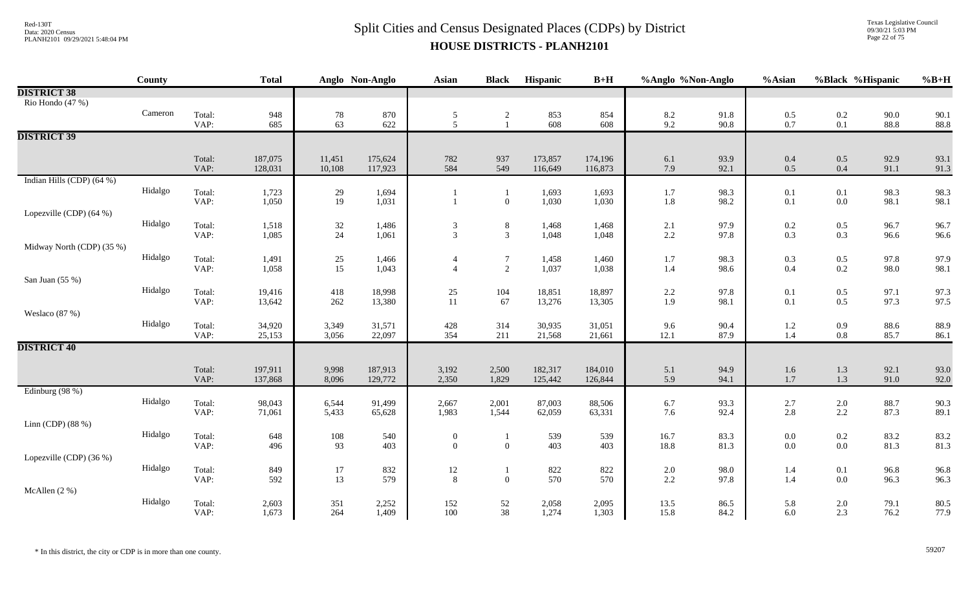Texas Legislative Council 09/30/21 5:03 PM Page 22 of 75

|                           | County  |                | <b>Total</b>     |                                         | Anglo Non-Anglo  | Asian                                   | <b>Black</b>   | Hispanic         | $B+H$            | %Anglo %Non-Anglo |              | %Asian            | %Black %Hispanic                          |              | $%B+H$       |
|---------------------------|---------|----------------|------------------|-----------------------------------------|------------------|-----------------------------------------|----------------|------------------|------------------|-------------------|--------------|-------------------|-------------------------------------------|--------------|--------------|
| <b>DISTRICT 38</b>        |         |                |                  |                                         |                  |                                         |                |                  |                  |                   |              |                   |                                           |              |              |
| Rio Hondo (47 %)          |         |                |                  |                                         |                  |                                         |                |                  |                  |                   |              |                   |                                           |              |              |
|                           | Cameron | Total:         | 948              | 78                                      | $870\,$          | $\frac{5}{5}$                           | $\sqrt{2}$     | 853              | 854              | $8.2\,$           | 91.8         | $0.5\,$           | $0.2\,$                                   | 90.0         | 90.1         |
|                           |         | VAP:           | 685              | 63                                      | 622              |                                         | $\overline{1}$ | 608              | 608              | 9.2               | 90.8         | 0.7               | $0.1\,$                                   | 88.8         | 88.8         |
| <b>DISTRICT 39</b>        |         |                |                  |                                         |                  |                                         |                |                  |                  |                   |              |                   |                                           |              |              |
|                           |         | Total:         | 187,075          | 11,451                                  | 175,624          | 782                                     | 937            | 173,857          | 174,196          | 6.1               | 93.9         | 0.4               | $0.5\,$                                   | 92.9         | 93.1         |
|                           |         | VAP:           | 128,031          | 10,108                                  | 117,923          | 584                                     | 549            | 116,649          | 116,873          | 7.9               | 92.1         | $0.5\,$           | 0.4                                       | 91.1         | 91.3         |
| Indian Hills (CDP) (64 %) |         |                |                  |                                         |                  |                                         |                |                  |                  |                   |              |                   |                                           |              |              |
|                           | Hidalgo | Total:         | 1,723            | 29                                      | 1,694            |                                         | $\mathbf{1}$   | 1,693            | 1,693            | $1.7\,$           | 98.3         | 0.1               | 0.1                                       | 98.3         | 98.3         |
|                           |         | VAP:           | 1,050            | $19\,$                                  | 1,031            |                                         | $\overline{0}$ | 1,030            | 1,030            | $1.8\,$           | 98.2         | 0.1               | $0.0\,$                                   | 98.1         | 98.1         |
| Lopezville (CDP) (64 %)   |         |                |                  |                                         |                  |                                         |                |                  |                  |                   |              |                   |                                           |              |              |
|                           | Hidalgo | Total:         | 1,518            | 32                                      | 1,486            | $\sqrt{3}$                              | $8\,$          | 1,468            | 1,468            | $2.1\,$           | 97.9         | 0.2               | $0.5\,$                                   | 96.7         | 96.7         |
|                           |         | VAP:           | 1,085            | 24                                      | 1,061            | $\overline{3}$                          | $\mathfrak{Z}$ | 1,048            | 1,048            | $2.2\,$           | 97.8         | 0.3               | 0.3                                       | 96.6         | 96.6         |
| Midway North (CDP) (35 %) |         |                |                  |                                         |                  |                                         |                |                  |                  |                   |              |                   |                                           |              |              |
|                           | Hidalgo | Total:         | 1,491            | $\begin{array}{c} 25 \\ 15 \end{array}$ | 1,466            | $\overline{4}$                          | $\overline{7}$ | 1,458            | 1,460            | 1.7               | 98.3         | 0.3               | $0.5\,$                                   | 97.8         | 97.9         |
|                           |         | VAP:           | 1,058            |                                         | 1,043            | $\overline{4}$                          | $\overline{2}$ | 1,037            | 1,038            | $1.4\,$           | 98.6         | 0.4               | 0.2                                       | 98.0         | 98.1         |
| San Juan (55 %)           |         |                |                  |                                         |                  |                                         |                |                  |                  |                   |              |                   |                                           |              |              |
|                           | Hidalgo | Total:         | 19,416           | 418                                     | 18,998           | $\begin{array}{c} 25 \\ 11 \end{array}$ | 104            | 18,851           | 18,897           | $2.2\,$           | 97.8         | 0.1               | $0.5\,$                                   | 97.1         | 97.3         |
|                           |         | VAP:           | 13,642           | 262                                     | 13,380           |                                         | 67             | 13,276           | 13,305           | 1.9               | 98.1         | 0.1               | $0.5\,$                                   | 97.3         | 97.5         |
| Weslaco (87 %)            | Hidalgo |                |                  |                                         |                  |                                         |                |                  |                  |                   |              |                   |                                           |              |              |
|                           |         | Total:<br>VAP: | 34,920<br>25,153 | 3,349<br>3,056                          | 31,571<br>22,097 | $428\,$<br>354                          | 314<br>211     | 30,935<br>21,568 | 31,051<br>21,661 | 9.6<br>12.1       | 90.4<br>87.9 | 1.2<br>1.4        | $0.9\,$<br>$0.8\,$                        | 88.6<br>85.7 | 88.9<br>86.1 |
| <b>DISTRICT 40</b>        |         |                |                  |                                         |                  |                                         |                |                  |                  |                   |              |                   |                                           |              |              |
|                           |         |                |                  |                                         |                  |                                         |                |                  |                  |                   |              |                   |                                           |              |              |
|                           |         | Total:         | 197,911          | 9,998                                   | 187,913          | 3,192                                   | 2,500          | 182,317          | 184,010          | 5.1               | 94.9         | 1.6               | $1.3\,$                                   | 92.1         | 93.0         |
|                           |         | VAP:           | 137,868          | 8,096                                   | 129,772          | 2,350                                   | 1,829          | 125,442          | 126,844          | 5.9               | 94.1         | 1.7               | $1.3\,$                                   | 91.0         | 92.0         |
| Edinburg (98 %)           |         |                |                  |                                         |                  |                                         |                |                  |                  |                   |              |                   |                                           |              |              |
|                           | Hidalgo | Total:         | 98,043           | 6,544                                   | 91,499           | 2,667                                   | 2,001          | 87,003           | 88,506           | 6.7               | 93.3         |                   | $\begin{array}{c} 2.0 \\ 2.2 \end{array}$ | 88.7         | 90.3         |
|                           |         | VAP:           | 71,061           | 5,433                                   | 65,628           | 1,983                                   | 1,544          | 62,059           | 63,331           | 7.6               | 92.4         | $\frac{2.7}{2.8}$ |                                           | 87.3         | 89.1         |
| Linn (CDP) $(88\%)$       |         |                |                  |                                         |                  |                                         |                |                  |                  |                   |              |                   |                                           |              |              |
|                           | Hidalgo | Total:         | 648              | 108                                     | 540              | $\boldsymbol{0}$                        | $\mathbf{1}$   | 539              | 539              | 16.7              | 83.3         | 0.0               | $0.2\,$                                   | 83.2         | 83.2         |
|                           |         | VAP:           | 496              | 93                                      | 403              | $\mathbf{0}$                            | $\overline{0}$ | 403              | 403              | 18.8              | 81.3         | 0.0               | $0.0\,$                                   | 81.3         | 81.3         |
| Lopezville (CDP) (36 %)   |         |                |                  |                                         |                  |                                         |                |                  |                  |                   |              |                   |                                           |              |              |
|                           | Hidalgo | Total:         | 849              | $17\,$                                  | 832              | $\begin{array}{c} 12 \\ 8 \end{array}$  | $\mathbf{1}$   | 822              | 822              | $2.0\,$           | 98.0         | 1.4               | 0.1                                       | 96.8         | 96.8         |
|                           |         | VAP:           | 592              | 13                                      | 579              |                                         | $\overline{0}$ | 570              | 570              | 2.2               | 97.8         | 1.4               | $0.0\,$                                   | 96.3         | 96.3         |
| McAllen (2 %)             |         |                |                  |                                         |                  |                                         |                |                  |                  |                   |              |                   |                                           |              |              |
|                           | Hidalgo | Total:         | 2,603            | 351                                     | 2,252            | 152                                     | 52             | 2,058            | 2,095            | 13.5              | 86.5         | 5.8               | $2.0\,$                                   | 79.1         | 80.5         |
|                           |         | VAP:           | 1,673            | 264                                     | 1,409            | 100                                     | 38             | 1,274            | 1,303            | 15.8              | 84.2         | 6.0               | 2.3                                       | 76.2         | 77.9         |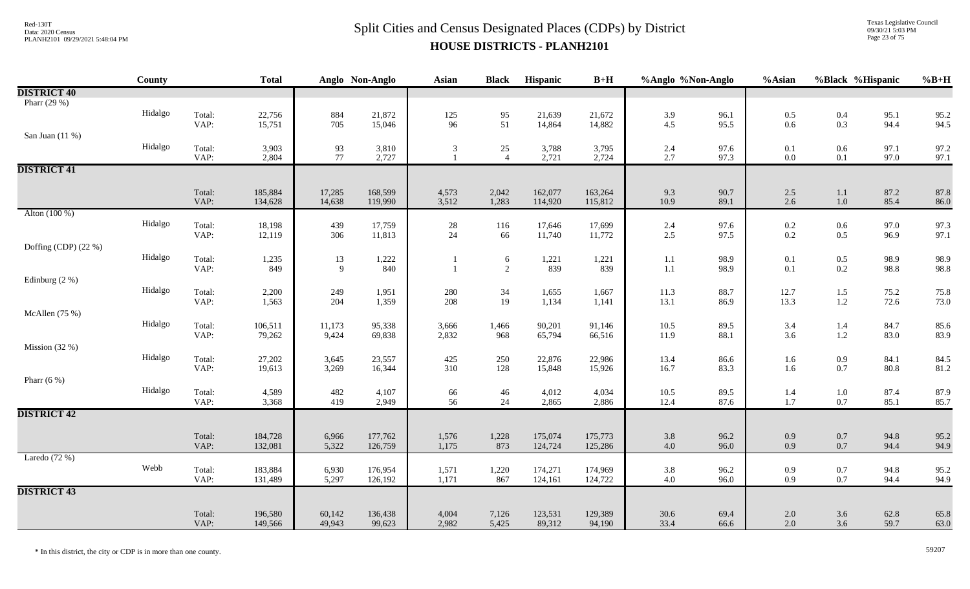Texas Legislative Council 09/30/21 5:03 PM Page 23 of 75

|                      | County  |                | <b>Total</b>       |                | Anglo Non-Anglo    | <b>Asian</b>                   | <b>Black</b>                            | Hispanic           | $B+H$              | %Anglo %Non-Anglo  |              | %Asian                                    | %Black %Hispanic                          |              | $%B+H$       |
|----------------------|---------|----------------|--------------------|----------------|--------------------|--------------------------------|-----------------------------------------|--------------------|--------------------|--------------------|--------------|-------------------------------------------|-------------------------------------------|--------------|--------------|
| <b>DISTRICT 40</b>   |         |                |                    |                |                    |                                |                                         |                    |                    |                    |              |                                           |                                           |              |              |
| Pharr (29 %)         |         |                |                    |                |                    |                                |                                         |                    |                    |                    |              |                                           |                                           |              |              |
|                      | Hidalgo | Total:         | 22,756             | 884            | 21,872             | $\frac{125}{96}$               | $\begin{array}{c} 95 \\ 51 \end{array}$ | 21,639             | 21,672             | 3.9                | 96.1         | 0.5                                       | $0.4\,$                                   | 95.1         | 95.2         |
|                      |         | VAP:           | 15,751             | 705            | 15,046             |                                |                                         | 14,864             | 14,882             | 4.5                | 95.5         | $0.6\,$                                   | 0.3                                       | 94.4         | 94.5         |
| San Juan $(11\%)$    |         |                |                    |                |                    |                                |                                         |                    |                    |                    |              |                                           |                                           |              |              |
|                      | Hidalgo | Total:<br>VAP: | 3,903              | 93<br>77       | 3,810              | $\mathfrak{Z}$<br>$\mathbf{1}$ | 25<br>$\overline{4}$                    | 3,788              | 3,795              | 2.4<br>2.7         | 97.6<br>97.3 | 0.1                                       | $0.6\,$                                   | 97.1<br>97.0 | 97.2         |
| <b>DISTRICT 41</b>   |         |                | 2,804              |                | 2,727              |                                |                                         | 2,721              | 2,724              |                    |              | $0.0\,$                                   | 0.1                                       |              | 97.1         |
|                      |         |                |                    |                |                    |                                |                                         |                    |                    |                    |              |                                           |                                           |              |              |
|                      |         | Total:         | 185,884            | 17,285         | 168,599            | 4,573                          | 2,042                                   | 162,077            | 163,264            | 9.3                | 90.7         | 2.5                                       | 1.1                                       | 87.2         | 87.8         |
|                      |         | VAP:           | 134,628            | 14,638         | 119,990            | 3,512                          | 1,283                                   | 114,920            | 115,812            | 10.9               | 89.1         | 2.6                                       | $1.0\,$                                   | 85.4         | 86.0         |
| Alton (100 %)        |         |                |                    |                |                    |                                |                                         |                    |                    |                    |              |                                           |                                           |              |              |
|                      | Hidalgo | Total:         | 18,198             | 439            | 17,759             | $28\,$                         | 116                                     | 17,646             | 17,699             | 2.4                | 97.6         | $\begin{array}{c} 0.2 \\ 0.2 \end{array}$ | $0.6\,$                                   | 97.0         | 97.3         |
|                      |         | VAP:           | 12,119             | 306            | 11,813             | 24                             | 66                                      | 11,740             | 11,772             | 2.5                | 97.5         |                                           | $0.5\,$                                   | 96.9         | 97.1         |
| Doffing (CDP) (22 %) |         |                |                    |                |                    |                                |                                         |                    |                    |                    |              |                                           |                                           |              |              |
|                      | Hidalgo | Total:         | 1,235              | 13             | 1,222              |                                | 6                                       | 1,221              | 1,221              | $1.1\,$            | 98.9         | 0.1                                       | $0.5\,$                                   | 98.9         | 98.9         |
|                      |         | VAP:           | 849                | $\overline{9}$ | 840                | $\mathbf{1}$                   | $\overline{2}$                          | 839                | 839                | $1.1\,$            | 98.9         | 0.1                                       | 0.2                                       | 98.8         | 98.8         |
| Edinburg $(2\%)$     | Hidalgo |                |                    |                |                    |                                |                                         |                    |                    |                    |              |                                           |                                           |              |              |
|                      |         | Total:<br>VAP: | 2,200<br>1,563     | 249<br>204     | 1,951<br>1,359     | $280\,$<br>208                 | $34\,$<br>19                            | 1,655<br>1,134     | 1,667<br>1,141     | $11.3\,$<br>13.1   | 88.7<br>86.9 | 12.7<br>13.3                              | $1.5\,$<br>$1.2\,$                        | 75.2<br>72.6 | 75.8<br>73.0 |
| McAllen (75 %)       |         |                |                    |                |                    |                                |                                         |                    |                    |                    |              |                                           |                                           |              |              |
|                      | Hidalgo | Total:         | 106,511            | 11,173         | 95,338             | 3,666                          | 1,466                                   | 90,201             | 91,146             | 10.5               | 89.5         | 3.4                                       | 1.4                                       | 84.7         | 85.6         |
|                      |         | VAP:           | 79,262             | 9,424          | 69,838             | 2,832                          | 968                                     | 65,794             | 66,516             | 11.9               | 88.1         | 3.6                                       | $1.2\,$                                   | 83.0         | 83.9         |
| Mission $(32%)$      |         |                |                    |                |                    |                                |                                         |                    |                    |                    |              |                                           |                                           |              |              |
|                      | Hidalgo | Total:         | 27,202             | 3,645          | 23,557             | 425                            | 250                                     | 22,876             | 22,986             | 13.4               | 86.6         | 1.6                                       | $\rm 0.9$                                 | 84.1         | 84.5         |
|                      |         | VAP:           | 19,613             | 3,269          | 16,344             | 310                            | 128                                     | 15,848             | 15,926             | 16.7               | 83.3         | 1.6                                       | $0.7\,$                                   | 80.8         | 81.2         |
| Pharr $(6\%)$        |         |                |                    |                |                    |                                |                                         |                    |                    |                    |              |                                           |                                           |              |              |
|                      | Hidalgo | Total:         | 4,589              | 482            | 4,107              | 66                             | 46                                      | 4,012              | 4,034              | 10.5               | 89.5         | 1.4                                       | $1.0\,$                                   | 87.4         | 87.9         |
|                      |         | VAP:           | 3,368              | 419            | 2,949              | 56                             | 24                                      | 2,865              | 2,886              | 12.4               | 87.6         | $1.7\,$                                   | $0.7\,$                                   | 85.1         | 85.7         |
| <b>DISTRICT 42</b>   |         |                |                    |                |                    |                                |                                         |                    |                    |                    |              |                                           |                                           |              |              |
|                      |         |                |                    |                |                    |                                |                                         |                    |                    |                    |              |                                           |                                           |              |              |
|                      |         | Total:<br>VAP: | 184,728<br>132,081 | 6,966<br>5,322 | 177,762<br>126,759 | 1,576<br>1,175                 | 1,228<br>873                            | 175,074<br>124,724 | 175,773<br>125,286 | $3.8\,$<br>$4.0\,$ | 96.2<br>96.0 | 0.9<br>0.9                                | 0.7<br>0.7                                | 94.8<br>94.4 | 95.2<br>94.9 |
| Laredo $(72%)$       |         |                |                    |                |                    |                                |                                         |                    |                    |                    |              |                                           |                                           |              |              |
|                      | Webb    | Total:         | 183,884            | 6,930          | 176,954            | 1,571                          | 1,220                                   | 174,271            | 174,969            | $3.8\,$            | 96.2         | 0.9                                       |                                           | 94.8         | 95.2         |
|                      |         | VAP:           | 131,489            | 5,297          | 126,192            | 1,171                          | 867                                     | 124,161            | 124,722            | $4.0\,$            | 96.0         | 0.9                                       | $\begin{array}{c} 0.7 \\ 0.7 \end{array}$ | 94.4         | 94.9         |
| <b>DISTRICT 43</b>   |         |                |                    |                |                    |                                |                                         |                    |                    |                    |              |                                           |                                           |              |              |
|                      |         |                |                    |                |                    |                                |                                         |                    |                    |                    |              |                                           |                                           |              |              |
|                      |         | Total:         | 196,580            | 60,142         | 136,438            | 4,004                          | 7,126                                   | 123,531            | 129,389            | $30.6\,$           | 69.4         | 2.0                                       | 3.6                                       | 62.8         | 65.8         |
|                      |         | VAP:           | 149,566            | 49,943         | 99,623             | 2,982                          | 5,425                                   | 89,312             | 94,190             | 33.4               | 66.6         | 2.0                                       | 3.6                                       | 59.7         | 63.0         |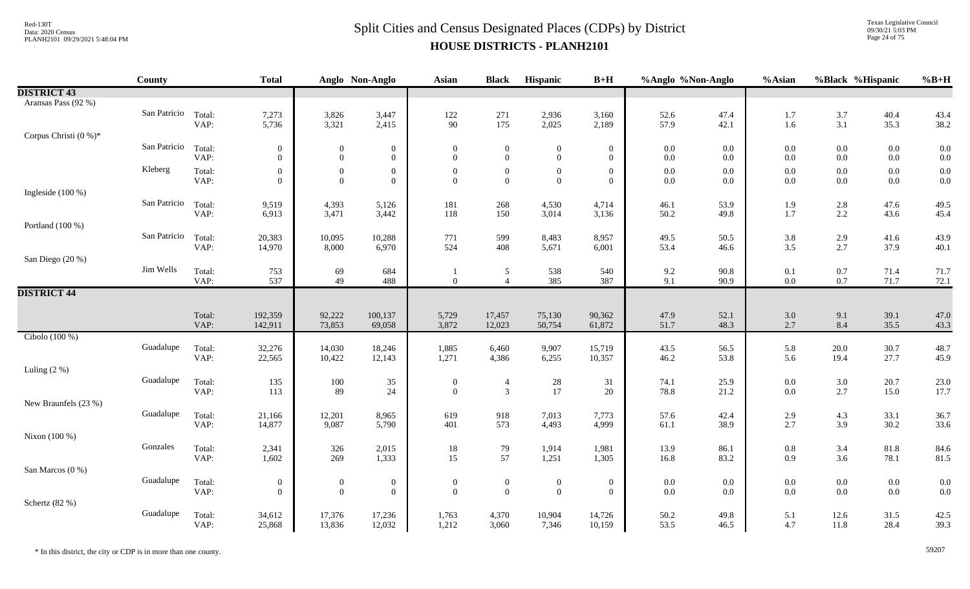#### $Split$  Cities and Census Designated Places (CDPs) by District Data: 2020 Census **HOUSE DISTRICTS - PLANH2101**

Texas Legislative Council 09/30/21 5:03 PM Page 24 of 75

|                       | County       |                | <b>Total</b>     |                  | Anglo Non-Anglo  | <b>Asian</b>     | <b>Black</b>                     | Hispanic         | $B+H$            | %Anglo %Non-Anglo |              | %Asian            |                    | %Black %Hispanic | $%B+H$       |
|-----------------------|--------------|----------------|------------------|------------------|------------------|------------------|----------------------------------|------------------|------------------|-------------------|--------------|-------------------|--------------------|------------------|--------------|
| <b>DISTRICT 43</b>    |              |                |                  |                  |                  |                  |                                  |                  |                  |                   |              |                   |                    |                  |              |
| Aransas Pass (92 %)   |              |                |                  |                  |                  |                  |                                  |                  |                  |                   |              |                   |                    |                  |              |
|                       | San Patricio | Total:         | 7,273            | 3,826            | 3,447            | 122              | 271                              | 2,936            | 3,160            | 52.6              | 47.4         | 1.7               | $3.7$              | 40.4             | 43.4         |
|                       |              | VAP:           | 5,736            | 3,321            | 2,415            | 90               | 175                              | 2,025            | 2,189            | 57.9              | 42.1         | 1.6               | 3.1                | 35.3             | 38.2         |
| Corpus Christi (0 %)* |              |                |                  |                  |                  |                  |                                  |                  |                  |                   |              |                   |                    |                  |              |
|                       | San Patricio | Total:         | $\boldsymbol{0}$ | $\boldsymbol{0}$ | $\boldsymbol{0}$ | $\boldsymbol{0}$ | $\overline{0}$                   | $\boldsymbol{0}$ | $\boldsymbol{0}$ | $0.0\,$           | $0.0\,$      | $0.0\,$           | $0.0\,$            | $0.0\,$          | 0.0          |
|                       |              | VAP:           | $\overline{0}$   | $\boldsymbol{0}$ | $\overline{0}$   | $\overline{0}$   | $\overline{0}$                   | $\overline{0}$   | $\mathbf{0}$     | 0.0               | $0.0\,$      | 0.0               | $0.0\,$            | $0.0\,$          | 0.0          |
|                       | Kleberg      | Total:         | $\overline{0}$   | $\boldsymbol{0}$ | $\overline{0}$   | $\boldsymbol{0}$ | $\mathbf{0}$                     | $\theta$         | $\boldsymbol{0}$ | $0.0\,$           | 0.0          | $0.0\,$           | $0.0\,$            | $0.0\,$          | 0.0          |
|                       |              | VAP:           | $\mathbf{0}$     | $\boldsymbol{0}$ | $\overline{0}$   | $\Omega$         | $\mathbf{0}$                     | $\overline{0}$   | $\mathbf{0}$     | $0.0\,$           | $0.0\,$      | $0.0\,$           | $0.0\,$            | $0.0\,$          | 0.0          |
| Ingleside (100 %)     |              |                |                  |                  |                  |                  |                                  |                  |                  |                   |              |                   |                    |                  |              |
|                       | San Patricio | Total:         | 9,519            | 4,393            | 5,126            | 181              | 268                              | 4,530            | 4,714            | 46.1              | 53.9         | 1.9               | $2.8\,$            | 47.6             | 49.5         |
|                       |              | VAP:           | 6,913            | 3,471            | 3,442            | 118              | 150                              | 3,014            | 3,136            | 50.2              | 49.8         | 1.7               | 2.2                | 43.6             | 45.4         |
| Portland (100 %)      |              |                |                  |                  |                  |                  |                                  |                  |                  |                   |              |                   |                    |                  |              |
|                       | San Patricio | Total:<br>VAP: | 20,383<br>14,970 | 10,095<br>8,000  | 10,288<br>6,970  | 771<br>524       | 599<br>408                       | 8,483<br>5,671   | 8,957<br>6,001   | 49.5<br>53.4      | 50.5<br>46.6 | $\frac{3.8}{3.5}$ | $\frac{2.9}{2.7}$  | 41.6<br>37.9     | 43.9<br>40.1 |
| San Diego (20 %)      |              |                |                  |                  |                  |                  |                                  |                  |                  |                   |              |                   |                    |                  |              |
|                       | Jim Wells    | Total:         |                  |                  |                  |                  |                                  |                  |                  |                   |              |                   |                    |                  | 71.7         |
|                       |              | VAP:           | 753<br>537       | 69<br>49         | 684<br>488       | $\mathbf{0}$     | $\mathfrak{S}$<br>$\overline{4}$ | 538<br>385       | 540<br>387       | $9.2\,$<br>9.1    | 90.8<br>90.9 | 0.1<br>$0.0\,$    | $0.7\,$<br>$0.7\,$ | 71.4<br>71.7     | 72.1         |
| <b>DISTRICT 44</b>    |              |                |                  |                  |                  |                  |                                  |                  |                  |                   |              |                   |                    |                  |              |
|                       |              |                |                  |                  |                  |                  |                                  |                  |                  |                   |              |                   |                    |                  |              |
|                       |              | Total:         | 192,359          | 92,222           | 100,137          | 5,729            | 17,457                           | 75,130           | 90,362           | 47.9              | 52.1         | 3.0               | 9.1                | 39.1             | 47.0         |
|                       |              | VAP:           | 142,911          | 73,853           | 69,058           | 3,872            | 12,023                           | 50,754           | 61,872           | 51.7              | 48.3         | 2.7               | 8.4                | 35.5             | 43.3         |
| Cibolo (100 %)        |              |                |                  |                  |                  |                  |                                  |                  |                  |                   |              |                   |                    |                  |              |
|                       | Guadalupe    | Total:         | 32,276           | 14,030           | 18,246           | 1,885            | 6,460                            | 9,907            | 15,719           | 43.5              | 56.5         | 5.8               | 20.0               | 30.7             | 48.7         |
|                       |              | VAP:           | 22,565           | 10,422           | 12,143           | 1,271            | 4,386                            | 6,255            | 10,357           | 46.2              | 53.8         | 5.6               | 19.4               | 27.7             | 45.9         |
| Luling $(2\%)$        |              |                |                  |                  |                  |                  |                                  |                  |                  |                   |              |                   |                    |                  |              |
|                       | Guadalupe    | Total:         | 135              | 100              | 35               | $\boldsymbol{0}$ | $\overline{4}$                   | 28               | 31               | 74.1              | 25.9         | $0.0\,$           | $3.0\,$            | 20.7             | 23.0         |
|                       |              | VAP:           | 113              | 89               | 24               | $\overline{0}$   | $\overline{3}$                   | 17               | $20\,$           | 78.8              | 21.2         | $0.0\,$           | 2.7                | 15.0             | 17.7         |
| New Braunfels (23 %)  |              |                |                  |                  |                  |                  |                                  |                  |                  |                   |              |                   |                    |                  |              |
|                       | Guadalupe    | Total:         | 21,166           | 12,201           | 8,965            | 619              | 918                              | 7,013            | 7,773            | 57.6              | 42.4         | 2.9               | 4.3                | 33.1             | 36.7         |
|                       |              | VAP:           | 14,877           | 9,087            | 5,790            | 401              | 573                              | 4,493            | 4,999            | 61.1              | 38.9         | 2.7               | 3.9                | 30.2             | 33.6         |
| Nixon (100 %)         |              |                |                  |                  |                  |                  |                                  |                  |                  |                   |              |                   |                    |                  |              |
|                       | Gonzales     | Total:         | 2,341            | 326              | 2,015            | $18\,$           | 79                               | 1,914            | 1,981            | 13.9              | 86.1         | $0.8\,$           | 3.4                | 81.8             | 84.6         |
|                       |              | VAP:           | 1,602            | 269              | 1,333            | 15               | 57                               | 1,251            | 1,305            | 16.8              | 83.2         | 0.9               | 3.6                | 78.1             | 81.5         |
| San Marcos (0 %)      |              |                |                  |                  |                  |                  |                                  |                  |                  |                   |              |                   |                    |                  |              |
|                       | Guadalupe    | Total:         | $\boldsymbol{0}$ | $\boldsymbol{0}$ | $\boldsymbol{0}$ | $\boldsymbol{0}$ | $\overline{0}$                   | $\boldsymbol{0}$ | $\boldsymbol{0}$ | $0.0\,$           | $0.0\,$      | $0.0\,$           | $0.0\,$            | $0.0\,$          | 0.0          |
|                       |              | VAP:           | $\overline{0}$   | $\boldsymbol{0}$ | $\overline{0}$   | $\mathbf{0}$     | $\overline{0}$                   | $\mathbf{0}$     | $\mathbf{0}$     | $0.0\,$           | $0.0\,$      | $0.0\,$           | $0.0\,$            | $0.0\,$          | 0.0          |
| Schertz (82 %)        | Guadalupe    |                |                  |                  |                  |                  |                                  |                  |                  |                   |              |                   |                    |                  |              |
|                       |              | Total:<br>VAP: | 34,612<br>25,868 | 17,376<br>13,836 | 17,236<br>12,032 | 1,763<br>1,212   | 4,370<br>3,060                   | 10,904<br>7,346  | 14,726<br>10,159 | $50.2\,$<br>53.5  | 49.8<br>46.5 | 5.1<br>4.7        | 12.6<br>$11.8\,$   | 31.5<br>28.4     | 42.5<br>39.3 |
|                       |              |                |                  |                  |                  |                  |                                  |                  |                  |                   |              |                   |                    |                  |              |

\* In this district, the city or CDP is in more than one county. 59207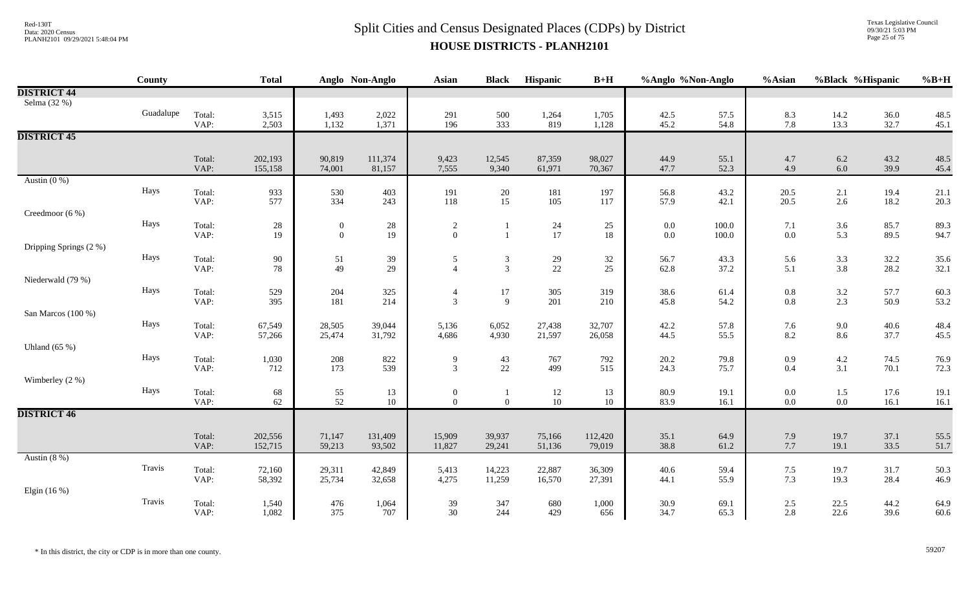Texas Legislative Council 09/30/21 5:03 PM Page 25 of 75

|                        | <b>County</b> |                | <b>Total</b> |                                    | Anglo Non-Anglo | <b>Asian</b>                     | <b>Black</b>   | Hispanic        | $B+H$    | %Anglo %Non-Anglo  |                | %Asian                                    | %Black %Hispanic |              | $%B+H$       |
|------------------------|---------------|----------------|--------------|------------------------------------|-----------------|----------------------------------|----------------|-----------------|----------|--------------------|----------------|-------------------------------------------|------------------|--------------|--------------|
| <b>DISTRICT 44</b>     |               |                |              |                                    |                 |                                  |                |                 |          |                    |                |                                           |                  |              |              |
| Selma (32 %)           |               |                |              |                                    |                 |                                  |                |                 |          |                    |                |                                           |                  |              |              |
|                        | Guadalupe     | Total:         | 3,515        | 1,493                              | 2,022           | 291                              | 500            | 1,264           | 1,705    | 42.5               | 57.5           | 8.3                                       | 14.2             | 36.0         | 48.5         |
|                        |               | VAP:           | 2,503        | 1,132                              | 1,371           | 196                              | 333            | 819             | 1,128    | 45.2               | 54.8           | 7.8                                       | 13.3             | 32.7         | 45.1         |
| <b>DISTRICT 45</b>     |               |                |              |                                    |                 |                                  |                |                 |          |                    |                |                                           |                  |              |              |
|                        |               | Total:         | 202,193      | 90,819                             | 111,374         | 9,423                            | 12,545         | 87,359          | 98,027   | 44.9               | 55.1           | 4.7                                       | $6.2\,$          | 43.2         | 48.5         |
|                        |               | VAP:           | 155,158      | 74,001                             | 81,157          | 7,555                            | 9,340          | 61,971          | 70,367   | 47.7               | 52.3           | 4.9                                       | $6.0\,$          | 39.9         | 45.4         |
| Austin $(0\%)$         |               |                |              |                                    |                 |                                  |                |                 |          |                    |                |                                           |                  |              |              |
|                        | Hays          | Total:         | 933          | 530                                | 403             | 191                              | 20             | 181             | 197      | 56.8               | 43.2           | 20.5                                      | 2.1              | 19.4         | 21.1         |
|                        |               | VAP:           | 577          | 334                                | 243             | 118                              | 15             | 105             | 117      | 57.9               | 42.1           | 20.5                                      | $2.6\,$          | 18.2         | 20.3         |
| Creedmoor (6 %)        |               |                |              |                                    |                 |                                  |                |                 |          |                    |                |                                           |                  |              |              |
|                        | Hays          | Total:<br>VAP: | 28<br>19     | $\boldsymbol{0}$<br>$\overline{0}$ | $28\,$<br>19    | $\overline{c}$<br>$\overline{0}$ |                | 24<br>17        | 25<br>18 | $0.0\,$<br>$0.0\,$ | 100.0<br>100.0 | 7.1<br>$0.0\,$                            | $3.6\,$<br>5.3   | 85.7<br>89.5 | 89.3<br>94.7 |
| Dripping Springs (2 %) |               |                |              |                                    |                 |                                  |                |                 |          |                    |                |                                           |                  |              |              |
|                        | Hays          | Total:         | 90           | 51                                 | 39              | 5                                | $\mathfrak{Z}$ |                 | 32       | 56.7               | 43.3           | 5.6                                       | 3.3              | 32.2         | 35.6         |
|                        |               | VAP:           | 78           | 49                                 | 29              | $\overline{4}$                   | $\overline{3}$ | $\frac{29}{22}$ | 25       | 62.8               | 37.2           | 5.1                                       | 3.8              | 28.2         | 32.1         |
| Niederwald (79 %)      |               |                |              |                                    |                 |                                  |                |                 |          |                    |                |                                           |                  |              |              |
|                        | Hays          | Total:         | 529          | 204                                | 325             | $\overline{4}$                   | $17\,$         | 305             | 319      | 38.6               | 61.4           | $\begin{array}{c} 0.8 \\ 0.8 \end{array}$ | $3.2\,$          | 57.7         | 60.3         |
|                        |               | VAP:           | 395          | 181                                | 214             | $\mathfrak{Z}$                   | 9              | 201             | 210      | 45.8               | 54.2           |                                           | 2.3              | 50.9         | 53.2         |
| San Marcos (100 %)     |               |                |              |                                    |                 |                                  |                |                 |          |                    |                |                                           |                  |              |              |
|                        | Hays          | Total:         | 67,549       | 28,505                             | 39,044          | 5,136                            | 6,052          | 27,438          | 32,707   | 42.2               | 57.8           | 7.6                                       | $9.0\,$          | 40.6         | 48.4         |
| Uhland $(65%)$         |               | VAP:           | 57,266       | 25,474                             | 31,792          | 4,686                            | 4,930          | 21,597          | 26,058   | 44.5               | 55.5           | 8.2                                       | 8.6              | 37.7         | 45.5         |
|                        | Hays          | Total:         | 1,030        | 208                                | 822             | 9                                | 43             | 767             | 792      | 20.2               | 79.8           | 0.9                                       | $4.2\,$          | 74.5         | 76.9         |
|                        |               | VAP:           | 712          | 173                                | 539             | $\overline{3}$                   | 22             | 499             | 515      | 24.3               | 75.7           | 0.4                                       | 3.1              | 70.1         | 72.3         |
| Wimberley $(2 \%)$     |               |                |              |                                    |                 |                                  |                |                 |          |                    |                |                                           |                  |              |              |
|                        | Hays          | Total:         | 68           | $\frac{55}{52}$                    | 13              | $\boldsymbol{0}$                 |                | 12              | 13       | 80.9               | 19.1           | $0.0\,$                                   | $1.5\,$          | 17.6         | 19.1         |
|                        |               | VAP:           | 62           |                                    | 10              | $\overline{0}$                   | $\overline{0}$ | $10\,$          | 10       | 83.9               | 16.1           | $0.0\,$                                   | $0.0\,$          | 16.1         | 16.1         |
| <b>DISTRICT 46</b>     |               |                |              |                                    |                 |                                  |                |                 |          |                    |                |                                           |                  |              |              |
|                        |               | Total:         | 202,556      | 71,147                             | 131,409         | 15,909                           | 39,937         | 75,166          | 112,420  | 35.1               | 64.9           | 7.9                                       | 19.7             | 37.1         | 55.5         |
|                        |               | VAP:           | 152,715      | 59,213                             | 93,502          | 11,827                           | 29,241         | 51,136          | 79,019   | 38.8               | 61.2           | 7.7                                       | 19.1             | 33.5         | 51.7         |
| Austin $(8\%)$         |               |                |              |                                    |                 |                                  |                |                 |          |                    |                |                                           |                  |              |              |
|                        | Travis        | Total:         | 72,160       | 29,311                             | 42,849          | 5,413                            | 14,223         | 22,887          | 36,309   | 40.6               | 59.4           | $7.5\,$                                   | 19.7             | 31.7         | 50.3         |
|                        |               | VAP:           | 58,392       | 25,734                             | 32,658          | 4,275                            | 11,259         | 16,570          | 27,391   | 44.1               | 55.9           | 7.3                                       | 19.3             | 28.4         | 46.9         |
| Elgin $(16%)$          |               |                |              |                                    |                 |                                  |                |                 |          |                    |                |                                           |                  |              |              |
|                        | Travis        | Total:         | 1,540        | 476                                | 1,064           | 39                               | 347            | 680             | 1,000    | 30.9               | 69.1           | $2.5\,$                                   | 22.5             | 44.2         | 64.9         |
|                        |               | VAP:           | 1,082        | 375                                | 707             | 30                               | 244            | 429             | 656      | 34.7               | 65.3           | 2.8                                       | 22.6             | 39.6         | 60.6         |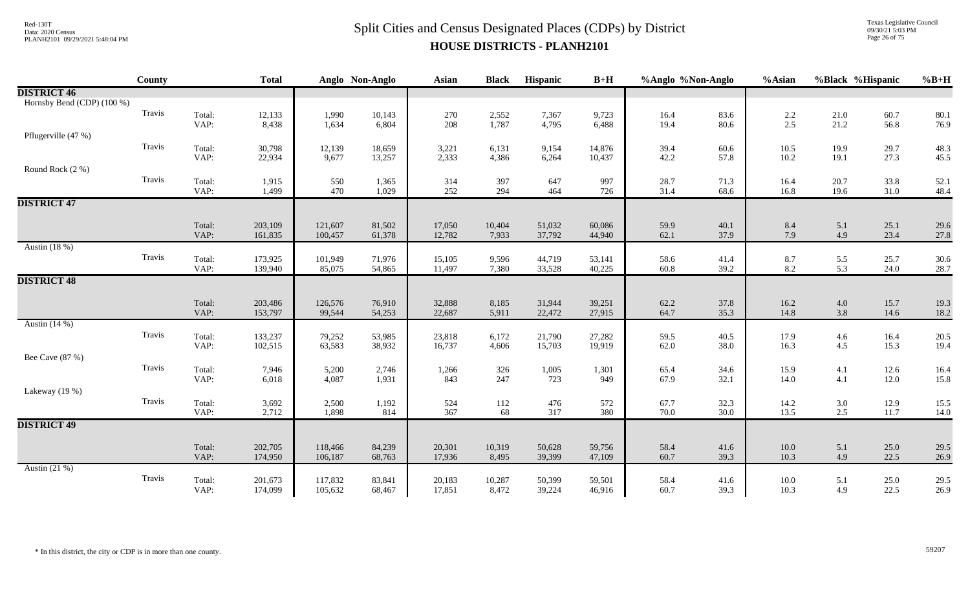### $Split$  Cities and Census Designated Places (CDPs) by District Data: 2020 Census **HOUSE DISTRICTS - PLANH2101**

Texas Legislative Council 09/30/21 5:03 PM Page 26 of 75

|                            | <b>County</b> |                | <b>Total</b>   |                | Anglo Non-Anglo | <b>Asian</b> | <b>Black</b> | Hispanic     | $B+H$        | %Anglo %Non-Anglo |              | %Asian       | %Black %Hispanic |              | $%B+H$       |
|----------------------------|---------------|----------------|----------------|----------------|-----------------|--------------|--------------|--------------|--------------|-------------------|--------------|--------------|------------------|--------------|--------------|
| <b>DISTRICT 46</b>         |               |                |                |                |                 |              |              |              |              |                   |              |              |                  |              |              |
| Hornsby Bend (CDP) (100 %) |               |                |                |                |                 |              |              |              |              |                   |              |              |                  |              |              |
|                            | Travis        | Total:         | 12,133         | 1,990          | 10,143          | 270          | 2,552        | 7,367        | 9,723        | 16.4              | 83.6         | 2.2          | 21.0             | 60.7         | 80.1         |
|                            |               | VAP:           | 8,438          | 1,634          | 6,804           | 208          | 1,787        | 4,795        | 6,488        | 19.4              | 80.6         | 2.5          | 21.2             | 56.8         | 76.9         |
| Pflugerville (47 %)        |               |                |                |                |                 |              |              |              |              |                   |              |              |                  |              |              |
|                            | Travis        | Total:         | 30,798         | 12,139         | 18,659          | 3,221        | 6,131        | 9,154        | 14,876       | 39.4              | 60.6         | 10.5         | 19.9             | 29.7         | 48.3         |
|                            |               | VAP:           | 22,934         | 9,677          | 13,257          | 2,333        | 4,386        | 6,264        | 10,437       | 42.2              | 57.8         | 10.2         | 19.1             | 27.3         | 45.5         |
| Round Rock (2 %)           |               |                |                |                |                 |              |              |              |              |                   |              |              |                  |              |              |
|                            | Travis        | Total:<br>VAP: | 1,915<br>1,499 | 550<br>470     | 1,365<br>1,029  | 314<br>252   | 397<br>294   | 647<br>464   | 997<br>726   | 28.7<br>31.4      | 71.3<br>68.6 | 16.4<br>16.8 | 20.7<br>19.6     | 33.8<br>31.0 | 52.1<br>48.4 |
| <b>DISTRICT 47</b>         |               |                |                |                |                 |              |              |              |              |                   |              |              |                  |              |              |
|                            |               |                |                |                |                 |              |              |              |              |                   |              |              |                  |              |              |
|                            |               | Total:         | 203,109        | 121,607        | 81,502          | 17,050       | 10,404       | 51,032       | 60,086       | 59.9              | 40.1         | 8.4          | 5.1              | 25.1         | 29.6         |
|                            |               | VAP:           | 161,835        | 100,457        | 61,378          | 12,782       | 7,933        | 37,792       | 44,940       | 62.1              | 37.9         | 7.9          | 4.9              | 23.4         | 27.8         |
| Austin (18 %)              |               |                |                |                |                 |              |              |              |              |                   |              |              |                  |              |              |
|                            | Travis        | Total:         | 173,925        | 101,949        | 71,976          | 15,105       | 9,596        | 44,719       | 53,141       | 58.6              | 41.4         | 8.7          | 5.5              | 25.7         | 30.6         |
|                            |               | VAP:           | 139,940        | 85,075         | 54,865          | 11,497       | 7,380        | 33,528       | 40,225       | 60.8              | 39.2         | 8.2          | 5.3              | 24.0         | 28.7         |
| <b>DISTRICT 48</b>         |               |                |                |                |                 |              |              |              |              |                   |              |              |                  |              |              |
|                            |               |                |                |                |                 |              |              |              |              |                   |              |              |                  |              |              |
|                            |               | Total:         | 203,486        | 126,576        | 76,910          | 32,888       | 8,185        | 31,944       | 39,251       | 62.2              | 37.8         | 16.2         | $4.0\,$          | 15.7         | 19.3         |
|                            |               | VAP:           | 153,797        | 99,544         | 54,253          | 22,687       | 5,911        | 22,472       | 27,915       | 64.7              | 35.3         | 14.8         | 3.8              | 14.6         | 18.2         |
| Austin $(14%)$             |               |                |                |                |                 |              |              |              |              |                   |              |              |                  |              |              |
|                            | Travis        | Total:         | 133,237        | 79,252         | 53,985          | 23,818       | 6,172        | 21,790       | 27,282       | 59.5              | 40.5         | 17.9         | $4.6\,$          | 16.4         | 20.5         |
|                            |               | VAP:           | 102,515        | 63,583         | 38,932          | 16,737       | 4,606        | 15,703       | 19,919       | 62.0              | 38.0         | 16.3         | 4.5              | 15.3         | 19.4         |
| Bee Cave (87 %)            |               |                |                |                |                 |              |              |              |              |                   |              |              |                  |              |              |
|                            | Travis        | Total:<br>VAP: | 7,946          | 5,200<br>4,087 | 2,746           | 1,266        | 326<br>247   | 1,005<br>723 | 1,301<br>949 | 65.4              | 34.6<br>32.1 | 15.9<br>14.0 | 4.1<br>4.1       | 12.6         | 16.4         |
| Lakeway $(19%)$            |               |                | 6,018          |                | 1,931           | 843          |              |              |              | 67.9              |              |              |                  | 12.0         | 15.8         |
|                            | Travis        |                |                |                |                 |              |              |              |              |                   |              |              |                  |              |              |
|                            |               | Total:<br>VAP: | 3,692<br>2,712 | 2,500<br>1,898 | 1,192<br>814    | 524<br>367   | 112<br>68    | 476<br>317   | 572<br>380   | 67.7<br>70.0      | 32.3<br>30.0 | 14.2<br>13.5 | $3.0\,$<br>2.5   | 12.9<br>11.7 | 15.5<br>14.0 |
| <b>DISTRICT 49</b>         |               |                |                |                |                 |              |              |              |              |                   |              |              |                  |              |              |
|                            |               |                |                |                |                 |              |              |              |              |                   |              |              |                  |              |              |
|                            |               | Total:         | 202,705        | 118,466        | 84,239          | 20,301       | 10,319       | 50,628       | 59,756       | 58.4              | 41.6         | $10.0\,$     | 5.1              | 25.0         | 29.5         |
|                            |               | VAP:           | 174,950        | 106,187        | 68,763          | 17,936       | 8,495        | 39,399       | 47,109       | 60.7              | 39.3         | 10.3         | 4.9              | 22.5         | 26.9         |
| Austin $(21\%)$            |               |                |                |                |                 |              |              |              |              |                   |              |              |                  |              |              |
|                            | Travis        | Total:         | 201,673        | 117,832        | 83,841          | 20,183       | 10,287       | 50,399       | 59,501       | 58.4              | 41.6         | 10.0         | 5.1              | 25.0         | 29.5         |
|                            |               | VAP:           | 174,099        | 105,632        | 68,467          | 17,851       | 8,472        | 39,224       | 46,916       | 60.7              | 39.3         | 10.3         | 4.9              | 22.5         | 26.9         |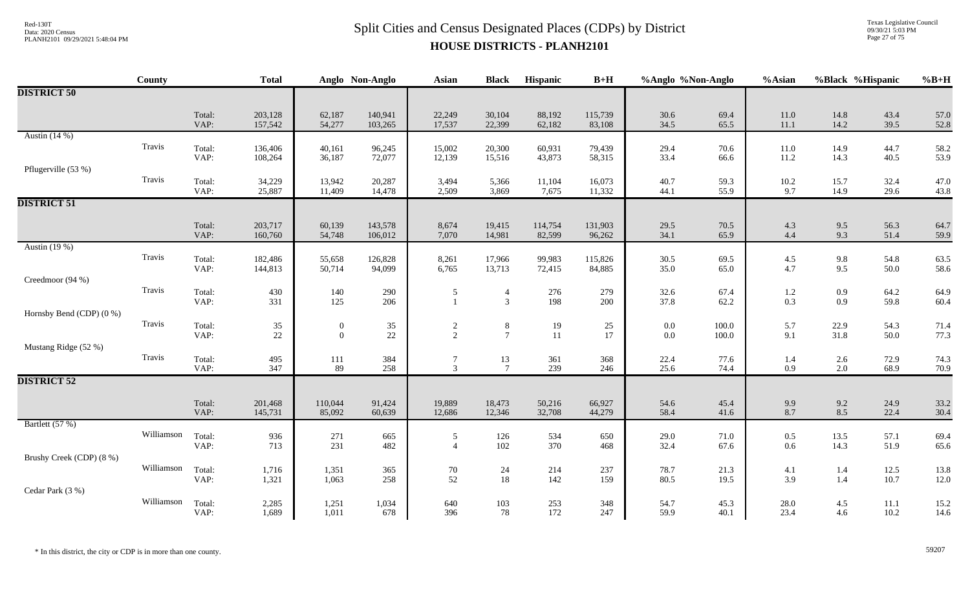Texas Legislative Council 09/30/21 5:03 PM Page 27 of 75

|                          | County     |                | <b>Total</b>       |                   | Anglo Non-Anglo    | Asian                            | <b>Black</b>                     | Hispanic          | $B+H$             | %Anglo %Non-Anglo |              | %Asian            |                    | %Black %Hispanic | $%B+H$       |
|--------------------------|------------|----------------|--------------------|-------------------|--------------------|----------------------------------|----------------------------------|-------------------|-------------------|-------------------|--------------|-------------------|--------------------|------------------|--------------|
| <b>DISTRICT 50</b>       |            |                |                    |                   |                    |                                  |                                  |                   |                   |                   |              |                   |                    |                  |              |
|                          |            | Total:<br>VAP: | 203,128<br>157,542 | 62,187<br>54,277  | 140,941<br>103,265 | 22,249<br>17,537                 | 30,104<br>22,399                 | 88,192<br>62,182  | 115,739<br>83,108 | 30.6<br>34.5      | 69.4<br>65.5 | 11.0<br>11.1      | 14.8<br>14.2       | 43.4<br>39.5     | 57.0<br>52.8 |
| Austin $(14%)$           | Travis     | Total:<br>VAP: | 136,406<br>108,264 | 40,161<br>36,187  | 96,245<br>72,077   | 15,002<br>12,139                 | 20,300<br>15,516                 | 60,931<br>43,873  | 79,439<br>58,315  | 29.4<br>33.4      | 70.6<br>66.6 | 11.0<br>11.2      | 14.9<br>14.3       | 44.7<br>40.5     | 58.2<br>53.9 |
| Pflugerville (53 %)      | Travis     | Total:         | 34,229             | 13,942            | 20,287             | 3,494                            | 5,366                            | 11,104            | 16,073            | 40.7              | 59.3         | 10.2              | 15.7               | 32.4             | 47.0         |
| <b>DISTRICT 51</b>       |            | VAP:           | 25,887             | 11,409            | 14,478             | 2,509                            | 3,869                            | 7,675             | 11,332            | 44.1              | 55.9         | 9.7               | 14.9               | 29.6             | 43.8         |
|                          |            | Total:<br>VAP: | 203,717<br>160,760 | 60,139<br>54,748  | 143,578<br>106,012 | 8,674<br>7,070                   | 19,415<br>14,981                 | 114,754<br>82,599 | 131,903<br>96,262 | 29.5<br>34.1      | 70.5<br>65.9 | 4.3<br>4.4        | $9.5\,$<br>9.3     | 56.3<br>51.4     | 64.7<br>59.9 |
| Austin (19 %)            | Travis     | Total:<br>VAP: | 182,486<br>144,813 | 55,658<br>50,714  | 126,828<br>94,099  | 8,261<br>6,765                   | 17,966<br>13,713                 | 99,983<br>72,415  | 115,826<br>84,885 | 30.5<br>35.0      | 69.5<br>65.0 | 4.5<br>4.7        | 9.8<br>9.5         | 54.8<br>50.0     | 63.5<br>58.6 |
| Creedmoor (94 %)         | Travis     | Total:<br>VAP: | 430<br>331         | 140<br>125        | 290<br>206         | $\sqrt{5}$<br>$\mathbf{1}$       | $\overline{4}$<br>$\mathfrak{Z}$ | 276<br>198        | 279<br>200        | 32.6<br>37.8      | 67.4<br>62.2 | 1.2<br>0.3        | $0.9\,$<br>$0.9\,$ | 64.2<br>59.8     | 64.9<br>60.4 |
| Hornsby Bend (CDP) (0 %) | Travis     | Total:         | $35\,$             | $\boldsymbol{0}$  | 35                 |                                  | $\,8\,$                          | 19                | 25                | $0.0\,$           | $100.0\,$    | 5.7               | 22.9               | 54.3             | 71.4         |
| Mustang Ridge (52 %)     |            | VAP:           | $22\,$             | $\mathbf{0}$      | $22\,$             | $\frac{2}{2}$                    | $\overline{7}$                   | 11                | 17                | $0.0\,$           | 100.0        | 9.1               | 31.8               | 50.0             | 77.3         |
|                          | Travis     | Total:<br>VAP: | 495<br>347         | $111\,$<br>89     | 384<br>258         | 7<br>$\overline{3}$              | 13<br>$\overline{7}$             | 361<br>239        | 368<br>246        | 22.4<br>25.6      | 77.6<br>74.4 | 1.4<br>0.9        | $2.6\,$<br>$2.0\,$ | 72.9<br>68.9     | 74.3<br>70.9 |
| <b>DISTRICT 52</b>       |            |                |                    |                   |                    |                                  |                                  |                   |                   |                   |              |                   |                    |                  |              |
|                          |            | Total:<br>VAP: | 201,468<br>145,731 | 110,044<br>85,092 | 91,424<br>60,639   | 19,889<br>12,686                 | 18,473<br>12,346                 | 50,216<br>32,708  | 66,927<br>44,279  | 54.6<br>58.4      | 45.4<br>41.6 | $\frac{9.9}{8.7}$ | $9.2\,$<br>8.5     | 24.9<br>22.4     | 33.2<br>30.4 |
| Bartlett (57 %)          | Williamson | Total:<br>VAP: | 936<br>713         | 271<br>231        | 665<br>482         | $\mathfrak{S}$<br>$\overline{4}$ | 126<br>102                       | 534<br>370        | 650<br>468        | 29.0<br>32.4      | 71.0<br>67.6 | 0.5<br>0.6        | 13.5<br>14.3       | 57.1<br>51.9     | 69.4<br>65.6 |
| Brushy Creek (CDP) (8 %) | Williamson | Total:         | 1,716              | 1,351             | 365                | $70\,$                           | 24                               | 214               | 237               | 78.7              | 21.3         | 4.1               | $1.4\,$            | 12.5             | 13.8         |
| Cedar Park (3 %)         | Williamson | VAP:           | 1,321              | 1,063             | 258                | 52                               | 18                               | 142               | 159               | 80.5              | 19.5         | 3.9               | 1.4                | 10.7             | 12.0         |
|                          |            | Total:<br>VAP: | 2,285<br>1,689     | 1,251<br>1,011    | 1,034<br>678       | 640<br>396                       | 103<br>78                        | 253<br>172        | 348<br>247        | 54.7<br>59.9      | 45.3<br>40.1 | 28.0<br>23.4      | 4.5<br>4.6         | 11.1<br>10.2     | 15.2<br>14.6 |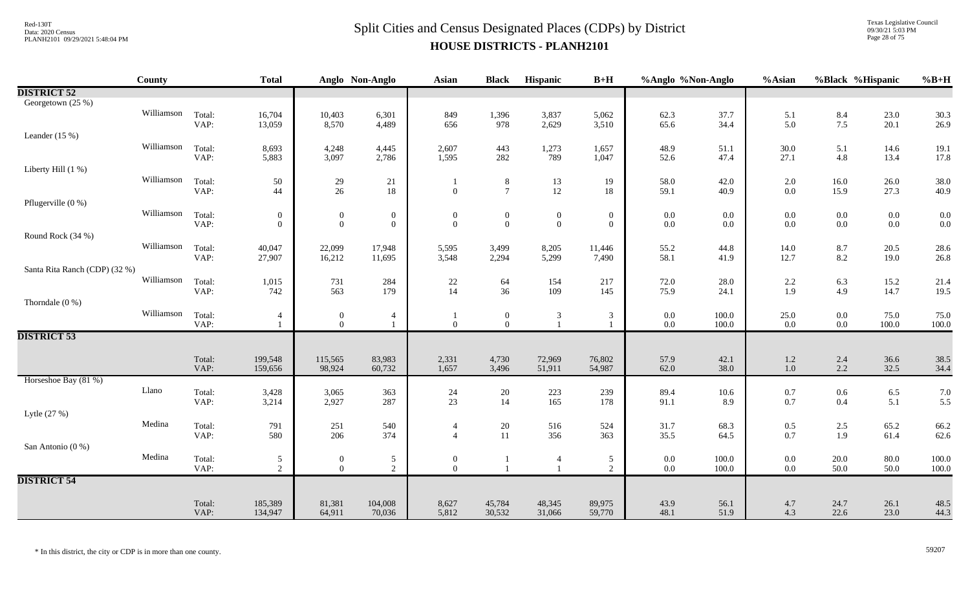Texas Legislative Council 09/30/21 5:03 PM Page 28 of 75

|                               | <b>County</b> |                | <b>Total</b>     |                                | Anglo Non-Anglo                  | Asian                            | <b>Black</b>                   | Hispanic         | $B+H$               | %Anglo %Non-Anglo  |                    | %Asian           | %Black %Hispanic   |               | $%B+H$        |
|-------------------------------|---------------|----------------|------------------|--------------------------------|----------------------------------|----------------------------------|--------------------------------|------------------|---------------------|--------------------|--------------------|------------------|--------------------|---------------|---------------|
| <b>DISTRICT 52</b>            |               |                |                  |                                |                                  |                                  |                                |                  |                     |                    |                    |                  |                    |               |               |
| Georgetown (25 %)             |               |                |                  |                                |                                  |                                  |                                |                  |                     |                    |                    |                  |                    |               |               |
|                               | Williamson    | Total:         | 16,704           | 10,403                         | 6,301                            | 849                              | 1,396                          | 3,837            | 5,062               | 62.3               | 37.7               | 5.1              | 8.4                | 23.0          | 30.3          |
|                               |               | VAP:           | 13,059           | 8,570                          | 4,489                            | 656                              | 978                            | 2,629            | 3,510               | 65.6               | 34.4               | 5.0              | 7.5                | 20.1          | 26.9          |
| Leander $(15\%)$              | Williamson    |                |                  |                                |                                  |                                  |                                |                  |                     |                    |                    |                  |                    |               |               |
|                               |               | Total:<br>VAP: | 8,693<br>5,883   | 4,248<br>3,097                 | 4,445<br>2,786                   | 2,607<br>1,595                   | 443<br>282                     | 1,273<br>789     | 1,657<br>1,047      | 48.9<br>52.6       | 51.1<br>47.4       | $30.0\,$<br>27.1 | 5.1<br>$4.8\,$     | 14.6<br>13.4  | 19.1<br>17.8  |
| Liberty Hill (1 %)            |               |                |                  |                                |                                  |                                  |                                |                  |                     |                    |                    |                  |                    |               |               |
|                               | Williamson    | Total:         | 50               | 29                             | 21                               |                                  | $8\phantom{.}8$                | 13               | 19                  | 58.0               | 42.0               | 2.0              | 16.0               | 26.0          | 38.0          |
|                               |               | VAP:           | 44               | $26\,$                         | $18\,$                           | $\mathbf{0}$                     | $7\phantom{.0}$                | $12\,$           | 18                  | 59.1               | 40.9               | 0.0              | 15.9               | 27.3          | 40.9          |
| Pflugerville (0 %)            |               |                |                  |                                |                                  |                                  |                                |                  |                     |                    |                    |                  |                    |               |               |
|                               | Williamson    | Total:         | $\boldsymbol{0}$ | $\boldsymbol{0}$               | $\boldsymbol{0}$                 | $\mathbf{0}$                     | $\boldsymbol{0}$               | $\boldsymbol{0}$ | $\boldsymbol{0}$    | $0.0\,$            | 0.0                | $0.0\,$          | $0.0\,$            | $0.0\,$       | 0.0           |
|                               |               | VAP:           | $\overline{0}$   | $\overline{0}$                 | $\boldsymbol{0}$                 | $\Omega$                         | $\overline{0}$                 | $\boldsymbol{0}$ | $\overline{0}$      | $0.0\,$            | $0.0\,$            | 0.0              | $0.0\,$            | $0.0\,$       | 0.0           |
| Round Rock (34 %)             |               |                |                  |                                |                                  |                                  |                                |                  |                     |                    |                    |                  |                    |               |               |
|                               | Williamson    | Total:         | 40,047           | 22,099                         | 17,948                           | 5,595                            | 3,499                          | 8,205            | 11,446              | 55.2               | 44.8               | 14.0             | $8.7\,$            | 20.5          | 28.6          |
|                               |               | VAP:           | 27,907           | 16,212                         | 11,695                           | 3,548                            | 2,294                          | 5,299            | 7,490               | 58.1               | 41.9               | 12.7             | 8.2                | 19.0          | 26.8          |
| Santa Rita Ranch (CDP) (32 %) |               |                |                  |                                |                                  |                                  |                                |                  |                     |                    |                    |                  |                    |               |               |
|                               | Williamson    | Total:         | 1,015            | 731                            | 284                              | 22                               | 64                             | 154              | 217                 | 72.0               | 28.0               | 2.2              | 6.3                | 15.2          | 21.4          |
|                               |               | VAP:           | 742              | 563                            | 179                              | 14                               | 36                             | 109              | 145                 | 75.9               | 24.1               | 1.9              | 4.9                | 14.7          | 19.5          |
| Thorndale $(0\%)$             | Williamson    |                |                  |                                |                                  |                                  |                                |                  |                     |                    |                    |                  |                    |               |               |
|                               |               | Total:<br>VAP: | $\overline{4}$   | $\mathbf{0}$<br>$\overline{0}$ | $\overline{4}$<br>$\mathbf{1}$   | $\boldsymbol{0}$                 | $\mathbf{0}$<br>$\overline{0}$ | $\mathbf{3}$     | $\mathfrak{Z}$      | $0.0\,$<br>$0.0\,$ | $100.0\,$<br>100.0 | 25.0<br>0.0      | $0.0\,$<br>$0.0\,$ | 75.0<br>100.0 | 75.0<br>100.0 |
| <b>DISTRICT 53</b>            |               |                |                  |                                |                                  |                                  |                                |                  |                     |                    |                    |                  |                    |               |               |
|                               |               |                |                  |                                |                                  |                                  |                                |                  |                     |                    |                    |                  |                    |               |               |
|                               |               | Total:         | 199,548          | 115,565                        | 83,983                           | 2,331                            | 4,730                          | 72,969           | 76,802              | 57.9               | 42.1               | $1.2\,$          | 2.4                | 36.6          | 38.5          |
|                               |               | VAP:           | 159,656          | 98,924                         | 60,732                           | 1,657                            | 3,496                          | 51,911           | 54,987              | 62.0               | 38.0               | $1.0\,$          | $2.2\,$            | 32.5          | 34.4          |
| Horseshoe Bay (81 %)          |               |                |                  |                                |                                  |                                  |                                |                  |                     |                    |                    |                  |                    |               |               |
|                               | Llano         | Total:         | 3,428            | 3,065                          | 363                              | 24                               | 20                             | 223              | 239                 | 89.4               | 10.6               | 0.7              | $0.6\,$            | $6.5\,$       | 7.0           |
|                               |               | VAP:           | 3,214            | 2,927                          | 287                              | 23                               | 14                             | 165              | 178                 | 91.1               | 8.9                | 0.7              | 0.4                | 5.1           | 5.5           |
| Lytle (27 %)                  | Medina        |                |                  |                                |                                  |                                  |                                |                  |                     |                    |                    |                  |                    |               |               |
|                               |               | Total:<br>VAP: | 791<br>580       | 251<br>206                     | 540<br>374                       | $\overline{4}$<br>$\overline{A}$ | $20\,$<br>11                   | 516<br>356       | 524<br>363          | 31.7<br>35.5       | 68.3<br>64.5       | $0.5\,$<br>0.7   | $2.5\,$<br>1.9     | 65.2<br>61.4  | 66.2<br>62.6  |
| San Antonio (0 %)             |               |                |                  |                                |                                  |                                  |                                |                  |                     |                    |                    |                  |                    |               |               |
|                               | Medina        | Total:         | $\mathfrak{S}$   | $\boldsymbol{0}$               |                                  | $\boldsymbol{0}$                 |                                |                  |                     | $0.0\,$            | $100.0\,$          | 0.0              | $20.0\,$           | $80.0\,$      | 100.0         |
|                               |               | VAP:           | $\overline{2}$   | $\overline{0}$                 | $\mathfrak{S}$<br>$\overline{2}$ | $\mathbf{0}$                     |                                |                  | 5<br>$\overline{2}$ | $0.0\,$            | 100.0              | $0.0\,$          | 50.0               | 50.0          | 100.0         |
| <b>DISTRICT 54</b>            |               |                |                  |                                |                                  |                                  |                                |                  |                     |                    |                    |                  |                    |               |               |
|                               |               |                |                  |                                |                                  |                                  |                                |                  |                     |                    |                    |                  |                    |               |               |
|                               |               | Total:         | 185,389          | 81,381                         | 104,008                          | 8,627                            | 45,784                         | 48,345           | 89,975              | 43.9               | 56.1               | 4.7              | 24.7               | 26.1          | 48.5          |
|                               |               | VAP:           | 134,947          | 64,911                         | 70,036                           | 5,812                            | 30,532                         | 31,066           | 59,770              | 48.1               | 51.9               | 4.3              | 22.6               | 23.0          | 44.3          |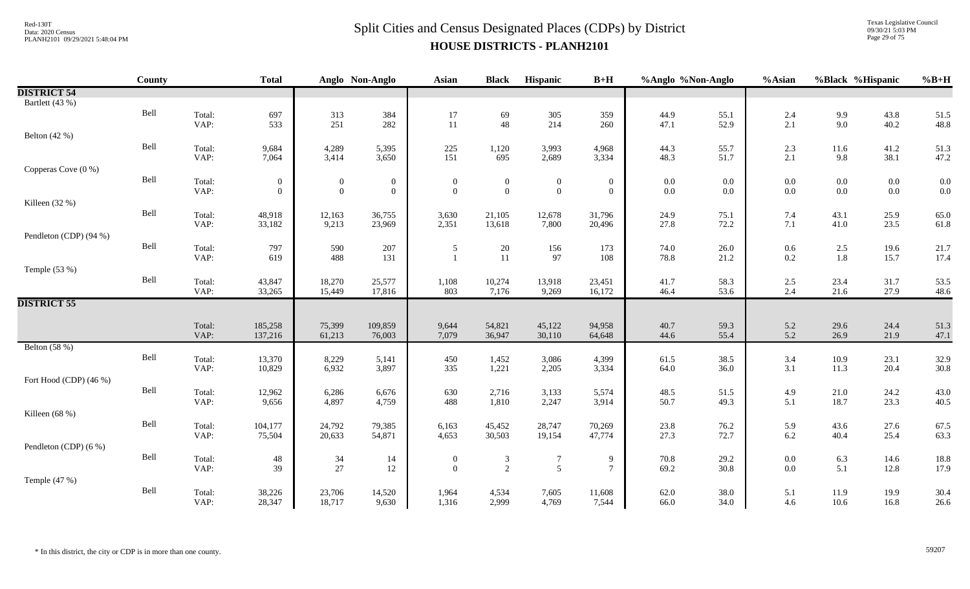Texas Legislative Council 09/30/21 5:03 PM Page 29 of 75

|                        | County |                | <b>Total</b>      |                  | Anglo Non-Anglo  | <b>Asian</b>     | <b>Black</b>     | <b>Hispanic</b>  | $B+H$               | %Anglo %Non-Anglo                         |              | %Asian         | %Black %Hispanic                          |                                           | $%B+H$       |
|------------------------|--------|----------------|-------------------|------------------|------------------|------------------|------------------|------------------|---------------------|-------------------------------------------|--------------|----------------|-------------------------------------------|-------------------------------------------|--------------|
| <b>DISTRICT 54</b>     |        |                |                   |                  |                  |                  |                  |                  |                     |                                           |              |                |                                           |                                           |              |
| Bartlett (43 %)        |        |                |                   |                  |                  |                  |                  |                  |                     |                                           |              |                |                                           |                                           |              |
|                        | Bell   | Total:         | 697               | 313              | 384              | 17               | 69               | $305\,$          | 359                 | 44.9                                      | 55.1         | 2.4            | $\frac{9.9}{9.0}$                         | 43.8                                      | 51.5         |
|                        |        | VAP:           | 533               | 251              | 282              | 11               | 48               | 214              | 260                 | 47.1                                      | 52.9         | 2.1            |                                           | 40.2                                      | 48.8         |
| Belton $(42%)$         |        |                |                   |                  |                  |                  |                  |                  |                     |                                           |              |                |                                           |                                           |              |
|                        | Bell   | Total:         | 9,684             | 4,289            | 5,395            | 225              | 1,120            | 3,993            | 4,968               | 44.3                                      | 55.7         | 2.3            | 11.6                                      | 41.2                                      | 51.3         |
|                        |        | VAP:           | 7,064             | 3,414            | 3,650            | 151              | 695              | 2,689            | 3,334               | 48.3                                      | 51.7         | 2.1            | 9.8                                       | 38.1                                      | 47.2         |
| Copperas Cove (0 %)    |        |                |                   |                  |                  |                  |                  |                  |                     |                                           |              |                |                                           |                                           |              |
|                        | Bell   | Total:         | $\mathbf{0}$      | $\boldsymbol{0}$ | $\boldsymbol{0}$ | $\boldsymbol{0}$ | $\boldsymbol{0}$ | $\boldsymbol{0}$ | $\boldsymbol{0}$    | $\begin{array}{c} 0.0 \\ 0.0 \end{array}$ | $0.0\,$      | $0.0\,$        | $0.0\,$                                   | $\begin{array}{c} 0.0 \\ 0.0 \end{array}$ | 0.0          |
|                        |        | VAP:           | $\overline{0}$    | $\mathbf{0}$     | $\overline{0}$   | $\mathbf{0}$     | $\overline{0}$   | $\boldsymbol{0}$ | $\overline{0}$      |                                           | $0.0\,$      | 0.0            | $0.0\,$                                   |                                           | 0.0          |
| Killeen (32 %)         | Bell   |                |                   |                  |                  |                  |                  |                  |                     |                                           |              |                |                                           |                                           |              |
|                        |        | Total:<br>VAP: | 48,918<br>33,182  | 12,163<br>9,213  | 36,755<br>23,969 | 3,630<br>2,351   | 21,105<br>13,618 | 12,678<br>7,800  | 31,796<br>20,496    | 24.9<br>27.8                              | 75.1<br>72.2 | 7.4<br>$7.1\,$ | 43.1<br>41.0                              | 25.9<br>23.5                              | 65.0<br>61.8 |
| Pendleton (CDP) (94 %) |        |                |                   |                  |                  |                  |                  |                  |                     |                                           |              |                |                                           |                                           |              |
|                        | Bell   | Total:         | 797               | 590              | 207              |                  | 20               | 156              | 173                 | 74.0                                      | 26.0         |                |                                           | 19.6                                      | 21.7         |
|                        |        | VAP:           | 619               | 488              | 131              | 5                | 11               | 97               | 108                 | 78.8                                      | 21.2         | 0.6<br>$0.2\,$ | $\begin{array}{c} 2.5 \\ 1.8 \end{array}$ | 15.7                                      | 17.4         |
| Temple (53 %)          |        |                |                   |                  |                  |                  |                  |                  |                     |                                           |              |                |                                           |                                           |              |
|                        | Bell   | Total:         | 43,847            | 18,270           | 25,577           | 1,108            | 10,274           | 13,918           | 23,451              | 41.7                                      | 58.3         | 2.5            | 23.4                                      | 31.7                                      | 53.5         |
|                        |        | VAP:           | 33,265            | 15,449           | 17,816           | 803              | 7,176            | 9,269            | 16,172              | 46.4                                      | 53.6         | 2.4            | 21.6                                      | 27.9                                      | 48.6         |
| <b>DISTRICT 55</b>     |        |                |                   |                  |                  |                  |                  |                  |                     |                                           |              |                |                                           |                                           |              |
|                        |        |                |                   |                  |                  |                  |                  |                  |                     |                                           |              |                |                                           |                                           |              |
|                        |        | Total:         | 185,258           | 75,399           | 109,859          | 9,644            | 54,821           | 45,122           | 94,958              | 40.7                                      | 59.3         | 5.2            | 29.6                                      | 24.4                                      | 51.3         |
|                        |        | VAP:           | 137,216           | 61,213           | 76,003           | 7,079            | 36,947           | 30,110           | 64,648              | 44.6                                      | 55.4         | 5.2            | 26.9                                      | 21.9                                      | 47.1         |
| Belton (58 %)          |        |                |                   |                  |                  |                  |                  |                  |                     |                                           |              |                |                                           |                                           |              |
|                        | Bell   | Total:         | 13,370            | 8,229            | 5,141            | 450              | 1,452            | 3,086            | 4,399               | 61.5                                      | 38.5         | 3.4            | $10.9\,$                                  | 23.1                                      | 32.9         |
|                        |        | VAP:           | 10,829            | 6,932            | 3,897            | 335              | 1,221            | 2,205            | 3,334               | 64.0                                      | 36.0         | 3.1            | 11.3                                      | 20.4                                      | 30.8         |
| Fort Hood (CDP) (46 %) |        |                |                   |                  |                  |                  |                  |                  |                     |                                           |              |                |                                           |                                           |              |
|                        | Bell   | Total:         | 12,962            | 6,286            | 6,676            | 630              | 2,716            | 3,133            | 5,574               | 48.5                                      | 51.5         | 4.9            | $21.0\,$                                  | 24.2                                      | 43.0         |
| Killeen $(68%)$        |        | VAP:           | 9,656             | 4,897            | 4,759            | 488              | 1,810            | 2,247            | 3,914               | 50.7                                      | 49.3         | 5.1            | 18.7                                      | 23.3                                      | 40.5         |
|                        | Bell   |                |                   |                  |                  |                  |                  |                  |                     |                                           |              |                |                                           |                                           |              |
|                        |        | Total:<br>VAP: | 104,177<br>75,504 | 24,792<br>20,633 | 79,385<br>54,871 | 6,163<br>4,653   | 45,452<br>30,503 | 28,747<br>19,154 | 70,269<br>47,774    | 23.8<br>27.3                              | 76.2<br>72.7 | 5.9<br>6.2     | 43.6<br>40.4                              | 27.6<br>25.4                              | 67.5<br>63.3 |
| Pendleton (CDP) (6 %)  |        |                |                   |                  |                  |                  |                  |                  |                     |                                           |              |                |                                           |                                           |              |
|                        | Bell   | Total:         | 48                |                  |                  | $\bf{0}$         |                  | $\tau$           |                     | 70.8                                      | 29.2         | $0.0\,$        | $6.3\,$                                   | 14.6                                      | 18.8         |
|                        |        | VAP:           | 39                | $\frac{34}{27}$  | 14<br>12         | $\overline{0}$   | $\frac{3}{2}$    | 5                | 9<br>$\overline{7}$ | 69.2                                      | 30.8         | 0.0            | 5.1                                       | 12.8                                      | 17.9         |
| Temple (47 %)          |        |                |                   |                  |                  |                  |                  |                  |                     |                                           |              |                |                                           |                                           |              |
|                        | Bell   | Total:         | 38,226            | 23,706           | 14,520           | 1,964            | 4,534            | 7,605            | 11,608              | 62.0                                      | 38.0         | 5.1            | 11.9                                      | 19.9                                      | 30.4         |
|                        |        | VAP:           | 28,347            | 18,717           | 9,630            | 1,316            | 2,999            | 4,769            | 7,544               | 66.0                                      | 34.0         | 4.6            | 10.6                                      | 16.8                                      | 26.6         |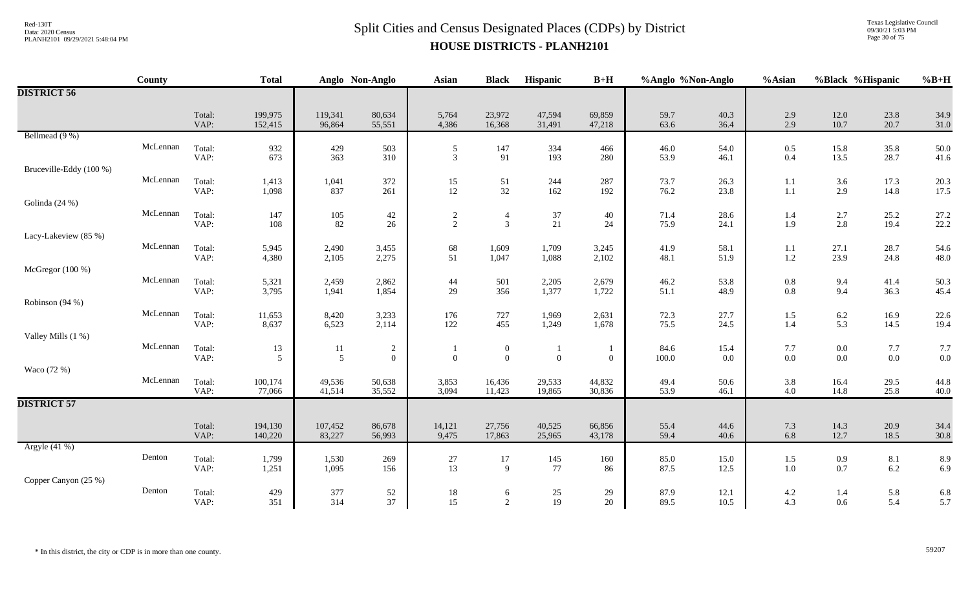# $Split$  Cities and Census Designated Places (CDPs) by District Data: 2020 Census **HOUSE DISTRICTS - PLANH2101**

Texas Legislative Council 09/30/21 5:03 PM Page 30 of 75

|                         | County   |                | <b>Total</b>         |                   | Anglo Non-Anglo                  | Asian                                   | <b>Black</b>                       | Hispanic         | $B+H$            | %Anglo %Non-Anglo |              | %Asian         | %Black %Hispanic   |              | $%B+H$       |
|-------------------------|----------|----------------|----------------------|-------------------|----------------------------------|-----------------------------------------|------------------------------------|------------------|------------------|-------------------|--------------|----------------|--------------------|--------------|--------------|
| <b>DISTRICT 56</b>      |          |                |                      |                   |                                  |                                         |                                    |                  |                  |                   |              |                |                    |              |              |
|                         |          | Total:<br>VAP: | 199,975<br>152,415   | 119,341<br>96,864 | 80,634<br>55,551                 | 5,764<br>4,386                          | 23,972<br>16,368                   | 47,594<br>31,491 | 69,859<br>47,218 | 59.7<br>63.6      | 40.3<br>36.4 | 2.9<br>2.9     | 12.0<br>10.7       | 23.8<br>20.7 | 34.9<br>31.0 |
| Bellmead (9 %)          |          |                |                      |                   |                                  |                                         |                                    |                  |                  |                   |              |                |                    |              |              |
|                         | McLennan | Total:<br>VAP: | 932<br>673           | 429<br>363        | 503<br>310                       | $\sqrt{5}$<br>$\overline{3}$            | 147<br>91                          | 334<br>193       | 466<br>280       | 46.0<br>53.9      | 54.0<br>46.1 | $0.5\,$<br>0.4 | 15.8<br>13.5       | 35.8<br>28.7 | 50.0<br>41.6 |
| Bruceville-Eddy (100 %) |          |                |                      |                   |                                  |                                         |                                    |                  |                  |                   |              |                |                    |              |              |
|                         | McLennan | Total:         | 1,413                | 1,041             | 372                              | $\begin{array}{c} 15 \\ 12 \end{array}$ | $\frac{51}{32}$                    | 244              | 287              | 73.7              | 26.3         | 1.1            | 3.6                | 17.3         | 20.3         |
| Golinda (24 %)          |          | VAP:           | 1,098                | 837               | 261                              |                                         |                                    | 162              | 192              | 76.2              | 23.8         | 1.1            | 2.9                | 14.8         | 17.5         |
|                         | McLennan | Total:         | 147                  | $105\,$           | $42\,$                           |                                         | $\overline{4}$                     | 37               | 40               | 71.4              | 28.6         | 1.4            | $2.7\,$            | 25.2         | 27.2         |
|                         |          | VAP:           | 108                  | 82                | 26                               | $\frac{2}{2}$                           | $\mathfrak{Z}$                     | $21\,$           | 24               | 75.9              | 24.1         | 1.9            | 2.8                | 19.4         | 22.2         |
| Lacy-Lakeview (85 %)    | McLennan |                |                      |                   |                                  |                                         |                                    |                  |                  |                   |              |                |                    |              |              |
|                         |          | Total:<br>VAP: | 5,945<br>4,380       | 2,490<br>2,105    | 3,455<br>2,275                   | 68<br>51                                | 1,609<br>1,047                     | 1,709<br>1,088   | 3,245<br>2,102   | 41.9<br>48.1      | 58.1<br>51.9 | 1.1<br>1.2     | 27.1<br>23.9       | 28.7<br>24.8 | 54.6<br>48.0 |
| McGregor (100 %)        |          |                |                      |                   |                                  |                                         |                                    |                  |                  |                   |              |                |                    |              |              |
|                         | McLennan | Total:         | 5,321                | 2,459             | 2,862                            | 44                                      | 501                                | 2,205            | 2,679            | 46.2              | 53.8         | 0.8            | 9.4                | 41.4         | 50.3         |
| Robinson (94 %)         |          | VAP:           | 3,795                | 1,941             | 1,854                            | 29                                      | 356                                | 1,377            | 1,722            | 51.1              | 48.9         | $0.8\,$        | 9.4                | 36.3         | 45.4         |
|                         | McLennan | Total:         | 11,653               | 8,420             | 3,233                            | 176                                     | 727                                | 1,969            | 2,631            | 72.3              | 27.7         | 1.5            | $6.2\,$            | 16.9         | 22.6         |
|                         |          | VAP:           | 8,637                | 6,523             | 2,114                            | 122                                     | 455                                | 1,249            | 1,678            | 75.5              | 24.5         | 1.4            | 5.3                | 14.5         | 19.4         |
| Valley Mills (1 %)      | McLennan | Total:         |                      |                   |                                  |                                         |                                    |                  |                  |                   |              |                |                    |              |              |
|                         |          | VAP:           | 13<br>$\mathfrak{S}$ | 11<br>5           | $\overline{c}$<br>$\overline{0}$ | $\mathbf{0}$                            | $\boldsymbol{0}$<br>$\overline{0}$ | $\overline{0}$   | $\overline{0}$   | 84.6<br>100.0     | 15.4<br>0.0  | 7.7<br>0.0     | $0.0\,$<br>$0.0\,$ | 7.7<br>0.0   | 7.7<br>0.0   |
| Waco (72 %)             |          |                |                      |                   |                                  |                                         |                                    |                  |                  |                   |              |                |                    |              |              |
|                         | McLennan | Total:<br>VAP: | 100,174<br>77,066    | 49,536<br>41,514  | 50,638<br>35,552                 | 3,853<br>3,094                          | 16,436<br>11,423                   | 29,533<br>19,865 | 44,832<br>30,836 | 49.4<br>53.9      | 50.6<br>46.1 | 3.8<br>4.0     | 16.4<br>14.8       | 29.5<br>25.8 | 44.8<br>40.0 |
| <b>DISTRICT 57</b>      |          |                |                      |                   |                                  |                                         |                                    |                  |                  |                   |              |                |                    |              |              |
|                         |          |                |                      |                   |                                  |                                         |                                    |                  |                  |                   |              |                |                    |              |              |
|                         |          | Total:<br>VAP: | 194,130<br>140,220   | 107,452<br>83,227 | 86,678<br>56,993                 | 14,121<br>9,475                         | 27,756<br>17,863                   | 40,525<br>25,965 | 66,856<br>43,178 | 55.4<br>59.4      | 44.6<br>40.6 | 7.3<br>6.8     | 14.3<br>12.7       | 20.9<br>18.5 | 34.4<br>30.8 |
| Argyle (41 %)           |          |                |                      |                   |                                  |                                         |                                    |                  |                  |                   |              |                |                    |              |              |
|                         | Denton   | Total:         | 1,799                | 1,530             | 269                              | $27\,$                                  | 17                                 | 145              | 160              | 85.0              | 15.0         | 1.5            | 0.9                | $8.1\,$      | 8.9          |
| Copper Canyon (25 %)    |          | VAP:           | 1,251                | 1,095             | 156                              | 13                                      | 9                                  | 77               | 86               | 87.5              | 12.5         | 1.0            | 0.7                | 6.2          | 6.9          |
|                         | Denton   | Total:         | 429                  | 377               | $52\,$                           | $18\,$                                  | 6                                  | $25\,$           | 29               | 87.9              | 12.1         | $4.2\,$        | 1.4                | 5.8          | 6.8          |
|                         |          | VAP:           | 351                  | 314               | 37                               | 15                                      | $\overline{2}$                     | 19               | 20               | 89.5              | 10.5         | 4.3            | 0.6                | 5.4          | 5.7          |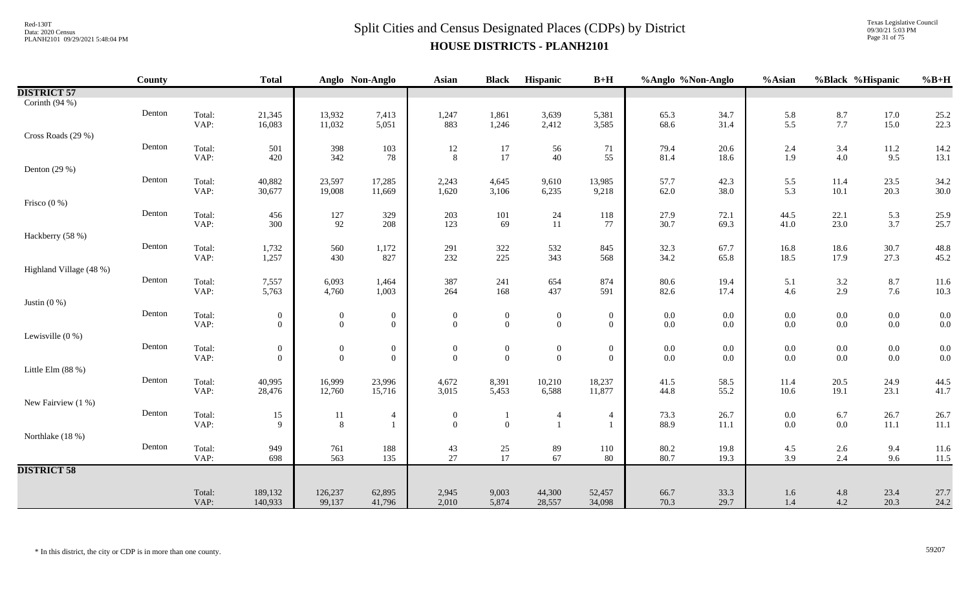Texas Legislative Council 09/30/21 5:03 PM Page 31 of 75

|                         | County |                | <b>Total</b>     |                        | Anglo Non-Anglo  | <b>Asian</b>                 | <b>Black</b>     | Hispanic                         | $B+H$               | %Anglo %Non-Anglo |              | %Asian                                    | %Black %Hispanic |                                           | $%B+H$                                    |
|-------------------------|--------|----------------|------------------|------------------------|------------------|------------------------------|------------------|----------------------------------|---------------------|-------------------|--------------|-------------------------------------------|------------------|-------------------------------------------|-------------------------------------------|
| <b>DISTRICT 57</b>      |        |                |                  |                        |                  |                              |                  |                                  |                     |                   |              |                                           |                  |                                           |                                           |
| Corinth $(94%)$         |        |                |                  |                        |                  |                              |                  |                                  |                     |                   |              |                                           |                  |                                           |                                           |
|                         | Denton | Total:         | 21,345           | 13,932                 | 7,413            | 1,247                        | 1,861            | 3,639                            | 5,381               | 65.3              | 34.7         | 5.8                                       | $8.7\,$          | 17.0                                      | 25.2                                      |
|                         |        | VAP:           | 16,083           | 11,032                 | 5,051            | 883                          | 1,246            | 2,412                            | 3,585               | 68.6              | 31.4         | 5.5                                       | $7.7\,$          | 15.0                                      | 22.3                                      |
| Cross Roads (29 %)      |        |                |                  |                        |                  |                              |                  |                                  |                     |                   |              |                                           |                  |                                           |                                           |
|                         | Denton | Total:         | 501              | 398                    | 103              | 12                           | $17\,$           | 56                               | 71                  | 79.4              | 20.6         | 2.4                                       | $3.4\,$          | 11.2                                      | 14.2                                      |
|                         |        | VAP:           | 420              | 342                    | $78\,$           | 8                            | 17               | 40                               | 55                  | 81.4              | 18.6         | 1.9                                       | $4.0\,$          | 9.5                                       | 13.1                                      |
| Denton $(29%)$          | Denton |                |                  |                        |                  |                              |                  |                                  |                     |                   |              |                                           |                  |                                           |                                           |
|                         |        | Total:<br>VAP: | 40,882<br>30,677 | 23,597<br>19,008       | 17,285<br>11,669 | 2,243<br>1,620               | 4,645<br>3,106   | 9,610<br>6,235                   | 13,985<br>9,218     | 57.7<br>62.0      | 42.3<br>38.0 | 5.5<br>5.3                                | 11.4<br>$10.1\,$ | 23.5<br>20.3                              | 34.2<br>30.0                              |
| Frisco $(0\%)$          |        |                |                  |                        |                  |                              |                  |                                  |                     |                   |              |                                           |                  |                                           |                                           |
|                         | Denton | Total:         | 456              |                        | 329              | 203                          | 101              |                                  | 118                 | 27.9              | 72.1         | 44.5                                      | 22.1             | 5.3                                       | 25.9                                      |
|                         |        | VAP:           | 300              | 127<br>92              | 208              | 123                          | 69               | $24\,$<br>11                     | 77                  | 30.7              | 69.3         | 41.0                                      | 23.0             | 3.7                                       | 25.7                                      |
| Hackberry (58 %)        |        |                |                  |                        |                  |                              |                  |                                  |                     |                   |              |                                           |                  |                                           |                                           |
|                         | Denton | Total:         | 1,732            | 560                    | 1,172            | 291                          | $322\,$          | 532                              | 845                 | 32.3              | 67.7         | 16.8                                      | 18.6             | 30.7                                      | 48.8                                      |
|                         |        | VAP:           | 1,257            | 430                    | 827              | 232                          | 225              | 343                              | 568                 | 34.2              | 65.8         | 18.5                                      | 17.9             | 27.3                                      | 45.2                                      |
| Highland Village (48 %) |        |                |                  |                        |                  |                              |                  |                                  |                     |                   |              |                                           |                  |                                           |                                           |
|                         | Denton | Total:         | 7,557            | 6,093                  | 1,464            | 387                          | 241              | 654                              | 874                 | 80.6              | 19.4         | 5.1                                       | $3.2\,$          | $8.7\,$                                   | 11.6                                      |
|                         |        | VAP:           | 5,763            | 4,760                  | 1,003            | 264                          | 168              | 437                              | 591                 | 82.6              | 17.4         | 4.6                                       | 2.9              | 7.6                                       | 10.3                                      |
| Justin $(0\%)$          |        |                |                  |                        |                  |                              |                  |                                  |                     |                   |              |                                           |                  |                                           |                                           |
|                         | Denton | Total:         | $\mathbf{0}$     | $\overline{0}$         | $\boldsymbol{0}$ | $\theta$                     | $\boldsymbol{0}$ | $\boldsymbol{0}$                 | $\boldsymbol{0}$    | $0.0\,$           | 0.0          | $0.0\,$                                   | $0.0\,$          | $\begin{array}{c} 0.0 \\ 0.0 \end{array}$ | $\begin{array}{c} 0.0 \\ 0.0 \end{array}$ |
|                         |        | VAP:           | $\overline{0}$   | $\overline{0}$         | $\overline{0}$   | $\overline{0}$               | $\overline{0}$   | $\mathbf{0}$                     | $\overline{0}$      | $0.0\,$           | $0.0\,$      | 0.0                                       | $0.0\,$          |                                           |                                           |
| Lewisville $(0, % )$    |        |                |                  |                        |                  |                              |                  |                                  |                     |                   |              |                                           |                  |                                           |                                           |
|                         | Denton | Total:         | $\boldsymbol{0}$ | $\boldsymbol{0}$       | $\boldsymbol{0}$ | $\boldsymbol{0}$             | $\boldsymbol{0}$ | $\boldsymbol{0}$                 | $\boldsymbol{0}$    | $0.0\,$           | $0.0\,$      | 0.0                                       | $0.0\,$          | $0.0\,$                                   | 0.0                                       |
|                         |        | VAP:           | $\overline{0}$   | $\overline{0}$         | $\boldsymbol{0}$ | $\overline{0}$               | $\mathbf{0}$     | $\boldsymbol{0}$                 | $\overline{0}$      | $0.0\,$           | 0.0          | 0.0                                       | $0.0\,$          | $0.0\,$                                   | 0.0                                       |
| Little Elm $(88%)$      |        |                |                  |                        |                  |                              |                  |                                  |                     |                   |              |                                           |                  |                                           |                                           |
|                         | Denton | Total:         | 40,995           | 16,999                 | 23,996           | 4,672                        | 8,391            | 10,210                           | 18,237              | 41.5              | 58.5         | 11.4                                      | 20.5             | 24.9                                      | 44.5<br>41.7                              |
|                         |        | VAP:           | 28,476           | 12,760                 | 15,716           | 3,015                        | 5,453            | 6,588                            | 11,877              | 44.8              | 55.2         | 10.6                                      | 19.1             | 23.1                                      |                                           |
| New Fairview (1 %)      | Denton |                |                  |                        |                  |                              |                  |                                  |                     |                   |              |                                           |                  |                                           |                                           |
|                         |        | Total:<br>VAP: | 15<br>9          | 11<br>$\boldsymbol{8}$ | 4                | $\boldsymbol{0}$<br>$\theta$ | $\overline{0}$   | $\overline{4}$<br>$\overline{1}$ | 4<br>$\overline{1}$ | $73.3$<br>88.9    | 26.7<br>11.1 | $\begin{array}{c} 0.0 \\ 0.0 \end{array}$ | $6.7\atop 0.0$   | 26.7<br>$11.1\,$                          | 26.7<br>11.1                              |
| Northlake (18 %)        |        |                |                  |                        |                  |                              |                  |                                  |                     |                   |              |                                           |                  |                                           |                                           |
|                         | Denton | Total:         | 949              | $761\,$                | 188              |                              |                  | 89                               | 110                 | 80.2              | 19.8         | 4.5                                       | $2.6\,$          | 9.4                                       | 11.6                                      |
|                         |        | VAP:           | 698              | 563                    | 135              | 43<br>27                     | $\frac{25}{17}$  | 67                               | 80                  | 80.7              | 19.3         | 3.9                                       | 2.4              | 9.6                                       | 11.5                                      |
| <b>DISTRICT 58</b>      |        |                |                  |                        |                  |                              |                  |                                  |                     |                   |              |                                           |                  |                                           |                                           |
|                         |        |                |                  |                        |                  |                              |                  |                                  |                     |                   |              |                                           |                  |                                           |                                           |
|                         |        | Total:         | 189,132          | 126,237                | 62,895           | 2,945                        | 9,003            | 44,300                           | 52,457              | 66.7              | 33.3         | $1.6\,$                                   | 4.8              | 23.4                                      | 27.7                                      |
|                         |        | VAP:           | 140,933          | 99,137                 | 41,796           | 2,010                        | 5,874            | 28,557                           | 34,098              | 70.3              | 29.7         | 1.4                                       | 4.2              | 20.3                                      | 24.2                                      |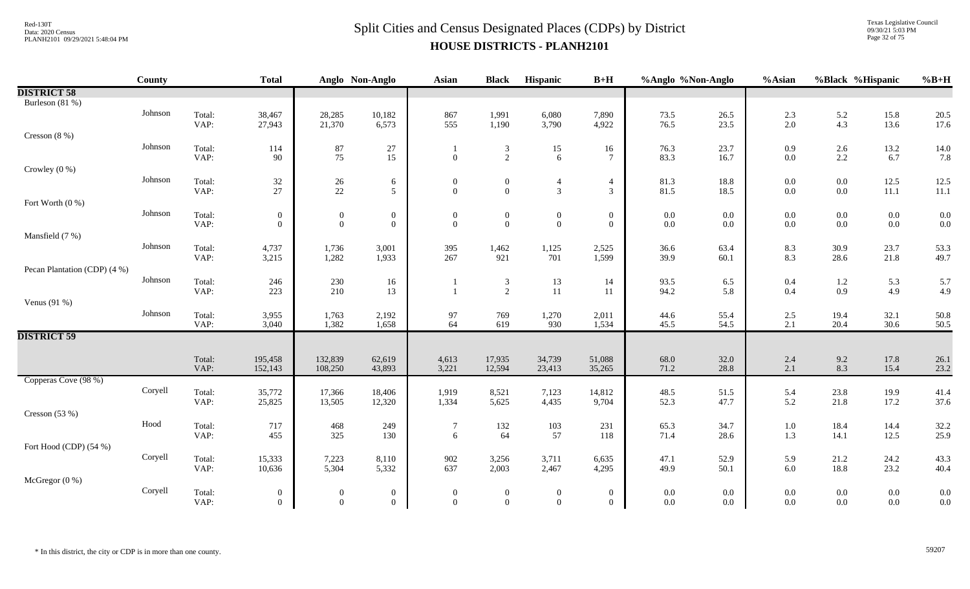Texas Legislative Council 09/30/21 5:03 PM Page 32 of 75

|                              | <b>County</b> |                | <b>Total</b>                     |                                  | Anglo Non-Anglo              | <b>Asian</b>                       | <b>Black</b>                       | Hispanic                           | $B+H$                            | %Anglo %Non-Anglo  |              | %Asian     | %Black %Hispanic   |                    | $%B+H$       |
|------------------------------|---------------|----------------|----------------------------------|----------------------------------|------------------------------|------------------------------------|------------------------------------|------------------------------------|----------------------------------|--------------------|--------------|------------|--------------------|--------------------|--------------|
| <b>DISTRICT 58</b>           |               |                |                                  |                                  |                              |                                    |                                    |                                    |                                  |                    |              |            |                    |                    |              |
| Burleson (81 %)              |               |                |                                  |                                  |                              |                                    |                                    |                                    |                                  |                    |              |            |                    |                    |              |
|                              | Johnson       | Total:         | 38,467                           | 28,285                           | 10,182                       | 867                                | 1,991                              | 6,080                              | 7,890                            | 73.5               | 26.5         | 2.3        | $\frac{5.2}{4.3}$  | 15.8               | 20.5         |
|                              |               | VAP:           | 27,943                           | 21,370                           | 6,573                        | 555                                | 1,190                              | 3,790                              | 4,922                            | 76.5               | 23.5         | 2.0        |                    | 13.6               | 17.6         |
| Cresson $(8\%)$              |               |                |                                  |                                  |                              |                                    |                                    |                                    |                                  |                    |              |            |                    |                    |              |
|                              | Johnson       | Total:         | 114                              | $87\,$                           | 27                           |                                    | 3                                  | 15                                 | 16                               | 76.3               | 23.7         | 0.9        | 2.6                | 13.2               | 14.0         |
|                              |               | VAP:           | 90                               | $75\,$                           | 15                           | $\overline{0}$                     | $\overline{2}$                     | 6                                  | $\tau$                           | 83.3               | 16.7         | 0.0        | 2.2                | 6.7                | 7.8          |
| Crowley $(0\%)$              | Johnson       |                |                                  |                                  |                              |                                    |                                    |                                    |                                  |                    |              |            |                    |                    |              |
|                              |               | Total:<br>VAP: | 32<br>27                         | $\frac{26}{22}$                  | $\sqrt{6}$<br>5 <sup>5</sup> | $\boldsymbol{0}$<br>$\overline{0}$ | $\boldsymbol{0}$<br>$\overline{0}$ | $\overline{4}$<br>$\mathfrak{Z}$   | $\overline{4}$<br>$\mathfrak{Z}$ | 81.3<br>81.5       | 18.8<br>18.5 | 0.0<br>0.0 | $0.0\,$<br>$0.0\,$ | 12.5<br>$11.1\,$   | 12.5<br>11.1 |
| Fort Worth (0 %)             |               |                |                                  |                                  |                              |                                    |                                    |                                    |                                  |                    |              |            |                    |                    |              |
|                              | Johnson       | Total:         | $\mathbf{0}$                     | $\overline{0}$                   | $\boldsymbol{0}$             | $\boldsymbol{0}$                   | $\boldsymbol{0}$                   | $\boldsymbol{0}$                   | $\boldsymbol{0}$                 | $0.0\,$            | 0.0          | 0.0        | $0.0\,$            | $0.0\,$            | 0.0          |
|                              |               | VAP:           | $\overline{0}$                   | $\overline{0}$                   | $\boldsymbol{0}$             | $\theta$                           | $\mathbf{0}$                       | $\boldsymbol{0}$                   | $\overline{0}$                   | $0.0\,$            | 0.0          | 0.0        | $0.0\,$            | $0.0\,$            | 0.0          |
| Mansfield (7 %)              |               |                |                                  |                                  |                              |                                    |                                    |                                    |                                  |                    |              |            |                    |                    |              |
|                              | Johnson       | Total:         | 4,737                            | 1,736                            | 3,001                        | 395                                | 1,462                              | 1,125                              | 2,525                            | 36.6               | 63.4         | 8.3        | $30.9\,$           | 23.7               | 53.3         |
|                              |               | VAP:           | 3,215                            | 1,282                            | 1,933                        | 267                                | 921                                | 701                                | 1,599                            | 39.9               | 60.1         | 8.3        | 28.6               | 21.8               | 49.7         |
| Pecan Plantation (CDP) (4 %) |               |                |                                  |                                  |                              |                                    |                                    |                                    |                                  |                    |              |            |                    |                    |              |
|                              | Johnson       | Total:         | 246                              | $230\,$                          | 16                           |                                    | $\mathfrak{Z}$                     | 13                                 | 14                               | 93.5               | 6.5          | 0.4        | $1.2\,$            | 5.3                | 5.7          |
|                              |               | VAP:           | 223                              | 210                              | 13                           |                                    | $\overline{c}$                     | 11                                 | 11                               | 94.2               | 5.8          | $0.4\,$    | $0.9\,$            | 4.9                | 4.9          |
| Venus $(91\%)$               |               |                |                                  |                                  |                              |                                    |                                    |                                    |                                  |                    |              |            |                    |                    |              |
|                              | Johnson       | Total:<br>VAP: | 3,955<br>3,040                   | 1,763<br>1,382                   | 2,192<br>1,658               | 97<br>64                           | 769<br>619                         | 1,270<br>930                       | 2,011<br>1,534                   | 44.6<br>45.5       | 55.4<br>54.5 | 2.5<br>2.1 | 19.4<br>20.4       | 32.1<br>30.6       | 50.8<br>50.5 |
| <b>DISTRICT 59</b>           |               |                |                                  |                                  |                              |                                    |                                    |                                    |                                  |                    |              |            |                    |                    |              |
|                              |               |                |                                  |                                  |                              |                                    |                                    |                                    |                                  |                    |              |            |                    |                    |              |
|                              |               | Total:         | 195,458                          | 132,839                          | 62,619                       | 4,613                              | 17,935                             | 34,739                             | 51,088                           | 68.0               | 32.0         | 2.4        | $9.2\,$            | 17.8               | 26.1         |
|                              |               | VAP:           | 152,143                          | 108,250                          | 43,893                       | 3,221                              | 12,594                             | 23,413                             | 35,265                           | 71.2               | 28.8         | 2.1        | 8.3                | 15.4               | 23.2         |
| Copperas Cove (98 %)         |               |                |                                  |                                  |                              |                                    |                                    |                                    |                                  |                    |              |            |                    |                    |              |
|                              | Coryell       | Total:         | 35,772                           | 17,366                           | 18,406                       | 1,919                              | 8,521                              | 7,123                              | 14,812                           | 48.5               | 51.5         | 5.4        | 23.8               | 19.9               | 41.4         |
|                              |               | VAP:           | 25,825                           | 13,505                           | 12,320                       | 1,334                              | 5,625                              | 4,435                              | 9,704                            | 52.3               | 47.7         | 5.2        | 21.8               | 17.2               | 37.6         |
| Cresson $(53%)$              |               |                |                                  |                                  |                              |                                    |                                    |                                    |                                  |                    |              |            |                    |                    |              |
|                              | Hood          | Total:         | 717                              | 468                              | 249                          | $\overline{7}$                     | 132                                | 103                                | 231                              | 65.3               | 34.7         | $1.0\,$    | 18.4               | 14.4               | 32.2         |
|                              |               | VAP:           | 455                              | 325                              | 130                          | 6                                  | 64                                 | 57                                 | 118                              | 71.4               | 28.6         | 1.3        | 14.1               | 12.5               | 25.9         |
| Fort Hood (CDP) (54 %)       |               |                |                                  |                                  |                              |                                    |                                    |                                    |                                  |                    |              |            |                    |                    |              |
|                              | Coryell       | Total:<br>VAP: | 15,333<br>10,636                 | 7,223<br>5,304                   | 8,110<br>5,332               | 902<br>637                         | 3,256<br>2,003                     | 3,711<br>2,467                     | 6,635<br>4,295                   | 47.1<br>49.9       | 52.9<br>50.1 | 5.9<br>6.0 | 21.2<br>18.8       | 24.2<br>23.2       | 43.3<br>40.4 |
| McGregor $(0\%)$             |               |                |                                  |                                  |                              |                                    |                                    |                                    |                                  |                    |              |            |                    |                    |              |
|                              | Coryell       | Total:         |                                  |                                  | $\boldsymbol{0}$             | $\theta$                           |                                    |                                    | $\overline{0}$                   |                    | 0.0          | 0.0        | $0.0\,$            |                    | 0.0          |
|                              |               | VAP:           | $\overline{0}$<br>$\overline{0}$ | $\overline{0}$<br>$\overline{0}$ | $\theta$                     | $\overline{0}$                     | $\boldsymbol{0}$<br>$\overline{0}$ | $\boldsymbol{0}$<br>$\overline{0}$ | $\Omega$                         | $0.0\,$<br>$0.0\,$ | $0.0\,$      | 0.0        | $0.0\,$            | $0.0\,$<br>$0.0\,$ | 0.0          |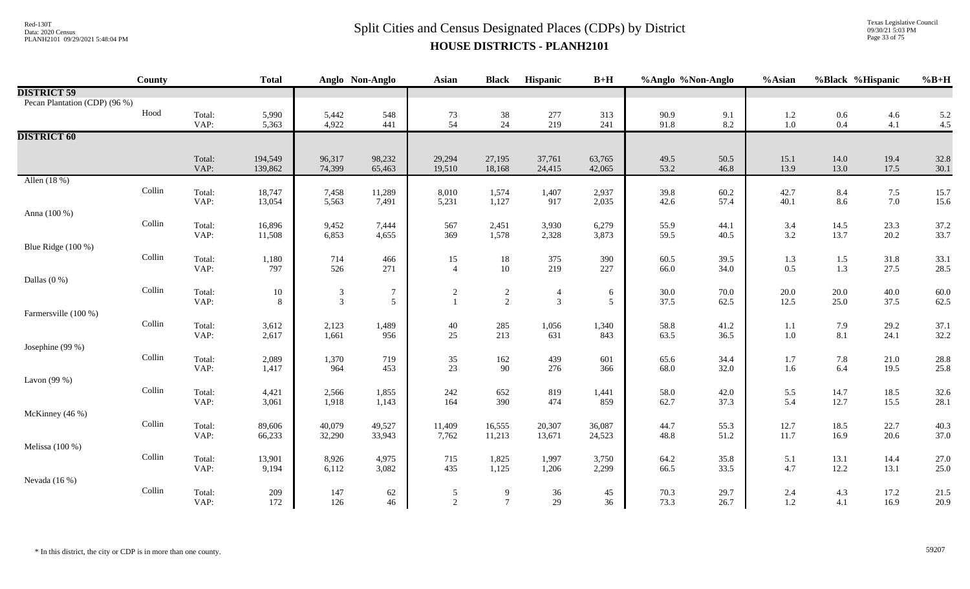Texas Legislative Council 09/30/21 5:03 PM Page 33 of 75

|                               | <b>County</b> |                | <b>Total</b>       |                             | Anglo Non-Anglo  | <b>Asian</b>         | <b>Black</b>     | Hispanic         | $B+H$            | %Anglo %Non-Anglo |              | %Asian       | %Black %Hispanic |              | $%B+H$         |
|-------------------------------|---------------|----------------|--------------------|-----------------------------|------------------|----------------------|------------------|------------------|------------------|-------------------|--------------|--------------|------------------|--------------|----------------|
| <b>DISTRICT 59</b>            |               |                |                    |                             |                  |                      |                  |                  |                  |                   |              |              |                  |              |                |
| Pecan Plantation (CDP) (96 %) |               |                |                    |                             |                  |                      |                  |                  |                  |                   |              |              |                  |              |                |
|                               | Hood          | Total:         | 5,990              | 5,442                       | 548              | 73                   | 38               | 277              | 313              | 90.9              | 9.1          | 1.2          | $0.6\,$          | 4.6          | $5.2$<br>$4.5$ |
|                               |               | VAP:           | 5,363              | 4,922                       | 441              | 54                   | 24               | 219              | 241              | 91.8              | 8.2          | 1.0          | $0.4\,$          | 4.1          |                |
| <b>DISTRICT 60</b>            |               |                |                    |                             |                  |                      |                  |                  |                  |                   |              |              |                  |              |                |
|                               |               |                |                    |                             |                  |                      |                  |                  |                  |                   |              |              |                  |              | 32.8           |
|                               |               | Total:<br>VAP: | 194,549<br>139,862 | 96,317<br>74,399            | 98,232<br>65,463 | 29,294<br>19,510     | 27,195<br>18,168 | 37,761<br>24,415 | 63,765<br>42,065 | 49.5<br>53.2      | 50.5<br>46.8 | 15.1<br>13.9 | 14.0<br>13.0     | 19.4<br>17.5 | 30.1           |
| Allen (18 %)                  |               |                |                    |                             |                  |                      |                  |                  |                  |                   |              |              |                  |              |                |
|                               | Collin        | Total:         | 18,747             | 7,458                       | 11,289           | 8,010                | 1,574            | 1,407            | 2,937            | 39.8              | 60.2         | 42.7         | 8.4              | 7.5          | 15.7           |
|                               |               | VAP:           | 13,054             | 5,563                       | 7,491            | 5,231                | 1,127            | 917              | 2,035            | 42.6              | 57.4         | 40.1         | 8.6              | $7.0\,$      | 15.6           |
| Anna (100 %)                  |               |                |                    |                             |                  |                      |                  |                  |                  |                   |              |              |                  |              |                |
|                               | Collin        | Total:         | 16,896             | 9,452                       | 7,444            | 567                  | 2,451            | 3,930            | 6,279            | 55.9              | 44.1         | 3.4          | 14.5             | 23.3         | 37.2           |
|                               |               | VAP:           | 11,508             | 6,853                       | 4,655            | 369                  | 1,578            | 2,328            | 3,873            | 59.5              | 40.5         | 3.2          | 13.7             | 20.2         | 33.7           |
| Blue Ridge (100 %)            | Collin        | Total:         |                    | 714                         |                  |                      |                  | 375              | 390              | 60.5              | 39.5         |              |                  | 31.8         | 33.1           |
|                               |               | VAP:           | 1,180<br>797       | 526                         | 466<br>271       | 15<br>$\overline{4}$ | 18<br>$10\,$     | 219              | 227              | 66.0              | 34.0         | 1.3<br>0.5   | 1.5<br>$1.3\,$   | 27.5         | 28.5           |
| Dallas $(0\%)$                |               |                |                    |                             |                  |                      |                  |                  |                  |                   |              |              |                  |              |                |
|                               | Collin        | Total:         | $10\,$             | $\boldsymbol{\mathfrak{Z}}$ | $\tau$           | 2                    | $\overline{c}$   | $\overline{4}$   | 6                | 30.0              | 70.0         | 20.0         | $20.0\,$         | 40.0         | 60.0           |
|                               |               | VAP:           | 8                  | $\mathfrak{Z}$              | $\mathfrak{S}$   | $\mathbf{1}$         | $\overline{2}$   | $\mathbf{3}$     | $\mathfrak{S}$   | 37.5              | 62.5         | 12.5         | 25.0             | 37.5         | 62.5           |
| Farmersville (100 %)          |               |                |                    |                             |                  |                      |                  |                  |                  |                   |              |              |                  |              |                |
|                               | Collin        | Total:         | 3,612              | 2,123                       | 1,489            | 40                   | 285              | 1,056            | 1,340            | 58.8              | 41.2         | 1.1          | 7.9              | 29.2         | 37.1           |
|                               |               | VAP:           | 2,617              | 1,661                       | 956              | 25                   | 213              | 631              | 843              | 63.5              | 36.5         | 1.0          | 8.1              | 24.1         | 32.2           |
| Josephine (99 %)              | Collin        |                |                    |                             |                  |                      |                  |                  |                  |                   |              |              |                  |              |                |
|                               |               | Total:<br>VAP: | 2,089<br>1,417     | 1,370<br>964                | 719<br>453       | 35<br>23             | 162<br>90        | 439<br>276       | 601<br>366       | 65.6<br>68.0      | 34.4<br>32.0 | 1.7<br>1.6   | 7.8<br>6.4       | 21.0<br>19.5 | 28.8<br>25.8   |
| Lavon $(99%)$                 |               |                |                    |                             |                  |                      |                  |                  |                  |                   |              |              |                  |              |                |
|                               | Collin        | Total:         | 4,421              | 2,566                       | 1,855            | 242                  | 652              | 819              | 1,441            | 58.0              | 42.0         | 5.5          | 14.7             | 18.5         | 32.6           |
|                               |               | VAP:           | 3,061              | 1,918                       | 1,143            | 164                  | 390              | 474              | 859              | 62.7              | 37.3         | 5.4          | 12.7             | 15.5         | 28.1           |
| McKinney (46 %)               |               |                |                    |                             |                  |                      |                  |                  |                  |                   |              |              |                  |              |                |
|                               | Collin        | Total:         | 89,606             | 40,079                      | 49,527           | 11,409               | 16,555           | 20,307           | 36,087           | 44.7              | 55.3         | 12.7         | 18.5             | 22.7         | 40.3           |
|                               |               | VAP:           | 66,233             | 32,290                      | 33,943           | 7,762                | 11,213           | 13,671           | 24,523           | 48.8              | 51.2         | 11.7         | 16.9             | 20.6         | 37.0           |
| Melissa $(100\%)$             | Collin        |                |                    |                             |                  |                      |                  |                  |                  |                   |              |              |                  |              |                |
|                               |               | Total:<br>VAP: | 13,901<br>9,194    | 8,926<br>6,112              | 4,975<br>3,082   | 715<br>435           | 1,825<br>1,125   | 1,997<br>1,206   | 3,750<br>2,299   | 64.2<br>66.5      | 35.8<br>33.5 | 5.1<br>4.7   | 13.1<br>12.2     | 14.4<br>13.1 | 27.0<br>25.0   |
| Nevada $(16\%)$               |               |                |                    |                             |                  |                      |                  |                  |                  |                   |              |              |                  |              |                |
|                               | Collin        | Total:         | 209                | 147                         | 62               | 5                    | 9                | $36\,$           | 45               | 70.3              | 29.7         | 2.4          | 4.3              | 17.2         | 21.5           |
|                               |               | VAP:           | 172                | 126                         | 46               | $\overline{2}$       | $\overline{7}$   | 29               | 36               | 73.3              | 26.7         | 1.2          | 4.1              | 16.9         | 20.9           |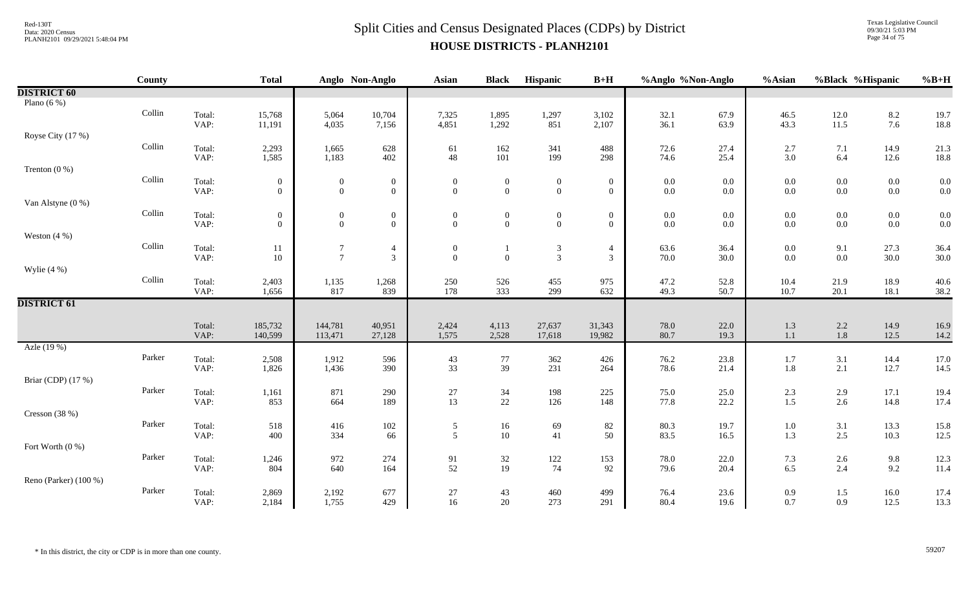Texas Legislative Council 09/30/21 5:03 PM Page 34 of 75

|                       | <b>County</b> |                | <b>Total</b>                       |                              | Anglo Non-Anglo                    | <b>Asian</b>                         | <b>Black</b>                       | Hispanic                             | $B+H$                                | %Anglo %Non-Anglo                         |                | %Asian                                    | %Black %Hispanic   |                                           | $%B+H$       |
|-----------------------|---------------|----------------|------------------------------------|------------------------------|------------------------------------|--------------------------------------|------------------------------------|--------------------------------------|--------------------------------------|-------------------------------------------|----------------|-------------------------------------------|--------------------|-------------------------------------------|--------------|
| <b>DISTRICT 60</b>    |               |                |                                    |                              |                                    |                                      |                                    |                                      |                                      |                                           |                |                                           |                    |                                           |              |
| Plano $(6\%)$         |               |                |                                    |                              |                                    |                                      |                                    |                                      |                                      |                                           |                |                                           |                    |                                           |              |
|                       | Collin        | Total:         | 15,768                             | 5,064                        | 10,704                             | 7,325                                | 1,895                              | 1,297                                | 3,102                                | 32.1                                      | 67.9           | 46.5                                      | 12.0               | $8.2\,$                                   | 19.7         |
|                       |               | VAP:           | 11,191                             | 4,035                        | 7,156                              | 4,851                                | 1,292                              | 851                                  | 2,107                                | 36.1                                      | 63.9           | 43.3                                      | 11.5               | 7.6                                       | 18.8         |
| Royse City (17 %)     |               |                |                                    |                              |                                    |                                      |                                    |                                      |                                      |                                           |                |                                           |                    |                                           |              |
|                       | Collin        | Total:         | 2,293                              | 1,665                        | 628                                | 61                                   | 162                                | 341                                  | 488                                  | 72.6                                      | 27.4           | 2.7                                       | $7.1\,$            | 14.9                                      | 21.3         |
|                       |               | VAP:           | 1,585                              | 1,183                        | 402                                | 48                                   | 101                                | 199                                  | 298                                  | 74.6                                      | 25.4           | 3.0                                       | 6.4                | 12.6                                      | 18.8         |
| Trenton $(0\%)$       |               |                |                                    |                              |                                    |                                      |                                    |                                      |                                      |                                           |                |                                           |                    |                                           |              |
|                       | Collin        | Total:         | $\mathbf{0}$                       | $\mathbf{0}$                 | $\boldsymbol{0}$                   | $\boldsymbol{0}$<br>$\mathbf{0}$     | $\mathbf{0}$                       | $\boldsymbol{0}$                     | $\boldsymbol{0}$                     | $\begin{array}{c} 0.0 \\ 0.0 \end{array}$ | 0.0            | $\begin{array}{c} 0.0 \\ 0.0 \end{array}$ | $0.0\,$            | $\begin{array}{c} 0.0 \\ 0.0 \end{array}$ | 0.0<br>0.0   |
|                       |               | VAP:           | $\overline{0}$                     | $\overline{0}$               | $\overline{0}$                     |                                      | $\overline{0}$                     | $\mathbf{0}$                         | $\overline{0}$                       |                                           | 0.0            |                                           | $0.0\,$            |                                           |              |
| Van Alstyne (0 %)     | Collin        |                |                                    |                              |                                    |                                      |                                    |                                      |                                      |                                           |                |                                           |                    |                                           |              |
|                       |               | Total:<br>VAP: | $\boldsymbol{0}$<br>$\overline{0}$ | $\mathbf{0}$<br>$\mathbf{0}$ | $\boldsymbol{0}$<br>$\overline{0}$ | $\boldsymbol{0}$<br>$\mathbf{0}$     | $\boldsymbol{0}$<br>$\overline{0}$ | $\boldsymbol{0}$<br>$\boldsymbol{0}$ | $\boldsymbol{0}$<br>$\boldsymbol{0}$ | $0.0\,$<br>$0.0\,$                        | 0.0<br>$0.0\,$ | $0.0\,$<br>0.0                            | $0.0\,$<br>$0.0\,$ | $0.0\,$<br>$0.0\,$                        | 0.0<br>0.0   |
| Weston $(4\% )$       |               |                |                                    |                              |                                    |                                      |                                    |                                      |                                      |                                           |                |                                           |                    |                                           |              |
|                       | Collin        | Total:         |                                    | $\boldsymbol{7}$             |                                    |                                      |                                    |                                      |                                      |                                           | 36.4           |                                           |                    | 27.3                                      | 36.4         |
|                       |               | VAP:           | 11<br>10                           | $\tau$                       | $\overline{4}$<br>$\mathfrak{Z}$   | $\boldsymbol{0}$<br>$\boldsymbol{0}$ | 1<br>$\mathbf{0}$                  | $\frac{3}{3}$                        | 4<br>3                               | 63.6<br>70.0                              | 30.0           | $0.0\,$<br>0.0                            | $9.1\,$<br>$0.0\,$ | 30.0                                      | 30.0         |
| Wylie $(4\%)$         |               |                |                                    |                              |                                    |                                      |                                    |                                      |                                      |                                           |                |                                           |                    |                                           |              |
|                       | Collin        | Total:         | 2,403                              | 1,135                        | 1,268                              | 250                                  | 526                                | 455                                  | 975                                  | 47.2                                      | 52.8           | 10.4                                      | 21.9               | 18.9                                      | 40.6         |
|                       |               | VAP:           | 1,656                              | 817                          | 839                                | 178                                  | 333                                | 299                                  | 632                                  | 49.3                                      | 50.7           | 10.7                                      | 20.1               | 18.1                                      | 38.2         |
| <b>DISTRICT 61</b>    |               |                |                                    |                              |                                    |                                      |                                    |                                      |                                      |                                           |                |                                           |                    |                                           |              |
|                       |               |                |                                    |                              |                                    |                                      |                                    |                                      |                                      |                                           |                |                                           |                    |                                           |              |
|                       |               | Total:         | 185,732                            | 144,781                      | 40,951                             | 2,424                                | 4,113                              | 27,637                               | 31,343                               | 78.0                                      | 22.0           | 1.3                                       | $2.2\,$            | 14.9                                      | 16.9         |
|                       |               | VAP:           | 140,599                            | 113,471                      | 27,128                             | 1,575                                | 2,528                              | 17,618                               | 19,982                               | 80.7                                      | 19.3           | 1.1                                       | $1.8\,$            | 12.5                                      | 14.2         |
| Azle (19 %)           |               |                |                                    |                              |                                    |                                      |                                    |                                      |                                      |                                           |                |                                           |                    |                                           |              |
|                       | Parker        | Total:         | 2,508                              | 1,912                        | 596                                | $\frac{43}{33}$                      | $\frac{77}{39}$                    | 362                                  | 426                                  | 76.2                                      | 23.8           | $\frac{1.7}{1.8}$                         | $3.1\,$            | $14.4$<br>$12.7$                          | 17.0         |
|                       |               | VAP:           | 1,826                              | 1,436                        | 390                                |                                      |                                    | 231                                  | 264                                  | 78.6                                      | 21.4           |                                           | $2.1\,$            |                                           | 14.5         |
| Briar (CDP) (17 %)    | Parker        |                |                                    |                              |                                    |                                      |                                    |                                      |                                      |                                           |                |                                           |                    |                                           |              |
|                       |               | Total:<br>VAP: | 1,161<br>853                       | 871<br>664                   | 290<br>189                         | $27\,$<br>13                         | $34\,$<br>22                       | 198<br>126                           | 225<br>148                           | 75.0<br>77.8                              | 25.0<br>22.2   | 2.3<br>1.5                                | $2.9\,$<br>2.6     | 17.1<br>14.8                              | 19.4<br>17.4 |
| Cresson (38 %)        |               |                |                                    |                              |                                    |                                      |                                    |                                      |                                      |                                           |                |                                           |                    |                                           |              |
|                       | Parker        | Total:         | 518                                | 416                          |                                    |                                      |                                    | 69                                   | 82                                   | 80.3                                      | 19.7           |                                           |                    | 13.3                                      | 15.8         |
|                       |               | VAP:           | 400                                | 334                          | $102\,$<br>66                      | $\frac{5}{5}$                        | 16<br>10                           | 41                                   | 50                                   | 83.5                                      | 16.5           | 1.0<br>1.3                                | 3.1<br>$2.5$       | 10.3                                      | 12.5         |
| Fort Worth (0 %)      |               |                |                                    |                              |                                    |                                      |                                    |                                      |                                      |                                           |                |                                           |                    |                                           |              |
|                       | Parker        | Total:         | 1,246                              | 972                          | 274                                | 91                                   |                                    | $122\,$                              | 153                                  | 78.0                                      | 22.0           | 7.3                                       | $2.6\,$            | $9.8\,$                                   | 12.3         |
|                       |               | VAP:           | 804                                | 640                          | 164                                | 52                                   | $\frac{32}{19}$                    | 74                                   | 92                                   | 79.6                                      | 20.4           | 6.5                                       | 2.4                | 9.2                                       | 11.4         |
| Reno (Parker) (100 %) |               |                |                                    |                              |                                    |                                      |                                    |                                      |                                      |                                           |                |                                           |                    |                                           |              |
|                       | Parker        | Total:         | 2,869                              | 2,192                        | 677                                | $27\,$                               | 43                                 | 460                                  | 499                                  | 76.4                                      | 23.6           | 0.9                                       | 1.5                | 16.0                                      | 17.4         |
|                       |               | VAP:           | 2,184                              | 1,755                        | 429                                | 16                                   | 20                                 | 273                                  | 291                                  | 80.4                                      | 19.6           | 0.7                                       | 0.9                | 12.5                                      | 13.3         |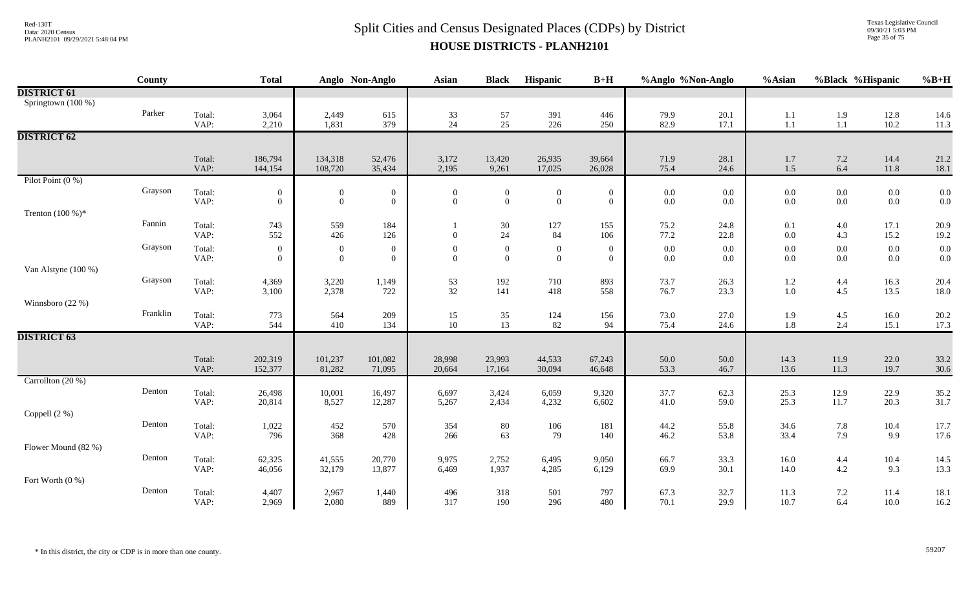Texas Legislative Council 09/30/21 5:03 PM Page 35 of 75

| Springtown (100 %)<br>Parker<br>Total:<br>3,064<br>2,449<br>$\frac{33}{24}$<br>$\frac{57}{25}$<br>391<br>446<br>79.9<br>20.1<br>1.9<br>12.8<br>615<br>1.1<br>14.6<br>1,831<br>226<br>82.9<br>$1.1\,$<br>11.3<br>VAP:<br>379<br>250<br>17.1<br>$1.1\,$<br>10.2<br>2,210<br><b>DISTRICT 62</b><br>13,420<br>21.2<br>Total:<br>186,794<br>134,318<br>52,476<br>3,172<br>26,935<br>39,664<br>71.9<br>28.1<br>1.7<br>$7.2\,$<br>14.4<br>6.4<br>VAP:<br>108,720<br>35,434<br>2,195<br>9,261<br>17,025<br>26,028<br>75.4<br>24.6<br>$1.5\,$<br>11.8<br>18.1<br>144,154<br>Pilot Point $(0\%)$<br>Grayson<br>Total:<br>$\boldsymbol{0}$<br>$\overline{0}$<br>0.0<br>$0.0\,$<br>$0.0\,$<br>$0.0\,$<br>0.0<br>$\mathbf{0}$<br>$\boldsymbol{0}$<br>$\boldsymbol{0}$<br>$0.0\,$<br>$\mathbf{0}$<br>$\overline{0}$<br>$\mathbf{0}$<br>0.0<br>VAP:<br>$\mathbf{0}$<br>$\mathbf{0}$<br>$\boldsymbol{0}$<br>$\overline{0}$<br>$\boldsymbol{0}$<br>$\mathbf{0}$<br>$0.0\,$<br>$0.0\,$<br>$0.0\,$<br>$0.0\,$<br>$0.0\,$<br>Trenton $(100\%)^*$<br>Fannin<br>Total:<br>743<br>559<br>127<br>155<br>24.8<br>184<br>30<br>75.2<br>0.1<br>$4.0\,$<br>17.1<br>20.9<br>1<br>24<br>552<br>VAP:<br>426<br>84<br>22.8<br>126<br>$\overline{0}$<br>106<br>77.2<br>0.0<br>4.3<br>15.2<br>19.2<br>Grayson<br>$0.0\,$<br>0.0<br>Total:<br>$\overline{0}$<br>$\boldsymbol{0}$<br>$\overline{0}$<br>$0.0\,$<br>0.0<br>$0.0\,$<br>$\overline{0}$<br>$\boldsymbol{0}$<br>$\boldsymbol{0}$<br>$\boldsymbol{0}$<br>$0.0\,$<br>VAP:<br>$\mathbf{0}$<br>$\mathbf{0}$<br>0.0<br>$\overline{0}$<br>$\boldsymbol{0}$<br>$\bf{0}$<br>$\overline{0}$<br>$\overline{0}$<br>$0.0\,$<br>0.0<br>$0.0\,$<br>$0.0\,$<br>$0.0\,$<br>Van Alstyne (100 %)<br>Grayson<br>Total:<br>4,369<br>3,220<br>1,149<br>$\frac{53}{32}$<br>192<br>710<br>893<br>73.7<br>26.3<br>$1.2\,$<br>4.4<br>16.3<br>20.4<br>2,378<br>23.3<br>VAP:<br>3,100<br>722<br>141<br>418<br>558<br>1.0<br>4.5<br>13.5<br>18.0<br>76.7<br>Winnsboro (22 %)<br>Franklin<br>Total:<br>773<br>564<br>209<br>27.0<br>1.9<br>4.5<br>15<br>124<br>156<br>73.0<br>16.0<br>20.2<br>35<br>10<br>13<br>VAP:<br>544<br>410<br>82<br>75.4<br>$1.8\,$<br>2.4<br>17.3<br>134<br>94<br>24.6<br>15.1<br><b>DISTRICT 63</b><br>67,243<br>50.0<br>14.3<br>Total:<br>202,319<br>101,237<br>101,082<br>28,998<br>23,993<br>44,533<br>50.0<br>11.9<br>22.0<br>33.2<br>VAP:<br>81,282<br>13.6<br>30.6<br>152,377<br>71,095<br>30,094<br>46,648<br>53.3<br>46.7<br>11.3<br>19.7<br>20,664<br>17,164<br>Carrollton (20 %)<br>Denton<br>Total:<br>10,001<br>16,497<br>6,697<br>3,424<br>6,059<br>9,320<br>37.7<br>62.3<br>25.3<br>12.9<br>22.9<br>35.2<br>26,498<br>25.3<br>31.7<br>VAP:<br>8,527<br>4,232<br>59.0<br>11.7<br>20.3<br>12,287<br>5,267<br>2,434<br>6,602<br>41.0<br>20,814<br>Coppell (2 %)<br>Denton<br>452<br>Total:<br>1,022<br>80<br>106<br>181<br>44.2<br>55.8<br>34.6<br>7.8<br>10.4<br>570<br>354<br>17.7<br>368<br>63<br>79<br>7.9<br>17.6<br>VAP:<br>428<br>140<br>53.8<br>33.4<br>9.9<br>796<br>266<br>46.2<br>Flower Mound (82 %)<br>Denton<br>Total:<br>62,325<br>41,555<br>20,770<br>9,975<br>2,752<br>6,495<br>9,050<br>33.3<br>16.0<br>10.4<br>14.5<br>4.4<br>66.7<br>4.2<br>13.3<br>VAP:<br>32,179<br>30.1<br>14.0<br>9.3<br>13,877<br>1,937<br>4,285<br>6,129<br>69.9<br>46,056<br>6,469<br>Fort Worth $(0\%)$<br>Denton<br>Total:<br>501<br>797<br>32.7<br>11.3<br>4,407<br>2,967<br>1,440<br>496<br>318<br>67.3<br>7.2<br>11.4<br>18.1<br>VAP:<br>2,969<br>2,080<br>889<br>317<br>190<br>296<br>480<br>70.1<br>29.9<br>10.7<br>6.4<br>10.0<br>16.2 |                    | County | <b>Total</b> | Anglo Non-Anglo | <b>Asian</b> | <b>Black</b> | Hispanic | $B+H$ | %Anglo %Non-Anglo | %Asian | %Black %Hispanic | $%B+H$ |
|-------------------------------------------------------------------------------------------------------------------------------------------------------------------------------------------------------------------------------------------------------------------------------------------------------------------------------------------------------------------------------------------------------------------------------------------------------------------------------------------------------------------------------------------------------------------------------------------------------------------------------------------------------------------------------------------------------------------------------------------------------------------------------------------------------------------------------------------------------------------------------------------------------------------------------------------------------------------------------------------------------------------------------------------------------------------------------------------------------------------------------------------------------------------------------------------------------------------------------------------------------------------------------------------------------------------------------------------------------------------------------------------------------------------------------------------------------------------------------------------------------------------------------------------------------------------------------------------------------------------------------------------------------------------------------------------------------------------------------------------------------------------------------------------------------------------------------------------------------------------------------------------------------------------------------------------------------------------------------------------------------------------------------------------------------------------------------------------------------------------------------------------------------------------------------------------------------------------------------------------------------------------------------------------------------------------------------------------------------------------------------------------------------------------------------------------------------------------------------------------------------------------------------------------------------------------------------------------------------------------------------------------------------------------------------------------------------------------------------------------------------------------------------------------------------------------------------------------------------------------------------------------------------------------------------------------------------------------------------------------------------------------------------------------------------------------------------------------------------------------------------------------------------------------------------------------------------------------------------------------------------------------------------------------------------------------------------------------------------------------------------------------------------------------------------------------------------------------------------------------------------------------------------------------------------------------------|--------------------|--------|--------------|-----------------|--------------|--------------|----------|-------|-------------------|--------|------------------|--------|
|                                                                                                                                                                                                                                                                                                                                                                                                                                                                                                                                                                                                                                                                                                                                                                                                                                                                                                                                                                                                                                                                                                                                                                                                                                                                                                                                                                                                                                                                                                                                                                                                                                                                                                                                                                                                                                                                                                                                                                                                                                                                                                                                                                                                                                                                                                                                                                                                                                                                                                                                                                                                                                                                                                                                                                                                                                                                                                                                                                                                                                                                                                                                                                                                                                                                                                                                                                                                                                                                                                                                                                         | <b>DISTRICT 61</b> |        |              |                 |              |              |          |       |                   |        |                  |        |
|                                                                                                                                                                                                                                                                                                                                                                                                                                                                                                                                                                                                                                                                                                                                                                                                                                                                                                                                                                                                                                                                                                                                                                                                                                                                                                                                                                                                                                                                                                                                                                                                                                                                                                                                                                                                                                                                                                                                                                                                                                                                                                                                                                                                                                                                                                                                                                                                                                                                                                                                                                                                                                                                                                                                                                                                                                                                                                                                                                                                                                                                                                                                                                                                                                                                                                                                                                                                                                                                                                                                                                         |                    |        |              |                 |              |              |          |       |                   |        |                  |        |
|                                                                                                                                                                                                                                                                                                                                                                                                                                                                                                                                                                                                                                                                                                                                                                                                                                                                                                                                                                                                                                                                                                                                                                                                                                                                                                                                                                                                                                                                                                                                                                                                                                                                                                                                                                                                                                                                                                                                                                                                                                                                                                                                                                                                                                                                                                                                                                                                                                                                                                                                                                                                                                                                                                                                                                                                                                                                                                                                                                                                                                                                                                                                                                                                                                                                                                                                                                                                                                                                                                                                                                         |                    |        |              |                 |              |              |          |       |                   |        |                  |        |
|                                                                                                                                                                                                                                                                                                                                                                                                                                                                                                                                                                                                                                                                                                                                                                                                                                                                                                                                                                                                                                                                                                                                                                                                                                                                                                                                                                                                                                                                                                                                                                                                                                                                                                                                                                                                                                                                                                                                                                                                                                                                                                                                                                                                                                                                                                                                                                                                                                                                                                                                                                                                                                                                                                                                                                                                                                                                                                                                                                                                                                                                                                                                                                                                                                                                                                                                                                                                                                                                                                                                                                         |                    |        |              |                 |              |              |          |       |                   |        |                  |        |
|                                                                                                                                                                                                                                                                                                                                                                                                                                                                                                                                                                                                                                                                                                                                                                                                                                                                                                                                                                                                                                                                                                                                                                                                                                                                                                                                                                                                                                                                                                                                                                                                                                                                                                                                                                                                                                                                                                                                                                                                                                                                                                                                                                                                                                                                                                                                                                                                                                                                                                                                                                                                                                                                                                                                                                                                                                                                                                                                                                                                                                                                                                                                                                                                                                                                                                                                                                                                                                                                                                                                                                         |                    |        |              |                 |              |              |          |       |                   |        |                  |        |
|                                                                                                                                                                                                                                                                                                                                                                                                                                                                                                                                                                                                                                                                                                                                                                                                                                                                                                                                                                                                                                                                                                                                                                                                                                                                                                                                                                                                                                                                                                                                                                                                                                                                                                                                                                                                                                                                                                                                                                                                                                                                                                                                                                                                                                                                                                                                                                                                                                                                                                                                                                                                                                                                                                                                                                                                                                                                                                                                                                                                                                                                                                                                                                                                                                                                                                                                                                                                                                                                                                                                                                         |                    |        |              |                 |              |              |          |       |                   |        |                  |        |
|                                                                                                                                                                                                                                                                                                                                                                                                                                                                                                                                                                                                                                                                                                                                                                                                                                                                                                                                                                                                                                                                                                                                                                                                                                                                                                                                                                                                                                                                                                                                                                                                                                                                                                                                                                                                                                                                                                                                                                                                                                                                                                                                                                                                                                                                                                                                                                                                                                                                                                                                                                                                                                                                                                                                                                                                                                                                                                                                                                                                                                                                                                                                                                                                                                                                                                                                                                                                                                                                                                                                                                         |                    |        |              |                 |              |              |          |       |                   |        |                  |        |
|                                                                                                                                                                                                                                                                                                                                                                                                                                                                                                                                                                                                                                                                                                                                                                                                                                                                                                                                                                                                                                                                                                                                                                                                                                                                                                                                                                                                                                                                                                                                                                                                                                                                                                                                                                                                                                                                                                                                                                                                                                                                                                                                                                                                                                                                                                                                                                                                                                                                                                                                                                                                                                                                                                                                                                                                                                                                                                                                                                                                                                                                                                                                                                                                                                                                                                                                                                                                                                                                                                                                                                         |                    |        |              |                 |              |              |          |       |                   |        |                  |        |
|                                                                                                                                                                                                                                                                                                                                                                                                                                                                                                                                                                                                                                                                                                                                                                                                                                                                                                                                                                                                                                                                                                                                                                                                                                                                                                                                                                                                                                                                                                                                                                                                                                                                                                                                                                                                                                                                                                                                                                                                                                                                                                                                                                                                                                                                                                                                                                                                                                                                                                                                                                                                                                                                                                                                                                                                                                                                                                                                                                                                                                                                                                                                                                                                                                                                                                                                                                                                                                                                                                                                                                         |                    |        |              |                 |              |              |          |       |                   |        |                  |        |
|                                                                                                                                                                                                                                                                                                                                                                                                                                                                                                                                                                                                                                                                                                                                                                                                                                                                                                                                                                                                                                                                                                                                                                                                                                                                                                                                                                                                                                                                                                                                                                                                                                                                                                                                                                                                                                                                                                                                                                                                                                                                                                                                                                                                                                                                                                                                                                                                                                                                                                                                                                                                                                                                                                                                                                                                                                                                                                                                                                                                                                                                                                                                                                                                                                                                                                                                                                                                                                                                                                                                                                         |                    |        |              |                 |              |              |          |       |                   |        |                  |        |
|                                                                                                                                                                                                                                                                                                                                                                                                                                                                                                                                                                                                                                                                                                                                                                                                                                                                                                                                                                                                                                                                                                                                                                                                                                                                                                                                                                                                                                                                                                                                                                                                                                                                                                                                                                                                                                                                                                                                                                                                                                                                                                                                                                                                                                                                                                                                                                                                                                                                                                                                                                                                                                                                                                                                                                                                                                                                                                                                                                                                                                                                                                                                                                                                                                                                                                                                                                                                                                                                                                                                                                         |                    |        |              |                 |              |              |          |       |                   |        |                  |        |
|                                                                                                                                                                                                                                                                                                                                                                                                                                                                                                                                                                                                                                                                                                                                                                                                                                                                                                                                                                                                                                                                                                                                                                                                                                                                                                                                                                                                                                                                                                                                                                                                                                                                                                                                                                                                                                                                                                                                                                                                                                                                                                                                                                                                                                                                                                                                                                                                                                                                                                                                                                                                                                                                                                                                                                                                                                                                                                                                                                                                                                                                                                                                                                                                                                                                                                                                                                                                                                                                                                                                                                         |                    |        |              |                 |              |              |          |       |                   |        |                  |        |
|                                                                                                                                                                                                                                                                                                                                                                                                                                                                                                                                                                                                                                                                                                                                                                                                                                                                                                                                                                                                                                                                                                                                                                                                                                                                                                                                                                                                                                                                                                                                                                                                                                                                                                                                                                                                                                                                                                                                                                                                                                                                                                                                                                                                                                                                                                                                                                                                                                                                                                                                                                                                                                                                                                                                                                                                                                                                                                                                                                                                                                                                                                                                                                                                                                                                                                                                                                                                                                                                                                                                                                         |                    |        |              |                 |              |              |          |       |                   |        |                  |        |
|                                                                                                                                                                                                                                                                                                                                                                                                                                                                                                                                                                                                                                                                                                                                                                                                                                                                                                                                                                                                                                                                                                                                                                                                                                                                                                                                                                                                                                                                                                                                                                                                                                                                                                                                                                                                                                                                                                                                                                                                                                                                                                                                                                                                                                                                                                                                                                                                                                                                                                                                                                                                                                                                                                                                                                                                                                                                                                                                                                                                                                                                                                                                                                                                                                                                                                                                                                                                                                                                                                                                                                         |                    |        |              |                 |              |              |          |       |                   |        |                  |        |
|                                                                                                                                                                                                                                                                                                                                                                                                                                                                                                                                                                                                                                                                                                                                                                                                                                                                                                                                                                                                                                                                                                                                                                                                                                                                                                                                                                                                                                                                                                                                                                                                                                                                                                                                                                                                                                                                                                                                                                                                                                                                                                                                                                                                                                                                                                                                                                                                                                                                                                                                                                                                                                                                                                                                                                                                                                                                                                                                                                                                                                                                                                                                                                                                                                                                                                                                                                                                                                                                                                                                                                         |                    |        |              |                 |              |              |          |       |                   |        |                  |        |
|                                                                                                                                                                                                                                                                                                                                                                                                                                                                                                                                                                                                                                                                                                                                                                                                                                                                                                                                                                                                                                                                                                                                                                                                                                                                                                                                                                                                                                                                                                                                                                                                                                                                                                                                                                                                                                                                                                                                                                                                                                                                                                                                                                                                                                                                                                                                                                                                                                                                                                                                                                                                                                                                                                                                                                                                                                                                                                                                                                                                                                                                                                                                                                                                                                                                                                                                                                                                                                                                                                                                                                         |                    |        |              |                 |              |              |          |       |                   |        |                  |        |
|                                                                                                                                                                                                                                                                                                                                                                                                                                                                                                                                                                                                                                                                                                                                                                                                                                                                                                                                                                                                                                                                                                                                                                                                                                                                                                                                                                                                                                                                                                                                                                                                                                                                                                                                                                                                                                                                                                                                                                                                                                                                                                                                                                                                                                                                                                                                                                                                                                                                                                                                                                                                                                                                                                                                                                                                                                                                                                                                                                                                                                                                                                                                                                                                                                                                                                                                                                                                                                                                                                                                                                         |                    |        |              |                 |              |              |          |       |                   |        |                  |        |
|                                                                                                                                                                                                                                                                                                                                                                                                                                                                                                                                                                                                                                                                                                                                                                                                                                                                                                                                                                                                                                                                                                                                                                                                                                                                                                                                                                                                                                                                                                                                                                                                                                                                                                                                                                                                                                                                                                                                                                                                                                                                                                                                                                                                                                                                                                                                                                                                                                                                                                                                                                                                                                                                                                                                                                                                                                                                                                                                                                                                                                                                                                                                                                                                                                                                                                                                                                                                                                                                                                                                                                         |                    |        |              |                 |              |              |          |       |                   |        |                  |        |
|                                                                                                                                                                                                                                                                                                                                                                                                                                                                                                                                                                                                                                                                                                                                                                                                                                                                                                                                                                                                                                                                                                                                                                                                                                                                                                                                                                                                                                                                                                                                                                                                                                                                                                                                                                                                                                                                                                                                                                                                                                                                                                                                                                                                                                                                                                                                                                                                                                                                                                                                                                                                                                                                                                                                                                                                                                                                                                                                                                                                                                                                                                                                                                                                                                                                                                                                                                                                                                                                                                                                                                         |                    |        |              |                 |              |              |          |       |                   |        |                  |        |
|                                                                                                                                                                                                                                                                                                                                                                                                                                                                                                                                                                                                                                                                                                                                                                                                                                                                                                                                                                                                                                                                                                                                                                                                                                                                                                                                                                                                                                                                                                                                                                                                                                                                                                                                                                                                                                                                                                                                                                                                                                                                                                                                                                                                                                                                                                                                                                                                                                                                                                                                                                                                                                                                                                                                                                                                                                                                                                                                                                                                                                                                                                                                                                                                                                                                                                                                                                                                                                                                                                                                                                         |                    |        |              |                 |              |              |          |       |                   |        |                  |        |
|                                                                                                                                                                                                                                                                                                                                                                                                                                                                                                                                                                                                                                                                                                                                                                                                                                                                                                                                                                                                                                                                                                                                                                                                                                                                                                                                                                                                                                                                                                                                                                                                                                                                                                                                                                                                                                                                                                                                                                                                                                                                                                                                                                                                                                                                                                                                                                                                                                                                                                                                                                                                                                                                                                                                                                                                                                                                                                                                                                                                                                                                                                                                                                                                                                                                                                                                                                                                                                                                                                                                                                         |                    |        |              |                 |              |              |          |       |                   |        |                  |        |
|                                                                                                                                                                                                                                                                                                                                                                                                                                                                                                                                                                                                                                                                                                                                                                                                                                                                                                                                                                                                                                                                                                                                                                                                                                                                                                                                                                                                                                                                                                                                                                                                                                                                                                                                                                                                                                                                                                                                                                                                                                                                                                                                                                                                                                                                                                                                                                                                                                                                                                                                                                                                                                                                                                                                                                                                                                                                                                                                                                                                                                                                                                                                                                                                                                                                                                                                                                                                                                                                                                                                                                         |                    |        |              |                 |              |              |          |       |                   |        |                  |        |
|                                                                                                                                                                                                                                                                                                                                                                                                                                                                                                                                                                                                                                                                                                                                                                                                                                                                                                                                                                                                                                                                                                                                                                                                                                                                                                                                                                                                                                                                                                                                                                                                                                                                                                                                                                                                                                                                                                                                                                                                                                                                                                                                                                                                                                                                                                                                                                                                                                                                                                                                                                                                                                                                                                                                                                                                                                                                                                                                                                                                                                                                                                                                                                                                                                                                                                                                                                                                                                                                                                                                                                         |                    |        |              |                 |              |              |          |       |                   |        |                  |        |
|                                                                                                                                                                                                                                                                                                                                                                                                                                                                                                                                                                                                                                                                                                                                                                                                                                                                                                                                                                                                                                                                                                                                                                                                                                                                                                                                                                                                                                                                                                                                                                                                                                                                                                                                                                                                                                                                                                                                                                                                                                                                                                                                                                                                                                                                                                                                                                                                                                                                                                                                                                                                                                                                                                                                                                                                                                                                                                                                                                                                                                                                                                                                                                                                                                                                                                                                                                                                                                                                                                                                                                         |                    |        |              |                 |              |              |          |       |                   |        |                  |        |
|                                                                                                                                                                                                                                                                                                                                                                                                                                                                                                                                                                                                                                                                                                                                                                                                                                                                                                                                                                                                                                                                                                                                                                                                                                                                                                                                                                                                                                                                                                                                                                                                                                                                                                                                                                                                                                                                                                                                                                                                                                                                                                                                                                                                                                                                                                                                                                                                                                                                                                                                                                                                                                                                                                                                                                                                                                                                                                                                                                                                                                                                                                                                                                                                                                                                                                                                                                                                                                                                                                                                                                         |                    |        |              |                 |              |              |          |       |                   |        |                  |        |
|                                                                                                                                                                                                                                                                                                                                                                                                                                                                                                                                                                                                                                                                                                                                                                                                                                                                                                                                                                                                                                                                                                                                                                                                                                                                                                                                                                                                                                                                                                                                                                                                                                                                                                                                                                                                                                                                                                                                                                                                                                                                                                                                                                                                                                                                                                                                                                                                                                                                                                                                                                                                                                                                                                                                                                                                                                                                                                                                                                                                                                                                                                                                                                                                                                                                                                                                                                                                                                                                                                                                                                         |                    |        |              |                 |              |              |          |       |                   |        |                  |        |
|                                                                                                                                                                                                                                                                                                                                                                                                                                                                                                                                                                                                                                                                                                                                                                                                                                                                                                                                                                                                                                                                                                                                                                                                                                                                                                                                                                                                                                                                                                                                                                                                                                                                                                                                                                                                                                                                                                                                                                                                                                                                                                                                                                                                                                                                                                                                                                                                                                                                                                                                                                                                                                                                                                                                                                                                                                                                                                                                                                                                                                                                                                                                                                                                                                                                                                                                                                                                                                                                                                                                                                         |                    |        |              |                 |              |              |          |       |                   |        |                  |        |
|                                                                                                                                                                                                                                                                                                                                                                                                                                                                                                                                                                                                                                                                                                                                                                                                                                                                                                                                                                                                                                                                                                                                                                                                                                                                                                                                                                                                                                                                                                                                                                                                                                                                                                                                                                                                                                                                                                                                                                                                                                                                                                                                                                                                                                                                                                                                                                                                                                                                                                                                                                                                                                                                                                                                                                                                                                                                                                                                                                                                                                                                                                                                                                                                                                                                                                                                                                                                                                                                                                                                                                         |                    |        |              |                 |              |              |          |       |                   |        |                  |        |
|                                                                                                                                                                                                                                                                                                                                                                                                                                                                                                                                                                                                                                                                                                                                                                                                                                                                                                                                                                                                                                                                                                                                                                                                                                                                                                                                                                                                                                                                                                                                                                                                                                                                                                                                                                                                                                                                                                                                                                                                                                                                                                                                                                                                                                                                                                                                                                                                                                                                                                                                                                                                                                                                                                                                                                                                                                                                                                                                                                                                                                                                                                                                                                                                                                                                                                                                                                                                                                                                                                                                                                         |                    |        |              |                 |              |              |          |       |                   |        |                  |        |
|                                                                                                                                                                                                                                                                                                                                                                                                                                                                                                                                                                                                                                                                                                                                                                                                                                                                                                                                                                                                                                                                                                                                                                                                                                                                                                                                                                                                                                                                                                                                                                                                                                                                                                                                                                                                                                                                                                                                                                                                                                                                                                                                                                                                                                                                                                                                                                                                                                                                                                                                                                                                                                                                                                                                                                                                                                                                                                                                                                                                                                                                                                                                                                                                                                                                                                                                                                                                                                                                                                                                                                         |                    |        |              |                 |              |              |          |       |                   |        |                  |        |
|                                                                                                                                                                                                                                                                                                                                                                                                                                                                                                                                                                                                                                                                                                                                                                                                                                                                                                                                                                                                                                                                                                                                                                                                                                                                                                                                                                                                                                                                                                                                                                                                                                                                                                                                                                                                                                                                                                                                                                                                                                                                                                                                                                                                                                                                                                                                                                                                                                                                                                                                                                                                                                                                                                                                                                                                                                                                                                                                                                                                                                                                                                                                                                                                                                                                                                                                                                                                                                                                                                                                                                         |                    |        |              |                 |              |              |          |       |                   |        |                  |        |
|                                                                                                                                                                                                                                                                                                                                                                                                                                                                                                                                                                                                                                                                                                                                                                                                                                                                                                                                                                                                                                                                                                                                                                                                                                                                                                                                                                                                                                                                                                                                                                                                                                                                                                                                                                                                                                                                                                                                                                                                                                                                                                                                                                                                                                                                                                                                                                                                                                                                                                                                                                                                                                                                                                                                                                                                                                                                                                                                                                                                                                                                                                                                                                                                                                                                                                                                                                                                                                                                                                                                                                         |                    |        |              |                 |              |              |          |       |                   |        |                  |        |
|                                                                                                                                                                                                                                                                                                                                                                                                                                                                                                                                                                                                                                                                                                                                                                                                                                                                                                                                                                                                                                                                                                                                                                                                                                                                                                                                                                                                                                                                                                                                                                                                                                                                                                                                                                                                                                                                                                                                                                                                                                                                                                                                                                                                                                                                                                                                                                                                                                                                                                                                                                                                                                                                                                                                                                                                                                                                                                                                                                                                                                                                                                                                                                                                                                                                                                                                                                                                                                                                                                                                                                         |                    |        |              |                 |              |              |          |       |                   |        |                  |        |
|                                                                                                                                                                                                                                                                                                                                                                                                                                                                                                                                                                                                                                                                                                                                                                                                                                                                                                                                                                                                                                                                                                                                                                                                                                                                                                                                                                                                                                                                                                                                                                                                                                                                                                                                                                                                                                                                                                                                                                                                                                                                                                                                                                                                                                                                                                                                                                                                                                                                                                                                                                                                                                                                                                                                                                                                                                                                                                                                                                                                                                                                                                                                                                                                                                                                                                                                                                                                                                                                                                                                                                         |                    |        |              |                 |              |              |          |       |                   |        |                  |        |
|                                                                                                                                                                                                                                                                                                                                                                                                                                                                                                                                                                                                                                                                                                                                                                                                                                                                                                                                                                                                                                                                                                                                                                                                                                                                                                                                                                                                                                                                                                                                                                                                                                                                                                                                                                                                                                                                                                                                                                                                                                                                                                                                                                                                                                                                                                                                                                                                                                                                                                                                                                                                                                                                                                                                                                                                                                                                                                                                                                                                                                                                                                                                                                                                                                                                                                                                                                                                                                                                                                                                                                         |                    |        |              |                 |              |              |          |       |                   |        |                  |        |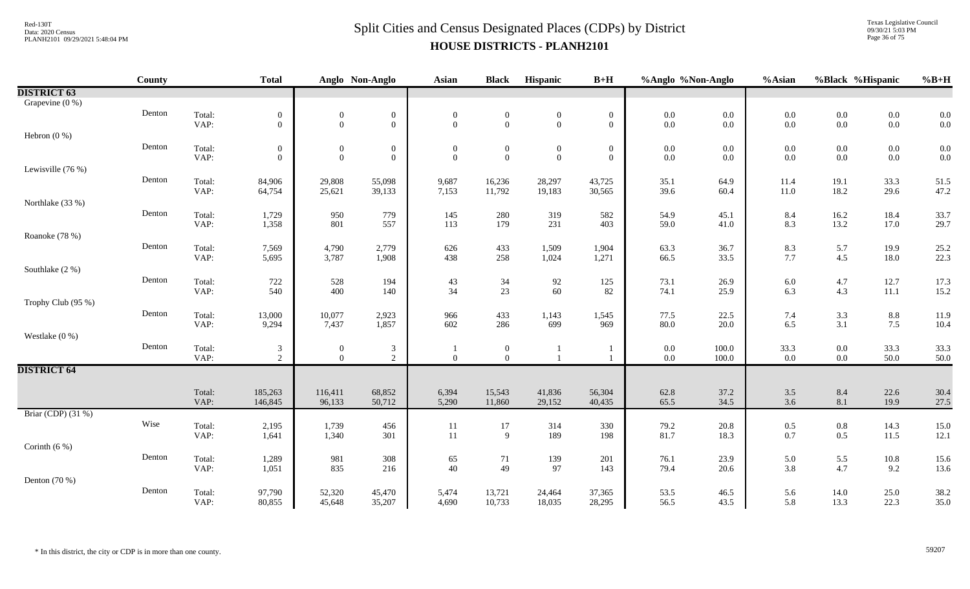Texas Legislative Council 09/30/21 5:03 PM Page 36 of 75

|                    | County |                | <b>Total</b>   |                  | Anglo Non-Anglo  | <b>Asian</b>     | <b>Black</b>     | Hispanic         | $B+H$            | %Anglo %Non-Anglo |              | %Asian     | %Black %Hispanic  |              | $%B+H$       |
|--------------------|--------|----------------|----------------|------------------|------------------|------------------|------------------|------------------|------------------|-------------------|--------------|------------|-------------------|--------------|--------------|
| <b>DISTRICT 63</b> |        |                |                |                  |                  |                  |                  |                  |                  |                   |              |            |                   |              |              |
| Grapevine (0 %)    |        |                |                |                  |                  |                  |                  |                  |                  |                   |              |            |                   |              |              |
|                    | Denton | Total:         | $\overline{0}$ | $\boldsymbol{0}$ | $\boldsymbol{0}$ | $\boldsymbol{0}$ | $\boldsymbol{0}$ | $\boldsymbol{0}$ | $\boldsymbol{0}$ | $0.0\,$           | $0.0\,$      | $0.0\,$    | $0.0\,$           | $0.0\,$      | 0.0          |
|                    |        | VAP:           | $\overline{0}$ | $\overline{0}$   | $\overline{0}$   | $\mathbf{0}$     | $\mathbf{0}$     | $\mathbf{0}$     | $\overline{0}$   | $0.0\,$           | $0.0\,$      | $0.0\,$    | $0.0\,$           | $0.0\,$      | 0.0          |
| Hebron $(0\%)$     |        |                |                |                  |                  |                  |                  |                  |                  |                   |              |            |                   |              |              |
|                    | Denton | Total:         | $\overline{0}$ | $\boldsymbol{0}$ | $\boldsymbol{0}$ | $\overline{0}$   | $\overline{0}$   | $\boldsymbol{0}$ | $\boldsymbol{0}$ | $0.0\,$           | $0.0\,$      | $0.0\,$    | $0.0\,$           | $0.0\,$      | 0.0          |
|                    |        | VAP:           | $\overline{0}$ | $\overline{0}$   | $\boldsymbol{0}$ | $\Omega$         | $\mathbf{0}$     | $\mathbf{0}$     | $\overline{0}$   | $0.0\,$           | 0.0          | $0.0\,$    | $0.0\,$           | $0.0\,$      | 0.0          |
| Lewisville (76 %)  |        |                |                |                  |                  |                  |                  |                  |                  |                   |              |            |                   |              |              |
|                    | Denton | Total:         | 84,906         | 29,808           | 55,098           | 9,687            | 16,236           | 28,297           | 43,725           | 35.1              | 64.9         | 11.4       | 19.1              | 33.3         | 51.5         |
|                    |        | VAP:           | 64,754         | 25,621           | 39,133           | 7,153            | 11,792           | 19,183           | 30,565           | 39.6              | 60.4         | 11.0       | 18.2              | 29.6         | 47.2         |
| Northlake (33 %)   | Denton |                |                |                  |                  |                  |                  |                  |                  |                   |              |            |                   |              |              |
|                    |        | Total:         | 1,729          | 950<br>801       | 779<br>557       | 145              | 280<br>179       | 319<br>231       | 582<br>403       | 54.9              | 45.1         | 8.4<br>8.3 | $16.2\,$<br>13.2  | 18.4         | 33.7         |
|                    |        | VAP:           | 1,358          |                  |                  | 113              |                  |                  |                  | 59.0              | 41.0         |            |                   | 17.0         | 29.7         |
| Roanoke (78 %)     | Denton |                |                |                  |                  |                  |                  |                  |                  |                   |              |            |                   |              |              |
|                    |        | Total:<br>VAP: | 7,569<br>5,695 | 4,790<br>3,787   | 2,779<br>1,908   | 626<br>438       | 433<br>258       | 1,509<br>1,024   | 1,904<br>1,271   | 63.3<br>66.5      | 36.7<br>33.5 | 8.3<br>7.7 | 5.7<br>4.5        | 19.9<br>18.0 | 25.2<br>22.3 |
| Southlake (2 %)    |        |                |                |                  |                  |                  |                  |                  |                  |                   |              |            |                   |              |              |
|                    | Denton | Total:         | 722            | 528              | 194              | 43               | $34\,$           | 92               | 125              | 73.1              | 26.9         | $6.0\,$    | 4.7               | 12.7         | 17.3         |
|                    |        | VAP:           | 540            | 400              | 140              | 34               | 23               | 60               | 82               | 74.1              | 25.9         | 6.3        | 4.3               | 11.1         | 15.2         |
| Trophy Club (95 %) |        |                |                |                  |                  |                  |                  |                  |                  |                   |              |            |                   |              |              |
|                    | Denton | Total:         | 13,000         | 10,077           | 2,923            | 966              | 433              | 1,143            | 1,545            | 77.5              | 22.5         | 7.4        |                   | $8.8\,$      | 11.9         |
|                    |        | VAP:           | 9,294          | 7,437            | 1,857            | 602              | 286              | 699              | 969              | 80.0              | 20.0         | 6.5        | $\frac{3.3}{3.1}$ | 7.5          | 10.4         |
| Westlake $(0\%)$   |        |                |                |                  |                  |                  |                  |                  |                  |                   |              |            |                   |              |              |
|                    | Denton | Total:         | 3              | $\boldsymbol{0}$ | $\mathfrak{Z}$   |                  | $\boldsymbol{0}$ |                  |                  | $0.0\,$           | 100.0        | 33.3       | $0.0\,$           | 33.3         | 33.3         |
|                    |        | VAP:           | $\overline{2}$ | $\Omega$         | $\overline{2}$   | $\mathbf{0}$     | $\overline{0}$   |                  |                  | $0.0\,$           | 100.0        | 0.0        | $0.0\,$           | 50.0         | 50.0         |
| <b>DISTRICT 64</b> |        |                |                |                  |                  |                  |                  |                  |                  |                   |              |            |                   |              |              |
|                    |        |                |                |                  |                  |                  |                  |                  |                  |                   |              |            |                   |              |              |
|                    |        | Total:         | 185,263        | 116,411          | 68,852           | 6,394            | 15,543           | 41,836           | 56,304           | 62.8              | 37.2         | 3.5        | $8.4\,$           | 22.6         | 30.4         |
|                    |        | VAP:           | 146,845        | 96,133           | 50,712           | 5,290            | 11,860           | 29,152           | 40,435           | 65.5              | 34.5         | 3.6        | 8.1               | 19.9         | 27.5         |
| Briar (CDP) (31 %) |        |                |                |                  |                  |                  |                  |                  |                  |                   |              |            |                   |              |              |
|                    | Wise   | Total:         | 2,195          | 1,739            | 456              | 11               | 17               | 314              | 330              | 79.2              | 20.8         | 0.5        | $0.8\,$           | 14.3         | 15.0         |
|                    |        | VAP:           | 1,641          | 1,340            | 301              | 11               | 9                | 189              | 198              | 81.7              | 18.3         | 0.7        | 0.5               | 11.5         | 12.1         |
| Corinth $(6\%)$    |        |                |                |                  |                  |                  |                  |                  |                  |                   |              |            |                   |              |              |
|                    | Denton | Total:         | 1,289          | 981              | 308              | 65               | 71               | 139              | 201              | 76.1              | 23.9         | 5.0        | 5.5               | $10.8\,$     | 15.6         |
|                    |        | VAP:           | 1,051          | 835              | 216              | 40               | 49               | 97               | 143              | 79.4              | 20.6         | 3.8        | 4.7               | 9.2          | 13.6         |
| Denton $(70\%)$    |        |                |                |                  |                  |                  |                  |                  |                  |                   |              |            |                   |              |              |
|                    | Denton | Total:         | 97,790         | 52,320           | 45,470           | 5,474            | 13,721           | 24,464           | 37,365           | 53.5              | 46.5         | 5.6        | 14.0              | 25.0         | 38.2         |
|                    |        | VAP:           | 80,855         | 45,648           | 35,207           | 4,690            | 10,733           | 18,035           | 28,295           | 56.5              | 43.5         | 5.8        | 13.3              | 22.3         | 35.0         |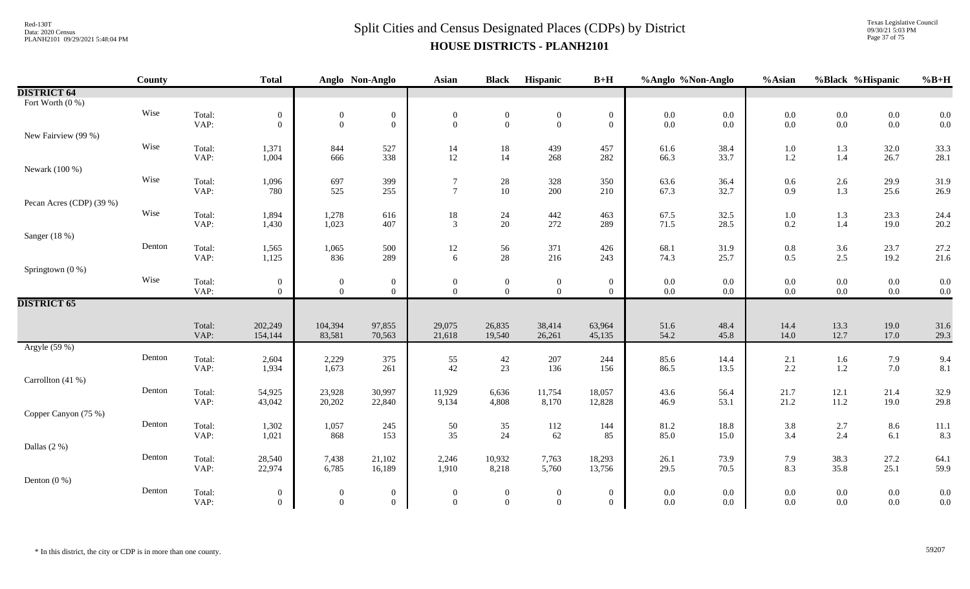#### $Split$  Cities and Census Designated Places (CDPs) by District Data: 2020 Census **HOUSE DISTRICTS - PLANH2101**

Texas Legislative Council 09/30/21 5:03 PM Page 37 of 75

|                          | County |                | <b>Total</b>                     |                                    | Anglo Non-Anglo                    | <b>Asian</b>                   | <b>Black</b>                       | Hispanic                         | $B+H$                            | %Anglo %Non-Anglo |                | %Asian         | %Black %Hispanic |                    | $%B+H$       |
|--------------------------|--------|----------------|----------------------------------|------------------------------------|------------------------------------|--------------------------------|------------------------------------|----------------------------------|----------------------------------|-------------------|----------------|----------------|------------------|--------------------|--------------|
| <b>DISTRICT 64</b>       |        |                |                                  |                                    |                                    |                                |                                    |                                  |                                  |                   |                |                |                  |                    |              |
| Fort Worth (0 %)         |        |                |                                  |                                    |                                    |                                |                                    |                                  |                                  |                   |                |                |                  |                    |              |
|                          | Wise   | Total:         | $\mathbf{0}$                     | $\boldsymbol{0}$                   | $\boldsymbol{0}$                   | $\boldsymbol{0}$               | $\boldsymbol{0}$                   | $\boldsymbol{0}$                 | $\boldsymbol{0}$                 | $0.0\,$           | $0.0\,$        | $0.0\,$        | $0.0\,$          | $0.0\,$            | 0.0          |
|                          |        | VAP:           | $\overline{0}$                   | $\theta$                           | $\mathbf{0}$                       | $\overline{0}$                 | $\mathbf{0}$                       | $\boldsymbol{0}$                 | $\overline{0}$                   | $0.0\,$           | $0.0\,$        | $0.0\,$        | $0.0\,$          | $0.0\,$            | 0.0          |
| New Fairview (99 %)      |        |                |                                  |                                    |                                    |                                |                                    |                                  |                                  |                   |                |                |                  |                    |              |
|                          | Wise   | Total:         | 1,371                            | 844                                | 527                                | 14                             | $18\,$                             | 439                              | 457                              | 61.6              | 38.4           | $1.0\,$        | 1.3              | 32.0               | 33.3         |
|                          |        | VAP:           | 1,004                            | 666                                | 338                                | 12                             | 14                                 | 268                              | 282                              | 66.3              | 33.7           | 1.2            | $1.4\,$          | 26.7               | 28.1         |
| Newark (100 %)           |        |                |                                  |                                    |                                    |                                |                                    |                                  |                                  |                   |                |                |                  |                    |              |
|                          | Wise   | Total:         | 1,096                            | 697                                | 399                                | $\tau$<br>$\overline{7}$       | $28\,$                             | 328                              | 350                              | 63.6              | 36.4           | 0.6            | $2.6\,$          | 29.9               | 31.9         |
|                          |        | VAP:           | 780                              | 525                                | 255                                |                                | 10                                 | 200                              | 210                              | 67.3              | 32.7           | 0.9            | $1.3$            | 25.6               | 26.9         |
| Pecan Acres (CDP) (39 %) | Wise   |                |                                  |                                    |                                    |                                |                                    |                                  |                                  |                   |                |                |                  |                    |              |
|                          |        | Total:<br>VAP: | 1,894<br>1,430                   | 1,278<br>1,023                     | 616<br>407                         | $18\,$<br>$\mathfrak{Z}$       | $24\,$<br>20                       | 442<br>272                       | 463<br>289                       | 67.5<br>71.5      | 32.5<br>28.5   | 1.0<br>0.2     | 1.3<br>1.4       | 23.3<br>19.0       | 24.4<br>20.2 |
|                          |        |                |                                  |                                    |                                    |                                |                                    |                                  |                                  |                   |                |                |                  |                    |              |
| Sanger (18 %)            | Denton |                |                                  |                                    |                                    |                                |                                    |                                  |                                  |                   |                |                |                  |                    |              |
|                          |        | Total:<br>VAP: | 1,565<br>1,125                   | 1,065<br>836                       | 500<br>289                         | 12<br>6                        | 56<br>$28\,$                       | 371<br>216                       | 426<br>243                       | 68.1<br>74.3      | 31.9<br>25.7   | $0.8\,$<br>0.5 | 3.6<br>$2.5\,$   | 23.7<br>19.2       | 27.2<br>21.6 |
| Springtown (0 %)         |        |                |                                  |                                    |                                    |                                |                                    |                                  |                                  |                   |                |                |                  |                    |              |
|                          | Wise   | Total:         |                                  |                                    |                                    |                                |                                    |                                  |                                  | $0.0\,$           | $0.0\,$        | $0.0\,$        | $0.0\,$          | $0.0\,$            | 0.0          |
|                          |        | VAP:           | $\overline{0}$<br>$\overline{0}$ | $\boldsymbol{0}$<br>$\overline{0}$ | $\boldsymbol{0}$<br>$\overline{0}$ | $\boldsymbol{0}$<br>$\theta$   | $\overline{0}$<br>$\overline{0}$   | $\boldsymbol{0}$<br>$\mathbf{0}$ | $\overline{0}$<br>$\overline{0}$ | $0.0\,$           | $0.0\,$        | $0.0\,$        | $0.0\,$          | $0.0\,$            | 0.0          |
| <b>DISTRICT 65</b>       |        |                |                                  |                                    |                                    |                                |                                    |                                  |                                  |                   |                |                |                  |                    |              |
|                          |        |                |                                  |                                    |                                    |                                |                                    |                                  |                                  |                   |                |                |                  |                    |              |
|                          |        | Total:         | 202,249                          | 104,394                            | 97,855                             | 29,075                         | 26,835                             | 38,414                           | 63,964                           | 51.6              | 48.4           | 14.4           | 13.3             | 19.0               | 31.6         |
|                          |        | VAP:           | 154,144                          | 83,581                             | 70,563                             | 21,618                         | 19,540                             | 26,261                           | 45,135                           | 54.2              | 45.8           | 14.0           | 12.7             | 17.0               | 29.3         |
| Argyle (59 %)            |        |                |                                  |                                    |                                    |                                |                                    |                                  |                                  |                   |                |                |                  |                    |              |
|                          | Denton | Total:         | 2,604                            | 2,229                              | 375                                | 55                             | $42\,$                             | $207\,$                          | 244                              | 85.6              | 14.4           | 2.1            | 1.6              | 7.9                | 9.4          |
|                          |        | VAP:           | 1,934                            | 1,673                              | 261                                | 42                             | 23                                 | 136                              | 156                              | 86.5              | 13.5           | 2.2            | $1.2\,$          | 7.0                | 8.1          |
| Carrollton (41 %)        |        |                |                                  |                                    |                                    |                                |                                    |                                  |                                  |                   |                |                |                  |                    |              |
|                          | Denton | Total:         | 54,925                           | 23,928                             | 30,997                             | 11,929                         | 6,636                              | 11,754                           | 18,057                           | 43.6              | 56.4           | 21.7           | 12.1             | 21.4               | 32.9         |
|                          |        | VAP:           | 43,042                           | 20,202                             | 22,840                             | 9,134                          | 4,808                              | 8,170                            | 12,828                           | 46.9              | 53.1           | 21.2           | $11.2\,$         | 19.0               | 29.8         |
| Copper Canyon (75 %)     |        |                |                                  |                                    |                                    |                                |                                    |                                  |                                  |                   |                |                |                  |                    |              |
|                          | Denton | Total:         | 1,302                            | 1,057                              | 245                                | 50                             | 35                                 | 112                              | 144                              | 81.2              | 18.8           | 3.8            | $2.7\,$          | 8.6                | 11.1         |
|                          |        | VAP:           | 1,021                            | 868                                | 153                                | 35                             | 24                                 | 62                               | 85                               | 85.0              | 15.0           | 3.4            | 2.4              | 6.1                | 8.3          |
| Dallas (2 %)             |        |                |                                  |                                    |                                    |                                |                                    |                                  |                                  |                   |                |                |                  |                    |              |
|                          | Denton | Total:         | 28,540                           | 7,438                              | 21,102                             | 2,246                          | 10,932                             | 7,763                            | 18,293                           | 26.1              | 73.9           | 7.9            | 38.3             | 27.2               | 64.1         |
|                          |        | VAP:           | 22,974                           | 6,785                              | 16,189                             | 1,910                          | 8,218                              | 5,760                            | 13,756                           | 29.5              | 70.5           | 8.3            | 35.8             | 25.1               | 59.9         |
| Denton $(0\%)$           | Denton |                |                                  |                                    |                                    |                                |                                    |                                  |                                  |                   |                |                |                  |                    |              |
|                          |        | Total:<br>VAP: | $\overline{0}$<br>$\overline{0}$ | $\overline{0}$<br>$\overline{0}$   | $\overline{0}$<br>$\overline{0}$   | $\overline{0}$<br>$\mathbf{0}$ | $\boldsymbol{0}$<br>$\overline{0}$ | $\boldsymbol{0}$<br>$\mathbf{0}$ | $\overline{0}$<br>$\Omega$       | $0.0\,$<br>0.0    | 0.0<br>$0.0\,$ | 0.0<br>0.0     | $0.0\,$<br>0.0   | $0.0\,$<br>$0.0\,$ | 0.0<br>0.0   |
|                          |        |                |                                  |                                    |                                    |                                |                                    |                                  |                                  |                   |                |                |                  |                    |              |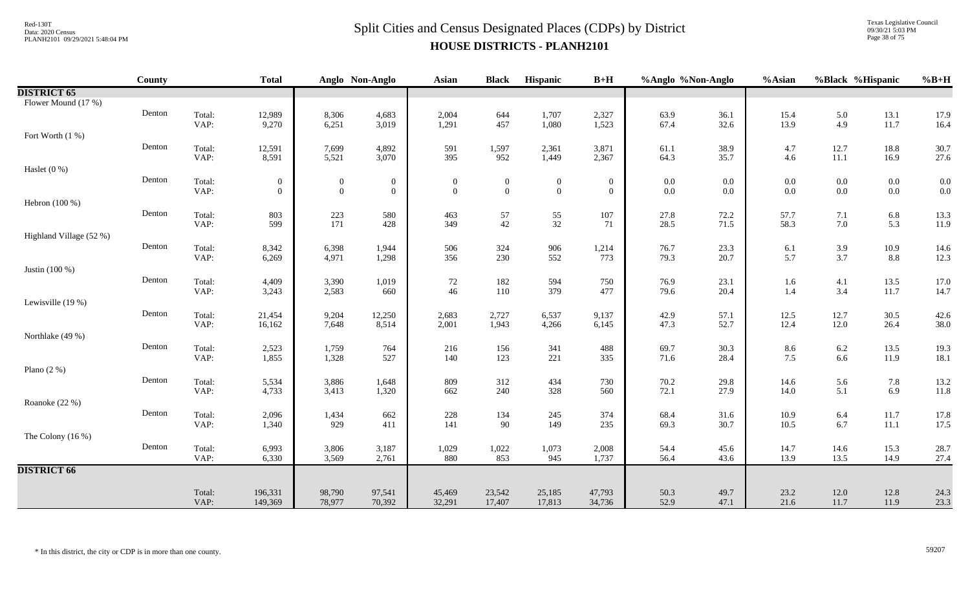Texas Legislative Council 09/30/21 5:03 PM Page 38 of 75

|                         | County |                | <b>Total</b>     |                  | Anglo Non-Anglo  | <b>Asian</b>     | <b>Black</b> | Hispanic         | $B+H$            | %Anglo %Non-Anglo |              | %Asian           | %Black %Hispanic |                      | $%B+H$                                    |
|-------------------------|--------|----------------|------------------|------------------|------------------|------------------|--------------|------------------|------------------|-------------------|--------------|------------------|------------------|----------------------|-------------------------------------------|
| <b>DISTRICT 65</b>      |        |                |                  |                  |                  |                  |              |                  |                  |                   |              |                  |                  |                      |                                           |
| Flower Mound (17 %)     |        |                |                  |                  |                  |                  |              |                  |                  |                   |              |                  |                  |                      |                                           |
|                         | Denton | Total:         | 12,989           | 8,306            | 4,683            | 2,004            | 644          | 1,707            | 2,327            | 63.9              | 36.1         | 15.4             | 5.0              | 13.1                 | 17.9                                      |
|                         |        | VAP:           | 9,270            | 6,251            | 3,019            | 1,291            | 457          | 1,080            | 1,523            | 67.4              | 32.6         | 13.9             | 4.9              | 11.7                 | 16.4                                      |
| Fort Worth (1 %)        |        |                |                  |                  |                  |                  |              |                  |                  |                   |              |                  |                  |                      |                                           |
|                         | Denton | Total:<br>VAP: | 12,591<br>8,591  | 7,699<br>5,521   | 4,892<br>3,070   | 591<br>395       | 1,597<br>952 | 2,361<br>1,449   | 3,871<br>2,367   | 61.1<br>64.3      | 38.9<br>35.7 | 4.7<br>4.6       | 12.7<br>$11.1\,$ | 18.8<br>16.9         | 30.7<br>27.6                              |
| Haslet $(0\%)$          |        |                |                  |                  |                  |                  |              |                  |                  |                   |              |                  |                  |                      |                                           |
|                         | Denton | Total:         | $\boldsymbol{0}$ | $\boldsymbol{0}$ | $\boldsymbol{0}$ | $\boldsymbol{0}$ | $\mathbf{0}$ | $\boldsymbol{0}$ | $\boldsymbol{0}$ | $0.0\,$           | 0.0          | $0.0\,$          | $0.0\,$          | $0.0\,$              |                                           |
|                         |        | VAP:           | $\mathbf{0}$     | $\overline{0}$   | $\mathbf{0}$     | $\mathbf{0}$     | $\mathbf{0}$ | $\mathbf{0}$     | $\overline{0}$   | $0.0\,$           | $0.0\,$      | 0.0              | $0.0\,$          | $0.0\,$              | $\begin{array}{c} 0.0 \\ 0.0 \end{array}$ |
| Hebron (100 %)          |        |                |                  |                  |                  |                  |              |                  |                  |                   |              |                  |                  |                      |                                           |
|                         | Denton | Total:         | 803              | $223\,$          | 580              | 463              | 57           | 55               | 107              | 27.8              | 72.2         | 57.7             | 7.1              | $6.8\,$              | 13.3                                      |
|                         |        | VAP:           | 599              | 171              | 428              | 349              | $42\,$       | 32               | 71               | 28.5              | 71.5         | 58.3             | $7.0\,$          | 5.3                  | 11.9                                      |
| Highland Village (52 %) |        |                |                  |                  |                  |                  |              |                  |                  |                   |              |                  |                  |                      |                                           |
|                         | Denton | Total:         | 8,342            | 6,398            | 1,944            | 506              | 324          | 906              | 1,214            | 76.7              | 23.3         | 6.1              | 3.9              | 10.9                 | 14.6                                      |
|                         |        | VAP:           | 6,269            | 4,971            | 1,298            | 356              | 230          | 552              | 773              | 79.3              | 20.7         | 5.7              | 3.7              | $8.8\,$              | 12.3                                      |
| Justin (100 %)          |        |                |                  |                  |                  |                  |              |                  |                  |                   |              |                  |                  |                      |                                           |
|                         | Denton | Total:<br>VAP: | 4,409<br>3,243   | 3,390<br>2,583   | 1,019<br>660     | 72<br>46         | 182<br>110   | 594<br>379       | 750<br>477       | 76.9<br>79.6      | 23.1<br>20.4 | 1.6<br>1.4       | 4.1<br>3.4       | 13.5<br>11.7         | 17.0<br>14.7                              |
| Lewisville (19 %)       |        |                |                  |                  |                  |                  |              |                  |                  |                   |              |                  |                  |                      |                                           |
|                         | Denton | Total:         | 21,454           | 9,204            | 12,250           | 2,683            | 2,727        | 6,537            | 9,137            | 42.9              | 57.1         | 12.5             | 12.7             | 30.5                 | 42.6                                      |
|                         |        | VAP:           | 16,162           | 7,648            | 8,514            | 2,001            | 1,943        | 4,266            | 6,145            | 47.3              | 52.7         | 12.4             | 12.0             | 26.4                 | 38.0                                      |
| Northlake (49 %)        |        |                |                  |                  |                  |                  |              |                  |                  |                   |              |                  |                  |                      |                                           |
|                         | Denton | Total:         | 2,523            | 1,759            | 764              | 216              | 156          | 341              | 488              | 69.7              | 30.3         | 8.6              | 6.2              | 13.5                 | 19.3                                      |
|                         |        | VAP:           | 1,855            | 1,328            | 527              | 140              | 123          | 221              | 335              | 71.6              | 28.4         | 7.5              | 6.6              | 11.9                 | 18.1                                      |
| Plano $(2 \%)$          |        |                |                  |                  |                  |                  |              |                  |                  |                   |              |                  |                  |                      |                                           |
|                         | Denton | Total:         | 5,534            | 3,886            | 1,648            | 809              | 312          | 434              | 730              | 70.2              | 29.8         | 14.6             | 5.6              | 7.8                  | 13.2                                      |
|                         |        | VAP:           | 4,733            | 3,413            | 1,320            | 662              | 240          | 328              | 560              | 72.1              | 27.9         | 14.0             | 5.1              | 6.9                  | 11.8                                      |
| Roanoke (22 %)          | Denton |                |                  |                  |                  |                  |              |                  |                  |                   |              |                  |                  |                      |                                           |
|                         |        | Total:<br>VAP: | 2,096<br>1,340   | 1,434<br>929     | 662<br>411       | 228<br>141       | 134<br>90    | 245<br>149       | 374<br>235       | 68.4<br>69.3      | 31.6<br>30.7 | $10.9\,$<br>10.5 | $6.4\,$<br>6.7   | $11.7\,$<br>$11.1\,$ | 17.8<br>17.5                              |
| The Colony $(16\%)$     |        |                |                  |                  |                  |                  |              |                  |                  |                   |              |                  |                  |                      |                                           |
|                         | Denton | Total:         | 6,993            | 3,806            | 3,187            | 1,029            | 1,022        | 1,073            | 2,008            | 54.4              | 45.6         | 14.7             | 14.6             | 15.3                 | 28.7                                      |
|                         |        | VAP:           | 6,330            | 3,569            | 2,761            | 880              | 853          | 945              | 1,737            | 56.4              | 43.6         | 13.9             | 13.5             | 14.9                 | 27.4                                      |
| <b>DISTRICT 66</b>      |        |                |                  |                  |                  |                  |              |                  |                  |                   |              |                  |                  |                      |                                           |
|                         |        |                |                  |                  |                  |                  |              |                  |                  |                   |              |                  |                  |                      |                                           |
|                         |        | Total:         | 196,331          | 98,790           | 97,541           | 45,469           | 23,542       | 25,185           | 47,793           | 50.3              | 49.7         | 23.2             | 12.0             | 12.8                 | 24.3                                      |
|                         |        | VAP:           | 149,369          | 78,977           | 70,392           | 32,291           | 17,407       | 17,813           | 34,736           | 52.9              | 47.1         | 21.6             | 11.7             | 11.9                 | 23.3                                      |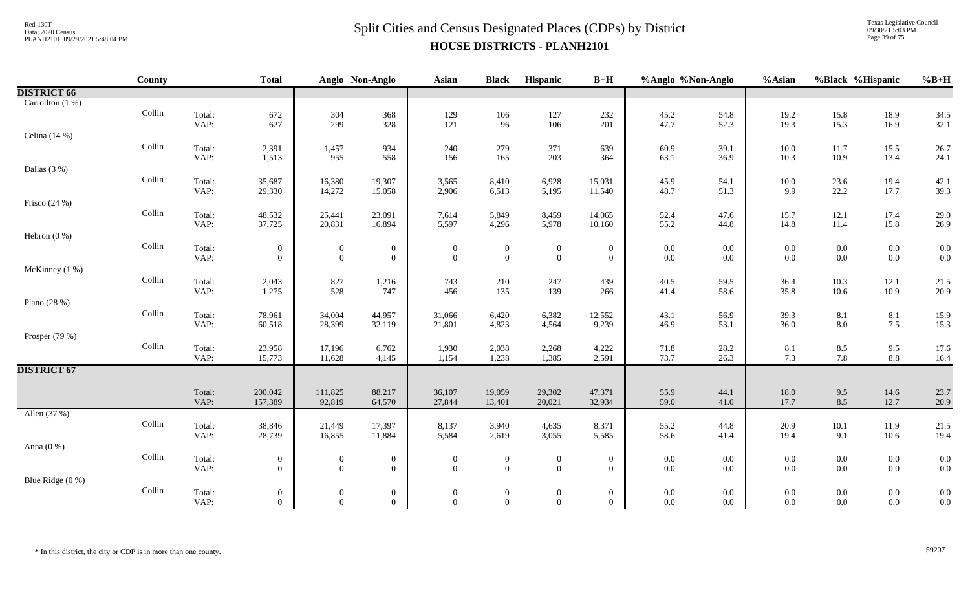Texas Legislative Council 09/30/21 5:03 PM Page 39 of 75

|                    | County |                | <b>Total</b>     |                  | Anglo Non-Anglo  | <b>Asian</b>     | <b>Black</b>     | Hispanic         | $B+H$            | %Anglo %Non-Anglo |              | %Asian          | %Black %Hispanic |                   | $%B+H$       |
|--------------------|--------|----------------|------------------|------------------|------------------|------------------|------------------|------------------|------------------|-------------------|--------------|-----------------|------------------|-------------------|--------------|
| <b>DISTRICT 66</b> |        |                |                  |                  |                  |                  |                  |                  |                  |                   |              |                 |                  |                   |              |
| Carrollton (1 %)   |        |                |                  |                  |                  |                  |                  |                  |                  |                   |              |                 |                  |                   |              |
|                    | Collin | Total:         | 672              | 304<br>299       | 368              | 129              | $106\,$          | 127              | 232              | 45.2              | 54.8         | 19.2            | 15.8             | 18.9              | 34.5         |
|                    |        | VAP:           | 627              |                  | 328              | 121              | 96               | 106              | 201              | 47.7              | 52.3         | 19.3            | 15.3             | 16.9              | 32.1         |
| Celina $(14%)$     |        |                |                  |                  |                  |                  |                  |                  |                  |                   |              |                 |                  |                   |              |
|                    | Collin | Total:         | 2,391            | 1,457            | 934              | 240              | 279              | 371              | 639              | 60.9              | 39.1         | $10.0\,$        | 11.7             | 15.5              | 26.7         |
|                    |        | VAP:           | 1,513            | 955              | 558              | 156              | 165              | 203              | 364              | 63.1              | 36.9         | 10.3            | 10.9             | 13.4              | 24.1         |
| Dallas $(3%)$      | Collin |                |                  |                  |                  |                  |                  |                  |                  |                   |              |                 |                  |                   |              |
|                    |        | Total:<br>VAP: | 35,687<br>29,330 | 16,380<br>14,272 | 19,307<br>15,058 | 3,565<br>2,906   | 8,410<br>6,513   | 6,928<br>5,195   | 15,031<br>11,540 | 45.9<br>48.7      | 54.1<br>51.3 | $10.0\,$<br>9.9 | 23.6<br>22.2     | 19.4<br>17.7      | 42.1<br>39.3 |
| Frisco $(24%)$     |        |                |                  |                  |                  |                  |                  |                  |                  |                   |              |                 |                  |                   |              |
|                    | Collin | Total:         | 48,532           | 25,441           | 23,091           | 7,614            | 5,849            | 8,459            | 14,065           | 52.4              | 47.6         | 15.7            | 12.1             | 17.4              | 29.0         |
|                    |        | VAP:           | 37,725           | 20,831           | 16,894           | 5,597            | 4,296            | 5,978            | 10,160           | 55.2              | 44.8         | 14.8            | 11.4             | 15.8              | 26.9         |
| Hebron $(0\%)$     |        |                |                  |                  |                  |                  |                  |                  |                  |                   |              |                 |                  |                   |              |
|                    | Collin | Total:         | $\mathbf{0}$     | $\overline{0}$   | $\mathbf{0}$     | $\mathbf{0}$     | $\bf{0}$         | $\bf{0}$         | $\mathbf{0}$     | $0.0\,$           | $0.0\,$      | $0.0\,$         | $0.0\,$          | $0.0\,$           | 0.0          |
|                    |        | VAP:           | $\overline{0}$   | $\boldsymbol{0}$ | $\overline{0}$   | $\mathbf{0}$     | $\mathbf{0}$     | $\boldsymbol{0}$ | $\overline{0}$   | $0.0\,$           | $0.0\,$      | 0.0             | $0.0\,$          | $0.0\,$           | 0.0          |
| McKinney (1 %)     |        |                |                  |                  |                  |                  |                  |                  |                  |                   |              |                 |                  |                   |              |
|                    | Collin | Total:         | 2,043            | 827              | 1,216            | 743              | 210              | 247              | 439              | 40.5              | 59.5         | 36.4            | 10.3             | 12.1              | 21.5         |
|                    |        | VAP:           | 1,275            | 528              | 747              | 456              | 135              | 139              | 266              | 41.4              | 58.6         | 35.8            | 10.6             | 10.9              | 20.9         |
| Plano (28 %)       | Collin |                |                  |                  |                  |                  |                  |                  |                  |                   |              |                 |                  |                   |              |
|                    |        | Total:<br>VAP: | 78,961<br>60,518 | 34,004<br>28,399 | 44,957<br>32,119 | 31,066<br>21,801 | 6,420<br>4,823   | 6,382<br>4,564   | 12,552<br>9,239  | 43.1<br>46.9      | 56.9<br>53.1 | 39.3<br>36.0    | 8.1<br>$8.0\,$   | $\frac{8.1}{7.5}$ | 15.9<br>15.3 |
| Prosper (79 %)     |        |                |                  |                  |                  |                  |                  |                  |                  |                   |              |                 |                  |                   |              |
|                    | Collin | Total:         | 23,958           | 17,196           | 6,762            | 1,930            | 2,038            | 2,268            | 4,222            | 71.8              | 28.2         | 8.1             | $8.5\,$          | 9.5               | 17.6         |
|                    |        | VAP:           | 15,773           | 11,628           | 4,145            | 1,154            | 1,238            | 1,385            | 2,591            | 73.7              | 26.3         | 7.3             | 7.8              | 8.8               | 16.4         |
| <b>DISTRICT 67</b> |        |                |                  |                  |                  |                  |                  |                  |                  |                   |              |                 |                  |                   |              |
|                    |        |                |                  |                  |                  |                  |                  |                  |                  |                   |              |                 |                  |                   |              |
|                    |        | Total:         | 200,042          | 111,825          | 88,217           | 36,107           | 19,059           | 29,302           | 47,371           | 55.9              | 44.1         | 18.0            | $9.5\,$          | 14.6              | 23.7         |
|                    |        | VAP:           | 157,389          | 92,819           | 64,570           | 27,844           | 13,401           | 20,021           | 32,934           | 59.0              | 41.0         | 17.7            | 8.5              | 12.7              | 20.9         |
| Allen (37 %)       | Collin |                |                  |                  |                  |                  |                  |                  |                  |                   |              |                 |                  |                   |              |
|                    |        | Total:<br>VAP: | 38,846<br>28,739 | 21,449<br>16,855 | 17,397<br>11,884 | 8,137<br>5,584   | 3,940<br>2,619   | 4,635<br>3,055   | 8,371<br>5,585   | 55.2<br>58.6      | 44.8<br>41.4 | 20.9<br>19.4    | 10.1<br>9.1      | 11.9<br>10.6      | 21.5<br>19.4 |
| Anna $(0\%)$       |        |                |                  |                  |                  |                  |                  |                  |                  |                   |              |                 |                  |                   |              |
|                    | Collin | Total:         | $\overline{0}$   | $\boldsymbol{0}$ | $\boldsymbol{0}$ | $\mathbf{0}$     | $\boldsymbol{0}$ | $\boldsymbol{0}$ | $\boldsymbol{0}$ | $0.0\,$           | $0.0\,$      | 0.0             | $0.0\,$          | $0.0\,$           | 0.0          |
|                    |        | VAP:           | $\overline{0}$   | $\mathbf{0}$     | $\overline{0}$   | $\theta$         | $\overline{0}$   | $\mathbf{0}$     | $\theta$         | 0.0               | $0.0\,$      | 0.0             | $0.0\,$          | $0.0\,$           | 0.0          |
| Blue Ridge (0 %)   |        |                |                  |                  |                  |                  |                  |                  |                  |                   |              |                 |                  |                   |              |
|                    | Collin | Total:         | $\mathbf{0}$     | $\boldsymbol{0}$ | $\boldsymbol{0}$ | $\overline{0}$   | $\boldsymbol{0}$ | $\boldsymbol{0}$ | $\overline{0}$   | $0.0\,$           | $0.0\,$      | 0.0             | $0.0\,$          | $0.0\,$           | 0.0          |
|                    |        | VAP:           | $\overline{0}$   | $\mathbf{0}$     | $\Omega$         | $\theta$         | $\overline{0}$   | $\mathbf{0}$     | $\theta$         | 0.0               | $0.0\,$      | 0.0             | $0.0\,$          | $0.0\,$           | 0.0          |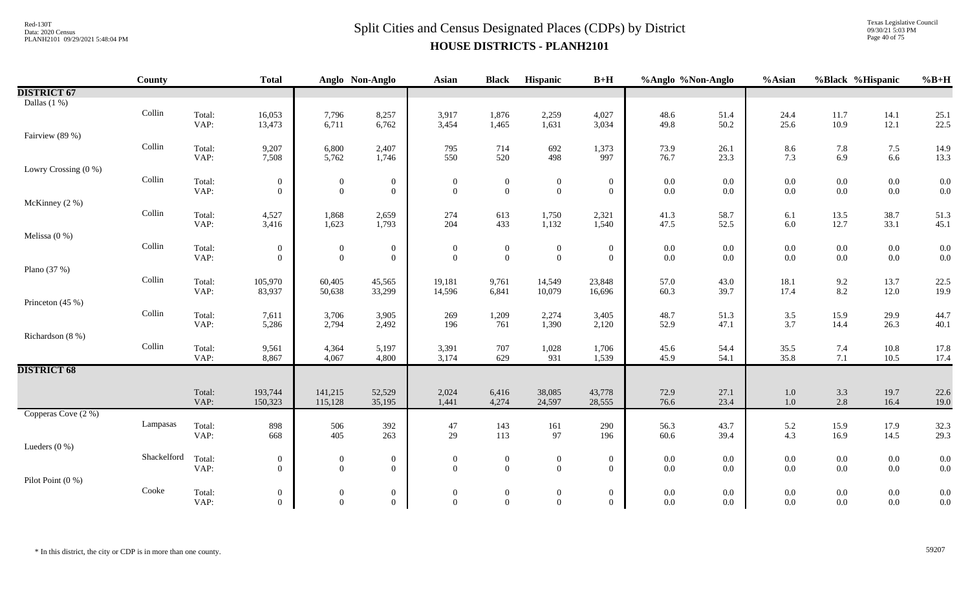Texas Legislative Council 09/30/21 5:03 PM Page 40 of 75

|                      | <b>County</b>           |                | <b>Total</b>                     |                            | Anglo Non-Anglo              | Asian            | <b>Black</b>     | Hispanic         | $B+H$            | %Anglo %Non-Anglo                         |              | %Asian             | %Black %Hispanic |              | $%B+H$                                    |
|----------------------|-------------------------|----------------|----------------------------------|----------------------------|------------------------------|------------------|------------------|------------------|------------------|-------------------------------------------|--------------|--------------------|------------------|--------------|-------------------------------------------|
| <b>DISTRICT 67</b>   |                         |                |                                  |                            |                              |                  |                  |                  |                  |                                           |              |                    |                  |              |                                           |
| Dallas $(1%)$        |                         |                |                                  |                            |                              |                  |                  |                  |                  |                                           |              |                    |                  |              |                                           |
|                      | Collin                  | Total:         | 16,053                           | 7,796                      | 8,257                        | 3,917            | 1,876            | 2,259            | 4,027            | 48.6                                      | 51.4         | 24.4               | 11.7             | 14.1         | 25.1                                      |
|                      |                         | VAP:           | 13,473                           | 6,711                      | 6,762                        | 3,454            | 1,465            | 1,631            | 3,034            | 49.8                                      | 50.2         | 25.6               | 10.9             | 12.1         | 22.5                                      |
| Fairview (89 %)      |                         |                |                                  |                            |                              |                  |                  |                  |                  |                                           |              |                    |                  |              |                                           |
|                      | Collin                  | Total:         | 9,207                            | 6,800                      | 2,407                        | 795              | 714              | 692              | 1,373            | 73.9                                      | 26.1         | 8.6                | 7.8              | 7.5          | 14.9                                      |
|                      |                         | VAP:           | 7,508                            | 5,762                      | 1,746                        | 550              | 520              | 498              | 997              | 76.7                                      | 23.3         | 7.3                | 6.9              | 6.6          | 13.3                                      |
| Lowry Crossing (0 %) |                         |                |                                  |                            |                              |                  |                  |                  |                  |                                           |              |                    |                  |              |                                           |
|                      | Collin                  | Total:         | $\mathbf{0}$                     | $\overline{0}$             | $\bf{0}$                     | $\boldsymbol{0}$ | $\boldsymbol{0}$ | $\boldsymbol{0}$ | $\mathbf{0}$     | $\begin{array}{c} 0.0 \\ 0.0 \end{array}$ | 0.0          | $0.0\,$            | $0.0\,$          | $0.0\,$      | $\begin{array}{c} 0.0 \\ 0.0 \end{array}$ |
|                      |                         | VAP:           | $\overline{0}$                   | $\overline{0}$             | $\overline{0}$               | $\overline{0}$   | $\overline{0}$   | $\mathbf{0}$     | $\overline{0}$   |                                           | 0.0          | 0.0                | $0.0\,$          | $0.0\,$      |                                           |
| McKinney (2 %)       | Collin                  |                |                                  |                            |                              |                  |                  |                  |                  |                                           |              |                    |                  |              |                                           |
|                      |                         | Total:<br>VAP: | 4,527<br>3,416                   | 1,868<br>1,623             | 2,659<br>1,793               | 274<br>204       | 613<br>433       | 1,750<br>1,132   | 2,321<br>1,540   | 41.3<br>47.5                              | 58.7<br>52.5 | 6.1<br>6.0         | 13.5<br>12.7     | 38.7<br>33.1 | 51.3<br>45.1                              |
| Melissa $(0\%)$      |                         |                |                                  |                            |                              |                  |                  |                  |                  |                                           |              |                    |                  |              |                                           |
|                      | Collin                  | Total:         |                                  |                            |                              | $\boldsymbol{0}$ | $\overline{0}$   | $\boldsymbol{0}$ | $\overline{0}$   |                                           | 0.0          | 0.0                | $0.0\,$          | $0.0\,$      | 0.0                                       |
|                      |                         | VAP:           | $\overline{0}$<br>$\overline{0}$ | $\bf{0}$<br>$\overline{0}$ | $\bf{0}$<br>$\boldsymbol{0}$ | $\boldsymbol{0}$ | $\boldsymbol{0}$ | $\boldsymbol{0}$ | $\overline{0}$   | $0.0\,$<br>$0.0\,$                        | 0.0          | 0.0                | $0.0\,$          | $0.0\,$      | 0.0                                       |
| Plano $(37%)$        |                         |                |                                  |                            |                              |                  |                  |                  |                  |                                           |              |                    |                  |              |                                           |
|                      | $\operatorname{Collin}$ | Total:         | 105,970                          | 60,405                     | 45,565                       | 19,181           | 9,761            | 14,549           | 23,848           | 57.0                                      | 43.0         | 18.1               | 9.2              | 13.7         | 22.5                                      |
|                      |                         | VAP:           | 83,937                           | 50,638                     | 33,299                       | 14,596           | 6,841            | 10,079           | 16,696           | 60.3                                      | 39.7         | 17.4               | $8.2\,$          | 12.0         | 19.9                                      |
| Princeton (45 %)     |                         |                |                                  |                            |                              |                  |                  |                  |                  |                                           |              |                    |                  |              |                                           |
|                      | Collin                  | Total:         | 7,611                            | 3,706                      | 3,905                        | 269              | 1,209            | 2,274            | 3,405            | 48.7                                      | 51.3         | 3.5                | 15.9             | 29.9         | 44.7                                      |
|                      |                         | VAP:           | 5,286                            | 2,794                      | 2,492                        | 196              | 761              | 1,390            | 2,120            | 52.9                                      | 47.1         | 3.7                | 14.4             | 26.3         | 40.1                                      |
| Richardson (8 %)     |                         |                |                                  |                            |                              |                  |                  |                  |                  |                                           |              |                    |                  |              |                                           |
|                      | Collin                  | Total:         | 9,561                            | 4,364                      | 5,197                        | 3,391            | 707              | 1,028            | 1,706            | 45.6                                      | 54.4         | 35.5               | 7.4              | $10.8\,$     | 17.8                                      |
|                      |                         | VAP:           | 8,867                            | 4,067                      | 4,800                        | 3,174            | 629              | 931              | 1,539            | 45.9                                      | 54.1         | 35.8               | 7.1              | 10.5         | 17.4                                      |
| <b>DISTRICT 68</b>   |                         |                |                                  |                            |                              |                  |                  |                  |                  |                                           |              |                    |                  |              |                                           |
|                      |                         |                |                                  |                            |                              |                  |                  |                  |                  |                                           |              |                    |                  |              |                                           |
|                      |                         | Total:<br>VAP: | 193,744<br>150,323               | 141,215<br>115,128         | 52,529<br>35,195             | 2,024<br>1,441   | 6,416<br>4,274   | 38,085<br>24,597 | 43,778<br>28,555 | 72.9<br>76.6                              | 27.1<br>23.4 | $1.0\,$<br>$1.0\,$ | 3.3<br>2.8       | 19.7<br>16.4 | 22.6<br>19.0                              |
| Copperas Cove (2 %)  |                         |                |                                  |                            |                              |                  |                  |                  |                  |                                           |              |                    |                  |              |                                           |
|                      | Lampasas                | Total:         | 898                              | 506                        | 392                          | 47               | 143              | 161              | 290              | 56.3                                      | 43.7         | 5.2                | 15.9             | 17.9         | 32.3                                      |
|                      |                         | VAP:           | 668                              | 405                        | 263                          | 29               | 113              | 97               | 196              | 60.6                                      | 39.4         | 4.3                | 16.9             | 14.5         | 29.3                                      |
| Lueders $(0\%)$      |                         |                |                                  |                            |                              |                  |                  |                  |                  |                                           |              |                    |                  |              |                                           |
|                      | Shackelford             | Total:         | $\mathbf{0}$                     | $\overline{0}$             | $\bf{0}$                     | $\boldsymbol{0}$ | $\boldsymbol{0}$ | $\boldsymbol{0}$ | $\mathbf{0}$     | $0.0\,$                                   | 0.0          | $0.0\,$            | $0.0\,$          | $0.0\,$      | 0.0                                       |
|                      |                         | VAP:           | $\overline{0}$                   | $\overline{0}$             | $\mathbf{0}$                 | $\Omega$         | $\mathbf{0}$     | $\overline{0}$   | $\overline{0}$   | $0.0\,$                                   | 0.0          | 0.0                | $0.0\,$          | $0.0\,$      | 0.0                                       |
| Pilot Point $(0\%)$  |                         |                |                                  |                            |                              |                  |                  |                  |                  |                                           |              |                    |                  |              |                                           |
|                      | Cooke                   | Total:         | $\mathbf{0}$                     | $\overline{0}$             | $\boldsymbol{0}$             | $\boldsymbol{0}$ | $\boldsymbol{0}$ | $\boldsymbol{0}$ | $\mathbf{0}$     | $0.0\,$                                   | 0.0          | 0.0                | $0.0\,$          | $0.0\,$      | 0.0                                       |
|                      |                         | VAP:           | $\overline{0}$                   | $\overline{0}$             | $\overline{0}$               | $\overline{0}$   | $\overline{0}$   | $\overline{0}$   | $\overline{0}$   | $0.0\,$                                   | $0.0\,$      | 0.0                | $0.0\,$          | $0.0\,$      | 0.0                                       |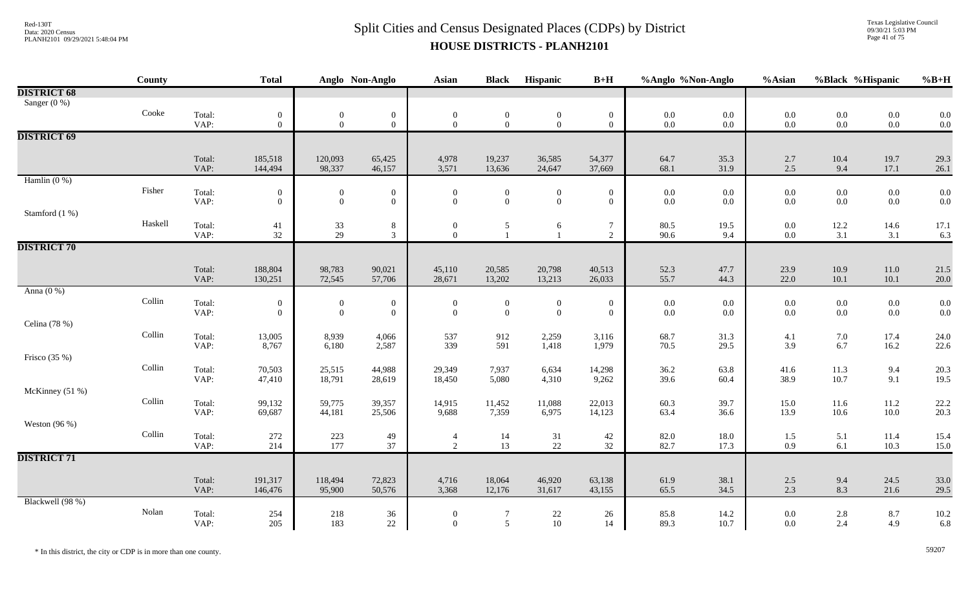Texas Legislative Council 09/30/21 5:03 PM Page 41 of 75

|                    | County  |                | <b>Total</b>                     |                                           | Anglo Non-Anglo                | <b>Asian</b>                         | <b>Black</b>                 | Hispanic                           | $B+H$                          | %Anglo %Non-Anglo                         |                    | %Asian                                    |                                           | %Black %Hispanic   | $%B+H$       |
|--------------------|---------|----------------|----------------------------------|-------------------------------------------|--------------------------------|--------------------------------------|------------------------------|------------------------------------|--------------------------------|-------------------------------------------|--------------------|-------------------------------------------|-------------------------------------------|--------------------|--------------|
| <b>DISTRICT 68</b> |         |                |                                  |                                           |                                |                                      |                              |                                    |                                |                                           |                    |                                           |                                           |                    |              |
| Sanger (0 %)       |         |                |                                  |                                           |                                |                                      |                              |                                    |                                |                                           |                    |                                           |                                           |                    |              |
|                    | Cooke   | Total:         | $\overline{0}$                   | $\boldsymbol{0}$                          | $\overline{0}$                 | $\mathbf{0}$                         | $\bf{0}$                     | $\boldsymbol{0}$                   | $\bf{0}$                       | $\begin{array}{c} 0.0 \\ 0.0 \end{array}$ | $0.0\,$            | $\begin{array}{c} 0.0 \\ 0.0 \end{array}$ | $\begin{array}{c} 0.0 \\ 0.0 \end{array}$ | $0.0\,$            | 0.0          |
|                    |         | VAP:           | $\overline{0}$                   | $\mathbf{0}$                              | $\overline{0}$                 | $\mathbf{0}$                         | $\mathbf{0}$                 | $\overline{0}$                     | $\mathbf{0}$                   |                                           | $0.0\,$            |                                           |                                           | $0.0\,$            | 0.0          |
| <b>DISTRICT 69</b> |         |                |                                  |                                           |                                |                                      |                              |                                    |                                |                                           |                    |                                           |                                           |                    |              |
|                    |         |                |                                  |                                           |                                |                                      |                              |                                    |                                |                                           |                    |                                           |                                           |                    |              |
|                    |         | Total:         | 185,518                          | 120,093                                   | 65,425                         | 4,978                                | 19,237                       | 36,585                             | 54,377                         | 64.7                                      | 35.3               | 2.7                                       | $10.4\,$                                  | 19.7               | 29.3         |
|                    |         | VAP:           | 144,494                          | 98,337                                    | 46,157                         | 3,571                                | 13,636                       | 24,647                             | 37,669                         | 68.1                                      | 31.9               | 2.5                                       | 9.4                                       | 17.1               | 26.1         |
| Hamlin $(0\%)$     | Fisher  |                |                                  |                                           |                                |                                      |                              |                                    |                                |                                           |                    |                                           |                                           |                    |              |
|                    |         | Total:<br>VAP: | $\overline{0}$<br>$\overline{0}$ | $\mathbf{0}$<br>$\mathbf{0}$              | $\mathbf{0}$<br>$\overline{0}$ | $\boldsymbol{0}$<br>$\boldsymbol{0}$ | $\boldsymbol{0}$<br>$\theta$ | $\boldsymbol{0}$<br>$\overline{0}$ | $\mathbf{0}$<br>$\overline{0}$ | $0.0\,$<br>$0.0\,$                        | $0.0\,$<br>$0.0\,$ | 0.0<br>0.0                                | $0.0\,$<br>$0.0\,$                        | $0.0\,$<br>$0.0\,$ | 0.0<br>0.0   |
| Stamford (1 %)     |         |                |                                  |                                           |                                |                                      |                              |                                    |                                |                                           |                    |                                           |                                           |                    |              |
|                    | Haskell | Total:         | 41                               |                                           | 8                              | $\boldsymbol{0}$                     | 5                            | 6                                  | $\tau$                         | 80.5                                      | 19.5               | 0.0                                       | 12.2                                      | 14.6               | 17.1         |
|                    |         | VAP:           | 32                               | $\frac{33}{29}$                           | $\mathfrak{Z}$                 | $\mathbf{0}$                         | $\mathbf{1}$                 | $\mathbf{1}$                       | $\overline{2}$                 | 90.6                                      | 9.4                | 0.0                                       | 3.1                                       | 3.1                | 6.3          |
| <b>DISTRICT 70</b> |         |                |                                  |                                           |                                |                                      |                              |                                    |                                |                                           |                    |                                           |                                           |                    |              |
|                    |         |                |                                  |                                           |                                |                                      |                              |                                    |                                |                                           |                    |                                           |                                           |                    |              |
|                    |         | Total:         | 188,804                          | 98,783                                    | 90,021                         | 45,110                               | 20,585                       | 20,798                             | 40,513                         | 52.3                                      | 47.7               | 23.9                                      | 10.9                                      | 11.0               | 21.5         |
|                    |         | VAP:           | 130,251                          | 72,545                                    | 57,706                         | 28,671                               | 13,202                       | 13,213                             | 26,033                         | 55.7                                      | 44.3               | 22.0                                      | 10.1                                      | 10.1               | 20.0         |
| Anna $(0\%)$       |         |                |                                  |                                           |                                |                                      |                              |                                    |                                |                                           |                    |                                           |                                           |                    |              |
|                    | Collin  | Total:         | $\boldsymbol{0}$                 | $\boldsymbol{0}$                          | $\boldsymbol{0}$               | $\boldsymbol{0}$                     | $\boldsymbol{0}$             | $\boldsymbol{0}$                   | $\boldsymbol{0}$               | $0.0\,$                                   | $0.0\,$            | 0.0                                       | $0.0\,$                                   | $0.0\,$            | 0.0          |
|                    |         | VAP:           | $\overline{0}$                   | $\mathbf{0}$                              | $\overline{0}$                 | $\mathbf{0}$                         | $\mathbf{0}$                 | $\overline{0}$                     | $\overline{0}$                 | $0.0\,$                                   | $0.0\,$            | 0.0                                       | $0.0\,$                                   | $0.0\,$            | 0.0          |
| Celina (78 %)      |         |                |                                  |                                           |                                |                                      |                              |                                    |                                |                                           |                    |                                           |                                           |                    |              |
|                    | Collin  | Total:         | 13,005                           | 8,939                                     | 4,066                          | 537                                  | 912                          | 2,259                              | 3,116                          | 68.7                                      | 31.3               | 4.1                                       | 7.0                                       | 17.4               | 24.0         |
|                    |         | VAP:           | 8,767                            | 6,180                                     | 2,587                          | 339                                  | 591                          | 1,418                              | 1,979                          | 70.5                                      | 29.5               | 3.9                                       | 6.7                                       | 16.2               | 22.6         |
| Frisco $(35%)$     | Collin  |                |                                  |                                           |                                |                                      |                              |                                    |                                |                                           |                    |                                           |                                           |                    |              |
|                    |         | Total:<br>VAP: | 70,503<br>47,410                 | 25,515<br>18,791                          | 44,988<br>28,619               | 29,349<br>18,450                     | 7,937<br>5,080               | 6,634<br>4,310                     | 14,298<br>9,262                | 36.2<br>39.6                              | 63.8<br>60.4       | 41.6<br>38.9                              | 11.3<br>10.7                              | 9.4<br>9.1         | 20.3<br>19.5 |
| McKinney (51 %)    |         |                |                                  |                                           |                                |                                      |                              |                                    |                                |                                           |                    |                                           |                                           |                    |              |
|                    | Collin  | Total:         | 99,132                           | 59,775                                    | 39,357                         | 14,915                               | 11,452                       | 11,088                             | 22,013                         | 60.3                                      | 39.7               | 15.0                                      | 11.6                                      | 11.2               | 22.2         |
|                    |         | VAP:           | 69,687                           | 44,181                                    | 25,506                         | 9,688                                | 7,359                        | 6,975                              | 14,123                         | 63.4                                      | 36.6               | 13.9                                      | 10.6                                      | $10.0\,$           | 20.3         |
| Weston $(96\%)$    |         |                |                                  |                                           |                                |                                      |                              |                                    |                                |                                           |                    |                                           |                                           |                    |              |
|                    | Collin  | Total:         | 272                              |                                           | 49                             | $\overline{4}$                       | 14                           | 31                                 | 42                             | 82.0                                      | 18.0               | 1.5                                       | 5.1                                       | 11.4               | 15.4         |
|                    |         | VAP:           | 214                              | $\begin{array}{c} 223 \\ 177 \end{array}$ | 37                             | $\overline{2}$                       | 13                           | 22                                 | 32                             | 82.7                                      | 17.3               | 0.9                                       | 6.1                                       | 10.3               | 15.0         |
| <b>DISTRICT 71</b> |         |                |                                  |                                           |                                |                                      |                              |                                    |                                |                                           |                    |                                           |                                           |                    |              |
|                    |         |                |                                  |                                           |                                |                                      |                              |                                    |                                |                                           |                    |                                           |                                           |                    |              |
|                    |         | Total:         | 191,317                          | 118,494                                   | 72,823                         | 4,716                                | 18,064                       | 46,920                             | 63,138                         | 61.9                                      | 38.1               | $2.5$                                     | 9.4                                       | 24.5               | 33.0         |
|                    |         | VAP:           | 146,476                          | 95,900                                    | 50,576                         | 3,368                                | 12,176                       | 31,617                             | 43,155                         | 65.5                                      | 34.5               | 2.3                                       | 8.3                                       | 21.6               | 29.5         |
| Blackwell (98 %)   |         |                |                                  |                                           |                                |                                      |                              |                                    |                                |                                           |                    |                                           |                                           |                    |              |
|                    | Nolan   | Total:         | 254                              | 218                                       | 36                             | $\mathbf{0}$                         | 7                            | $22\,$                             | 26                             | 85.8                                      | 14.2               | 0.0                                       | $2.8\,$                                   | 8.7                | 10.2         |
|                    |         | VAP:           | 205                              | 183                                       | $22\,$                         | $\boldsymbol{0}$                     | $\mathfrak{S}$               | 10                                 | 14                             | 89.3                                      | 10.7               | 0.0                                       | 2.4                                       | 4.9                | 6.8          |

\* In this district, the city or CDP is in more than one county. 59207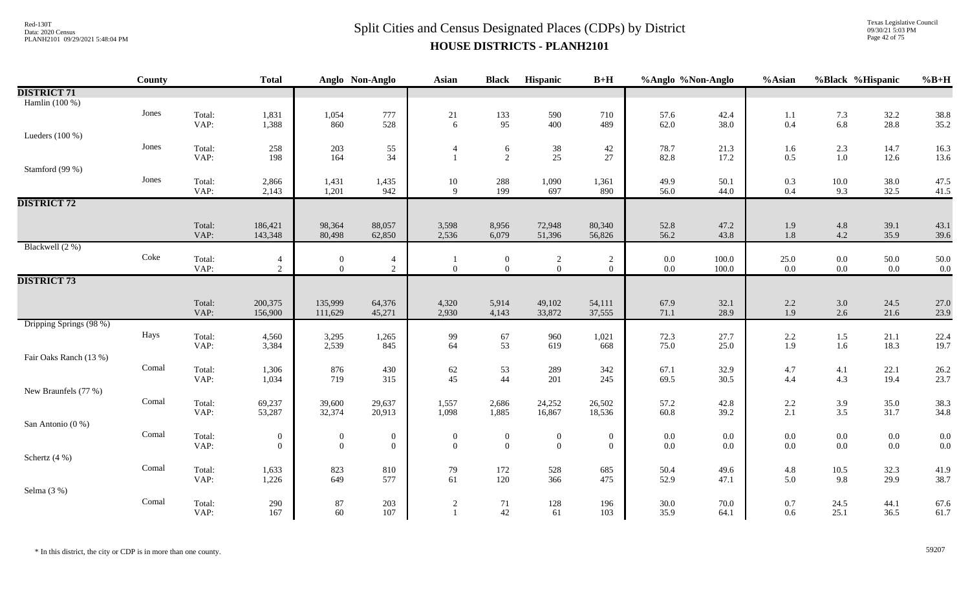#### $Split$  Cities and Census Designated Places (CDPs) by District  $Split$  Cities and Census Designated Places (CDPs) by District **HOUSE DISTRICTS - PLANH2101**

Texas Legislative Council 09/30/21 5:03 PM Page 42 of 75

|                         | County |                | <b>Total</b>       |                  | Anglo Non-Anglo  | Asian            | <b>Black</b>        | Hispanic         | $B+H$            | %Anglo %Non-Anglo |              | %Asian         | %Black %Hispanic                          |              | $%B+H$       |
|-------------------------|--------|----------------|--------------------|------------------|------------------|------------------|---------------------|------------------|------------------|-------------------|--------------|----------------|-------------------------------------------|--------------|--------------|
| <b>DISTRICT 71</b>      |        |                |                    |                  |                  |                  |                     |                  |                  |                   |              |                |                                           |              |              |
| Hamlin (100 %)          |        |                |                    |                  |                  |                  |                     |                  |                  |                   |              |                |                                           |              |              |
|                         | Jones  | Total:         | 1,831              | 1,054            | 777              | 21               | 133                 | 590              | 710              | 57.6              | 42.4         | 1.1            | $\begin{array}{c} 7.3 \\ 6.8 \end{array}$ | 32.2         | 38.8         |
|                         |        | VAP:           | 1,388              | 860              | 528              | 6                | 95                  | 400              | 489              | 62.0              | 38.0         | 0.4            |                                           | 28.8         | 35.2         |
| Lueders $(100\%)$       | Jones  |                |                    |                  |                  |                  |                     |                  |                  |                   |              |                |                                           |              |              |
|                         |        | Total:<br>VAP: | 258<br>198         | 203<br>164       | 55<br>34         | $\overline{4}$   | 6<br>$\overline{2}$ | 38<br>25         | 42<br>27         | 78.7<br>82.8      | 21.3<br>17.2 | 1.6<br>$0.5\,$ | 2.3<br>$1.0\,$                            | 14.7<br>12.6 | 16.3<br>13.6 |
| Stamford (99 %)         |        |                |                    |                  |                  |                  |                     |                  |                  |                   |              |                |                                           |              |              |
|                         | Jones  | Total:         | 2,866              | 1,431            | 1,435            | $10\,$           | 288                 | 1,090            | 1,361            | 49.9              | 50.1         | 0.3            | $10.0\,$                                  | 38.0         | 47.5         |
|                         |        | VAP:           | 2,143              | 1,201            | 942              | 9                | 199                 | 697              | 890              | 56.0              | 44.0         | $0.4\,$        | 9.3                                       | 32.5         | 41.5         |
| <b>DISTRICT 72</b>      |        |                |                    |                  |                  |                  |                     |                  |                  |                   |              |                |                                           |              |              |
|                         |        |                |                    |                  |                  |                  |                     |                  |                  |                   |              |                |                                           |              |              |
|                         |        | Total:<br>VAP: | 186,421<br>143,348 | 98,364<br>80,498 | 88,057<br>62,850 | 3,598<br>2,536   | 8,956<br>6,079      | 72,948<br>51,396 | 80,340<br>56,826 | 52.8<br>56.2      | 47.2<br>43.8 | 1.9<br>$1.8\,$ | $4.8\,$<br>4.2                            | 39.1<br>35.9 | 43.1<br>39.6 |
| Blackwell (2 %)         |        |                |                    |                  |                  |                  |                     |                  |                  |                   |              |                |                                           |              |              |
|                         | Coke   | Total:         | 4                  | $\overline{0}$   | $\overline{4}$   |                  | $\boldsymbol{0}$    | $\overline{c}$   | 2                | $0.0\,$           | 100.0        | $25.0\,$       | $0.0\,$                                   | 50.0         | 50.0         |
|                         |        | VAP:           | 2                  | $\overline{0}$   | $\overline{2}$   | $\mathbf{0}$     | $\overline{0}$      | $\overline{0}$   | $\overline{0}$   | $0.0\,$           | 100.0        | $0.0\,$        | $0.0\,$                                   | $0.0\,$      | 0.0          |
| <b>DISTRICT 73</b>      |        |                |                    |                  |                  |                  |                     |                  |                  |                   |              |                |                                           |              |              |
|                         |        |                |                    |                  |                  |                  |                     |                  |                  |                   |              |                |                                           |              |              |
|                         |        | Total:         | 200,375            | 135,999          | 64,376           | 4,320            | 5,914               | 49,102           | 54,111           | 67.9              | 32.1<br>28.9 | $2.2\,$        | $3.0\,$                                   | 24.5         | 27.0         |
| Dripping Springs (98 %) |        | VAP:           | 156,900            | 111,629          | 45,271           | 2,930            | 4,143               | 33,872           | 37,555           | 71.1              |              | 1.9            | 2.6                                       | 21.6         | 23.9         |
|                         | Hays   | Total:         | 4,560              | 3,295            | 1,265            | 99               | 67                  | 960              | 1,021            | 72.3              | 27.7         | 2.2            | 1.5                                       | 21.1         | 22.4         |
|                         |        | VAP:           | 3,384              | 2,539            | 845              | 64               | 53                  | 619              | 668              | 75.0              | 25.0         | 1.9            | 1.6                                       | 18.3         | 19.7         |
| Fair Oaks Ranch (13 %)  |        |                |                    |                  |                  |                  |                     |                  |                  |                   |              |                |                                           |              |              |
|                         | Comal  | Total:         | 1,306              | 876              | 430              | 62               | 53                  | 289              | 342              | 67.1              | 32.9         | 4.7            | 4.1                                       | 22.1         | 26.2         |
|                         |        | VAP:           | 1,034              | 719              | 315              | 45               | 44                  | 201              | 245              | 69.5              | 30.5         | 4.4            | 4.3                                       | 19.4         | 23.7         |
| New Braunfels (77 %)    |        |                |                    |                  |                  |                  |                     |                  |                  |                   |              |                |                                           |              |              |
|                         | Comal  | Total:<br>VAP: | 69,237<br>53,287   | 39,600<br>32,374 | 29,637<br>20,913 | 1,557<br>1,098   | 2,686<br>1,885      | 24,252<br>16,867 | 26,502<br>18,536 | 57.2<br>$60.8\,$  | 42.8<br>39.2 | $2.2\,$<br>2.1 | $3.9$<br>$3.5$                            | 35.0<br>31.7 | 38.3<br>34.8 |
| San Antonio (0 %)       |        |                |                    |                  |                  |                  |                     |                  |                  |                   |              |                |                                           |              |              |
|                         | Comal  | Total:         | $\boldsymbol{0}$   | $\overline{0}$   | $\boldsymbol{0}$ | $\boldsymbol{0}$ | $\overline{0}$      | $\boldsymbol{0}$ | $\overline{0}$   | $0.0\,$           | $0.0\,$      | $0.0\,$        | $0.0\,$                                   | $0.0\,$      | 0.0          |
|                         |        | VAP:           | $\overline{0}$     | $\overline{0}$   | $\boldsymbol{0}$ | $\mathbf{0}$     | $\overline{0}$      | $\mathbf{0}$     | $\overline{0}$   | $0.0\,$           | $0.0\,$      | 0.0            | 0.0                                       | $0.0\,$      | 0.0          |
| Schertz (4 %)           |        |                |                    |                  |                  |                  |                     |                  |                  |                   |              |                |                                           |              |              |
|                         | Comal  | Total:         | 1,633              | 823              | 810              | 79               | 172                 | 528              | 685              | 50.4              | 49.6         | 4.8            | 10.5                                      | 32.3         | 41.9         |
|                         |        | VAP:           | 1,226              | 649              | 577              | 61               | 120                 | 366              | 475              | 52.9              | 47.1         | 5.0            | 9.8                                       | 29.9         | 38.7         |
| Selma (3 %)             |        |                |                    |                  |                  |                  |                     |                  |                  |                   |              |                |                                           |              |              |
|                         | Comal  | Total:         | 290                | $87\,$           | 203<br>107       | $\overline{c}$   | 71                  | 128              | 196              | 30.0              | 70.0         | 0.7            | 24.5                                      | 44.1         | 67.6<br>61.7 |
|                         |        | VAP:           | 167                | 60               |                  |                  | 42                  | 61               | 103              | 35.9              | 64.1         | 0.6            | 25.1                                      | 36.5         |              |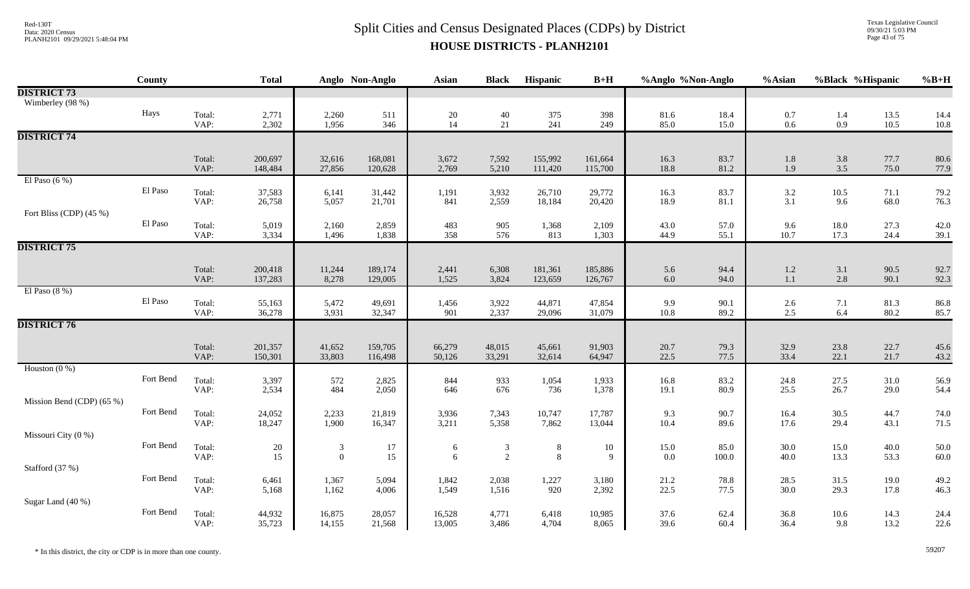Texas Legislative Council 09/30/21 5:03 PM Page 43 of 75

|                           | County    |                | <b>Total</b>     |                | Anglo Non-Anglo  | <b>Asian</b>                            | <b>Black</b>   | Hispanic                              | $B+H$            | %Anglo %Non-Anglo |              | %Asian         | %Black %Hispanic |              | $%B+H$       |
|---------------------------|-----------|----------------|------------------|----------------|------------------|-----------------------------------------|----------------|---------------------------------------|------------------|-------------------|--------------|----------------|------------------|--------------|--------------|
| <b>DISTRICT 73</b>        |           |                |                  |                |                  |                                         |                |                                       |                  |                   |              |                |                  |              |              |
| Wimberley (98 %)          |           |                |                  |                |                  |                                         |                |                                       |                  |                   |              |                |                  |              |              |
|                           | Hays      | Total:         | 2,771            | 2,260          | 511              | $\begin{array}{c} 20 \\ 14 \end{array}$ | 40             | 375                                   | 398              | 81.6              | 18.4         | 0.7            | 1.4              | 13.5         | 14.4         |
|                           |           | VAP:           | 2,302            | 1,956          | 346              |                                         | 21             | 241                                   | 249              | 85.0              | 15.0         | $0.6\,$        | $0.9\,$          | 10.5         | 10.8         |
| <b>DISTRICT 74</b>        |           |                |                  |                |                  |                                         |                |                                       |                  |                   |              |                |                  |              |              |
|                           |           | Total:         | 200,697          | 32,616         | 168,081          | 3,672                                   | 7,592          | 155,992                               | 161,664          | 16.3              | 83.7         |                | 3.8              | 77.7         | 80.6         |
|                           |           | VAP:           | 148,484          | 27,856         | 120,628          | 2,769                                   | 5,210          | 111,420                               | 115,700          | 18.8              | 81.2         | $1.8\,$<br>1.9 | $3.5$            | 75.0         | 77.9         |
| El Paso $(6\%)$           |           |                |                  |                |                  |                                         |                |                                       |                  |                   |              |                |                  |              |              |
|                           | El Paso   | Total:         | 37,583           | 6,141          | 31,442           | 1,191                                   | 3,932          | 26,710                                | 29,772           | 16.3              | 83.7         | $3.2\,$        | $10.5\,$         | 71.1         | 79.2         |
|                           |           | VAP:           | 26,758           | 5,057          | 21,701           | 841                                     | 2,559          | 18,184                                | 20,420           | 18.9              | 81.1         | 3.1            | 9.6              | 68.0         | 76.3         |
| Fort Bliss (CDP) $(45\%)$ |           |                |                  |                |                  |                                         |                |                                       |                  |                   |              |                |                  |              |              |
|                           | El Paso   | Total:         | 5,019            | 2,160          | 2,859            | 483                                     | 905            | 1,368                                 | 2,109            | 43.0              | 57.0         | 9.6            | 18.0             | 27.3         | 42.0         |
|                           |           | VAP:           | 3,334            | 1,496          | 1,838            | 358                                     | 576            | 813                                   | 1,303            | 44.9              | 55.1         | 10.7           | 17.3             | 24.4         | 39.1         |
| <b>DISTRICT 75</b>        |           |                |                  |                |                  |                                         |                |                                       |                  |                   |              |                |                  |              |              |
|                           |           | Total:         | 200,418          | 11,244         | 189,174          | 2,441                                   | 6,308          | 181,361                               | 185,886          | 5.6               | 94.4         | $1.2\,$        | 3.1              | 90.5         | 92.7         |
|                           |           | VAP:           | 137,283          | 8,278          | 129,005          | 1,525                                   | 3,824          | 123,659                               | 126,767          | $6.0\,$           | 94.0         | $1.1\,$        | $2.8\,$          | 90.1         | 92.3         |
| El Paso $(8\%)$           |           |                |                  |                |                  |                                         |                |                                       |                  |                   |              |                |                  |              |              |
|                           | El Paso   | Total:         | 55,163           | 5,472          | 49,691           | 1,456                                   | 3,922          | 44,871                                | 47,854           | 9.9               | 90.1         | $2.6\,$        | $7.1\,$          | 81.3         | 86.8         |
|                           |           | VAP:           | 36,278           | 3,931          | 32,347           | 901                                     | 2,337          | 29,096                                | 31,079           | $10.8\,$          | 89.2         | 2.5            | 6.4              | 80.2         | 85.7         |
| <b>DISTRICT 76</b>        |           |                |                  |                |                  |                                         |                |                                       |                  |                   |              |                |                  |              |              |
|                           |           | Total:         | 201,357          | 41,652         | 159,705          | 66,279                                  | 48,015         | 45,661                                | 91,903           | 20.7              | 79.3         | 32.9           | 23.8             | 22.7         | 45.6         |
|                           |           | VAP:           | 150,301          | 33,803         | 116,498          | 50,126                                  | 33,291         | 32,614                                | 64,947           | 22.5              | 77.5         | 33.4           | 22.1             | 21.7         | 43.2         |
| Houston $(0\%)$           |           |                |                  |                |                  |                                         |                |                                       |                  |                   |              |                |                  |              |              |
|                           | Fort Bend | Total:         | 3,397            | 572            | 2,825            | 844                                     | 933            | 1,054                                 | 1,933            | 16.8              | 83.2         | 24.8           | 27.5             | 31.0         | 56.9         |
|                           |           | VAP:           | 2,534            | 484            | 2,050            | 646                                     | 676            | 736                                   | 1,378            | 19.1              | 80.9         | 25.5           | 26.7             | 29.0         | 54.4         |
| Mission Bend (CDP) (65 %) |           |                |                  |                |                  |                                         |                |                                       |                  |                   |              |                |                  |              |              |
|                           | Fort Bend | Total:<br>VAP: | 24,052<br>18,247 | 2,233<br>1,900 | 21,819<br>16,347 | 3,936<br>3,211                          | 7,343<br>5,358 | 10,747<br>7,862                       | 17,787<br>13,044 | 9.3<br>$10.4\,$   | 90.7<br>89.6 | 16.4<br>17.6   | 30.5<br>29.4     | 44.7<br>43.1 | 74.0<br>71.5 |
| Missouri City (0 %)       |           |                |                  |                |                  |                                         |                |                                       |                  |                   |              |                |                  |              |              |
|                           | Fort Bend | Total:         | 20               | $\mathfrak{Z}$ | 17               | 6                                       | $\mathfrak{Z}$ |                                       | 10               | 15.0              | 85.0         | 30.0           | 15.0             | 40.0         | 50.0         |
|                           |           | VAP:           | 15               | $\mathbf{0}$   | 15               | 6                                       | $\overline{2}$ | $\begin{array}{c} 8 \\ 8 \end{array}$ | $\mathbf{Q}$     | $0.0\,$           | 100.0        | 40.0           | 13.3             | 53.3         | 60.0         |
| Stafford (37 %)           |           |                |                  |                |                  |                                         |                |                                       |                  |                   |              |                |                  |              |              |
|                           | Fort Bend | Total:         | 6,461            | 1,367          | 5,094            | 1,842                                   | 2,038          | 1,227                                 | 3,180            | 21.2              | 78.8         | 28.5           | 31.5             | 19.0         | 49.2         |
|                           |           | VAP:           | 5,168            | 1,162          | 4,006            | 1,549                                   | 1,516          | 920                                   | 2,392            | 22.5              | 77.5         | 30.0           | 29.3             | 17.8         | 46.3         |
| Sugar Land (40 %)         |           |                |                  |                |                  |                                         |                |                                       |                  |                   |              |                |                  |              |              |
|                           | Fort Bend | Total:<br>VAP: | 44,932           | 16,875         | 28,057           | 16,528                                  | 4,771          | 6,418<br>4,704                        | 10,985           | 37.6<br>39.6      | 62.4<br>60.4 | 36.8<br>36.4   | $10.6\,$<br>9.8  | 14.3         | 24.4<br>22.6 |
|                           |           |                | 35,723           | 14,155         | 21,568           | 13,005                                  | 3,486          |                                       | 8,065            |                   |              |                |                  | 13.2         |              |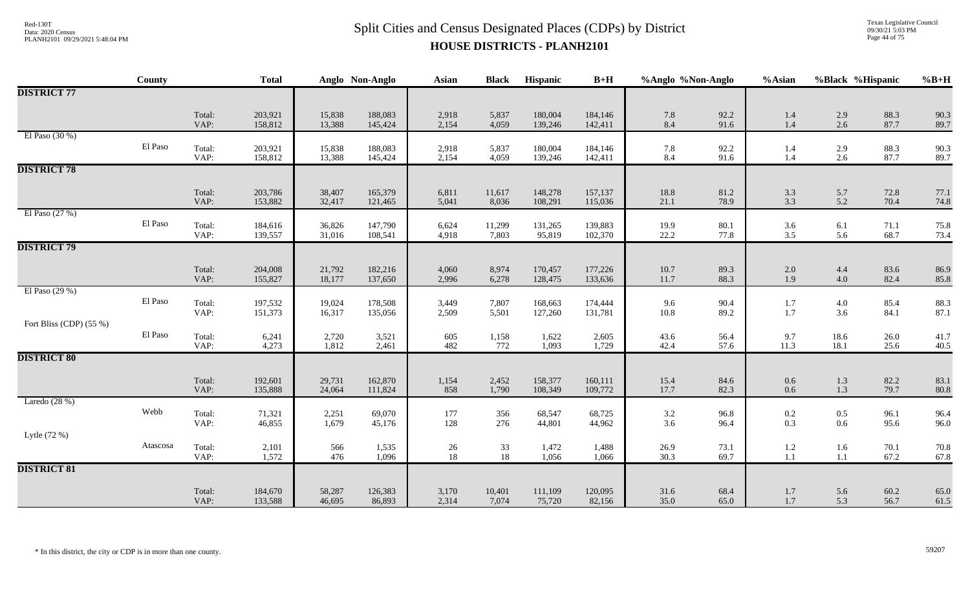# $Split$  Cities and Census Designated Places (CDPs) by District Data: 2020 Census **HOUSE DISTRICTS - PLANH2101**

Texas Legislative Council 09/30/21 5:03 PM Page 44 of 75

|                         | County   |                | <b>Total</b>       |                  | Anglo Non-Anglo    | <b>Asian</b>    | <b>Black</b>    | Hispanic           | $B+H$              | %Anglo %Non-Anglo |              | %Asian                                    |                    | %Black %Hispanic | $%B+H$       |
|-------------------------|----------|----------------|--------------------|------------------|--------------------|-----------------|-----------------|--------------------|--------------------|-------------------|--------------|-------------------------------------------|--------------------|------------------|--------------|
| <b>DISTRICT 77</b>      |          |                |                    |                  |                    |                 |                 |                    |                    |                   |              |                                           |                    |                  |              |
|                         |          | Total:<br>VAP: | 203,921<br>158,812 | 15,838<br>13,388 | 188,083<br>145,424 | 2,918<br>2,154  | 5,837<br>4,059  | 180,004<br>139,246 | 184,146<br>142,411 | 7.8<br>8.4        | 92.2<br>91.6 | 1.4<br>$1.4\,$                            | 2.9<br>2.6         | 88.3<br>87.7     | 90.3<br>89.7 |
| El Paso $(30\%)$        | El Paso  | Total:<br>VAP: | 203,921<br>158,812 | 15,838<br>13,388 | 188,083<br>145,424 | 2,918<br>2,154  | 5,837<br>4,059  | 180,004<br>139,246 | 184,146<br>142,411 | 7.8<br>8.4        | 92.2<br>91.6 | 1.4<br>1.4                                | $2.9\,$<br>$2.6\,$ | 88.3<br>87.7     | 90.3<br>89.7 |
| <b>DISTRICT 78</b>      |          |                |                    |                  |                    |                 |                 |                    |                    |                   |              |                                           |                    |                  |              |
|                         |          | Total:<br>VAP: | 203,786<br>153,882 | 38,407<br>32,417 | 165,379<br>121,465 | 6,811<br>5,041  | 11,617<br>8,036 | 148,278<br>108,291 | 157,137<br>115,036 | 18.8<br>21.1      | 81.2<br>78.9 | $3.3$<br>$3.3$                            | 5.7<br>5.2         | 72.8<br>70.4     | 77.1<br>74.8 |
| El Paso $(27%)$         | El Paso  | Total:<br>VAP: | 184,616<br>139,557 | 36,826<br>31,016 | 147,790<br>108,541 | 6,624<br>4,918  | 11,299<br>7,803 | 131,265<br>95,819  | 139,883<br>102,370 | 19.9<br>22.2      | 80.1<br>77.8 | 3.6<br>3.5                                | 6.1<br>5.6         | 71.1<br>68.7     | 75.8<br>73.4 |
| <b>DISTRICT 79</b>      |          |                |                    |                  |                    |                 |                 |                    |                    |                   |              |                                           |                    |                  |              |
|                         |          | Total:<br>VAP: | 204,008<br>155,827 | 21,792<br>18,177 | 182,216<br>137,650 | 4,060<br>2,996  | 8,974<br>6,278  | 170,457<br>128,475 | 177,226<br>133,636 | 10.7<br>11.7      | 89.3<br>88.3 | $2.0\,$<br>1.9                            | 4.4<br>4.0         | 83.6<br>82.4     | 86.9<br>85.8 |
| El Paso (29 %)          | El Paso  | Total:<br>VAP: | 197,532<br>151,373 | 19,024<br>16,317 | 178,508<br>135,056 | 3,449<br>2,509  | 7,807<br>5,501  | 168,663<br>127,260 | 174,444<br>131,781 | 9.6<br>$10.8\,$   | 90.4<br>89.2 | 1.7<br>1.7                                | $4.0\,$<br>3.6     | 85.4<br>84.1     | 88.3<br>87.1 |
| Fort Bliss (CDP) (55 %) | El Paso  | Total:<br>VAP: | 6,241<br>4,273     | 2,720<br>1,812   | 3,521<br>2,461     | 605<br>482      | 1,158<br>772    | 1,622<br>1,093     | 2,605<br>1,729     | 43.6<br>42.4      | 56.4<br>57.6 | 9.7<br>11.3                               | 18.6<br>18.1       | 26.0<br>25.6     | 41.7<br>40.5 |
| <b>DISTRICT 80</b>      |          |                |                    |                  |                    |                 |                 |                    |                    |                   |              |                                           |                    |                  |              |
|                         |          | Total:<br>VAP: | 192,601<br>135,888 | 29,731<br>24,064 | 162,870<br>111,824 | 1,154<br>858    | 2,452<br>1,790  | 158,377<br>108,349 | 160,111<br>109,772 | 15.4<br>17.7      | 84.6<br>82.3 | $0.6\,$<br>$0.6\,$                        | 1.3<br>1.3         | 82.2<br>79.7     | 83.1<br>80.8 |
| Laredo $(28%)$          | Webb     | Total:<br>VAP: | 71,321<br>46,855   | 2,251<br>1,679   | 69,070<br>45,176   | 177<br>128      | 356<br>276      | 68,547<br>44,801   | 68,725<br>44,962   | 3.2<br>3.6        | 96.8<br>96.4 | $0.2\,$<br>0.3                            | $0.5\,$<br>0.6     | 96.1<br>95.6     | 96.4<br>96.0 |
| Lytle (72 %)            | Atascosa | Total:         | 2,101              | 566              | 1,535              |                 | 33              | 1,472              | 1,488              | 26.9              | 73.1         |                                           | 1.6                | 70.1             | 70.8         |
|                         |          | VAP:           | 1,572              | 476              | 1,096              | $\frac{26}{18}$ | 18              | 1,056              | 1,066              | 30.3              | 69.7         | $\begin{array}{c} 1.2 \\ 1.1 \end{array}$ | $1.1\,$            | 67.2             | 67.8         |
| <b>DISTRICT 81</b>      |          |                |                    |                  |                    |                 |                 |                    |                    |                   |              |                                           |                    |                  |              |
|                         |          | Total:<br>VAP: | 184,670<br>133,588 | 58,287<br>46,695 | 126,383<br>86,893  | 3,170<br>2,314  | 10,401<br>7,074 | 111,109<br>75,720  | 120,095<br>82,156  | 31.6<br>35.0      | 68.4<br>65.0 | 1.7<br>1.7                                | 5.6<br>5.3         | 60.2<br>56.7     | 65.0<br>61.5 |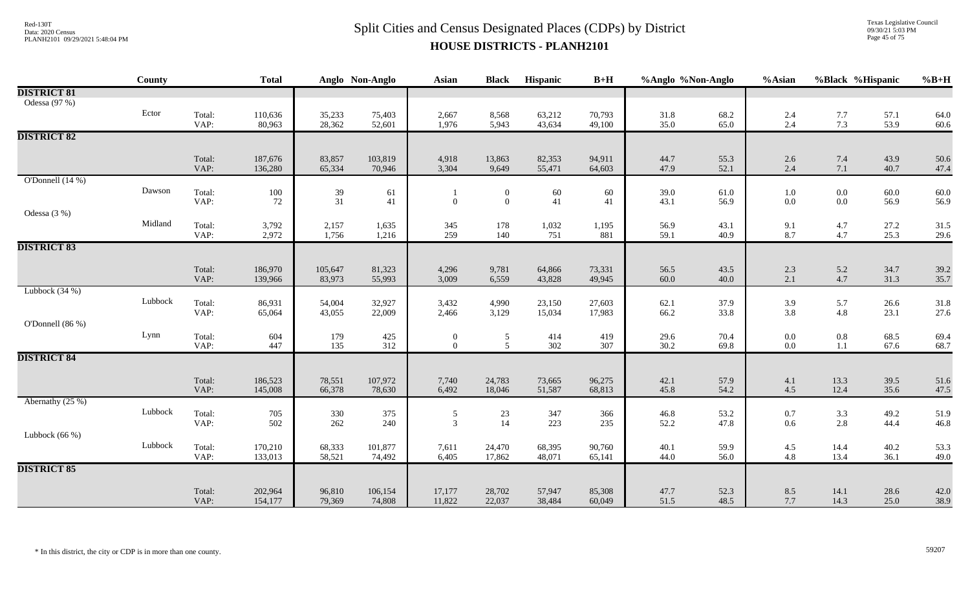Texas Legislative Council 09/30/21 5:03 PM Page 45 of 75

|                                     | County  |                | <b>Total</b>       |                                           | Anglo Non-Anglo   | Asian                            | <b>Black</b>                       | Hispanic         | $B+H$            | %Anglo %Non-Anglo |              | %Asian             | %Black %Hispanic   |              | $%B+H$       |
|-------------------------------------|---------|----------------|--------------------|-------------------------------------------|-------------------|----------------------------------|------------------------------------|------------------|------------------|-------------------|--------------|--------------------|--------------------|--------------|--------------|
| <b>DISTRICT 81</b><br>Odessa (97 %) |         |                |                    |                                           |                   |                                  |                                    |                  |                  |                   |              |                    |                    |              |              |
|                                     | Ector   | Total:<br>VAP: | 110,636<br>80,963  | 35,233<br>28,362                          | 75,403<br>52,601  | 2,667<br>1,976                   | 8,568<br>5,943                     | 63,212<br>43,634 | 70,793<br>49,100 | 31.8<br>35.0      | 68.2<br>65.0 | 2.4<br>2.4         | $7.7$<br>$7.3$     | 57.1<br>53.9 | 64.0<br>60.6 |
| <b>DISTRICT 82</b>                  |         |                |                    |                                           |                   |                                  |                                    |                  |                  |                   |              |                    |                    |              |              |
|                                     |         | Total:<br>VAP: | 187,676<br>136,280 | 83,857<br>65,334                          | 103,819<br>70,946 | 4,918<br>3,304                   | 13,863<br>9,649                    | 82,353<br>55,471 | 94,911<br>64,603 | 44.7<br>47.9      | 55.3<br>52.1 | 2.6<br>2.4         | 7.4<br>$7.1\,$     | 43.9<br>40.7 | 50.6<br>47.4 |
| O'Donnell $(14%)$                   |         |                |                    |                                           |                   |                                  |                                    |                  |                  |                   |              |                    |                    |              |              |
|                                     | Dawson  | Total:<br>VAP: | 100<br>72          | 39<br>31                                  | 61<br>41          | $\boldsymbol{0}$                 | $\boldsymbol{0}$<br>$\overline{0}$ | 60<br>41         | 60<br>41         | 39.0<br>43.1      | 61.0<br>56.9 | $1.0\,$<br>$0.0\,$ | $0.0\,$<br>$0.0\,$ | 60.0<br>56.9 | 60.0<br>56.9 |
| Odessa (3 %)                        |         |                |                    |                                           |                   |                                  |                                    |                  |                  |                   |              |                    |                    |              |              |
|                                     | Midland | Total:<br>VAP: | 3,792<br>2,972     | 2,157<br>1,756                            | 1,635<br>1,216    | 345<br>259                       | 178<br>140                         | 1,032<br>751     | 1,195<br>881     | 56.9<br>59.1      | 43.1<br>40.9 | 9.1<br>8.7         | 4.7<br>4.7         | 27.2<br>25.3 | 31.5<br>29.6 |
| <b>DISTRICT 83</b>                  |         |                |                    |                                           |                   |                                  |                                    |                  |                  |                   |              |                    |                    |              |              |
|                                     |         | Total:<br>VAP: | 186,970<br>139,966 | 105,647<br>83,973                         | 81,323<br>55,993  | 4,296<br>3,009                   | 9,781<br>6,559                     | 64,866<br>43,828 | 73,331<br>49,945 | 56.5<br>60.0      | 43.5<br>40.0 | 2.3<br>2.1         | 5.2<br>4.7         | 34.7<br>31.3 | 39.2<br>35.7 |
| Lubbock $(34%)$                     | Lubbock |                |                    |                                           |                   |                                  |                                    |                  |                  |                   |              |                    |                    |              |              |
|                                     |         | Total:<br>VAP: | 86,931<br>65,064   | 54,004<br>43,055                          | 32,927<br>22,009  | 3,432<br>2,466                   | 4,990<br>3,129                     | 23,150<br>15,034 | 27,603<br>17,983 | 62.1<br>66.2      | 37.9<br>33.8 | 3.9<br>3.8         | 5.7<br>4.8         | 26.6<br>23.1 | 31.8<br>27.6 |
| O'Donnell (86 %)                    |         |                |                    |                                           |                   |                                  |                                    |                  |                  |                   |              |                    |                    |              |              |
|                                     | Lynn    | Total:<br>VAP: | 604<br>447         | 179<br>135                                | 425<br>312        | $\overline{0}$<br>$\mathbf{0}$   | 5<br>5                             | 414<br>302       | 419<br>307       | 29.6<br>30.2      | 70.4<br>69.8 | $0.0\,$<br>$0.0\,$ | $0.8\,$<br>1.1     | 68.5<br>67.6 | 69.4<br>68.7 |
| <b>DISTRICT 84</b>                  |         |                |                    |                                           |                   |                                  |                                    |                  |                  |                   |              |                    |                    |              |              |
|                                     |         | Total:<br>VAP: | 186,523<br>145,008 | 78,551<br>66,378                          | 107,972<br>78,630 | 7,740<br>6,492                   | 24,783<br>18,046                   | 73,665<br>51,587 | 96,275<br>68,813 | 42.1<br>45.8      | 57.9<br>54.2 | 4.1<br>4.5         | 13.3<br>12.4       | 39.5<br>35.6 | 51.6<br>47.5 |
| Abernathy $(25%)$                   |         |                |                    |                                           |                   |                                  |                                    |                  |                  |                   |              |                    |                    |              |              |
|                                     | Lubbock | Total:<br>VAP: | 705<br>502         | $\begin{array}{c} 330 \\ 262 \end{array}$ | 375<br>240        | $\overline{5}$<br>$\overline{3}$ | $23\,$<br>14                       | 347<br>223       | 366<br>235       | 46.8<br>52.2      | 53.2<br>47.8 | 0.7<br>0.6         | $\frac{3.3}{2.8}$  | 49.2<br>44.4 | 51.9<br>46.8 |
| Lubbock $(66\%)$                    |         |                |                    |                                           |                   |                                  |                                    |                  |                  |                   |              |                    |                    |              |              |
|                                     | Lubbock | Total:<br>VAP: | 170,210<br>133,013 | 68,333<br>58,521                          | 101,877<br>74,492 | 7,611<br>6,405                   | 24,470<br>17,862                   | 68,395<br>48,071 | 90,760<br>65,141 | 40.1<br>44.0      | 59.9<br>56.0 | 4.5<br>4.8         | 14.4<br>13.4       | 40.2<br>36.1 | 53.3<br>49.0 |
| <b>DISTRICT 85</b>                  |         |                |                    |                                           |                   |                                  |                                    |                  |                  |                   |              |                    |                    |              |              |
|                                     |         | Total:<br>VAP: | 202,964<br>154,177 | 96,810<br>79,369                          | 106,154<br>74,808 | 17,177<br>11,822                 | 28,702<br>22,037                   | 57,947<br>38,484 | 85,308<br>60,049 | 47.7<br>51.5      | 52.3<br>48.5 | 8.5<br>7.7         | 14.1<br>14.3       | 28.6<br>25.0 | 42.0<br>38.9 |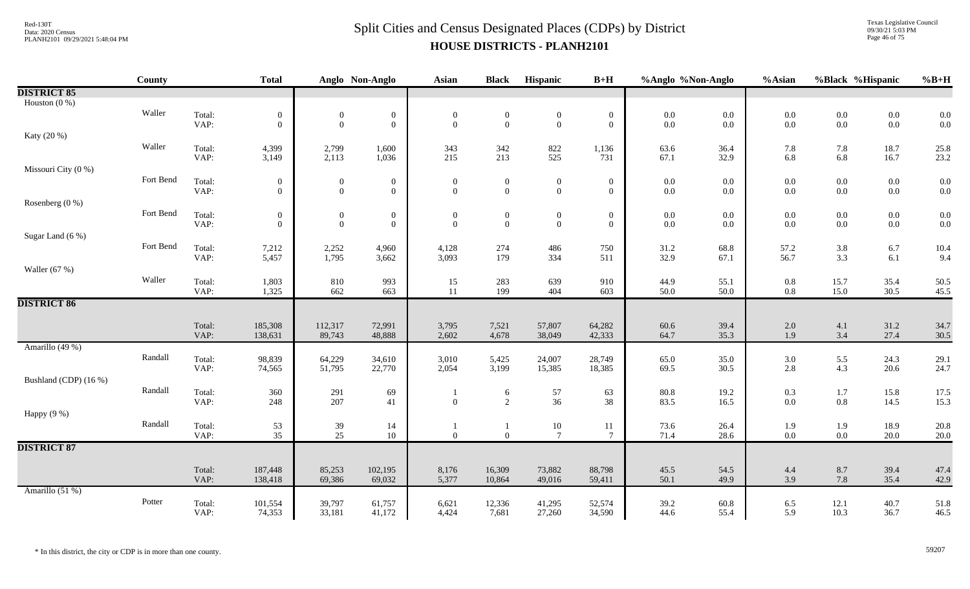Texas Legislative Council 09/30/21 5:03 PM Page 46 of 75

|                       | <b>County</b> |                | <b>Total</b>                       |                                | Anglo Non-Anglo                  | <b>Asian</b>                     | <b>Black</b>                   | <b>Hispanic</b>                    | $B+H$                              | %Anglo %Non-Anglo  |              | %Asian     |                    | %Black %Hispanic   | $%B+H$       |
|-----------------------|---------------|----------------|------------------------------------|--------------------------------|----------------------------------|----------------------------------|--------------------------------|------------------------------------|------------------------------------|--------------------|--------------|------------|--------------------|--------------------|--------------|
| <b>DISTRICT 85</b>    |               |                |                                    |                                |                                  |                                  |                                |                                    |                                    |                    |              |            |                    |                    |              |
| Houston $(0\%)$       |               |                |                                    |                                |                                  |                                  |                                |                                    |                                    |                    |              |            |                    |                    |              |
|                       | Waller        | Total:         | $\mathbf{0}$                       | $\boldsymbol{0}$               | $\boldsymbol{0}$                 | $\boldsymbol{0}$                 | $\boldsymbol{0}$               | $\boldsymbol{0}$                   | $\boldsymbol{0}$                   | $0.0\,$            | $0.0\,$      | $0.0\,$    | $0.0\,$            | $0.0\,$            | 0.0          |
|                       |               | VAP:           | $\overline{0}$                     | $\overline{0}$                 | $\boldsymbol{0}$                 | $\mathbf{0}$                     | $\overline{0}$                 | $\mathbf{0}$                       | $\overline{0}$                     | $0.0\,$            | 0.0          | 0.0        | $0.0\,$            | $0.0\,$            | 0.0          |
| Katy (20 %)           |               |                |                                    |                                |                                  |                                  |                                |                                    |                                    |                    |              |            |                    |                    |              |
|                       | Waller        | Total:<br>VAP: | 4,399                              | 2,799                          | 1,600                            | 343                              | 342<br>213                     | 822<br>525                         | 1,136<br>731                       | 63.6               | 36.4         | 7.8        | 7.8                | 18.7               | 25.8         |
| Missouri City (0 %)   |               |                | 3,149                              | 2,113                          | 1,036                            | 215                              |                                |                                    |                                    | 67.1               | 32.9         | 6.8        | 6.8                | 16.7               | 23.2         |
|                       | Fort Bend     |                |                                    |                                |                                  |                                  |                                |                                    |                                    |                    |              |            |                    |                    |              |
|                       |               | Total:<br>VAP: | $\boldsymbol{0}$<br>$\overline{0}$ | $\mathbf{0}$<br>$\overline{0}$ | $\boldsymbol{0}$<br>$\mathbf{0}$ | $\boldsymbol{0}$<br>$\mathbf{0}$ | $\mathbf{0}$<br>$\overline{0}$ | $\boldsymbol{0}$<br>$\overline{0}$ | $\boldsymbol{0}$<br>$\overline{0}$ | $0.0\,$<br>$0.0\,$ | 0.0<br>0.0   | 0.0<br>0.0 | $0.0\,$<br>$0.0\,$ | $0.0\,$<br>$0.0\,$ | 0.0<br>0.0   |
| Rosenberg (0 %)       |               |                |                                    |                                |                                  |                                  |                                |                                    |                                    |                    |              |            |                    |                    |              |
|                       | Fort Bend     | Total:         | $\mathbf{0}$                       | $\boldsymbol{0}$               | $\boldsymbol{0}$                 | $\boldsymbol{0}$                 | $\boldsymbol{0}$               | $\boldsymbol{0}$                   | $\boldsymbol{0}$                   | $0.0\,$            | 0.0          | $0.0\,$    | $0.0\,$            | $0.0\,$            | 0.0          |
|                       |               | VAP:           | $\overline{0}$                     | $\overline{0}$                 | $\overline{0}$                   | $\theta$                         | $\overline{0}$                 | $\overline{0}$                     | $\overline{0}$                     | $0.0\,$            | 0.0          | 0.0        | $0.0\,$            | $0.0\,$            | 0.0          |
| Sugar Land (6 %)      |               |                |                                    |                                |                                  |                                  |                                |                                    |                                    |                    |              |            |                    |                    |              |
|                       | Fort Bend     | Total:         | 7,212                              | 2,252                          | 4,960                            | 4,128                            | 274                            | 486                                | 750                                | 31.2               | 68.8         | 57.2       | 3.8                | 6.7                | 10.4         |
|                       |               | VAP:           | 5,457                              | 1,795                          | 3,662                            | 3,093                            | 179                            | 334                                | 511                                | 32.9               | 67.1         | 56.7       | 3.3                | $6.1\,$            | 9.4          |
| Waller $(67%)$        |               |                |                                    |                                |                                  |                                  |                                |                                    |                                    |                    |              |            |                    |                    |              |
|                       | Waller        | Total:         | 1,803                              | 810                            | 993                              | 15                               | 283                            | 639                                | 910                                | 44.9               | 55.1         | 0.8        | 15.7               | 35.4               | 50.5         |
|                       |               | VAP:           | 1,325                              | 662                            | 663                              | 11                               | 199                            | 404                                | 603                                | 50.0               | 50.0         | $0.8\,$    | 15.0               | 30.5               | 45.5         |
| <b>DISTRICT 86</b>    |               |                |                                    |                                |                                  |                                  |                                |                                    |                                    |                    |              |            |                    |                    |              |
|                       |               |                |                                    |                                |                                  |                                  |                                |                                    |                                    |                    |              |            |                    |                    |              |
|                       |               | Total:<br>VAP: | 185,308<br>138,631                 | 112,317<br>89,743              | 72,991<br>48,888                 | 3,795<br>2,602                   | 7,521<br>4,678                 | 57,807<br>38,049                   | 64,282<br>42,333                   | 60.6<br>64.7       | 39.4<br>35.3 | 2.0<br>1.9 | 4.1<br>3.4         | 31.2<br>27.4       | 34.7<br>30.5 |
| Amarillo (49 %)       |               |                |                                    |                                |                                  |                                  |                                |                                    |                                    |                    |              |            |                    |                    |              |
|                       | Randall       | Total:         | 98,839                             | 64,229                         | 34,610                           | 3,010                            | 5,425                          | 24,007                             | 28,749                             | 65.0               | 35.0         | 3.0        | 5.5                | 24.3               | 29.1         |
|                       |               | VAP:           | 74,565                             | 51,795                         | 22,770                           | 2,054                            | 3,199                          | 15,385                             | 18,385                             | 69.5               | 30.5         | 2.8        | 4.3                | 20.6               | 24.7         |
| Bushland (CDP) (16 %) |               |                |                                    |                                |                                  |                                  |                                |                                    |                                    |                    |              |            |                    |                    |              |
|                       | Randall       | Total:         | 360                                | 291                            | 69                               |                                  | 6                              |                                    | 63                                 | $80.8\,$           | 19.2         | 0.3        | $1.7$              | 15.8               | 17.5         |
|                       |               | VAP:           | 248                                | 207                            | 41                               | $\mathbf{0}$                     | $\overline{2}$                 | $\frac{57}{36}$                    | 38                                 | 83.5               | 16.5         | 0.0        | $0.8\,$            | 14.5               | 15.3         |
| Happy (9 %)           |               |                |                                    |                                |                                  |                                  |                                |                                    |                                    |                    |              |            |                    |                    |              |
|                       | Randall       | Total:         | 53                                 | 39                             | 14                               |                                  | $\mathbf{1}$                   | 10                                 | 11                                 | 73.6               | 26.4         | 1.9        | 1.9                | 18.9               | 20.8         |
|                       |               | VAP:           | 35                                 | 25                             | 10                               | $\mathbf{0}$                     | $\overline{0}$                 | $\overline{7}$                     | $\tau$                             | 71.4               | 28.6         | 0.0        | $0.0\,$            | 20.0               | 20.0         |
| <b>DISTRICT 87</b>    |               |                |                                    |                                |                                  |                                  |                                |                                    |                                    |                    |              |            |                    |                    |              |
|                       |               |                |                                    |                                |                                  |                                  |                                |                                    |                                    |                    |              |            |                    |                    |              |
|                       |               | Total:         | 187,448                            | 85,253                         | 102,195                          | 8,176                            | 16,309                         | 73,882                             | 88,798                             | 45.5               | 54.5         | 4.4        | $8.7\,$            | 39.4               | 47.4         |
|                       |               | VAP:           | 138,418                            | 69,386                         | 69,032                           | 5,377                            | 10,864                         | 49,016                             | 59,411                             | 50.1               | 49.9         | 3.9        | 7.8                | 35.4               | 42.9         |
| Amarillo (51 %)       | Potter        |                |                                    |                                |                                  |                                  |                                |                                    |                                    |                    |              |            |                    |                    |              |
|                       |               | Total:<br>VAP: | 101,554<br>74,353                  | 39,797<br>33,181               | 61,757<br>41,172                 | 6,621<br>4,424                   | 12,336<br>7,681                | 41,295<br>27,260                   | 52,574<br>34,590                   | 39.2<br>44.6       | 60.8<br>55.4 | 6.5<br>5.9 | 12.1<br>10.3       | 40.7<br>36.7       | 51.8<br>46.5 |
|                       |               |                |                                    |                                |                                  |                                  |                                |                                    |                                    |                    |              |            |                    |                    |              |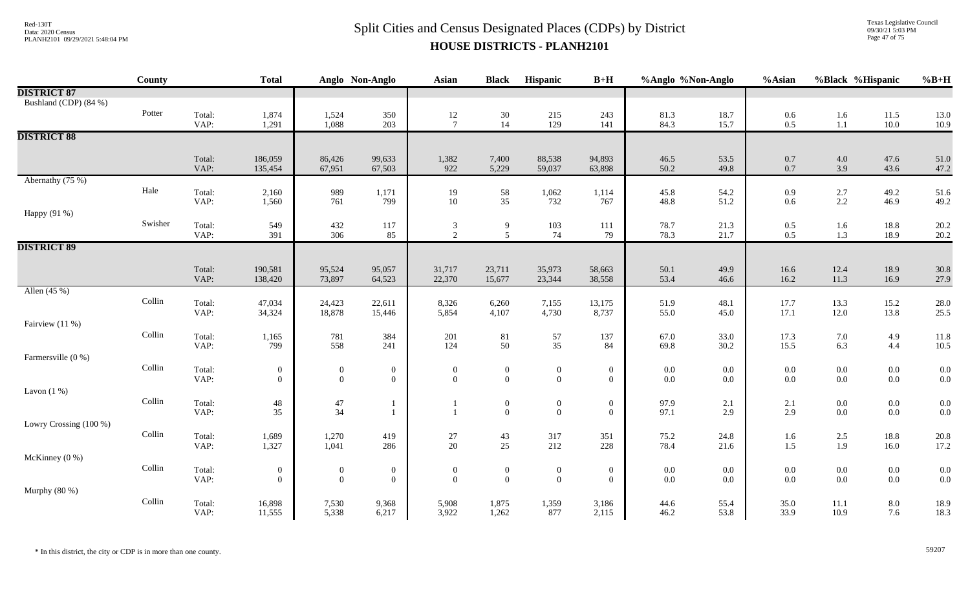Texas Legislative Council 09/30/21 5:03 PM Page 47 of 75

|                        | County                  |                | <b>Total</b>     |                  | Anglo Non-Anglo | <b>Asian</b>     | <b>Black</b>                            | Hispanic        | $B+H$            | %Anglo %Non-Anglo |              | %Asian       | %Black %Hispanic |              | $%B+H$       |
|------------------------|-------------------------|----------------|------------------|------------------|-----------------|------------------|-----------------------------------------|-----------------|------------------|-------------------|--------------|--------------|------------------|--------------|--------------|
| <b>DISTRICT 87</b>     |                         |                |                  |                  |                 |                  |                                         |                 |                  |                   |              |              |                  |              |              |
| Bushland (CDP) (84 %)  |                         |                |                  |                  |                 |                  |                                         |                 |                  |                   |              |              |                  |              |              |
|                        | Potter                  | Total:         | 1,874            | 1,524            | 350             | $\frac{12}{7}$   | $30\,$                                  | 215             | 243              | 81.3              | 18.7         | $0.6\,$      | $1.6\,$          | 11.5         | 13.0         |
|                        |                         | VAP:           | 1,291            | 1,088            | 203             |                  | 14                                      | 129             | 141              | 84.3              | 15.7         | 0.5          | $1.1\,$          | 10.0         | 10.9         |
| <b>DISTRICT 88</b>     |                         |                |                  |                  |                 |                  |                                         |                 |                  |                   |              |              |                  |              |              |
|                        |                         | Total:         | 186,059          | 86,426           | 99,633          | 1,382            | 7,400                                   | 88,538          | 94,893           | 46.5              | 53.5         | 0.7          | 4.0              | 47.6         | 51.0         |
|                        |                         | VAP:           | 135,454          | 67,951           | 67,503          | 922              | 5,229                                   | 59,037          | 63,898           | 50.2              | 49.8         | 0.7          | 3.9              | 43.6         | 47.2         |
| Abernathy (75 %)       |                         |                |                  |                  |                 |                  |                                         |                 |                  |                   |              |              |                  |              |              |
|                        | Hale                    | Total:         | 2,160            | 989              | 1,171           | 19               | $\frac{58}{35}$                         | 1,062           | 1,114            | 45.8              | 54.2         | 0.9          | $2.7\,$          | 49.2         | 51.6         |
|                        |                         | VAP:           | 1,560            | 761              | 799             | $10\,$           |                                         | 732             | 767              | 48.8              | 51.2         | 0.6          | 2.2              | 46.9         | 49.2         |
| Happy (91 %)           |                         |                |                  |                  |                 |                  |                                         |                 |                  |                   |              |              |                  |              |              |
|                        | Swisher                 | Total:<br>VAP: | 549<br>391       | 432<br>306       | 117<br>85       | $\frac{3}{2}$    | 9<br>5 <sup>5</sup>                     | 103<br>74       | 111<br>79        | 78.7<br>78.3      | 21.3<br>21.7 | 0.5<br>0.5   | 1.6<br>1.3       | 18.8<br>18.9 | 20.2         |
| <b>DISTRICT 89</b>     |                         |                |                  |                  |                 |                  |                                         |                 |                  |                   |              |              |                  |              | 20.2         |
|                        |                         |                |                  |                  |                 |                  |                                         |                 |                  |                   |              |              |                  |              |              |
|                        |                         | Total:         | 190,581          | 95,524           | 95,057          | 31,717           | 23,711                                  | 35,973          | 58,663           | 50.1              | 49.9         | 16.6         | 12.4             | 18.9         | 30.8         |
|                        |                         | VAP:           | 138,420          | 73,897           | 64,523          | 22,370           | 15,677                                  | 23,344          | 38,558           | 53.4              | 46.6         | 16.2         | 11.3             | 16.9         | 27.9         |
| Allen (45 %)           |                         |                |                  |                  |                 |                  |                                         |                 |                  |                   |              |              |                  |              |              |
|                        | Collin                  | Total:         | 47,034           | 24,423           | 22,611          | 8,326            | 6,260                                   | 7,155           | 13,175           | 51.9              | 48.1         | 17.7         | 13.3             | 15.2         | 28.0         |
|                        |                         | VAP:           | 34,324           | 18,878           | 15,446          | 5,854            | 4,107                                   | 4,730           | 8,737            | 55.0              | 45.0         | 17.1         | 12.0             | 13.8         | 25.5         |
| Fairview (11 %)        | $\operatorname{Collin}$ |                |                  |                  |                 |                  |                                         |                 |                  |                   |              |              |                  |              |              |
|                        |                         | Total:<br>VAP: | 1,165<br>799     | 781<br>558       | 384<br>241      | 201<br>124       | $\begin{array}{c} 81 \\ 50 \end{array}$ | $\frac{57}{35}$ | 137<br>84        | 67.0<br>69.8      | 33.0<br>30.2 | 17.3<br>15.5 | $7.0\,$<br>6.3   | 4.9<br>4.4   | 11.8<br>10.5 |
| Farmersville (0 %)     |                         |                |                  |                  |                 |                  |                                         |                 |                  |                   |              |              |                  |              |              |
|                        | Collin                  | Total:         | $\boldsymbol{0}$ | $\boldsymbol{0}$ | $\overline{0}$  | $\boldsymbol{0}$ | $\boldsymbol{0}$                        | $\overline{0}$  | $\boldsymbol{0}$ | $0.0\,$           | 0.0          | 0.0          | $0.0\,$          | $0.0\,$      | 0.0          |
|                        |                         | VAP:           | $\theta$         | $\overline{0}$   | $\overline{0}$  | $\mathbf{0}$     | $\Omega$                                | $\overline{0}$  | $\overline{0}$   | $0.0\,$           | $0.0\,$      | 0.0          | $0.0\,$          | $0.0\,$      | 0.0          |
| Lavon $(1%)$           |                         |                |                  |                  |                 |                  |                                         |                 |                  |                   |              |              |                  |              |              |
|                        | $\operatorname{Collin}$ | Total:         | $\sqrt{48}$      | 47               | $\mathbf{1}$    |                  | $\mathbf{0}$                            | $\overline{0}$  | $\boldsymbol{0}$ | 97.9              | 2.1          | 2.1          | $0.0\,$          | $0.0\,$      | 0.0          |
|                        |                         | VAP:           | 35               | 34               | $\mathbf{1}$    | $\overline{1}$   | $\overline{0}$                          | $\overline{0}$  | $\overline{0}$   | 97.1              | 2.9          | 2.9          | $0.0\,$          | $0.0\,$      | 0.0          |
| Lowry Crossing (100 %) | Collin                  | Total:         | 1,689            |                  | 419             |                  |                                         | 317             | 351              | 75.2              | 24.8         |              |                  | 18.8         | 20.8         |
|                        |                         | VAP:           | 1,327            | 1,270<br>1,041   | 286             | $27\,$<br>20     | 43<br>25                                | 212             | 228              | 78.4              | 21.6         | 1.6<br>1.5   | $2.5\,$<br>1.9   | 16.0         | 17.2         |
| McKinney (0 %)         |                         |                |                  |                  |                 |                  |                                         |                 |                  |                   |              |              |                  |              |              |
|                        | Collin                  | Total:         | $\boldsymbol{0}$ | $\boldsymbol{0}$ | $\overline{0}$  | $\boldsymbol{0}$ | $\boldsymbol{0}$                        | $\overline{0}$  | $\boldsymbol{0}$ | $0.0\,$           | 0.0          | $0.0\,$      | $0.0\,$          | $0.0\,$      | 0.0          |
|                        |                         | VAP:           | $\overline{0}$   | $\boldsymbol{0}$ | $\overline{0}$  | $\mathbf{0}$     | $\overline{0}$                          | $\overline{0}$  | $\overline{0}$   | $0.0\,$           | 0.0          | 0.0          | $0.0\,$          | $0.0\,$      | 0.0          |
| Murphy (80 %)          |                         |                |                  |                  |                 |                  |                                         |                 |                  |                   |              |              |                  |              |              |
|                        | Collin                  | Total:         | 16,898           | 7,530            | 9,368           | 5,908            | 1,875                                   | 1,359           | 3,186            | 44.6              | 55.4         | 35.0         | 11.1             | $8.0\,$      | 18.9         |
|                        |                         | VAP:           | 11,555           | 5,338            | 6,217           | 3,922            | 1,262                                   | 877             | 2,115            | 46.2              | 53.8         | 33.9         | 10.9             | 7.6          | 18.3         |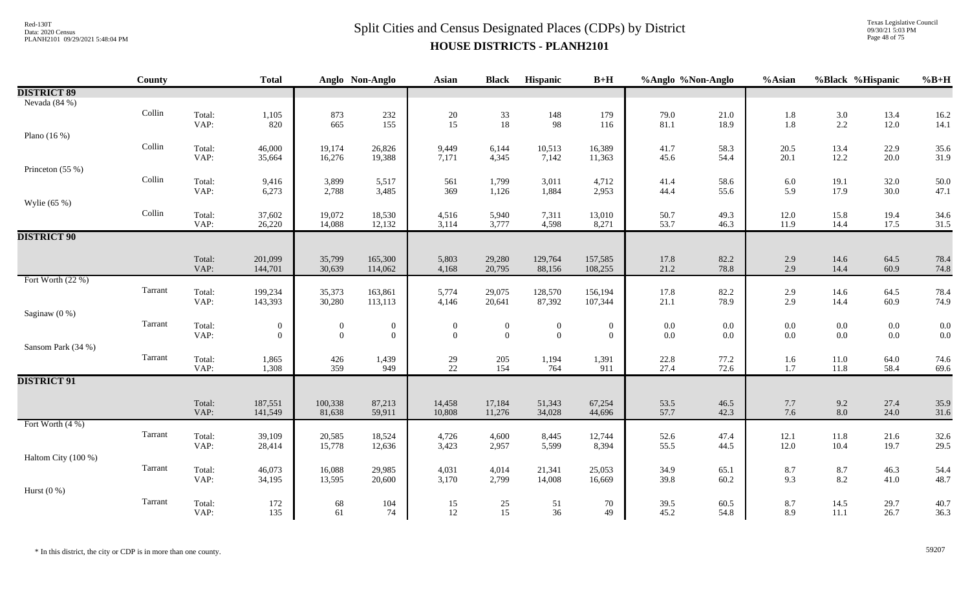Texas Legislative Council 09/30/21 5:03 PM Page 48 of 75

|                     | <b>County</b>           |                | <b>Total</b>                       |                                    | Anglo Non-Anglo                      | Asian                          | <b>Black</b>                            | Hispanic                             | $B+H$                                | %Anglo %Non-Anglo  |                | %Asian         | %Black %Hispanic                          |                    | $%B+H$       |
|---------------------|-------------------------|----------------|------------------------------------|------------------------------------|--------------------------------------|--------------------------------|-----------------------------------------|--------------------------------------|--------------------------------------|--------------------|----------------|----------------|-------------------------------------------|--------------------|--------------|
| <b>DISTRICT 89</b>  |                         |                |                                    |                                    |                                      |                                |                                         |                                      |                                      |                    |                |                |                                           |                    |              |
| Nevada (84 %)       |                         |                |                                    |                                    |                                      |                                |                                         |                                      |                                      |                    |                |                |                                           |                    |              |
|                     | Collin                  | Total:         | 1,105                              | 873                                | 232                                  | $20\,$                         | $\begin{array}{c} 33 \\ 18 \end{array}$ | 148                                  | 179                                  | 79.0               | $21.0\,$       | 1.8            | $3.0\,$                                   | 13.4               | 16.2         |
|                     |                         | VAP:           | 820                                | 665                                | 155                                  | 15                             |                                         | 98                                   | 116                                  | 81.1               | 18.9           | 1.8            | 2.2                                       | 12.0               | 14.1         |
| Plano $(16\%)$      | $\operatorname{Collin}$ |                |                                    |                                    |                                      |                                |                                         |                                      |                                      |                    |                |                |                                           |                    |              |
|                     |                         | Total:<br>VAP: | 46,000<br>35,664                   | 19,174<br>16,276                   | 26,826<br>19,388                     | 9,449<br>7,171                 | 6,144<br>4,345                          | 10,513<br>7,142                      | 16,389<br>11,363                     | 41.7<br>45.6       | 58.3<br>54.4   | 20.5<br>20.1   | 13.4<br>12.2                              | 22.9<br>20.0       | 35.6<br>31.9 |
| Princeton (55 %)    |                         |                |                                    |                                    |                                      |                                |                                         |                                      |                                      |                    |                |                |                                           |                    |              |
|                     | Collin                  | Total:         | 9,416                              | 3,899                              | 5,517                                | 561                            | 1,799                                   | 3,011                                | 4,712                                | 41.4               | 58.6           | 6.0            | 19.1                                      | 32.0               | 50.0         |
|                     |                         | VAP:           | 6,273                              | 2,788                              | 3,485                                | 369                            | 1,126                                   | 1,884                                | 2,953                                | 44.4               | 55.6           | 5.9            | 17.9                                      | 30.0               | 47.1         |
| Wylie (65 %)        |                         |                |                                    |                                    |                                      |                                |                                         |                                      |                                      |                    |                |                |                                           |                    |              |
|                     | Collin                  | Total:         | 37,602                             | 19,072                             | 18,530                               | 4,516                          | 5,940                                   | 7,311                                | 13,010                               | 50.7               | 49.3           | 12.0           | 15.8                                      | 19.4               | 34.6         |
|                     |                         | VAP:           | 26,220                             | 14,088                             | 12,132                               | 3,114                          | 3,777                                   | 4,598                                | 8,271                                | 53.7               | 46.3           | 11.9           | 14.4                                      | 17.5               | 31.5         |
| <b>DISTRICT 90</b>  |                         |                |                                    |                                    |                                      |                                |                                         |                                      |                                      |                    |                |                |                                           |                    |              |
|                     |                         | Total:         | 201,099                            | 35,799                             | 165,300                              | 5,803                          | 29,280                                  | 129,764                              | 157,585                              | 17.8               | 82.2           | 2.9            | 14.6                                      | 64.5               | 78.4         |
|                     |                         | VAP:           | 144,701                            | 30,639                             | 114,062                              | 4,168                          | 20,795                                  | 88,156                               | 108,255                              | 21.2               | 78.8           | 2.9            | 14.4                                      | 60.9               | 74.8         |
| Fort Worth (22 %)   |                         |                |                                    |                                    |                                      |                                |                                         |                                      |                                      |                    |                |                |                                           |                    |              |
|                     | Tarrant                 | Total:         | 199,234                            | 35,373                             | 163,861                              | 5,774                          | 29,075                                  | 128,570                              | 156,194                              | 17.8               | 82.2           | 2.9            | 14.6                                      | 64.5               | 78.4         |
|                     |                         | VAP:           | 143,393                            | 30,280                             | 113,113                              | 4,146                          | 20,641                                  | 87,392                               | 107,344                              | 21.1               | 78.9           | 2.9            | 14.4                                      | 60.9               | 74.9         |
| Saginaw $(0\%)$     |                         |                |                                    |                                    |                                      |                                |                                         |                                      |                                      |                    |                |                |                                           |                    |              |
|                     | Tarrant                 | Total:<br>VAP: | $\boldsymbol{0}$<br>$\overline{0}$ | $\overline{0}$<br>$\boldsymbol{0}$ | $\boldsymbol{0}$<br>$\boldsymbol{0}$ | $\overline{0}$<br>$\mathbf{0}$ | $\boldsymbol{0}$<br>$\mathbf{0}$        | $\boldsymbol{0}$<br>$\boldsymbol{0}$ | $\boldsymbol{0}$<br>$\boldsymbol{0}$ | $0.0\,$<br>$0.0\,$ | $0.0\,$<br>0.0 | 0.0<br>$0.0\,$ | $0.0\,$<br>$0.0\,$                        | $0.0\,$<br>$0.0\,$ | 0.0<br>0.0   |
| Sansom Park (34 %)  |                         |                |                                    |                                    |                                      |                                |                                         |                                      |                                      |                    |                |                |                                           |                    |              |
|                     | Tarrant                 | Total:         | 1,865                              | 426                                | 1,439                                | 29                             | 205                                     | 1,194                                | 1,391                                | 22.8               | 77.2           | 1.6            | 11.0                                      | 64.0               | 74.6         |
|                     |                         | VAP:           | 1,308                              | 359                                | 949                                  | $22\,$                         | 154                                     | 764                                  | 911                                  | 27.4               | 72.6           | 1.7            | 11.8                                      | 58.4               | 69.6         |
| <b>DISTRICT 91</b>  |                         |                |                                    |                                    |                                      |                                |                                         |                                      |                                      |                    |                |                |                                           |                    |              |
|                     |                         |                |                                    |                                    |                                      |                                |                                         |                                      |                                      |                    |                |                |                                           |                    |              |
|                     |                         | Total:         | 187,551                            | 100,338                            | 87,213                               | 14,458                         | 17,184                                  | 51,343                               | 67,254                               | 53.5<br>57.7       | 46.5<br>42.3   | 7.7            | 9.2                                       | 27.4               | 35.9         |
| Fort Worth (4 %)    |                         | VAP:           | 141,549                            | 81,638                             | 59,911                               | 10,808                         | 11,276                                  | 34,028                               | 44,696                               |                    |                | 7.6            | 8.0                                       | 24.0               | 31.6         |
|                     | Tarrant                 | Total:         | 39,109                             | 20,585                             | 18,524                               | 4,726                          | 4,600                                   | 8,445                                | 12,744                               | 52.6               | 47.4           | 12.1           | 11.8                                      | 21.6               | 32.6         |
|                     |                         | VAP:           | 28,414                             | 15,778                             | 12,636                               | 3,423                          | 2,957                                   | 5,599                                | 8,394                                | 55.5               | 44.5           | 12.0           | 10.4                                      | 19.7               | 29.5         |
| Haltom City (100 %) |                         |                |                                    |                                    |                                      |                                |                                         |                                      |                                      |                    |                |                |                                           |                    |              |
|                     | Tarrant                 | Total:         | 46,073                             | 16,088                             | 29,985                               | 4,031                          | 4,014                                   | 21,341                               | 25,053                               | 34.9               | 65.1           | 8.7            | $\begin{array}{c} 8.7 \\ 8.2 \end{array}$ | 46.3               | 54.4         |
|                     |                         | VAP:           | 34,195                             | 13,595                             | 20,600                               | 3,170                          | 2,799                                   | 14,008                               | 16,669                               | 39.8               | 60.2           | 9.3            |                                           | 41.0               | 48.7         |
| Hurst $(0\%)$       |                         |                |                                    |                                    |                                      |                                |                                         |                                      |                                      |                    |                |                |                                           |                    |              |
|                     | Tarrant                 | Total:         | 172                                | 68                                 | 104                                  | 15                             | $25\,$                                  | 51                                   | 70                                   | 39.5               | 60.5           | 8.7            | 14.5                                      | 29.7               | 40.7         |
|                     |                         | VAP:           | 135                                | 61                                 | 74                                   | 12                             | 15                                      | 36                                   | 49                                   | 45.2               | 54.8           | 8.9            | 11.1                                      | 26.7               | 36.3         |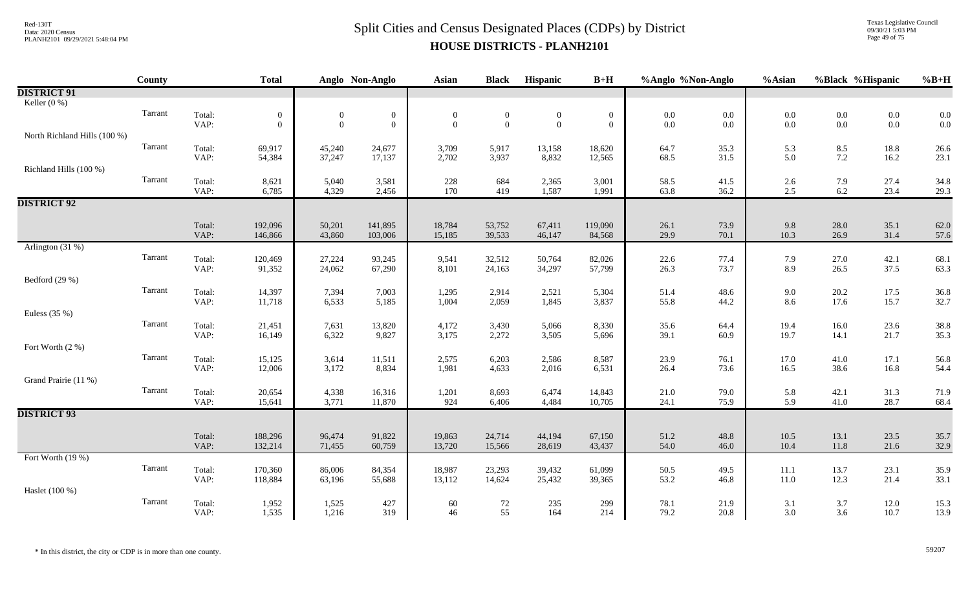Texas Legislative Council 09/30/21 5:03 PM Page 49 of 75

|                              | <b>County</b> |                | <b>Total</b>     |                  | Anglo Non-Anglo  | Asian            | <b>Black</b>   | Hispanic         | $B+H$            | %Anglo %Non-Anglo |              | %Asian       | %Black %Hispanic |                                           | $%B+H$       |
|------------------------------|---------------|----------------|------------------|------------------|------------------|------------------|----------------|------------------|------------------|-------------------|--------------|--------------|------------------|-------------------------------------------|--------------|
| <b>DISTRICT 91</b>           |               |                |                  |                  |                  |                  |                |                  |                  |                   |              |              |                  |                                           |              |
| Keller $(0\%)$               |               |                |                  |                  |                  |                  |                |                  |                  |                   |              |              |                  |                                           |              |
|                              | Tarrant       | Total:         | $\boldsymbol{0}$ | $\overline{0}$   | $\boldsymbol{0}$ | $\boldsymbol{0}$ | $\overline{0}$ | $\boldsymbol{0}$ | $\boldsymbol{0}$ | $0.0\,$           | $0.0\,$      | $0.0\,$      | $0.0\,$          | $\begin{array}{c} 0.0 \\ 0.0 \end{array}$ | 0.0          |
|                              |               | VAP:           | $\theta$         | $\overline{0}$   | $\boldsymbol{0}$ | $\mathbf{0}$     | $\overline{0}$ | $\mathbf{0}$     | $\overline{0}$   | $0.0\,$           | 0.0          | 0.0          | $0.0\,$          |                                           | 0.0          |
| North Richland Hills (100 %) | Tarrant       |                |                  |                  |                  |                  |                |                  |                  |                   |              |              |                  |                                           |              |
|                              |               | Total:<br>VAP: | 69,917<br>54,384 | 45,240<br>37,247 | 24,677<br>17,137 | 3,709<br>2,702   | 5,917<br>3,937 | 13,158<br>8,832  | 18,620<br>12,565 | 64.7<br>68.5      | 35.3<br>31.5 | 5.3<br>5.0   | 8.5<br>$7.2\,$   | 18.8<br>16.2                              | 26.6<br>23.1 |
| Richland Hills (100 %)       |               |                |                  |                  |                  |                  |                |                  |                  |                   |              |              |                  |                                           |              |
|                              | Tarrant       | Total:         | 8,621            | 5,040            | 3,581            | 228              | 684            | 2,365            | 3,001            | 58.5              | 41.5         | $2.6\,$      | 7.9              | 27.4                                      | 34.8         |
|                              |               | VAP:           | 6,785            | 4,329            | 2,456            | 170              | 419            | 1,587            | 1,991            | 63.8              | 36.2         | 2.5          | $6.2\,$          | 23.4                                      | 29.3         |
| <b>DISTRICT 92</b>           |               |                |                  |                  |                  |                  |                |                  |                  |                   |              |              |                  |                                           |              |
|                              |               |                |                  |                  |                  |                  |                |                  |                  |                   |              |              |                  |                                           |              |
|                              |               | Total:         | 192,096          | 50,201           | 141,895          | 18,784           | 53,752         | 67,411           | 119,090          | 26.1              | 73.9         | 9.8          | 28.0             | 35.1                                      | 62.0         |
| Arlington (31 %)             |               | VAP:           | 146,866          | 43,860           | 103,006          | 15,185           | 39,533         | 46,147           | 84,568           | 29.9              | 70.1         | 10.3         | 26.9             | 31.4                                      | 57.6         |
|                              | Tarrant       | Total:         | 120,469          | 27,224           | 93,245           | 9,541            | 32,512         | 50,764           | 82,026           | 22.6              | 77.4         | 7.9          | 27.0             | 42.1                                      | 68.1         |
|                              |               | VAP:           | 91,352           | 24,062           | 67,290           | 8,101            | 24,163         | 34,297           | 57,799           | 26.3              | 73.7         | 8.9          | 26.5             | 37.5                                      | 63.3         |
| Bedford (29 %)               |               |                |                  |                  |                  |                  |                |                  |                  |                   |              |              |                  |                                           |              |
|                              | Tarrant       | Total:         | 14,397           | 7,394            | 7,003            | 1,295            | 2,914          | 2,521            | 5,304            | 51.4              | 48.6         | 9.0          | 20.2             | 17.5                                      | 36.8         |
|                              |               | VAP:           | 11,718           | 6,533            | 5,185            | 1,004            | 2,059          | 1,845            | 3,837            | 55.8              | 44.2         | 8.6          | 17.6             | 15.7                                      | 32.7         |
| Euless $(35%)$               |               |                |                  |                  |                  |                  |                |                  |                  |                   |              |              |                  |                                           |              |
|                              | Tarrant       | Total:         | 21,451           | 7,631            | 13,820           | 4,172            | 3,430          | 5,066            | 8,330            | 35.6              | 64.4         | 19.4         | 16.0             | 23.6                                      | 38.8         |
|                              |               | VAP:           | 16,149           | 6,322            | 9,827            | 3,175            | 2,272          | 3,505            | 5,696            | 39.1              | 60.9         | 19.7         | 14.1             | 21.7                                      | 35.3         |
| Fort Worth (2 %)             | Tarrant       |                |                  |                  |                  |                  |                |                  |                  |                   |              |              |                  |                                           |              |
|                              |               | Total:<br>VAP: | 15,125<br>12,006 | 3,614<br>3,172   | 11,511<br>8,834  | 2,575<br>1,981   | 6,203<br>4,633 | 2,586<br>2,016   | 8,587<br>6,531   | 23.9<br>26.4      | 76.1<br>73.6 | 17.0<br>16.5 | 41.0<br>38.6     | 17.1<br>16.8                              | 56.8<br>54.4 |
| Grand Prairie (11 %)         |               |                |                  |                  |                  |                  |                |                  |                  |                   |              |              |                  |                                           |              |
|                              | Tarrant       | Total:         | 20,654           | 4,338            | 16,316           | 1,201            | 8,693          | 6,474            | 14,843           | 21.0              | 79.0         | 5.8          | 42.1             | 31.3                                      | 71.9         |
|                              |               | VAP:           | 15,641           | 3,771            | 11,870           | 924              | 6,406          | 4,484            | 10,705           | 24.1              | 75.9         | 5.9          | 41.0             | 28.7                                      | 68.4         |
| <b>DISTRICT 93</b>           |               |                |                  |                  |                  |                  |                |                  |                  |                   |              |              |                  |                                           |              |
|                              |               |                |                  |                  |                  |                  |                |                  |                  |                   |              |              |                  |                                           |              |
|                              |               | Total:         | 188,296          | 96,474           | 91,822           | 19,863           | 24,714         | 44,194           | 67,150           | 51.2              | 48.8         | 10.5         | 13.1             | 23.5                                      | 35.7         |
| Fort Worth (19 %)            |               | VAP:           | 132,214          | 71,455           | 60,759           | 13,720           | 15,566         | 28,619           | 43,437           | 54.0              | 46.0         | 10.4         | 11.8             | 21.6                                      | 32.9         |
|                              | Tarrant       | Total:         | 170,360          | 86,006           | 84,354           | 18,987           | 23,293         | 39,432           | 61,099           | 50.5              | 49.5         | $11.1\,$     | 13.7             | 23.1                                      | 35.9         |
|                              |               | VAP:           | 118,884          | 63,196           | 55,688           | 13,112           | 14,624         | 25,432           | 39,365           | 53.2              | 46.8         | 11.0         | 12.3             | 21.4                                      | 33.1         |
| Haslet (100 %)               |               |                |                  |                  |                  |                  |                |                  |                  |                   |              |              |                  |                                           |              |
|                              | Tarrant       | Total:         | 1,952            | 1,525            | 427              | 60               | $72\,$         | 235              | 299              | 78.1              | 21.9         | 3.1          | 3.7              | 12.0                                      | 15.3         |
|                              |               | VAP:           | 1,535            | 1,216            | 319              | 46               | 55             | 164              | 214              | 79.2              | 20.8         | 3.0          | 3.6              | 10.7                                      | 13.9         |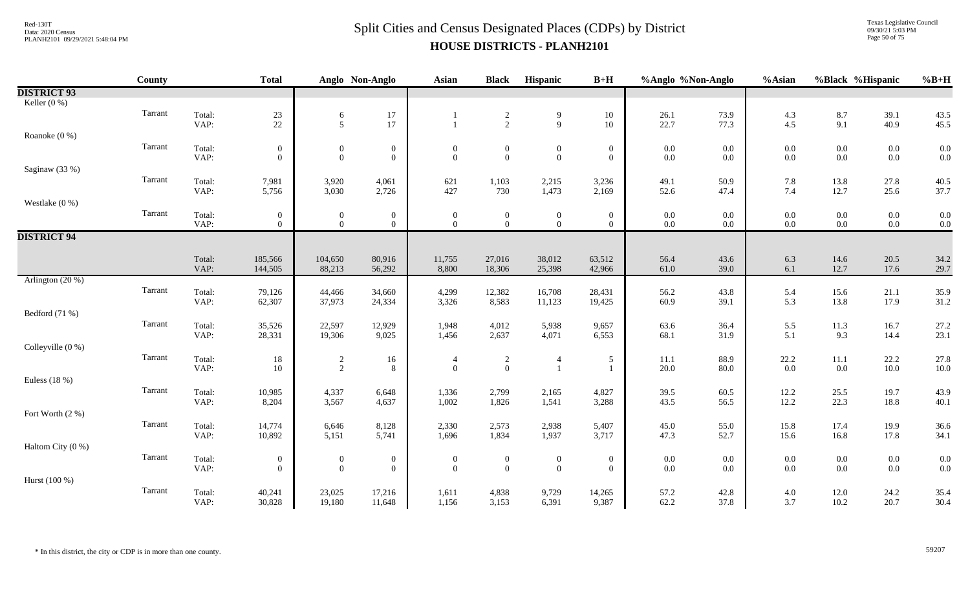Texas Legislative Council 09/30/21 5:03 PM Page 50 of 75

|                    | <b>County</b> |                | <b>Total</b>     |                                  | Anglo Non-Anglo  | <b>Asian</b>                     | <b>Black</b>                       | Hispanic                     | $B+H$                            | %Anglo %Non-Anglo |              | %Asian            | %Black %Hispanic |              | $%B+H$       |
|--------------------|---------------|----------------|------------------|----------------------------------|------------------|----------------------------------|------------------------------------|------------------------------|----------------------------------|-------------------|--------------|-------------------|------------------|--------------|--------------|
| <b>DISTRICT 93</b> |               |                |                  |                                  |                  |                                  |                                    |                              |                                  |                   |              |                   |                  |              |              |
| Keller (0 %)       |               |                |                  |                                  |                  |                                  |                                    |                              |                                  |                   |              |                   |                  |              |              |
|                    | Tarrant       | Total:         | $\frac{23}{22}$  | $6\,$                            | $17\,$           |                                  | $\frac{2}{2}$                      | $\boldsymbol{9}$             | 10                               | 26.1              | 73.9         | $4.3$             | $8.7\,$          | 39.1         | 43.5         |
|                    |               | VAP:           |                  | 5                                | 17               |                                  |                                    | $\overline{9}$               | 10                               | 22.7              | 77.3         | 4.5               | 9.1              | 40.9         | 45.5         |
| Roanoke (0 %)      |               |                |                  |                                  |                  |                                  |                                    |                              |                                  |                   |              |                   |                  |              |              |
|                    | Tarrant       | Total:         | $\boldsymbol{0}$ | $\boldsymbol{0}$                 | $\boldsymbol{0}$ | $\overline{0}$                   | $\boldsymbol{0}$                   | $\boldsymbol{0}$             | $\boldsymbol{0}$                 | $0.0\,$           | 0.0          | $0.0\,$           | $0.0\,$          | $0.0\,$      | 0.0          |
|                    |               | VAP:           | $\Omega$         | $\overline{0}$                   | $\mathbf{0}$     | $\theta$                         | $\mathbf{0}$                       | $\mathbf{0}$                 | $\theta$                         | $0.0\,$           | $0.0\,$      | 0.0               | $0.0\,$          | $0.0\,$      | 0.0          |
| Saginaw (33 %)     | Tarrant       |                |                  |                                  |                  |                                  |                                    |                              |                                  |                   |              |                   |                  |              |              |
|                    |               | Total:<br>VAP: | 7,981<br>5,756   | 3,920<br>3,030                   | 4,061<br>2,726   | 621<br>427                       | 1,103<br>730                       | 2,215<br>1,473               | 3,236<br>2,169                   | 49.1<br>52.6      | 50.9<br>47.4 | 7.8<br>7.4        | 13.8<br>12.7     | 27.8<br>25.6 | 40.5<br>37.7 |
| Westlake $(0\%)$   |               |                |                  |                                  |                  |                                  |                                    |                              |                                  |                   |              |                   |                  |              |              |
|                    | Tarrant       | Total:         | $\overline{0}$   |                                  | $\boldsymbol{0}$ |                                  |                                    |                              | $\overline{0}$                   | $0.0\,$           | $0.0\,$      | $0.0\,$           | $0.0\,$          | $0.0\,$      | 0.0          |
|                    |               | VAP:           | $\overline{0}$   | $\mathbf{0}$<br>$\overline{0}$   | $\mathbf{0}$     | $\overline{0}$<br>$\overline{0}$ | $\boldsymbol{0}$<br>$\overline{0}$ | $\mathbf{0}$<br>$\mathbf{0}$ | $\theta$                         | $0.0\,$           | $0.0\,$      | $0.0\,$           | $0.0\,$          | $0.0\,$      | 0.0          |
| <b>DISTRICT 94</b> |               |                |                  |                                  |                  |                                  |                                    |                              |                                  |                   |              |                   |                  |              |              |
|                    |               |                |                  |                                  |                  |                                  |                                    |                              |                                  |                   |              |                   |                  |              |              |
|                    |               | Total:         | 185,566          | 104,650                          | 80,916           | 11,755                           | 27,016                             | 38,012                       | 63,512                           | 56.4              | 43.6         | 6.3               | 14.6             | 20.5         | 34.2         |
|                    |               | VAP:           | 144,505          | 88,213                           | 56,292           | 8,800                            | 18,306                             | 25,398                       | 42,966                           | 61.0              | 39.0         | 6.1               | 12.7             | 17.6         | 29.7         |
| Arlington (20 %)   |               |                |                  |                                  |                  |                                  |                                    |                              |                                  |                   |              |                   |                  |              |              |
|                    | Tarrant       | Total:         | 79,126           | 44,466                           | 34,660           | 4,299                            | 12,382                             | 16,708                       | 28,431                           | 56.2              | 43.8         | $\frac{5.4}{5.3}$ | 15.6             | 21.1         | 35.9         |
|                    |               | VAP:           | 62,307           | 37,973                           | 24,334           | 3,326                            | 8,583                              | 11,123                       | 19,425                           | 60.9              | 39.1         |                   | 13.8             | 17.9         | 31.2         |
| Bedford (71 %)     |               |                |                  |                                  |                  |                                  |                                    |                              |                                  |                   |              |                   |                  |              |              |
|                    | Tarrant       | Total:         | 35,526           | 22,597                           | 12,929           | 1,948                            | 4,012                              | 5,938                        | 9,657                            | 63.6              | 36.4         | 5.5               | $11.3\,$         | 16.7         | 27.2         |
|                    |               | VAP:           | 28,331           | 19,306                           | 9,025            | 1,456                            | 2,637                              | 4,071                        | 6,553                            | 68.1              | 31.9         | 5.1               | 9.3              | 14.4         | 23.1         |
| Colleyville (0 %)  | Tarrant       |                |                  |                                  |                  |                                  |                                    |                              |                                  |                   |              |                   |                  |              |              |
|                    |               | Total:<br>VAP: | 18<br>10         | $\overline{c}$<br>$\overline{2}$ | 16<br>8          | $\overline{4}$<br>$\mathbf{0}$   | $\sqrt{2}$<br>$\mathbf{0}$         | $\overline{4}$               | $\mathfrak{S}$<br>$\overline{1}$ | 11.1<br>20.0      | 88.9<br>80.0 | $22.2\,$<br>0.0   | $11.1\,$<br>0.0  | 22.2<br>10.0 | 27.8<br>10.0 |
| Euless $(18%)$     |               |                |                  |                                  |                  |                                  |                                    |                              |                                  |                   |              |                   |                  |              |              |
|                    | Tarrant       | Total:         | 10,985           | 4,337                            | 6,648            | 1,336                            | 2,799                              | 2,165                        | 4,827                            | 39.5              | 60.5         | 12.2              | 25.5             | 19.7         | 43.9         |
|                    |               | VAP:           | 8,204            | 3,567                            | 4,637            | 1,002                            | 1,826                              | 1,541                        | 3,288                            | 43.5              | 56.5         | 12.2              | 22.3             | 18.8         | 40.1         |
| Fort Worth (2 %)   |               |                |                  |                                  |                  |                                  |                                    |                              |                                  |                   |              |                   |                  |              |              |
|                    | Tarrant       | Total:         | 14,774           | 6,646                            | 8,128            | 2,330                            | 2,573                              | 2,938                        | 5,407                            | 45.0              | 55.0         | 15.8              | 17.4             | 19.9         | 36.6         |
|                    |               | VAP:           | 10,892           | 5,151                            | 5,741            | 1,696                            | 1,834                              | 1,937                        | 3,717                            | 47.3              | 52.7         | 15.6              | 16.8             | 17.8         | 34.1         |
| Haltom City (0 %)  |               |                |                  |                                  |                  |                                  |                                    |                              |                                  |                   |              |                   |                  |              |              |
|                    | Tarrant       | Total:         | $\boldsymbol{0}$ | $\boldsymbol{0}$                 | $\boldsymbol{0}$ | $\boldsymbol{0}$                 | $\boldsymbol{0}$                   | $\boldsymbol{0}$             | $\boldsymbol{0}$                 | $0.0\,$           | 0.0          | $0.0\,$           | $0.0\,$          | $0.0\,$      | 0.0          |
|                    |               | VAP:           | $\overline{0}$   | $\overline{0}$                   | $\boldsymbol{0}$ | $\mathbf{0}$                     | $\mathbf{0}$                       | $\overline{0}$               | $\mathbf{0}$                     | $0.0\,$           | $0.0\,$      | 0.0               | $0.0\,$          | $0.0\,$      | 0.0          |
| Hurst (100 %)      |               |                |                  |                                  |                  |                                  |                                    |                              |                                  |                   |              |                   |                  |              |              |
|                    | Tarrant       | Total:         | 40,241           | 23,025                           | 17,216           | 1,611                            | 4,838                              | 9,729                        | 14,265                           | 57.2              | 42.8         | $4.0\,$           | 12.0             | 24.2         | 35.4         |
|                    |               | VAP:           | 30,828           | 19,180                           | 11,648           | 1,156                            | 3,153                              | 6,391                        | 9,387                            | 62.2              | 37.8         | 3.7               | 10.2             | 20.7         | 30.4         |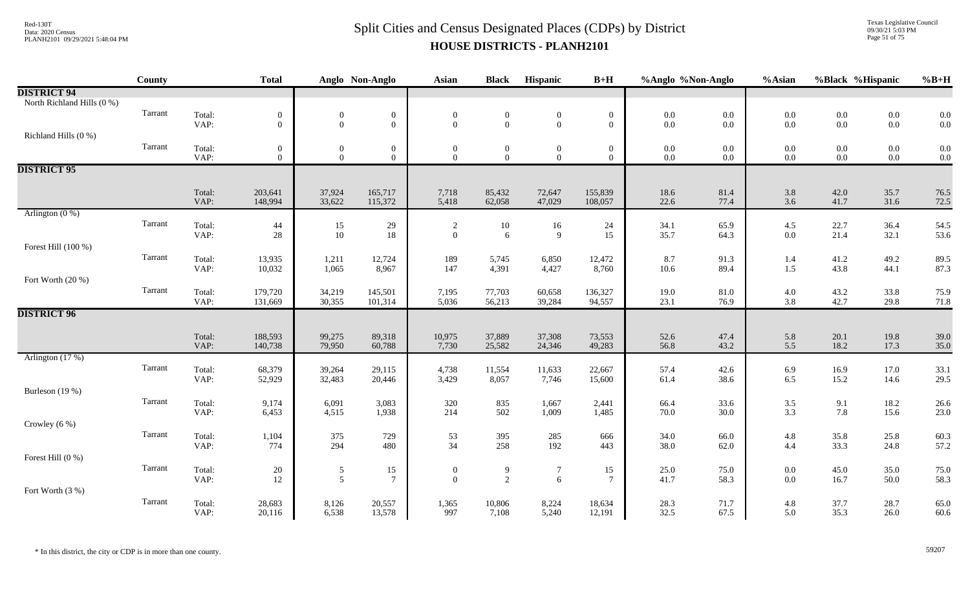Texas Legislative Council 09/30/21 5:03 PM Page 51 of 75

|                            | County  |                | <b>Total</b>       |                  | Anglo Non-Anglo    | <b>Asian</b>                          | <b>Black</b>     | Hispanic         | $B+H$             | %Anglo %Non-Anglo |                  | %Asian            |              | %Black %Hispanic | $%B+H$       |
|----------------------------|---------|----------------|--------------------|------------------|--------------------|---------------------------------------|------------------|------------------|-------------------|-------------------|------------------|-------------------|--------------|------------------|--------------|
| <b>DISTRICT 94</b>         |         |                |                    |                  |                    |                                       |                  |                  |                   |                   |                  |                   |              |                  |              |
| North Richland Hills (0 %) |         |                |                    |                  |                    |                                       |                  |                  |                   |                   |                  |                   |              |                  |              |
|                            | Tarrant | Total:         | $\mathbf{0}$       | $\boldsymbol{0}$ | $\boldsymbol{0}$   | $\boldsymbol{0}$                      | $\boldsymbol{0}$ | $\boldsymbol{0}$ | $\boldsymbol{0}$  | $0.0\,$           | $0.0\,$          | $0.0\,$           | $0.0\,$      | $0.0\,$          | 0.0          |
|                            |         | VAP:           | $\Omega$           | $\overline{0}$   | $\overline{0}$     | $\mathbf{0}$                          | $\overline{0}$   | $\overline{0}$   | $\theta$          | 0.0               | $0.0\,$          | 0.0               | $0.0\,$      | $0.0\,$          | 0.0          |
| Richland Hills (0 %)       |         |                |                    |                  |                    |                                       |                  |                  |                   |                   |                  |                   |              |                  |              |
|                            | Tarrant | Total:         | $\mathbf{0}$       | $\boldsymbol{0}$ | $\bf{0}$           | $\overline{0}$                        | $\mathbf{0}$     | $\bf{0}$         | $\boldsymbol{0}$  | $0.0\,$           | $0.0\,$          | $0.0\,$           | $0.0\,$      | $0.0\,$          | 0.0          |
|                            |         | VAP:           | $\Omega$           | $\theta$         | $\overline{0}$     | $\overline{0}$                        | $\theta$         | $\theta$         | $\theta$          | $0.0\,$           | $0.0\,$          | $0.0\,$           | $0.0\,$      | $0.0\,$          | 0.0          |
| <b>DISTRICT 95</b>         |         |                |                    |                  |                    |                                       |                  |                  |                   |                   |                  |                   |              |                  |              |
|                            |         | Total:         | 203,641            | 37,924           | 165,717            | 7,718                                 | 85,432           | 72,647           | 155,839           | 18.6              | 81.4             | 3.8               | 42.0         | 35.7             | 76.5         |
|                            |         | VAP:           | 148,994            | 33,622           | 115,372            | 5,418                                 | 62,058           | 47,029           | 108,057           | 22.6              | 77.4             | $3.6\,$           | 41.7         | 31.6             | 72.5         |
| Arlington $(0\%)$          |         |                |                    |                  |                    |                                       |                  |                  |                   |                   |                  |                   |              |                  |              |
|                            | Tarrant | Total:         | 44                 | 15               | 29                 | $\begin{array}{c} 2 \\ 0 \end{array}$ | 10               | 16               | 24                | 34.1              | 65.9             | 4.5               | 22.7         | 36.4             | 54.5         |
|                            |         | VAP:           | 28                 | 10               | $18\,$             |                                       | 6                | 9                | 15                | 35.7              | 64.3             | $0.0\,$           | 21.4         | 32.1             | 53.6         |
| Forest Hill (100 %)        |         |                |                    |                  |                    |                                       |                  |                  |                   |                   |                  |                   |              |                  |              |
|                            | Tarrant | Total:         | 13,935             | 1,211            | 12,724             | 189                                   | 5,745            | 6,850            | 12,472            | 8.7               | 91.3             | 1.4               | 41.2         | 49.2             | 89.5         |
|                            |         | VAP:           | 10,032             | 1,065            | 8,967              | 147                                   | 4,391            | 4,427            | 8,760             | 10.6              | 89.4             | 1.5               | 43.8         | 44.1             | 87.3         |
| Fort Worth (20 %)          | Tarrant |                |                    |                  |                    |                                       |                  |                  |                   |                   |                  |                   |              |                  |              |
|                            |         | Total:<br>VAP: | 179,720<br>131,669 | 34,219<br>30,355 | 145,501<br>101,314 | 7,195<br>5,036                        | 77,703<br>56,213 | 60,658<br>39,284 | 136,327<br>94,557 | 19.0<br>23.1      | $81.0\,$<br>76.9 | 4.0<br>3.8        | 43.2<br>42.7 | 33.8<br>29.8     | 75.9<br>71.8 |
| <b>DISTRICT 96</b>         |         |                |                    |                  |                    |                                       |                  |                  |                   |                   |                  |                   |              |                  |              |
|                            |         |                |                    |                  |                    |                                       |                  |                  |                   |                   |                  |                   |              |                  |              |
|                            |         | Total:         | 188,593            | 99,275           | 89,318             | 10,975                                | 37,889           | 37,308           | 73,553            | 52.6              | 47.4             | 5.8               | 20.1         | 19.8             | 39.0         |
|                            |         | VAP:           | 140,738            | 79,950           | 60,788             | 7,730                                 | 25,582           | 24,346           | 49,283            | 56.8              | 43.2             | 5.5               | 18.2         | 17.3             | 35.0         |
| Arlington (17 %)           |         |                |                    |                  |                    |                                       |                  |                  |                   |                   |                  |                   |              |                  |              |
|                            | Tarrant | Total:         | 68,379             | 39,264           | 29,115             | 4,738                                 | 11,554           | 11,633           | 22,667            | 57.4              | 42.6             | 6.9               | 16.9         | 17.0             | 33.1         |
|                            |         | VAP:           | 52,929             | 32,483           | 20,446             | 3,429                                 | 8,057            | 7,746            | 15,600            | 61.4              | 38.6             | 6.5               | 15.2         | 14.6             | 29.5         |
| Burleson (19 %)            |         |                |                    |                  |                    |                                       |                  |                  |                   |                   |                  |                   |              |                  |              |
|                            | Tarrant | Total:         | 9,174              | 6,091            | 3,083              | 320                                   | 835              | 1,667            | 2,441             | 66.4              | 33.6             | $\frac{3.5}{3.3}$ | $9.1\,$      | 18.2             | 26.6         |
|                            |         | VAP:           | 6,453              | 4,515            | 1,938              | 214                                   | 502              | 1,009            | 1,485             | 70.0              | 30.0             |                   | 7.8          | 15.6             | 23.0         |
| Crowley $(6\%)$            | Tarrant |                |                    |                  |                    |                                       |                  |                  |                   |                   |                  |                   |              |                  |              |
|                            |         | Total:<br>VAP: | 1,104<br>774       | 375<br>294       | 729<br>480         | 53<br>34                              | 395<br>258       | 285<br>192       | 666<br>443        | 34.0<br>38.0      | 66.0<br>62.0     | 4.8<br>4.4        | 35.8<br>33.3 | 25.8<br>24.8     | 60.3<br>57.2 |
| Forest Hill (0 %)          |         |                |                    |                  |                    |                                       |                  |                  |                   |                   |                  |                   |              |                  |              |
|                            | Tarrant | Total:         | 20                 |                  | 15                 | $\mathbf{0}$                          | 9                | $7\phantom{.0}$  | 15                | 25.0              | 75.0             | $0.0\,$           | 45.0         | 35.0             | 75.0         |
|                            |         | VAP:           | 12                 | $\frac{5}{5}$    | $7\phantom{.0}$    | $\mathbf{0}$                          | 2                | 6                | $\overline{7}$    | 41.7              | 58.3             | 0.0               | 16.7         | 50.0             | 58.3         |
| Fort Worth (3 %)           |         |                |                    |                  |                    |                                       |                  |                  |                   |                   |                  |                   |              |                  |              |
|                            | Tarrant | Total:         | 28,683             | 8,126            | 20,557             | 1,365                                 | 10,806           | 8,224            | 18,634            | 28.3              | 71.7             | 4.8               | 37.7         | 28.7             | 65.0         |
|                            |         | VAP:           | 20,116             | 6,538            | 13,578             | 997                                   | 7,108            | 5,240            | 12,191            | 32.5              | 67.5             | 5.0               | 35.3         | 26.0             | 60.6         |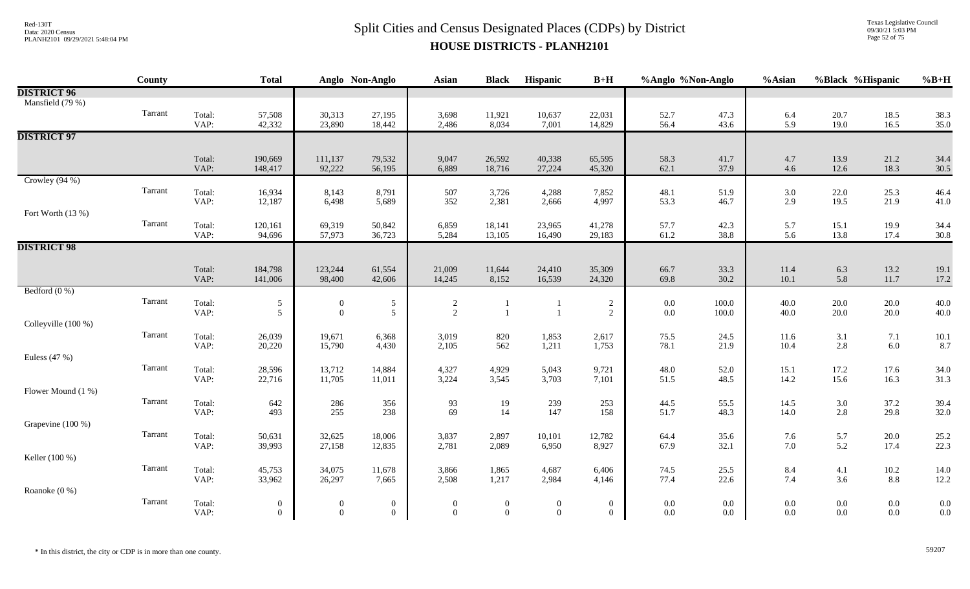Texas Legislative Council 09/30/21 5:03 PM Page 52 of 75

| <b>DISTRICT 96</b><br>Mansfield (79 %)<br>Tarrant<br>Total:<br>57,508<br>30,313<br>27,195<br>3,698<br>10,637<br>22,031<br>52.7<br>47.3<br>20.7<br>11,921<br>6.4<br>18.5<br>38.3<br>42,332<br>23,890<br>5.9<br>19.0<br>35.0<br>VAP:<br>18,442<br>2,486<br>8,034<br>7,001<br>14,829<br>56.4<br>43.6<br>16.5<br><b>DISTRICT 97</b><br>65,595<br>Total:<br>190,669<br>111,137<br>79,532<br>9,047<br>26,592<br>40,338<br>58.3<br>41.7<br>4.7<br>13.9<br>21.2<br>34.4<br>VAP:<br>92,222<br>6,889<br>37.9<br>12.6<br>148,417<br>56,195<br>18,716<br>27,224<br>45,320<br>62.1<br>4.6<br>18.3<br>30.5<br>Crowley $(94\%)$<br>Tarrant<br>Total:<br>8,143<br>25.3<br>16,934<br>8,791<br>507<br>3,726<br>4,288<br>7,852<br>48.1<br>51.9<br>3.0<br>22.0<br>46.4<br>4,997<br>2.9<br>19.5<br>21.9<br>41.0<br>VAP:<br>12,187<br>6,498<br>5,689<br>352<br>2,381<br>53.3<br>46.7<br>2,666<br>Fort Worth (13 %)<br>Tarrant<br>Total:<br>69,319<br>50,842<br>6,859<br>18,141<br>23,965<br>41,278<br>57.7<br>42.3<br>5.7<br>15.1<br>19.9<br>120,161<br>34.4<br>57,973<br>VAP:<br>61.2<br>13.8<br>94,696<br>36,723<br>38.8<br>5.6<br>17.4<br>30.8<br>5,284<br>13,105<br>16,490<br>29,183<br><b>DISTRICT 98</b><br>33.3<br>13.2<br>Total:<br>184,798<br>123,244<br>61,554<br>21,009<br>11,644<br>24,410<br>35,309<br>66.7<br>11.4<br>6.3<br>19.1<br>10.1<br>5.8<br>VAP:<br>98,400<br>42,606<br>14,245<br>8,152<br>16,539<br>24,320<br>30.2<br>11.7<br>17.2<br>141,006<br>69.8<br>Bedford $(0\%)$<br>Tarrant<br>Total:<br>$\sqrt{5}$<br>$\sqrt{5}$<br>40.0<br>$\sqrt{2}$<br>100.0<br>40.0<br>$20.0\,$<br>$20.0\,$<br>$\overline{c}$<br>$0.0\,$<br>$\boldsymbol{0}$<br>$\overline{2}$<br>$\boldsymbol{0}$<br>VAP:<br>$\mathfrak{S}$<br>$\overline{5}$<br>$20.0\,$<br>40.0<br>$\overline{1}$<br>$\overline{2}$<br>$0.0\,$<br>100.0<br>40.0<br>$20.0\,$<br>$\mathbf{1}$<br>Colleyville (100 %)<br>Tarrant<br>Total:<br>19,671<br>6,368<br>2,617<br>24.5<br>11.6<br>7.1<br>26,039<br>3,019<br>820<br>1,853<br>75.5<br>3.1<br>10.1<br>VAP:<br>15,790<br>562<br>1,211<br>1,753<br>21.9<br>10.4<br>2.8<br>$6.0\,$<br>8.7<br>20,220<br>4,430<br>2,105<br>78.1<br>Euless (47 %)<br>Tarrant<br>14,884<br>4,327<br>48.0<br>Total:<br>28,596<br>13,712<br>4,929<br>5,043<br>9,721<br>52.0<br>15.1<br>17.2<br>17.6<br>34.0<br>31.3<br>VAP:<br>22,716<br>11,705<br>3,224<br>3,545<br>3,703<br>7,101<br>51.5<br>48.5<br>14.2<br>15.6<br>16.3<br>11,011<br>Flower Mound (1 %)<br>Tarrant<br>Total:<br>642<br>286<br>19<br>239<br>253<br>44.5<br>14.5<br>$3.0\,$<br>37.2<br>39.4<br>356<br>93<br>55.5<br>255<br>69<br>14<br>147<br>2.8<br>32.0<br>VAP:<br>493<br>238<br>158<br>48.3<br>14.0<br>29.8<br>51.7<br>Grapevine (100 %)<br>Tarrant<br>Total:<br>32,625<br>18,006<br>3,837<br>2,897<br>12,782<br>64.4<br>5.7<br>$20.0\,$<br>25.2<br>50,631<br>10,101<br>35.6<br>7.6<br>5.2<br>22.3<br>VAP:<br>39,993<br>27,158<br>12,835<br>2,781<br>2,089<br>6,950<br>8,927<br>67.9<br>32.1<br>7.0<br>17.4<br>Keller (100 %)<br>Tarrant<br>Total:<br>45,753<br>34,075<br>25.5<br>8.4<br>$10.2\,$<br>11,678<br>3,866<br>1,865<br>4,687<br>6,406<br>74.5<br>4.1<br>14.0<br>77.4<br>22.6<br>7.4<br>3.6<br>$8.8\,$<br>12.2<br>VAP:<br>33,962<br>26,297<br>2,508<br>1,217<br>2,984<br>7,665<br>4,146<br>Roanoke (0 %)<br>Tarrant<br>Total:<br>0.0<br>$\boldsymbol{0}$<br>$0.0\,$<br>$0.0\,$<br>$0.0\,$<br>$0.0\,$<br>$\boldsymbol{0}$<br>$\bf{0}$<br>$\mathbf{0}$<br>$\boldsymbol{0}$<br>$\bf{0}$<br>$\boldsymbol{0}$<br>$0.0\,$<br>0.0<br>$\mathbf{0}$<br>$\overline{0}$<br>$\mathbf{0}$<br>VAP:<br>$\overline{0}$<br>$\theta$<br>$\overline{0}$<br>$\overline{0}$<br>$0.0\,$<br>$0.0\,$<br>$0.0\,$<br>$0.0\,$<br>0.0 | County | <b>Total</b> | Anglo Non-Anglo | Asian | <b>Black</b> | Hispanic | $B+H$ | %Anglo %Non-Anglo | %Asian | %Black %Hispanic | $%B+H$ |
|-------------------------------------------------------------------------------------------------------------------------------------------------------------------------------------------------------------------------------------------------------------------------------------------------------------------------------------------------------------------------------------------------------------------------------------------------------------------------------------------------------------------------------------------------------------------------------------------------------------------------------------------------------------------------------------------------------------------------------------------------------------------------------------------------------------------------------------------------------------------------------------------------------------------------------------------------------------------------------------------------------------------------------------------------------------------------------------------------------------------------------------------------------------------------------------------------------------------------------------------------------------------------------------------------------------------------------------------------------------------------------------------------------------------------------------------------------------------------------------------------------------------------------------------------------------------------------------------------------------------------------------------------------------------------------------------------------------------------------------------------------------------------------------------------------------------------------------------------------------------------------------------------------------------------------------------------------------------------------------------------------------------------------------------------------------------------------------------------------------------------------------------------------------------------------------------------------------------------------------------------------------------------------------------------------------------------------------------------------------------------------------------------------------------------------------------------------------------------------------------------------------------------------------------------------------------------------------------------------------------------------------------------------------------------------------------------------------------------------------------------------------------------------------------------------------------------------------------------------------------------------------------------------------------------------------------------------------------------------------------------------------------------------------------------------------------------------------------------------------------------------------------------------------------------------------------------------------------------------------------------------------------------------------------------------------------------------------------------------------------------------------------------------------------------------------------------------------------------------------------------------------------------------------------------------------------------------------------------------------------------------------------------------------------|--------|--------------|-----------------|-------|--------------|----------|-------|-------------------|--------|------------------|--------|
|                                                                                                                                                                                                                                                                                                                                                                                                                                                                                                                                                                                                                                                                                                                                                                                                                                                                                                                                                                                                                                                                                                                                                                                                                                                                                                                                                                                                                                                                                                                                                                                                                                                                                                                                                                                                                                                                                                                                                                                                                                                                                                                                                                                                                                                                                                                                                                                                                                                                                                                                                                                                                                                                                                                                                                                                                                                                                                                                                                                                                                                                                                                                                                                                                                                                                                                                                                                                                                                                                                                                                                                                                                                                   |        |              |                 |       |              |          |       |                   |        |                  |        |
|                                                                                                                                                                                                                                                                                                                                                                                                                                                                                                                                                                                                                                                                                                                                                                                                                                                                                                                                                                                                                                                                                                                                                                                                                                                                                                                                                                                                                                                                                                                                                                                                                                                                                                                                                                                                                                                                                                                                                                                                                                                                                                                                                                                                                                                                                                                                                                                                                                                                                                                                                                                                                                                                                                                                                                                                                                                                                                                                                                                                                                                                                                                                                                                                                                                                                                                                                                                                                                                                                                                                                                                                                                                                   |        |              |                 |       |              |          |       |                   |        |                  |        |
|                                                                                                                                                                                                                                                                                                                                                                                                                                                                                                                                                                                                                                                                                                                                                                                                                                                                                                                                                                                                                                                                                                                                                                                                                                                                                                                                                                                                                                                                                                                                                                                                                                                                                                                                                                                                                                                                                                                                                                                                                                                                                                                                                                                                                                                                                                                                                                                                                                                                                                                                                                                                                                                                                                                                                                                                                                                                                                                                                                                                                                                                                                                                                                                                                                                                                                                                                                                                                                                                                                                                                                                                                                                                   |        |              |                 |       |              |          |       |                   |        |                  |        |
|                                                                                                                                                                                                                                                                                                                                                                                                                                                                                                                                                                                                                                                                                                                                                                                                                                                                                                                                                                                                                                                                                                                                                                                                                                                                                                                                                                                                                                                                                                                                                                                                                                                                                                                                                                                                                                                                                                                                                                                                                                                                                                                                                                                                                                                                                                                                                                                                                                                                                                                                                                                                                                                                                                                                                                                                                                                                                                                                                                                                                                                                                                                                                                                                                                                                                                                                                                                                                                                                                                                                                                                                                                                                   |        |              |                 |       |              |          |       |                   |        |                  |        |
|                                                                                                                                                                                                                                                                                                                                                                                                                                                                                                                                                                                                                                                                                                                                                                                                                                                                                                                                                                                                                                                                                                                                                                                                                                                                                                                                                                                                                                                                                                                                                                                                                                                                                                                                                                                                                                                                                                                                                                                                                                                                                                                                                                                                                                                                                                                                                                                                                                                                                                                                                                                                                                                                                                                                                                                                                                                                                                                                                                                                                                                                                                                                                                                                                                                                                                                                                                                                                                                                                                                                                                                                                                                                   |        |              |                 |       |              |          |       |                   |        |                  |        |
|                                                                                                                                                                                                                                                                                                                                                                                                                                                                                                                                                                                                                                                                                                                                                                                                                                                                                                                                                                                                                                                                                                                                                                                                                                                                                                                                                                                                                                                                                                                                                                                                                                                                                                                                                                                                                                                                                                                                                                                                                                                                                                                                                                                                                                                                                                                                                                                                                                                                                                                                                                                                                                                                                                                                                                                                                                                                                                                                                                                                                                                                                                                                                                                                                                                                                                                                                                                                                                                                                                                                                                                                                                                                   |        |              |                 |       |              |          |       |                   |        |                  |        |
|                                                                                                                                                                                                                                                                                                                                                                                                                                                                                                                                                                                                                                                                                                                                                                                                                                                                                                                                                                                                                                                                                                                                                                                                                                                                                                                                                                                                                                                                                                                                                                                                                                                                                                                                                                                                                                                                                                                                                                                                                                                                                                                                                                                                                                                                                                                                                                                                                                                                                                                                                                                                                                                                                                                                                                                                                                                                                                                                                                                                                                                                                                                                                                                                                                                                                                                                                                                                                                                                                                                                                                                                                                                                   |        |              |                 |       |              |          |       |                   |        |                  |        |
|                                                                                                                                                                                                                                                                                                                                                                                                                                                                                                                                                                                                                                                                                                                                                                                                                                                                                                                                                                                                                                                                                                                                                                                                                                                                                                                                                                                                                                                                                                                                                                                                                                                                                                                                                                                                                                                                                                                                                                                                                                                                                                                                                                                                                                                                                                                                                                                                                                                                                                                                                                                                                                                                                                                                                                                                                                                                                                                                                                                                                                                                                                                                                                                                                                                                                                                                                                                                                                                                                                                                                                                                                                                                   |        |              |                 |       |              |          |       |                   |        |                  |        |
|                                                                                                                                                                                                                                                                                                                                                                                                                                                                                                                                                                                                                                                                                                                                                                                                                                                                                                                                                                                                                                                                                                                                                                                                                                                                                                                                                                                                                                                                                                                                                                                                                                                                                                                                                                                                                                                                                                                                                                                                                                                                                                                                                                                                                                                                                                                                                                                                                                                                                                                                                                                                                                                                                                                                                                                                                                                                                                                                                                                                                                                                                                                                                                                                                                                                                                                                                                                                                                                                                                                                                                                                                                                                   |        |              |                 |       |              |          |       |                   |        |                  |        |
|                                                                                                                                                                                                                                                                                                                                                                                                                                                                                                                                                                                                                                                                                                                                                                                                                                                                                                                                                                                                                                                                                                                                                                                                                                                                                                                                                                                                                                                                                                                                                                                                                                                                                                                                                                                                                                                                                                                                                                                                                                                                                                                                                                                                                                                                                                                                                                                                                                                                                                                                                                                                                                                                                                                                                                                                                                                                                                                                                                                                                                                                                                                                                                                                                                                                                                                                                                                                                                                                                                                                                                                                                                                                   |        |              |                 |       |              |          |       |                   |        |                  |        |
|                                                                                                                                                                                                                                                                                                                                                                                                                                                                                                                                                                                                                                                                                                                                                                                                                                                                                                                                                                                                                                                                                                                                                                                                                                                                                                                                                                                                                                                                                                                                                                                                                                                                                                                                                                                                                                                                                                                                                                                                                                                                                                                                                                                                                                                                                                                                                                                                                                                                                                                                                                                                                                                                                                                                                                                                                                                                                                                                                                                                                                                                                                                                                                                                                                                                                                                                                                                                                                                                                                                                                                                                                                                                   |        |              |                 |       |              |          |       |                   |        |                  |        |
|                                                                                                                                                                                                                                                                                                                                                                                                                                                                                                                                                                                                                                                                                                                                                                                                                                                                                                                                                                                                                                                                                                                                                                                                                                                                                                                                                                                                                                                                                                                                                                                                                                                                                                                                                                                                                                                                                                                                                                                                                                                                                                                                                                                                                                                                                                                                                                                                                                                                                                                                                                                                                                                                                                                                                                                                                                                                                                                                                                                                                                                                                                                                                                                                                                                                                                                                                                                                                                                                                                                                                                                                                                                                   |        |              |                 |       |              |          |       |                   |        |                  |        |
|                                                                                                                                                                                                                                                                                                                                                                                                                                                                                                                                                                                                                                                                                                                                                                                                                                                                                                                                                                                                                                                                                                                                                                                                                                                                                                                                                                                                                                                                                                                                                                                                                                                                                                                                                                                                                                                                                                                                                                                                                                                                                                                                                                                                                                                                                                                                                                                                                                                                                                                                                                                                                                                                                                                                                                                                                                                                                                                                                                                                                                                                                                                                                                                                                                                                                                                                                                                                                                                                                                                                                                                                                                                                   |        |              |                 |       |              |          |       |                   |        |                  |        |
|                                                                                                                                                                                                                                                                                                                                                                                                                                                                                                                                                                                                                                                                                                                                                                                                                                                                                                                                                                                                                                                                                                                                                                                                                                                                                                                                                                                                                                                                                                                                                                                                                                                                                                                                                                                                                                                                                                                                                                                                                                                                                                                                                                                                                                                                                                                                                                                                                                                                                                                                                                                                                                                                                                                                                                                                                                                                                                                                                                                                                                                                                                                                                                                                                                                                                                                                                                                                                                                                                                                                                                                                                                                                   |        |              |                 |       |              |          |       |                   |        |                  |        |
|                                                                                                                                                                                                                                                                                                                                                                                                                                                                                                                                                                                                                                                                                                                                                                                                                                                                                                                                                                                                                                                                                                                                                                                                                                                                                                                                                                                                                                                                                                                                                                                                                                                                                                                                                                                                                                                                                                                                                                                                                                                                                                                                                                                                                                                                                                                                                                                                                                                                                                                                                                                                                                                                                                                                                                                                                                                                                                                                                                                                                                                                                                                                                                                                                                                                                                                                                                                                                                                                                                                                                                                                                                                                   |        |              |                 |       |              |          |       |                   |        |                  |        |
|                                                                                                                                                                                                                                                                                                                                                                                                                                                                                                                                                                                                                                                                                                                                                                                                                                                                                                                                                                                                                                                                                                                                                                                                                                                                                                                                                                                                                                                                                                                                                                                                                                                                                                                                                                                                                                                                                                                                                                                                                                                                                                                                                                                                                                                                                                                                                                                                                                                                                                                                                                                                                                                                                                                                                                                                                                                                                                                                                                                                                                                                                                                                                                                                                                                                                                                                                                                                                                                                                                                                                                                                                                                                   |        |              |                 |       |              |          |       |                   |        |                  |        |
|                                                                                                                                                                                                                                                                                                                                                                                                                                                                                                                                                                                                                                                                                                                                                                                                                                                                                                                                                                                                                                                                                                                                                                                                                                                                                                                                                                                                                                                                                                                                                                                                                                                                                                                                                                                                                                                                                                                                                                                                                                                                                                                                                                                                                                                                                                                                                                                                                                                                                                                                                                                                                                                                                                                                                                                                                                                                                                                                                                                                                                                                                                                                                                                                                                                                                                                                                                                                                                                                                                                                                                                                                                                                   |        |              |                 |       |              |          |       |                   |        |                  |        |
|                                                                                                                                                                                                                                                                                                                                                                                                                                                                                                                                                                                                                                                                                                                                                                                                                                                                                                                                                                                                                                                                                                                                                                                                                                                                                                                                                                                                                                                                                                                                                                                                                                                                                                                                                                                                                                                                                                                                                                                                                                                                                                                                                                                                                                                                                                                                                                                                                                                                                                                                                                                                                                                                                                                                                                                                                                                                                                                                                                                                                                                                                                                                                                                                                                                                                                                                                                                                                                                                                                                                                                                                                                                                   |        |              |                 |       |              |          |       |                   |        |                  |        |
|                                                                                                                                                                                                                                                                                                                                                                                                                                                                                                                                                                                                                                                                                                                                                                                                                                                                                                                                                                                                                                                                                                                                                                                                                                                                                                                                                                                                                                                                                                                                                                                                                                                                                                                                                                                                                                                                                                                                                                                                                                                                                                                                                                                                                                                                                                                                                                                                                                                                                                                                                                                                                                                                                                                                                                                                                                                                                                                                                                                                                                                                                                                                                                                                                                                                                                                                                                                                                                                                                                                                                                                                                                                                   |        |              |                 |       |              |          |       |                   |        |                  |        |
|                                                                                                                                                                                                                                                                                                                                                                                                                                                                                                                                                                                                                                                                                                                                                                                                                                                                                                                                                                                                                                                                                                                                                                                                                                                                                                                                                                                                                                                                                                                                                                                                                                                                                                                                                                                                                                                                                                                                                                                                                                                                                                                                                                                                                                                                                                                                                                                                                                                                                                                                                                                                                                                                                                                                                                                                                                                                                                                                                                                                                                                                                                                                                                                                                                                                                                                                                                                                                                                                                                                                                                                                                                                                   |        |              |                 |       |              |          |       |                   |        |                  |        |
|                                                                                                                                                                                                                                                                                                                                                                                                                                                                                                                                                                                                                                                                                                                                                                                                                                                                                                                                                                                                                                                                                                                                                                                                                                                                                                                                                                                                                                                                                                                                                                                                                                                                                                                                                                                                                                                                                                                                                                                                                                                                                                                                                                                                                                                                                                                                                                                                                                                                                                                                                                                                                                                                                                                                                                                                                                                                                                                                                                                                                                                                                                                                                                                                                                                                                                                                                                                                                                                                                                                                                                                                                                                                   |        |              |                 |       |              |          |       |                   |        |                  |        |
|                                                                                                                                                                                                                                                                                                                                                                                                                                                                                                                                                                                                                                                                                                                                                                                                                                                                                                                                                                                                                                                                                                                                                                                                                                                                                                                                                                                                                                                                                                                                                                                                                                                                                                                                                                                                                                                                                                                                                                                                                                                                                                                                                                                                                                                                                                                                                                                                                                                                                                                                                                                                                                                                                                                                                                                                                                                                                                                                                                                                                                                                                                                                                                                                                                                                                                                                                                                                                                                                                                                                                                                                                                                                   |        |              |                 |       |              |          |       |                   |        |                  |        |
|                                                                                                                                                                                                                                                                                                                                                                                                                                                                                                                                                                                                                                                                                                                                                                                                                                                                                                                                                                                                                                                                                                                                                                                                                                                                                                                                                                                                                                                                                                                                                                                                                                                                                                                                                                                                                                                                                                                                                                                                                                                                                                                                                                                                                                                                                                                                                                                                                                                                                                                                                                                                                                                                                                                                                                                                                                                                                                                                                                                                                                                                                                                                                                                                                                                                                                                                                                                                                                                                                                                                                                                                                                                                   |        |              |                 |       |              |          |       |                   |        |                  |        |
|                                                                                                                                                                                                                                                                                                                                                                                                                                                                                                                                                                                                                                                                                                                                                                                                                                                                                                                                                                                                                                                                                                                                                                                                                                                                                                                                                                                                                                                                                                                                                                                                                                                                                                                                                                                                                                                                                                                                                                                                                                                                                                                                                                                                                                                                                                                                                                                                                                                                                                                                                                                                                                                                                                                                                                                                                                                                                                                                                                                                                                                                                                                                                                                                                                                                                                                                                                                                                                                                                                                                                                                                                                                                   |        |              |                 |       |              |          |       |                   |        |                  |        |
|                                                                                                                                                                                                                                                                                                                                                                                                                                                                                                                                                                                                                                                                                                                                                                                                                                                                                                                                                                                                                                                                                                                                                                                                                                                                                                                                                                                                                                                                                                                                                                                                                                                                                                                                                                                                                                                                                                                                                                                                                                                                                                                                                                                                                                                                                                                                                                                                                                                                                                                                                                                                                                                                                                                                                                                                                                                                                                                                                                                                                                                                                                                                                                                                                                                                                                                                                                                                                                                                                                                                                                                                                                                                   |        |              |                 |       |              |          |       |                   |        |                  |        |
|                                                                                                                                                                                                                                                                                                                                                                                                                                                                                                                                                                                                                                                                                                                                                                                                                                                                                                                                                                                                                                                                                                                                                                                                                                                                                                                                                                                                                                                                                                                                                                                                                                                                                                                                                                                                                                                                                                                                                                                                                                                                                                                                                                                                                                                                                                                                                                                                                                                                                                                                                                                                                                                                                                                                                                                                                                                                                                                                                                                                                                                                                                                                                                                                                                                                                                                                                                                                                                                                                                                                                                                                                                                                   |        |              |                 |       |              |          |       |                   |        |                  |        |
|                                                                                                                                                                                                                                                                                                                                                                                                                                                                                                                                                                                                                                                                                                                                                                                                                                                                                                                                                                                                                                                                                                                                                                                                                                                                                                                                                                                                                                                                                                                                                                                                                                                                                                                                                                                                                                                                                                                                                                                                                                                                                                                                                                                                                                                                                                                                                                                                                                                                                                                                                                                                                                                                                                                                                                                                                                                                                                                                                                                                                                                                                                                                                                                                                                                                                                                                                                                                                                                                                                                                                                                                                                                                   |        |              |                 |       |              |          |       |                   |        |                  |        |
|                                                                                                                                                                                                                                                                                                                                                                                                                                                                                                                                                                                                                                                                                                                                                                                                                                                                                                                                                                                                                                                                                                                                                                                                                                                                                                                                                                                                                                                                                                                                                                                                                                                                                                                                                                                                                                                                                                                                                                                                                                                                                                                                                                                                                                                                                                                                                                                                                                                                                                                                                                                                                                                                                                                                                                                                                                                                                                                                                                                                                                                                                                                                                                                                                                                                                                                                                                                                                                                                                                                                                                                                                                                                   |        |              |                 |       |              |          |       |                   |        |                  |        |
|                                                                                                                                                                                                                                                                                                                                                                                                                                                                                                                                                                                                                                                                                                                                                                                                                                                                                                                                                                                                                                                                                                                                                                                                                                                                                                                                                                                                                                                                                                                                                                                                                                                                                                                                                                                                                                                                                                                                                                                                                                                                                                                                                                                                                                                                                                                                                                                                                                                                                                                                                                                                                                                                                                                                                                                                                                                                                                                                                                                                                                                                                                                                                                                                                                                                                                                                                                                                                                                                                                                                                                                                                                                                   |        |              |                 |       |              |          |       |                   |        |                  |        |
|                                                                                                                                                                                                                                                                                                                                                                                                                                                                                                                                                                                                                                                                                                                                                                                                                                                                                                                                                                                                                                                                                                                                                                                                                                                                                                                                                                                                                                                                                                                                                                                                                                                                                                                                                                                                                                                                                                                                                                                                                                                                                                                                                                                                                                                                                                                                                                                                                                                                                                                                                                                                                                                                                                                                                                                                                                                                                                                                                                                                                                                                                                                                                                                                                                                                                                                                                                                                                                                                                                                                                                                                                                                                   |        |              |                 |       |              |          |       |                   |        |                  |        |
|                                                                                                                                                                                                                                                                                                                                                                                                                                                                                                                                                                                                                                                                                                                                                                                                                                                                                                                                                                                                                                                                                                                                                                                                                                                                                                                                                                                                                                                                                                                                                                                                                                                                                                                                                                                                                                                                                                                                                                                                                                                                                                                                                                                                                                                                                                                                                                                                                                                                                                                                                                                                                                                                                                                                                                                                                                                                                                                                                                                                                                                                                                                                                                                                                                                                                                                                                                                                                                                                                                                                                                                                                                                                   |        |              |                 |       |              |          |       |                   |        |                  |        |
|                                                                                                                                                                                                                                                                                                                                                                                                                                                                                                                                                                                                                                                                                                                                                                                                                                                                                                                                                                                                                                                                                                                                                                                                                                                                                                                                                                                                                                                                                                                                                                                                                                                                                                                                                                                                                                                                                                                                                                                                                                                                                                                                                                                                                                                                                                                                                                                                                                                                                                                                                                                                                                                                                                                                                                                                                                                                                                                                                                                                                                                                                                                                                                                                                                                                                                                                                                                                                                                                                                                                                                                                                                                                   |        |              |                 |       |              |          |       |                   |        |                  |        |
|                                                                                                                                                                                                                                                                                                                                                                                                                                                                                                                                                                                                                                                                                                                                                                                                                                                                                                                                                                                                                                                                                                                                                                                                                                                                                                                                                                                                                                                                                                                                                                                                                                                                                                                                                                                                                                                                                                                                                                                                                                                                                                                                                                                                                                                                                                                                                                                                                                                                                                                                                                                                                                                                                                                                                                                                                                                                                                                                                                                                                                                                                                                                                                                                                                                                                                                                                                                                                                                                                                                                                                                                                                                                   |        |              |                 |       |              |          |       |                   |        |                  |        |
|                                                                                                                                                                                                                                                                                                                                                                                                                                                                                                                                                                                                                                                                                                                                                                                                                                                                                                                                                                                                                                                                                                                                                                                                                                                                                                                                                                                                                                                                                                                                                                                                                                                                                                                                                                                                                                                                                                                                                                                                                                                                                                                                                                                                                                                                                                                                                                                                                                                                                                                                                                                                                                                                                                                                                                                                                                                                                                                                                                                                                                                                                                                                                                                                                                                                                                                                                                                                                                                                                                                                                                                                                                                                   |        |              |                 |       |              |          |       |                   |        |                  |        |
|                                                                                                                                                                                                                                                                                                                                                                                                                                                                                                                                                                                                                                                                                                                                                                                                                                                                                                                                                                                                                                                                                                                                                                                                                                                                                                                                                                                                                                                                                                                                                                                                                                                                                                                                                                                                                                                                                                                                                                                                                                                                                                                                                                                                                                                                                                                                                                                                                                                                                                                                                                                                                                                                                                                                                                                                                                                                                                                                                                                                                                                                                                                                                                                                                                                                                                                                                                                                                                                                                                                                                                                                                                                                   |        |              |                 |       |              |          |       |                   |        |                  |        |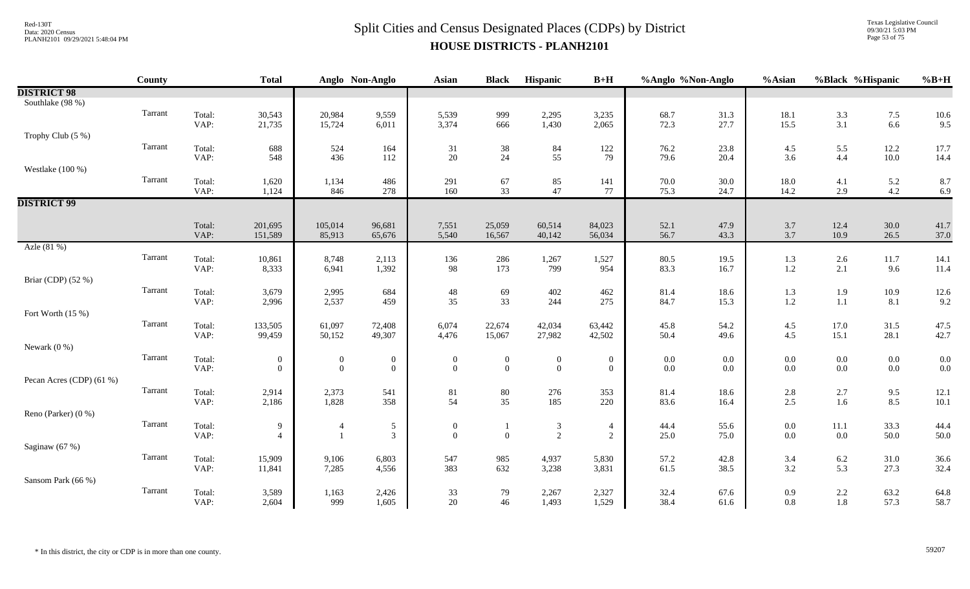Texas Legislative Council 09/30/21 5:03 PM Page 53 of 75

|                          | County  |                | <b>Total</b>                       |                                    | Anglo Non-Anglo                  | <b>Asian</b>                     | <b>Black</b>                     | Hispanic                             | $B+H$                              | %Anglo %Non-Anglo  |            | %Asian         | %Black %Hispanic   |                    | $%B+H$     |
|--------------------------|---------|----------------|------------------------------------|------------------------------------|----------------------------------|----------------------------------|----------------------------------|--------------------------------------|------------------------------------|--------------------|------------|----------------|--------------------|--------------------|------------|
| <b>DISTRICT 98</b>       |         |                |                                    |                                    |                                  |                                  |                                  |                                      |                                    |                    |            |                |                    |                    |            |
| Southlake (98 %)         |         |                |                                    |                                    |                                  |                                  |                                  |                                      |                                    |                    |            |                |                    |                    |            |
|                          | Tarrant | Total:         | 30,543                             | 20,984                             | 9,559                            | 5,539                            | 999                              | 2,295                                | 3,235                              | 68.7               | 31.3       | 18.1           | $\frac{3.3}{3.1}$  | $7.5$              | 10.6       |
|                          |         | VAP:           | 21,735                             | 15,724                             | 6,011                            | 3,374                            | 666                              | 1,430                                | 2,065                              | 72.3               | 27.7       | 15.5           |                    | 6.6                | 9.5        |
| Trophy Club (5 %)        |         |                |                                    |                                    |                                  |                                  |                                  |                                      |                                    |                    |            |                |                    |                    |            |
|                          | Tarrant | Total:         | 688                                | 524                                | 164                              | 31                               | $38\,$                           | 84                                   | 122                                | 76.2               | 23.8       | 4.5            | 5.5                | 12.2               | 17.7       |
|                          |         | VAP:           | 548                                | 436                                | 112                              | 20                               | 24                               | 55                                   | 79                                 | 79.6               | 20.4       | 3.6            | 4.4                | $10.0\,$           | 14.4       |
| Westlake (100 %)         |         |                |                                    |                                    |                                  |                                  |                                  |                                      |                                    |                    |            |                |                    |                    |            |
|                          | Tarrant | Total:         | 1,620                              | 1,134                              | 486                              | 291                              | 67                               | 85                                   | 141                                | $70.0$<br>$75.3$   | 30.0       | 18.0           | 4.1                | 5.2                | 8.7        |
|                          |         | VAP:           | 1,124                              | 846                                | 278                              | 160                              | 33                               | 47                                   | 77                                 |                    | 24.7       | 14.2           | 2.9                | 4.2                | 6.9        |
| <b>DISTRICT 99</b>       |         |                |                                    |                                    |                                  |                                  |                                  |                                      |                                    |                    |            |                |                    |                    |            |
|                          |         | Total:         | 201,695                            | 105,014                            | 96,681                           | 7,551                            | 25,059                           | 60,514                               | 84,023                             | 52.1               | 47.9       | 3.7            | 12.4               | 30.0               | 41.7       |
|                          |         | VAP:           | 151,589                            | 85,913                             | 65,676                           | 5,540                            | 16,567                           | 40,142                               | 56,034                             | 56.7               | 43.3       | 3.7            | 10.9               | 26.5               | 37.0       |
| Azle (81 %)              |         |                |                                    |                                    |                                  |                                  |                                  |                                      |                                    |                    |            |                |                    |                    |            |
|                          | Tarrant | Total:         | 10,861                             | 8,748                              | 2,113                            | 136                              | 286                              | 1,267                                | 1,527                              | 80.5               | 19.5       | 1.3            | $2.6\,$            | 11.7               | 14.1       |
|                          |         | VAP:           | 8,333                              | 6,941                              | 1,392                            | 98                               | 173                              | 799                                  | 954                                | 83.3               | 16.7       | 1.2            | $2.1\,$            | 9.6                | 11.4       |
| Briar (CDP) (52 %)       |         |                |                                    |                                    |                                  |                                  |                                  |                                      |                                    |                    |            |                |                    |                    |            |
|                          | Tarrant | Total:         | 3,679                              | 2,995                              | 684                              | $\sqrt{48}$                      | 69                               | 402                                  | 462                                | 81.4               | 18.6       | 1.3            | 1.9                | 10.9               | 12.6       |
|                          |         | VAP:           | 2,996                              | 2,537                              | 459                              | 35                               | 33                               | 244                                  | 275                                | 84.7               | 15.3       | 1.2            | $1.1\,$            | 8.1                | 9.2        |
| Fort Worth (15 %)        |         |                |                                    |                                    |                                  |                                  |                                  |                                      |                                    |                    |            |                |                    |                    |            |
|                          | Tarrant | Total:         | 133,505                            | 61,097                             | 72,408                           | 6,074                            | 22,674                           | 42,034                               | 63,442                             | 45.8               | 54.2       | 4.5            | 17.0               | 31.5               | 47.5       |
|                          |         | VAP:           | 99,459                             | 50,152                             | 49,307                           | 4,476                            | 15,067                           | 27,982                               | 42,502                             | 50.4               | 49.6       | 4.5            | 15.1               | 28.1               | 42.7       |
| Newark $(0\%)$           | Tarrant |                |                                    |                                    |                                  |                                  |                                  |                                      |                                    |                    |            |                |                    |                    |            |
|                          |         | Total:<br>VAP: | $\boldsymbol{0}$<br>$\overline{0}$ | $\boldsymbol{0}$<br>$\overline{0}$ | $\boldsymbol{0}$<br>$\mathbf{0}$ | $\boldsymbol{0}$<br>$\mathbf{0}$ | $\boldsymbol{0}$<br>$\mathbf{0}$ | $\boldsymbol{0}$<br>$\boldsymbol{0}$ | $\boldsymbol{0}$<br>$\overline{0}$ | $0.0\,$<br>$0.0\,$ | 0.0<br>0.0 | $0.0\,$<br>0.0 | $0.0\,$<br>$0.0\,$ | $0.0\,$<br>$0.0\,$ | 0.0<br>0.0 |
| Pecan Acres (CDP) (61 %) |         |                |                                    |                                    |                                  |                                  |                                  |                                      |                                    |                    |            |                |                    |                    |            |
|                          | Tarrant | Total:         | 2,914                              | 2,373                              | 541                              | 81                               | $80\,$                           | 276                                  | 353                                | 81.4               | 18.6       | 2.8            | $2.7\,$            | 9.5                | 12.1       |
|                          |         | VAP:           | 2,186                              | 1,828                              | 358                              | 54                               | 35                               | 185                                  | 220                                | 83.6               | 16.4       | 2.5            | $1.6\,$            | 8.5                | 10.1       |
| Reno (Parker) (0 %)      |         |                |                                    |                                    |                                  |                                  |                                  |                                      |                                    |                    |            |                |                    |                    |            |
|                          | Tarrant | Total:         | 9                                  | $\overline{4}$                     | $\mathfrak{S}$                   | $\boldsymbol{0}$                 |                                  | $\mathfrak{Z}$                       | 4                                  | 44.4               | 55.6       | $0.0\,$        | $11.1\,$           | 33.3               | 44.4       |
|                          |         | VAP:           | $\overline{4}$                     |                                    | $\overline{3}$                   | $\mathbf{0}$                     | $\mathbf{0}$                     | $\overline{2}$                       | $\overline{2}$                     | 25.0               | 75.0       | 0.0            | $0.0\,$            | 50.0               | 50.0       |
| Saginaw (67 %)           |         |                |                                    |                                    |                                  |                                  |                                  |                                      |                                    |                    |            |                |                    |                    |            |
|                          | Tarrant | Total:         | 15,909                             | 9,106                              | 6,803                            | 547                              | 985                              | 4,937                                | 5,830                              | 57.2               | 42.8       | 3.4            | 6.2                | 31.0               | 36.6       |
|                          |         | VAP:           | 11,841                             | 7,285                              | 4,556                            | 383                              | 632                              | 3,238                                | 3,831                              | 61.5               | 38.5       | 3.2            | 5.3                | 27.3               | 32.4       |
| Sansom Park (66 %)       |         |                |                                    |                                    |                                  |                                  |                                  |                                      |                                    |                    |            |                |                    |                    |            |
|                          | Tarrant | Total:         | 3,589                              | 1,163                              | 2,426                            | 33                               | 79                               | 2,267                                | 2,327                              | 32.4               | 67.6       | 0.9            | $2.2\,$            | 63.2               | 64.8       |
|                          |         | VAP:           | 2,604                              | 999                                | 1,605                            | 20                               | 46                               | 1,493                                | 1,529                              | 38.4               | 61.6       | 0.8            | 1.8                | 57.3               | 58.7       |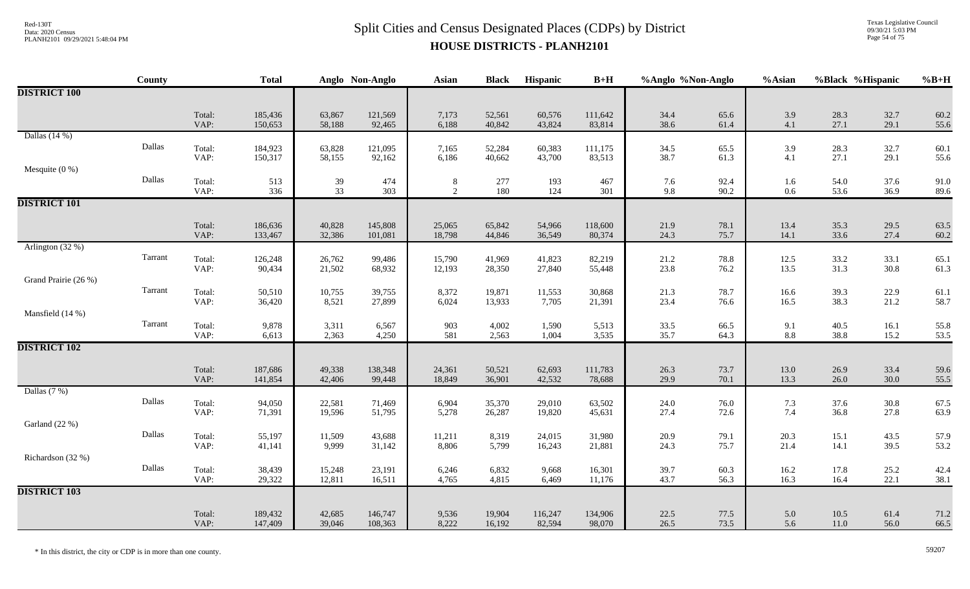Texas Legislative Council 09/30/21 5:03 PM Page 54 of 75

|                      | County  |                | <b>Total</b>       |                  | Anglo Non-Anglo    | <b>Asian</b>                      | <b>Black</b>     | Hispanic          | $B+H$             | %Anglo %Non-Anglo |              | %Asian                      |                             | %Black %Hispanic | $%B+H$       |
|----------------------|---------|----------------|--------------------|------------------|--------------------|-----------------------------------|------------------|-------------------|-------------------|-------------------|--------------|-----------------------------|-----------------------------|------------------|--------------|
| <b>DISTRICT 100</b>  |         |                |                    |                  |                    |                                   |                  |                   |                   |                   |              |                             |                             |                  |              |
|                      |         | Total:<br>VAP: | 185,436<br>150,653 | 63,867<br>58,188 | 121,569<br>92,465  | 7,173<br>6,188                    | 52,561<br>40,842 | 60,576<br>43,824  | 111,642<br>83,814 | 34.4<br>38.6      | 65.6<br>61.4 | 3.9<br>4.1                  | 28.3<br>27.1                | 32.7<br>29.1     | 60.2<br>55.6 |
| Dallas $(14%)$       | Dallas  | Total:<br>VAP: | 184,923<br>150,317 | 63,828<br>58,155 | 121,095<br>92,162  | 7,165<br>6,186                    | 52,284<br>40,662 | 60,383<br>43,700  | 111,175<br>83,513 | 34.5<br>38.7      | 65.5<br>61.3 | 3.9<br>4.1                  | 28.3<br>27.1                | 32.7<br>29.1     | 60.1<br>55.6 |
| Mesquite $(0\%)$     | Dallas  | Total:<br>VAP: | 513<br>336         | 39<br>33         | 474<br>303         | $8\phantom{.0}$<br>$\overline{2}$ | 277<br>180       | 193<br>124        | 467<br>301        | 7.6<br>9.8        | 92.4<br>90.2 | 1.6<br>$0.6\,$              | 54.0<br>53.6                | 37.6<br>36.9     | 91.0<br>89.6 |
| <b>DISTRICT 101</b>  |         |                |                    |                  |                    |                                   |                  |                   |                   |                   |              |                             |                             |                  |              |
|                      |         | Total:<br>VAP: | 186,636<br>133,467 | 40,828<br>32,386 | 145,808<br>101,081 | 25,065<br>18,798                  | 65,842<br>44,846 | 54,966<br>36,549  | 118,600<br>80,374 | 21.9<br>24.3      | 78.1<br>75.7 | 13.4<br>14.1                | 35.3<br>33.6                | 29.5<br>27.4     | 63.5<br>60.2 |
| Arlington (32 %)     | Tarrant | Total:<br>VAP: | 126,248<br>90,434  | 26,762<br>21,502 | 99,486<br>68,932   | 15,790<br>12,193                  | 41,969<br>28,350 | 41,823<br>27,840  | 82,219<br>55,448  | 21.2<br>23.8      | 78.8<br>76.2 | 12.5<br>13.5                | $33.2$<br>$31.3$            | 33.1<br>30.8     | 65.1<br>61.3 |
| Grand Prairie (26 %) | Tarrant | Total:         | 50,510             | 10,755           | 39,755             | 8,372                             | 19,871           | 11,553            | 30,868            | 21.3              | 78.7         | 16.6                        | 39.3                        | 22.9             | 61.1         |
| Mansfield (14 %)     | Tarrant | VAP:<br>Total: | 36,420<br>9,878    | 8,521<br>3,311   | 27,899<br>6,567    | 6,024<br>903                      | 13,933<br>4,002  | 7,705<br>1,590    | 21,391<br>5,513   | 23.4<br>33.5      | 76.6<br>66.5 | 16.5<br>9.1                 | 38.3<br>40.5                | 21.2<br>16.1     | 58.7<br>55.8 |
| <b>DISTRICT 102</b>  |         | VAP:           | 6,613              | 2,363            | 4,250              | 581                               | 2,563            | 1,004             | 3,535             | 35.7              | 64.3         | 8.8                         | 38.8                        | 15.2             | 53.5         |
|                      |         | Total:<br>VAP: | 187,686<br>141,854 | 49,338<br>42,406 | 138,348<br>99,448  | 24,361<br>18,849                  | 50,521<br>36,901 | 62,693<br>42,532  | 111,783<br>78,688 | 26.3<br>29.9      | 73.7<br>70.1 | 13.0<br>13.3                | 26.9<br>26.0                | 33.4<br>30.0     | 59.6<br>55.5 |
| Dallas $(7%)$        | Dallas  | Total:<br>VAP: | 94,050<br>71,391   | 22,581<br>19,596 | 71,469<br>51,795   | 6,904<br>5,278                    | 35,370<br>26,287 | 29,010<br>19,820  | 63,502<br>45,631  | 24.0<br>27.4      | 76.0<br>72.6 | 7.3<br>7.4                  | 37.6<br>36.8                | $30.8\,$<br>27.8 | 67.5<br>63.9 |
| Garland (22 %)       | Dallas  | Total:         | 55,197             | 11,509           | 43,688             | 11,211                            | 8,319            | 24,015            | 31,980            | 20.9              | 79.1         | 20.3                        | 15.1                        | 43.5             | 57.9         |
| Richardson (32 %)    | Dallas  | VAP:<br>Total: | 41,141<br>38,439   | 9,999<br>15,248  | 31,142<br>23,191   | 8,806<br>6,246                    | 5,799<br>6,832   | 16,243<br>9,668   | 21,881<br>16,301  | 24.3<br>39.7      | 75.7<br>60.3 | 21.4<br>$\frac{16.2}{16.3}$ | 14.1<br>$\frac{17.8}{16.4}$ | 39.5<br>25.2     | 53.2<br>42.4 |
| <b>DISTRICT 103</b>  |         | VAP:           | 29,322             | 12,811           | 16,511             | 4,765                             | 4,815            | 6,469             | 11,176            | 43.7              | 56.3         |                             |                             | 22.1             | 38.1         |
|                      |         | Total:<br>VAP: | 189,432<br>147,409 | 42,685<br>39,046 | 146,747<br>108,363 | 9,536<br>8,222                    | 19,904<br>16,192 | 116,247<br>82,594 | 134,906<br>98,070 | 22.5<br>26.5      | 77.5<br>73.5 | 5.0<br>5.6                  | $10.5$<br>11.0              | 61.4<br>56.0     | 71.2<br>66.5 |

\* In this district, the city or CDP is in more than one county. 59207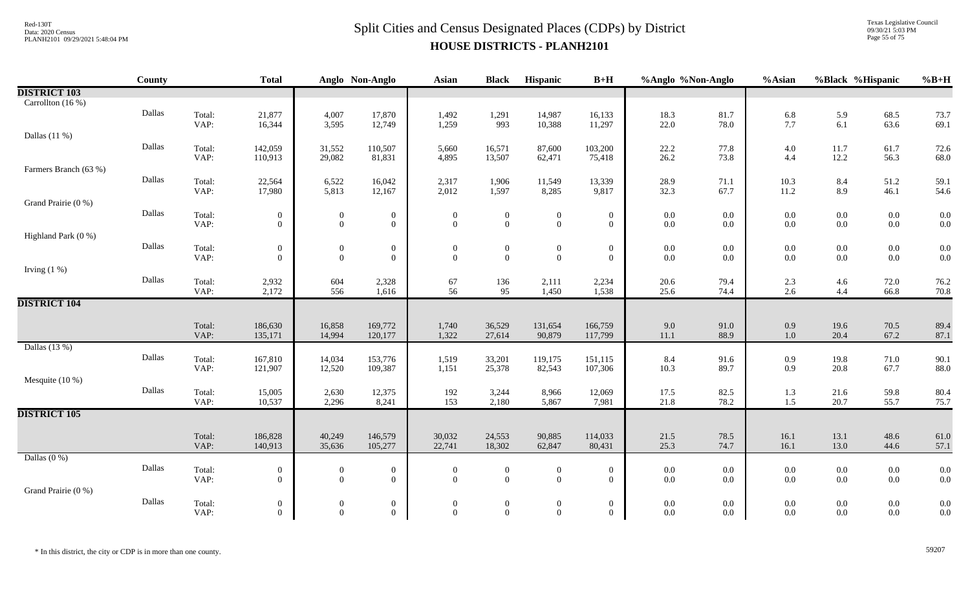# $Split$  Cities and Census Designated Places (CDPs) by District  $Split$  Cities and Census Designated Places (CDPs) by District **HOUSE DISTRICTS - PLANH2101**

Texas Legislative Council 09/30/21 5:03 PM Page 55 of 75

|                       | <b>County</b> |                | <b>Total</b>                       |                                    | Anglo Non-Anglo                    | <b>Asian</b>                     | <b>Black</b>                       | Hispanic                         | $B+H$                              | %Anglo %Non-Anglo  |                    | %Asian             | %Black %Hispanic |                    | $%B+H$       |
|-----------------------|---------------|----------------|------------------------------------|------------------------------------|------------------------------------|----------------------------------|------------------------------------|----------------------------------|------------------------------------|--------------------|--------------------|--------------------|------------------|--------------------|--------------|
| <b>DISTRICT 103</b>   |               |                |                                    |                                    |                                    |                                  |                                    |                                  |                                    |                    |                    |                    |                  |                    |              |
| Carrollton (16 %)     |               |                |                                    |                                    |                                    |                                  |                                    |                                  |                                    |                    |                    |                    |                  |                    |              |
|                       | Dallas        | Total:         | 21,877                             | 4,007                              | 17,870                             | 1,492                            | 1,291                              | 14,987                           | 16,133                             | 18.3               | 81.7               | 6.8                | 5.9              | 68.5               | 73.7         |
|                       |               | VAP:           | 16,344                             | 3,595                              | 12,749                             | 1,259                            | 993                                | 10,388                           | 11,297                             | 22.0               | 78.0               | 7.7                | 6.1              | 63.6               | 69.1         |
| Dallas $(11%)$        | Dallas        |                |                                    |                                    |                                    |                                  |                                    |                                  |                                    |                    |                    |                    |                  |                    |              |
|                       |               | Total:<br>VAP: | 142,059<br>110,913                 | 31,552<br>29,082                   | 110,507<br>81,831                  | 5,660<br>4,895                   | 16,571<br>13,507                   | 87,600<br>62,471                 | 103,200<br>75,418                  | 22.2<br>26.2       | 77.8<br>73.8       | $4.0\,$<br>4.4     | 11.7<br>12.2     | 61.7<br>56.3       | 72.6<br>68.0 |
| Farmers Branch (63 %) |               |                |                                    |                                    |                                    |                                  |                                    |                                  |                                    |                    |                    |                    |                  |                    |              |
|                       | Dallas        | Total:         | 22,564                             | 6,522                              | 16,042                             | 2,317                            | 1,906                              | 11,549                           | 13,339                             | 28.9               | 71.1               | $10.3\,$           | 8.4              | 51.2               | 59.1         |
|                       |               | VAP:           | 17,980                             | 5,813                              | 12,167                             | 2,012                            | 1,597                              | 8,285                            | 9,817                              | 32.3               | 67.7               | 11.2               | 8.9              | 46.1               | 54.6         |
| Grand Prairie (0 %)   |               |                |                                    |                                    |                                    |                                  |                                    |                                  |                                    |                    |                    |                    |                  |                    |              |
|                       | Dallas        | Total:         | $\overline{0}$                     | $\boldsymbol{0}$                   | $\boldsymbol{0}$                   | $\overline{0}$                   | $\boldsymbol{0}$                   | $\boldsymbol{0}$                 | $\boldsymbol{0}$                   | $0.0\,$            | 0.0                | $0.0\,$            | $0.0\,$          | $0.0\,$            | 0.0          |
|                       |               | VAP:           | $\overline{0}$                     | $\overline{0}$                     | $\overline{0}$                     | $\mathbf{0}$                     | $\overline{0}$                     | $\overline{0}$                   | $\overline{0}$                     | $0.0\,$            | $0.0\,$            | $0.0\,$            | $0.0\,$          | $0.0\,$            | 0.0          |
| Highland Park (0 %)   |               |                |                                    |                                    |                                    |                                  |                                    |                                  |                                    |                    |                    |                    |                  |                    |              |
|                       | Dallas        | Total:         | $\boldsymbol{0}$                   | $\boldsymbol{0}$                   | $\boldsymbol{0}$                   | $\boldsymbol{0}$                 | $\boldsymbol{0}$                   | $\boldsymbol{0}$                 | $\boldsymbol{0}$                   | $0.0\,$            | $0.0\,$            | $0.0\,$            | $0.0\,$          | $0.0\,$            | 0.0          |
|                       |               | VAP:           | $\overline{0}$                     | $\overline{0}$                     | $\boldsymbol{0}$                   | $\mathbf{0}$                     | $\overline{0}$                     | $\overline{0}$                   | $\overline{0}$                     | $0.0\,$            | $0.0\,$            | $0.0\,$            | $0.0\,$          | $0.0\,$            | 0.0          |
| Irving $(1%)$         | Dallas        |                |                                    |                                    |                                    |                                  |                                    |                                  |                                    |                    |                    |                    |                  |                    |              |
|                       |               | Total:<br>VAP: | 2,932<br>2,172                     | 604<br>556                         | 2,328<br>1,616                     | 67<br>56                         | 136<br>95                          | 2,111<br>1,450                   | 2,234<br>1,538                     | 20.6<br>25.6       | 79.4<br>74.4       | $2.3\,$<br>2.6     | 4.6<br>4.4       | 72.0<br>66.8       | 76.2<br>70.8 |
| <b>DISTRICT 104</b>   |               |                |                                    |                                    |                                    |                                  |                                    |                                  |                                    |                    |                    |                    |                  |                    |              |
|                       |               |                |                                    |                                    |                                    |                                  |                                    |                                  |                                    |                    |                    |                    |                  |                    |              |
|                       |               | Total:         | 186,630                            | 16,858                             | 169,772                            | 1,740                            | 36,529                             | 131,654                          | 166,759                            | 9.0                | 91.0               | 0.9                | 19.6             | 70.5               | 89.4         |
|                       |               | VAP:           | 135,171                            | 14,994                             | 120,177                            | 1,322                            | 27,614                             | 90,879                           | 117,799                            | 11.1               | 88.9               | $1.0\,$            | 20.4             | 67.2               | 87.1         |
| Dallas (13 %)         |               |                |                                    |                                    |                                    |                                  |                                    |                                  |                                    |                    |                    |                    |                  |                    |              |
|                       | Dallas        | Total:         | 167,810                            | 14,034                             | 153,776                            | 1,519                            | 33,201                             | 119,175                          | 151,115                            | 8.4                | 91.6               | 0.9                | 19.8             | 71.0               | 90.1         |
|                       |               | VAP:           | 121,907                            | 12,520                             | 109,387                            | 1,151                            | 25,378                             | 82,543                           | 107,306                            | 10.3               | 89.7               | 0.9                | 20.8             | 67.7               | 88.0         |
| Mesquite $(10\%)$     | Dallas        |                |                                    |                                    |                                    |                                  |                                    |                                  |                                    |                    |                    |                    |                  |                    |              |
|                       |               | Total:<br>VAP: | 15,005<br>10,537                   | 2,630<br>2,296                     | 12,375<br>8,241                    | 192<br>153                       | 3,244<br>2,180                     | 8,966<br>5,867                   | 12,069<br>7,981                    | 17.5<br>21.8       | 82.5<br>78.2       | 1.3<br>1.5         | 21.6<br>20.7     | 59.8<br>55.7       | 80.4<br>75.7 |
| <b>DISTRICT 105</b>   |               |                |                                    |                                    |                                    |                                  |                                    |                                  |                                    |                    |                    |                    |                  |                    |              |
|                       |               |                |                                    |                                    |                                    |                                  |                                    |                                  |                                    |                    |                    |                    |                  |                    |              |
|                       |               | Total:         | 186,828                            | 40,249                             | 146,579                            | 30,032                           | 24,553                             | 90,885                           | 114,033                            | 21.5               | 78.5               | 16.1               | 13.1             | 48.6               | 61.0         |
|                       |               | VAP:           | 140,913                            | 35,636                             | 105,277                            | 22,741                           | 18,302                             | 62,847                           | 80,431                             | 25.3               | 74.7               | 16.1               | 13.0             | 44.6               | 57.1         |
| Dallas $(0\%)$        |               |                |                                    |                                    |                                    |                                  |                                    |                                  |                                    |                    |                    |                    |                  |                    |              |
|                       | Dallas        | Total:         | $\boldsymbol{0}$                   | $\boldsymbol{0}$                   | $\boldsymbol{0}$                   | $\overline{0}$                   | $\mathbf{0}$                       | $\boldsymbol{0}$                 | $\boldsymbol{0}$                   | $0.0\,$            | $0.0\,$            | $0.0\,$            | $0.0\,$          | $0.0\,$            | 0.0          |
|                       |               | VAP:           | $\overline{0}$                     | $\overline{0}$                     | $\overline{0}$                     | $\overline{0}$                   | $\overline{0}$                     | $\overline{0}$                   | $\overline{0}$                     | $0.0\,$            | $0.0\,$            | $0.0\,$            | $0.0\,$          | $0.0\,$            | 0.0          |
| Grand Prairie (0 %)   | Dallas        |                |                                    |                                    |                                    |                                  |                                    |                                  |                                    |                    |                    |                    |                  |                    |              |
|                       |               | Total:<br>VAP: | $\boldsymbol{0}$<br>$\overline{0}$ | $\boldsymbol{0}$<br>$\overline{0}$ | $\boldsymbol{0}$<br>$\overline{0}$ | $\boldsymbol{0}$<br>$\mathbf{0}$ | $\boldsymbol{0}$<br>$\overline{0}$ | $\boldsymbol{0}$<br>$\mathbf{0}$ | $\boldsymbol{0}$<br>$\overline{0}$ | $0.0\,$<br>$0.0\,$ | $0.0\,$<br>$0.0\,$ | $0.0\,$<br>$0.0\,$ | $0.0\,$<br>0.0   | $0.0\,$<br>$0.0\,$ | 0.0<br>0.0   |
|                       |               |                |                                    |                                    |                                    |                                  |                                    |                                  |                                    |                    |                    |                    |                  |                    |              |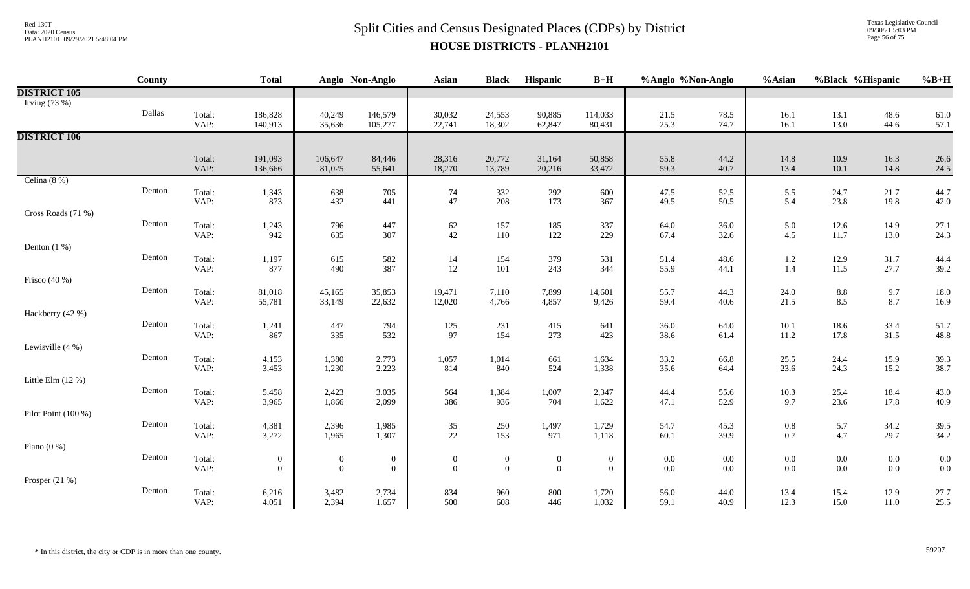Texas Legislative Council 09/30/21 5:03 PM Page 56 of 75

|                     | County |                | <b>Total</b>       |                   | Anglo Non-Anglo  | <b>Asian</b>     | <b>Black</b>     | Hispanic         | $B+H$            | %Anglo %Non-Anglo |              | %Asian          | %Black %Hispanic |              | $%B+H$       |
|---------------------|--------|----------------|--------------------|-------------------|------------------|------------------|------------------|------------------|------------------|-------------------|--------------|-----------------|------------------|--------------|--------------|
| <b>DISTRICT 105</b> |        |                |                    |                   |                  |                  |                  |                  |                  |                   |              |                 |                  |              |              |
| Irving $(73%)$      |        |                |                    |                   |                  |                  |                  |                  |                  |                   |              |                 |                  |              |              |
|                     | Dallas | Total:         | 186,828            | 40,249            | 146,579          | 30,032           | 24,553           | 90,885           | 114,033          | 21.5              | 78.5         | 16.1            | 13.1             | 48.6         | 61.0         |
|                     |        | VAP:           | 140,913            | 35,636            | 105,277          | 22,741           | 18,302           | 62,847           | 80,431           | 25.3              | 74.7         | 16.1            | 13.0             | 44.6         | 57.1         |
| <b>DISTRICT 106</b> |        |                |                    |                   |                  |                  |                  |                  |                  |                   |              |                 |                  |              |              |
|                     |        |                |                    |                   |                  |                  |                  |                  |                  |                   |              |                 |                  |              |              |
|                     |        | Total:<br>VAP: | 191,093<br>136,666 | 106,647<br>81,025 | 84,446<br>55,641 | 28,316<br>18,270 | 20,772<br>13,789 | 31,164<br>20,216 | 50,858<br>33,472 | 55.8<br>59.3      | 44.2<br>40.7 | 14.8<br>13.4    | $10.9\,$<br>10.1 | 16.3<br>14.8 | 26.6<br>24.5 |
| Celina $(8\%)$      |        |                |                    |                   |                  |                  |                  |                  |                  |                   |              |                 |                  |              |              |
|                     | Denton | Total:         | 1,343              | 638               | 705              |                  | 332              | 292              | 600              | 47.5              | 52.5         |                 | 24.7             | 21.7         | 44.7         |
|                     |        | VAP:           | 873                | 432               | 441              | 74<br>47         | 208              | 173              | 367              | 49.5              | 50.5         | 5.5<br>5.4      | 23.8             | 19.8         | 42.0         |
| Cross Roads (71 %)  |        |                |                    |                   |                  |                  |                  |                  |                  |                   |              |                 |                  |              |              |
|                     | Denton | Total:         | 1,243              | 796               | 447              | 62               | 157              | 185              | 337              | 64.0              | 36.0         | 5.0             | 12.6             | 14.9         | 27.1         |
|                     |        | VAP:           | 942                | 635               | 307              | $42\,$           | 110              | 122              | 229              | 67.4              | 32.6         | 4.5             | 11.7             | 13.0         | 24.3         |
| Denton $(1%)$       |        |                |                    |                   |                  |                  |                  |                  |                  |                   |              |                 |                  |              |              |
|                     | Denton | Total:         | 1,197              | 615               | 582              | 14               | 154              | 379              | 531              | 51.4              | 48.6         | 1.2             | 12.9             | 31.7         | 44.4         |
|                     |        | VAP:           | 877                | 490               | 387              | 12               | 101              | 243              | 344              | 55.9              | 44.1         | 1.4             | 11.5             | 27.7         | 39.2         |
| Frisco (40 %)       |        |                |                    |                   |                  |                  |                  |                  |                  |                   |              |                 |                  |              |              |
|                     | Denton | Total:         | 81,018             | 45,165            | 35,853           | 19,471           | 7,110            | 7,899            | 14,601           | 55.7              | 44.3         | 24.0            | $\ \, 8.8$       | 9.7          | 18.0         |
|                     |        | VAP:           | 55,781             | 33,149            | 22,632           | 12,020           | 4,766            | 4,857            | 9,426            | 59.4              | 40.6         | 21.5            | 8.5              | 8.7          | 16.9         |
| Hackberry (42 %)    |        |                |                    |                   |                  |                  |                  |                  |                  |                   |              |                 |                  |              |              |
|                     | Denton | Total:         | 1,241              | 447               | 794              | $125\,$          | 231              | 415              | 641              | 36.0              | 64.0         | $10.1\,$        | 18.6             | 33.4         | 51.7         |
|                     |        | VAP:           | 867                | 335               | 532              | 97               | 154              | 273              | 423              | 38.6              | 61.4         | 11.2            | 17.8             | 31.5         | 48.8         |
| Lewisville (4 %)    |        |                |                    |                   |                  |                  |                  |                  |                  |                   |              |                 |                  |              |              |
|                     | Denton | Total:         | 4,153              | 1,380             | 2,773            | 1,057            | 1,014            | 661              | 1,634            | 33.2              | 66.8         | 25.5            | 24.4             | 15.9         | 39.3         |
|                     |        | VAP:           | 3,453              | 1,230             | 2,223            | 814              | 840              | 524              | 1,338            | 35.6              | 64.4         | 23.6            | 24.3             | 15.2         | 38.7         |
| Little Elm $(12%)$  |        |                |                    |                   |                  |                  |                  |                  |                  |                   |              |                 |                  |              |              |
|                     | Denton | Total:<br>VAP: | 5,458              | 2,423<br>1,866    | 3,035            | 564              | 1,384            | 1,007            | 2,347            | 44.4              | 55.6<br>52.9 | $10.3\,$<br>9.7 | 25.4<br>23.6     | 18.4         | 43.0         |
| Pilot Point (100 %) |        |                | 3,965              |                   | 2,099            | 386              | 936              | 704              | 1,622            | 47.1              |              |                 |                  | 17.8         | 40.9         |
|                     | Denton |                |                    | 2,396             |                  |                  |                  |                  |                  |                   |              |                 |                  |              |              |
|                     |        | Total:<br>VAP: | 4,381<br>3,272     | 1,965             | 1,985<br>1,307   | $35\,$<br>22     | 250<br>153       | 1,497<br>971     | 1,729<br>1,118   | 54.7<br>60.1      | 45.3<br>39.9 | $0.8\,$<br>0.7  | 5.7<br>4.7       | 34.2<br>29.7 | 39.5<br>34.2 |
| Plano $(0\%)$       |        |                |                    |                   |                  |                  |                  |                  |                  |                   |              |                 |                  |              |              |
|                     | Denton | Total:         | $\boldsymbol{0}$   | $\overline{0}$    | $\boldsymbol{0}$ | $\theta$         | $\boldsymbol{0}$ | $\boldsymbol{0}$ | $\boldsymbol{0}$ | $0.0\,$           | 0.0          | $0.0\,$         | $0.0\,$          | $0.0\,$      | 0.0          |
|                     |        | VAP:           | $\overline{0}$     | $\overline{0}$    | $\mathbf{0}$     | $\overline{0}$   | $\theta$         | $\mathbf{0}$     | $\overline{0}$   | $0.0\,$           | $0.0\,$      | 0.0             | $0.0\,$          | $0.0\,$      | 0.0          |
| Prosper $(21\%)$    |        |                |                    |                   |                  |                  |                  |                  |                  |                   |              |                 |                  |              |              |
|                     | Denton | Total:         | 6,216              | 3,482             | 2,734            | 834              | 960              | 800              | 1,720            | 56.0              | 44.0         | 13.4            | 15.4             | 12.9         | 27.7         |
|                     |        | VAP:           | 4,051              | 2,394             | 1,657            | 500              | 608              | 446              | 1,032            | 59.1              | 40.9         | 12.3            | 15.0             | 11.0         | 25.5         |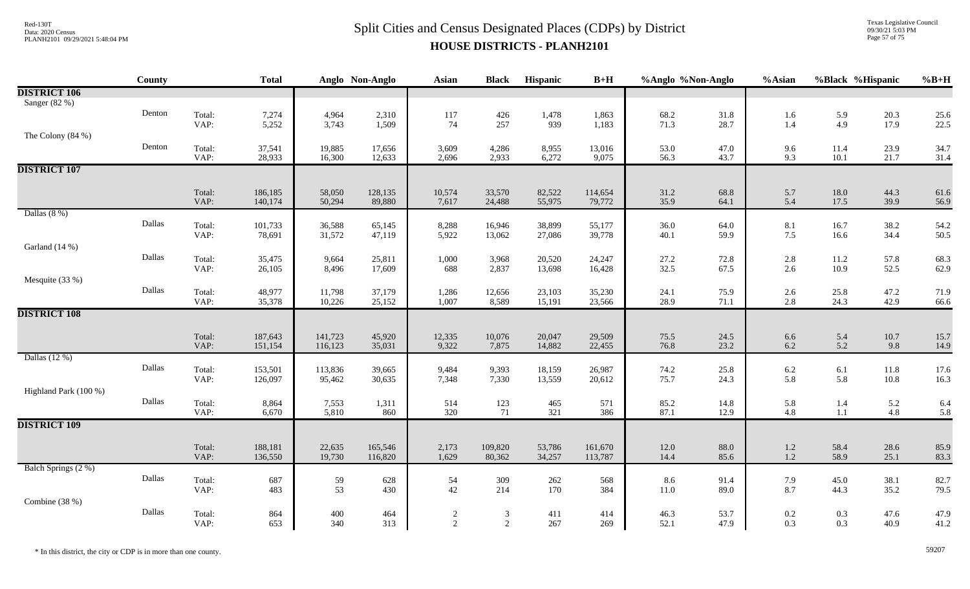Texas Legislative Council 09/30/21 5:03 PM Page 57 of 75

|                       | County |                | <b>Total</b>       |                    | Anglo Non-Anglo   | <b>Asian</b>    | <b>Black</b>     | Hispanic         | $B+H$             | %Anglo %Non-Anglo |              | %Asian                                    | %Black %Hispanic  |                 | $%B+H$       |
|-----------------------|--------|----------------|--------------------|--------------------|-------------------|-----------------|------------------|------------------|-------------------|-------------------|--------------|-------------------------------------------|-------------------|-----------------|--------------|
| <b>DISTRICT 106</b>   |        |                |                    |                    |                   |                 |                  |                  |                   |                   |              |                                           |                   |                 |              |
| Sanger (82 %)         |        |                |                    |                    |                   |                 |                  |                  |                   |                   |              |                                           |                   |                 |              |
|                       | Denton | Total:<br>VAP: | 7,274<br>5,252     | 4,964<br>3,743     | 2,310<br>1,509    | 117<br>74       | 426<br>257       | 1,478<br>939     | 1,863<br>1,183    | 68.2<br>71.3      | 31.8<br>28.7 | 1.6<br>1.4                                | $\frac{5.9}{4.9}$ | 20.3<br>17.9    | 25.6<br>22.5 |
| The Colony $(84\%)$   |        |                |                    |                    |                   |                 |                  |                  |                   |                   |              |                                           |                   |                 |              |
|                       | Denton | Total:         | 37,541             | 19,885             | 17,656            | 3,609           | 4,286            | 8,955            | 13,016            | 53.0              | 47.0         | 9.6                                       | 11.4              | 23.9            | 34.7         |
|                       |        | VAP:           | 28,933             | 16,300             | 12,633            | 2,696           | 2,933            | 6,272            | 9,075             | 56.3              | 43.7         | 9.3                                       | $10.1\,$          | 21.7            | 31.4         |
| <b>DISTRICT 107</b>   |        |                |                    |                    |                   |                 |                  |                  |                   |                   |              |                                           |                   |                 |              |
|                       |        |                |                    |                    |                   |                 |                  |                  |                   |                   |              |                                           |                   |                 |              |
|                       |        | Total:<br>VAP: | 186,185<br>140,174 | 58,050<br>50,294   | 128,135<br>89,880 | 10,574<br>7,617 | 33,570<br>24,488 | 82,522<br>55,975 | 114,654<br>79,772 | 31.2<br>35.9      | 68.8<br>64.1 | 5.7<br>5.4                                | $18.0\,$<br>17.5  | 44.3<br>39.9    | 61.6<br>56.9 |
| Dallas $(8\%)$        |        |                |                    |                    |                   |                 |                  |                  |                   |                   |              |                                           |                   |                 |              |
|                       | Dallas | Total:         | 101,733            | 36,588             | 65,145            | 8,288           | 16,946           | 38,899           | 55,177            | 36.0              | 64.0         | 8.1                                       | 16.7              | 38.2            | 54.2         |
|                       |        | VAP:           | 78,691             | 31,572             | 47,119            | 5,922           | 13,062           | 27,086           | 39,778            | 40.1              | 59.9         | 7.5                                       | 16.6              | 34.4            | 50.5         |
| Garland (14 %)        |        |                |                    |                    |                   |                 |                  |                  |                   |                   |              |                                           |                   |                 |              |
|                       | Dallas | Total:<br>VAP: | 35,475<br>26,105   | 9,664<br>8,496     | 25,811<br>17,609  | 1,000<br>688    | 3,968<br>2,837   | 20,520<br>13,698 | 24,247<br>16,428  | 27.2<br>32.5      | 72.8<br>67.5 | 2.8<br>2.6                                | $11.2\,$<br>10.9  | 57.8<br>52.5    | 68.3<br>62.9 |
| Mesquite (33 %)       |        |                |                    |                    |                   |                 |                  |                  |                   |                   |              |                                           |                   |                 |              |
|                       | Dallas | Total:         | 48,977             | 11,798             | 37,179            | 1,286           | 12,656           | 23,103           | 35,230            | 24.1              | 75.9         | 2.6                                       | 25.8              | 47.2            | 71.9         |
|                       |        | VAP:           | 35,378             | 10,226             | 25,152            | 1,007           | 8,589            | 15,191           | 23,566            | 28.9              | 71.1         | 2.8                                       | 24.3              | 42.9            | 66.6         |
| <b>DISTRICT 108</b>   |        |                |                    |                    |                   |                 |                  |                  |                   |                   |              |                                           |                   |                 |              |
|                       |        |                |                    |                    |                   |                 |                  |                  |                   |                   |              |                                           |                   |                 |              |
|                       |        | Total:<br>VAP: | 187,643<br>151,154 | 141,723<br>116,123 | 45,920<br>35,031  | 12,335<br>9,322 | 10,076<br>7,875  | 20,047<br>14,882 | 29,509<br>22,455  | 75.5<br>76.8      | 24.5<br>23.2 | 6.6<br>6.2                                | 5.4<br>5.2        | $10.7\,$<br>9.8 | 15.7<br>14.9 |
| Dallas (12 %)         |        |                |                    |                    |                   |                 |                  |                  |                   |                   |              |                                           |                   |                 |              |
|                       | Dallas | Total:         | 153,501            | 113,836            | 39,665            | 9,484           | 9,393            | 18,159           | 26,987            | 74.2              | 25.8         | 6.2                                       | 6.1               | 11.8            | 17.6         |
|                       |        | VAP:           | 126,097            | 95,462             | 30,635            | 7,348           | 7,330            | 13,559           | 20,612            | 75.7              | 24.3         | 5.8                                       | 5.8               | $10.8\,$        | 16.3         |
| Highland Park (100 %) | Dallas |                |                    |                    |                   |                 |                  |                  |                   |                   |              |                                           |                   |                 |              |
|                       |        | Total:<br>VAP: | 8,864<br>6,670     | 7,553<br>5,810     | 1,311<br>860      | 514<br>320      | 123<br>71        | 465<br>321       | 571<br>386        | 85.2<br>87.1      | 14.8<br>12.9 | $\frac{5.8}{4.8}$                         | 1.4<br>$1.1\,$    | 5.2<br>4.8      | 6.4<br>5.8   |
| <b>DISTRICT 109</b>   |        |                |                    |                    |                   |                 |                  |                  |                   |                   |              |                                           |                   |                 |              |
|                       |        |                |                    |                    |                   |                 |                  |                  |                   |                   |              |                                           |                   |                 |              |
|                       |        | Total:         | 188,181            | 22,635             | 165,546           | 2,173           | 109,820          | 53,786           | 161,670           | 12.0              | 88.0         | $\begin{array}{c} 1.2 \\ 1.2 \end{array}$ | 58.4              | 28.6            | 85.9         |
| Balch Springs (2 %)   |        | VAP:           | 136,550            | 19,730             | 116,820           | 1,629           | 80,362           | 34,257           | 113,787           | 14.4              | 85.6         |                                           | 58.9              | 25.1            | 83.3         |
|                       | Dallas | Total:         | 687                | 59                 | 628               | 54              | 309              | 262              | 568               | 8.6               | 91.4         | 7.9                                       | 45.0              | 38.1            | 82.7         |
|                       |        | VAP:           | 483                | 53                 | 430               | 42              | 214              | 170              | 384               | $11.0\,$          | 89.0         | 8.7                                       | 44.3              | 35.2            | 79.5         |
| Combine (38 %)        |        |                |                    |                    |                   |                 |                  |                  |                   |                   |              |                                           |                   |                 |              |
|                       | Dallas | Total:         | 864                | 400                | 464               | $\overline{2}$  | 3                | 411              | 414               | 46.3              | 53.7         | 0.2                                       | 0.3               | 47.6            | 47.9         |
|                       |        | VAP:           | 653                | 340                | 313               | $\overline{2}$  | $\overline{2}$   | 267              | 269               | 52.1              | 47.9         | 0.3                                       | 0.3               | 40.9            | 41.2         |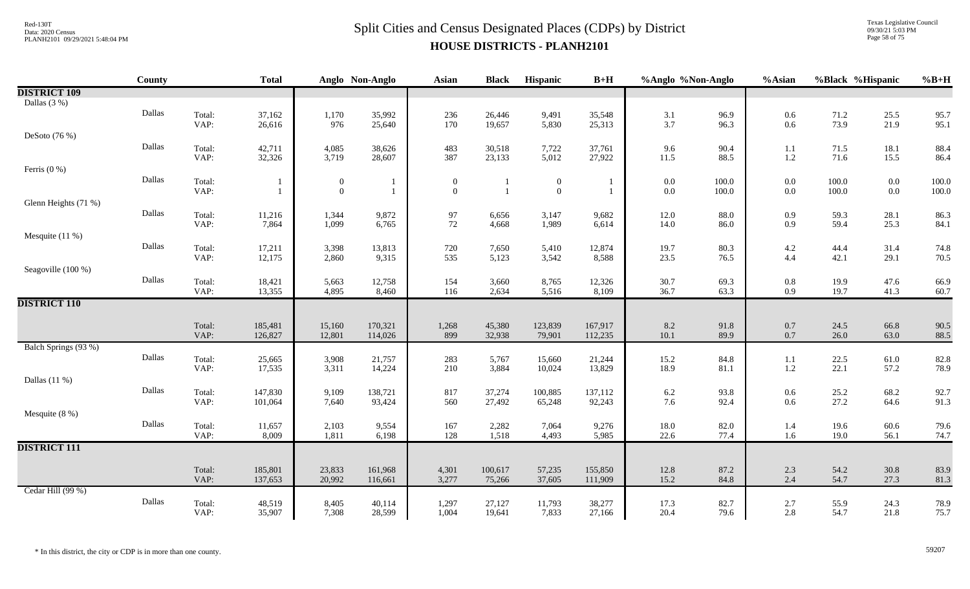Texas Legislative Council 09/30/21 5:03 PM Page 58 of 75

|                      | <b>County</b> |                | <b>Total</b>       |                  | Anglo Non-Anglo    | <b>Asian</b>   | <b>Black</b>     | Hispanic          | $B+H$              | %Anglo %Non-Anglo |              | %Asian         | %Black %Hispanic |              | $%B+H$       |
|----------------------|---------------|----------------|--------------------|------------------|--------------------|----------------|------------------|-------------------|--------------------|-------------------|--------------|----------------|------------------|--------------|--------------|
| <b>DISTRICT 109</b>  |               |                |                    |                  |                    |                |                  |                   |                    |                   |              |                |                  |              |              |
| Dallas $(3\%)$       |               |                |                    |                  |                    |                |                  |                   |                    |                   |              |                |                  |              |              |
|                      | Dallas        | Total:         | 37,162             | 1,170            | 35,992             | 236            | 26,446           | 9,491             | 35,548             | 3.1               | 96.9         | $0.6\,$        | 71.2             | 25.5         | 95.7         |
|                      |               | VAP:           | 26,616             | 976              | 25,640             | 170            | 19,657           | 5,830             | 25,313             | 3.7               | 96.3         | 0.6            | 73.9             | 21.9         | 95.1         |
| DeSoto (76 %)        | Dallas        |                |                    |                  |                    |                |                  |                   |                    |                   |              |                |                  |              |              |
|                      |               | Total:<br>VAP: | 42,711<br>32,326   | 4,085<br>3,719   | 38,626<br>28,607   | 483<br>387     | 30,518<br>23,133 | 7,722<br>5,012    | 37,761<br>27,922   | 9.6<br>11.5       | 90.4<br>88.5 | 1.1<br>1.2     | 71.5<br>71.6     | 18.1<br>15.5 | 88.4<br>86.4 |
| Ferris $(0\%)$       |               |                |                    |                  |                    |                |                  |                   |                    |                   |              |                |                  |              |              |
|                      | Dallas        | Total:         |                    | $\boldsymbol{0}$ | -1                 | $\overline{0}$ |                  | $\boldsymbol{0}$  |                    | 0.0               | 100.0        | $0.0\,$        | 100.0            | $0.0\,$      | 100.0        |
|                      |               | VAP:           |                    | $\boldsymbol{0}$ | $\overline{1}$     | $\mathbf{0}$   |                  | $\boldsymbol{0}$  | $\overline{1}$     | $0.0\,$           | 100.0        | $0.0\,$        | 100.0            | $0.0\,$      | 100.0        |
| Glenn Heights (71 %) |               |                |                    |                  |                    |                |                  |                   |                    |                   |              |                |                  |              |              |
|                      | Dallas        | Total:         | 11,216             | 1,344            | 9,872              | 97             | 6,656            | 3,147             | 9,682              | 12.0              | 88.0         | 0.9            | 59.3             | 28.1         | 86.3         |
|                      |               | VAP:           | 7,864              | 1,099            | 6,765              | 72             | 4,668            | 1,989             | 6,614              | 14.0              | 86.0         | 0.9            | 59.4             | 25.3         | 84.1         |
| Mesquite $(11%)$     | Dallas        |                |                    |                  |                    |                |                  |                   |                    |                   |              |                |                  |              |              |
|                      |               | Total:<br>VAP: | 17,211<br>12,175   | 3,398<br>2,860   | 13,813<br>9,315    | 720<br>535     | 7,650<br>5,123   | 5,410<br>3,542    | 12,874<br>8,588    | 19.7<br>23.5      | 80.3<br>76.5 | 4.2<br>4.4     | 44.4<br>42.1     | 31.4<br>29.1 | 74.8<br>70.5 |
| Seagoville (100 %)   |               |                |                    |                  |                    |                |                  |                   |                    |                   |              |                |                  |              |              |
|                      | Dallas        | Total:         | 18,421             | 5,663            | 12,758             | 154            | 3,660            | 8,765             | 12,326             | 30.7              | 69.3         | $0.8\,$        | 19.9             | 47.6         | 66.9         |
|                      |               | VAP:           | 13,355             | 4,895            | 8,460              | 116            | 2,634            | 5,516             | 8,109              | 36.7              | 63.3         | 0.9            | 19.7             | 41.3         | 60.7         |
| <b>DISTRICT 110</b>  |               |                |                    |                  |                    |                |                  |                   |                    |                   |              |                |                  |              |              |
|                      |               |                |                    |                  |                    |                |                  |                   |                    |                   |              |                |                  |              |              |
|                      |               | Total:<br>VAP: | 185,481<br>126,827 | 15,160<br>12,801 | 170,321<br>114,026 | 1,268<br>899   | 45,380<br>32,938 | 123,839<br>79,901 | 167,917<br>112,235 | 8.2<br>10.1       | 91.8<br>89.9 | $0.7\,$<br>0.7 | 24.5<br>26.0     | 66.8<br>63.0 | 90.5<br>88.5 |
| Balch Springs (93 %) |               |                |                    |                  |                    |                |                  |                   |                    |                   |              |                |                  |              |              |
|                      | Dallas        | Total:         | 25,665             | 3,908            | 21,757             | 283            | 5,767            | 15,660            | 21,244             | 15.2              | 84.8         | 1.1            | 22.5             | 61.0         | 82.8         |
|                      |               | VAP:           | 17,535             | 3,311            | 14,224             | 210            | 3,884            | 10,024            | 13,829             | 18.9              | 81.1         | $1.2\,$        | 22.1             | 57.2         | 78.9         |
| Dallas $(11%)$       |               |                |                    |                  |                    |                |                  |                   |                    |                   |              |                |                  |              |              |
|                      | Dallas        | Total:         | 147,830            | 9,109            | 138,721            | 817            | 37,274           | 100,885           | 137,112            | $6.2\,$           | 93.8         | $0.6\,$        | 25.2             | 68.2         | 92.7         |
|                      |               | VAP:           | 101,064            | 7,640            | 93,424             | 560            | 27,492           | 65,248            | 92,243             | 7.6               | 92.4         | 0.6            | 27.2             | 64.6         | 91.3         |
| Mesquite $(8\%)$     | Dallas        |                |                    |                  |                    |                |                  |                   |                    |                   |              |                |                  |              |              |
|                      |               | Total:<br>VAP: | 11,657<br>8,009    | 2,103<br>1,811   | 9,554<br>6,198     | 167<br>128     | 2,282<br>1,518   | 7,064<br>4,493    | 9,276<br>5,985     | 18.0<br>22.6      | 82.0<br>77.4 | 1.4<br>1.6     | 19.6<br>19.0     | 60.6<br>56.1 | 79.6<br>74.7 |
| <b>DISTRICT 111</b>  |               |                |                    |                  |                    |                |                  |                   |                    |                   |              |                |                  |              |              |
|                      |               |                |                    |                  |                    |                |                  |                   |                    |                   |              |                |                  |              |              |
|                      |               | Total:         | 185,801            | 23,833           | 161,968            | 4,301          | 100,617          | 57,235            | 155,850            | 12.8              | 87.2         | 2.3            | 54.2             | $30.8\,$     | 83.9         |
|                      |               | VAP:           | 137,653            | 20,992           | 116,661            | 3,277          | 75,266           | 37,605            | 111,909            | 15.2              | 84.8         | 2.4            | 54.7             | 27.3         | 81.3         |
| Cedar Hill (99 %)    |               |                |                    |                  |                    |                |                  |                   |                    |                   |              |                |                  |              |              |
|                      | Dallas        | Total:         | 48,519             | 8,405            | 40,114             | 1,297          | 27,127           | 11,793            | 38,277             | 17.3              | 82.7         | 2.7            | 55.9             | 24.3         | 78.9         |
|                      |               | VAP:           | 35,907             | 7,308            | 28,599             | 1,004          | 19,641           | 7,833             | 27,166             | 20.4              | 79.6         | 2.8            | 54.7             | 21.8         | 75.7         |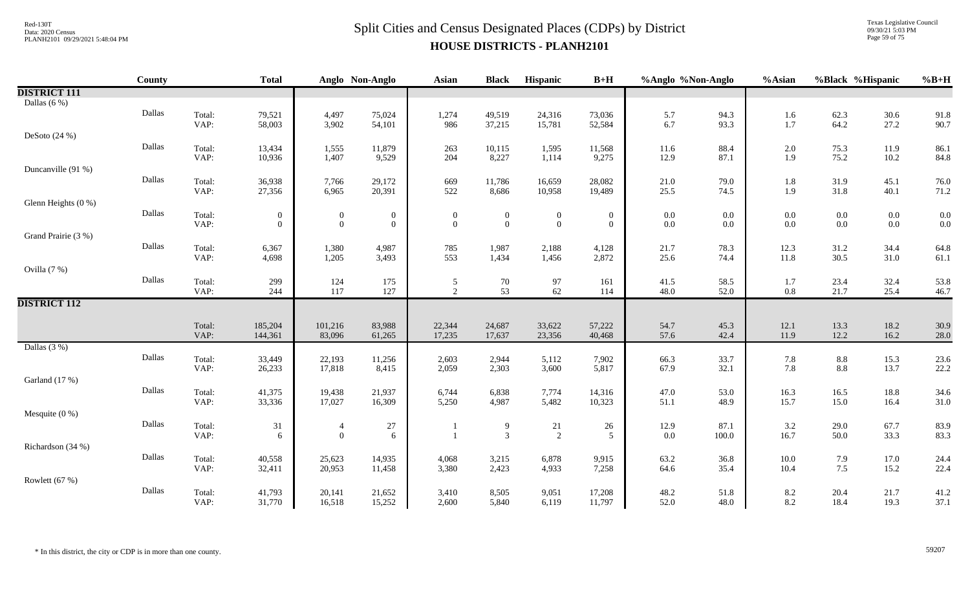Texas Legislative Council 09/30/21 5:03 PM Page 59 of 75

|                     | <b>County</b> |                | <b>Total</b>                     |                                      | Anglo Non-Anglo                | <b>Asian</b>                     | <b>Black</b>                     | Hispanic                         | $B+H$                            | %Anglo %Non-Anglo  |              | %Asian         | %Black %Hispanic   |                    | $%B+H$       |
|---------------------|---------------|----------------|----------------------------------|--------------------------------------|--------------------------------|----------------------------------|----------------------------------|----------------------------------|----------------------------------|--------------------|--------------|----------------|--------------------|--------------------|--------------|
| <b>DISTRICT 111</b> |               |                |                                  |                                      |                                |                                  |                                  |                                  |                                  |                    |              |                |                    |                    |              |
| Dallas $(6\%)$      |               |                |                                  |                                      |                                |                                  |                                  |                                  |                                  |                    |              |                |                    |                    |              |
|                     | Dallas        | Total:         | 79,521                           | 4,497                                | 75,024                         | 1,274                            | 49,519                           | 24,316                           | 73,036                           | 5.7                | 94.3         | 1.6            | 62.3               | 30.6               | 91.8         |
|                     |               | VAP:           | 58,003                           | 3,902                                | 54,101                         | 986                              | 37,215                           | 15,781                           | 52,584                           | 6.7                | 93.3         | 1.7            | 64.2               | 27.2               | 90.7         |
| DeSoto $(24%)$      |               |                |                                  |                                      |                                |                                  |                                  |                                  |                                  |                    |              |                |                    |                    |              |
|                     | Dallas        | Total:         | 13,434                           | 1,555                                | 11,879                         | 263                              | 10,115                           | 1,595                            | 11,568                           | 11.6               | 88.4         | $2.0\,$        | 75.3               | 11.9               | 86.1         |
|                     |               | VAP:           | 10,936                           | 1,407                                | 9,529                          | 204                              | 8,227                            | 1,114                            | 9,275                            | 12.9               | 87.1         | 1.9            | 75.2               | 10.2               | 84.8         |
| Duncanville (91 %)  |               |                |                                  |                                      |                                |                                  |                                  |                                  |                                  |                    |              |                |                    |                    |              |
|                     | Dallas        | Total:         | 36,938                           | 7,766                                | 29,172                         | 669                              | 11,786                           | 16,659                           | 28,082                           | 21.0               | 79.0         | 1.8            | 31.9               | 45.1               | 76.0         |
|                     |               | VAP:           | 27,356                           | 6,965                                | 20,391                         | 522                              | 8,686                            | 10,958                           | 19,489                           | 25.5               | 74.5         | 1.9            | 31.8               | 40.1               | 71.2         |
| Glenn Heights (0 %) | Dallas        |                |                                  |                                      |                                |                                  |                                  |                                  |                                  |                    |              |                |                    |                    |              |
|                     |               | Total:<br>VAP: | $\overline{0}$<br>$\overline{0}$ | $\boldsymbol{0}$<br>$\boldsymbol{0}$ | $\overline{0}$<br>$\mathbf{0}$ | $\overline{0}$<br>$\overline{0}$ | $\boldsymbol{0}$<br>$\mathbf{0}$ | $\boldsymbol{0}$<br>$\mathbf{0}$ | $\boldsymbol{0}$<br>$\mathbf{0}$ | $0.0\,$<br>$0.0\,$ | 0.0<br>0.0   | $0.0\,$<br>0.0 | $0.0\,$<br>$0.0\,$ | $0.0\,$<br>$0.0\,$ | 0.0<br>0.0   |
| Grand Prairie (3 %) |               |                |                                  |                                      |                                |                                  |                                  |                                  |                                  |                    |              |                |                    |                    |              |
|                     | Dallas        |                |                                  | 1,380                                | 4,987                          |                                  |                                  |                                  |                                  | 21.7               | 78.3         |                |                    | 34.4               | 64.8         |
|                     |               | Total:<br>VAP: | 6,367<br>4,698                   | 1,205                                | 3,493                          | 785<br>553                       | 1,987<br>1,434                   | 2,188<br>1,456                   | 4,128<br>2,872                   | 25.6               | 74.4         | 12.3<br>11.8   | 31.2<br>30.5       | 31.0               | 61.1         |
| Ovilla (7 %)        |               |                |                                  |                                      |                                |                                  |                                  |                                  |                                  |                    |              |                |                    |                    |              |
|                     | Dallas        | Total:         | 299                              | 124                                  | 175                            | 5                                | $70\,$                           | 97                               | 161                              | 41.5               | 58.5         | 1.7            | 23.4               | 32.4               | 53.8         |
|                     |               | VAP:           | 244                              | 117                                  | 127                            | $\overline{2}$                   | 53                               | 62                               | 114                              | 48.0               | 52.0         | $0.8\,$        | 21.7               | 25.4               | 46.7         |
| <b>DISTRICT 112</b> |               |                |                                  |                                      |                                |                                  |                                  |                                  |                                  |                    |              |                |                    |                    |              |
|                     |               |                |                                  |                                      |                                |                                  |                                  |                                  |                                  |                    |              |                |                    |                    |              |
|                     |               | Total:         | 185,204                          | 101,216                              | 83,988                         | 22,344                           | 24,687                           | 33,622                           | 57,222                           | 54.7               | 45.3         | 12.1           | 13.3               | 18.2               | 30.9         |
|                     |               | VAP:           | 144,361                          | 83,096                               | 61,265                         | 17,235                           | 17,637                           | 23,356                           | 40,468                           | 57.6               | 42.4         | 11.9           | 12.2               | 16.2               | 28.0         |
| Dallas $(3%)$       |               |                |                                  |                                      |                                |                                  |                                  |                                  |                                  |                    |              |                |                    |                    |              |
|                     | Dallas        | Total:         | 33,449                           | 22,193                               | 11,256                         | 2,603                            | 2,944                            | 5,112                            | 7,902                            | 66.3               | 33.7         | 7.8            | $\ \, 8.8$         | 15.3               | 23.6         |
|                     |               | VAP:           | 26,233                           | 17,818                               | 8,415                          | 2,059                            | 2,303                            | 3,600                            | 5,817                            | 67.9               | 32.1         | 7.8            | 8.8                | 13.7               | 22.2         |
| Garland (17 %)      | Dallas        |                |                                  |                                      |                                |                                  |                                  |                                  |                                  |                    |              |                |                    |                    |              |
|                     |               | Total:<br>VAP: | 41,375<br>33,336                 | 19,438<br>17,027                     | 21,937<br>16,309               | 6,744<br>5,250                   | 6,838<br>4,987                   | 7,774<br>5,482                   | 14,316<br>10,323                 | 47.0<br>51.1       | 53.0<br>48.9 | 16.3<br>15.7   | 16.5<br>15.0       | 18.8<br>16.4       | 34.6<br>31.0 |
| Mesquite $(0\%)$    |               |                |                                  |                                      |                                |                                  |                                  |                                  |                                  |                    |              |                |                    |                    |              |
|                     | Dallas        | Total:         | 31                               | $\overline{4}$                       | $27\,$                         |                                  | 9                                | 21                               | 26                               | 12.9               | 87.1         | 3.2            | 29.0               | 67.7               | 83.9         |
|                     |               | VAP:           | 6                                | $\mathbf{0}$                         | 6                              |                                  | $\overline{3}$                   | 2                                | 5                                | $0.0\,$            | 100.0        | 16.7           | 50.0               | 33.3               | 83.3         |
| Richardson (34 %)   |               |                |                                  |                                      |                                |                                  |                                  |                                  |                                  |                    |              |                |                    |                    |              |
|                     | Dallas        | Total:         | 40,558                           | 25,623                               | 14,935                         | 4,068                            | 3,215                            | 6,878                            | 9,915                            | 63.2               | 36.8         | $10.0\,$       | 7.9                | 17.0               | 24.4         |
|                     |               | VAP:           | 32,411                           | 20,953                               | 11,458                         | 3,380                            | 2,423                            | 4,933                            | 7,258                            | 64.6               | 35.4         | 10.4           | 7.5                | 15.2               | 22.4         |
| Rowlett (67 %)      |               |                |                                  |                                      |                                |                                  |                                  |                                  |                                  |                    |              |                |                    |                    |              |
|                     | Dallas        | Total:         | 41,793                           | 20,141                               | 21,652                         | 3,410                            | 8,505                            | 9,051                            | 17,208                           | 48.2               | 51.8         | 8.2            | 20.4               | 21.7               | 41.2         |
|                     |               | VAP:           | 31,770                           | 16,518                               | 15,252                         | 2,600                            | 5,840                            | 6,119                            | 11,797                           | 52.0               | 48.0         | 8.2            | 18.4               | 19.3               | 37.1         |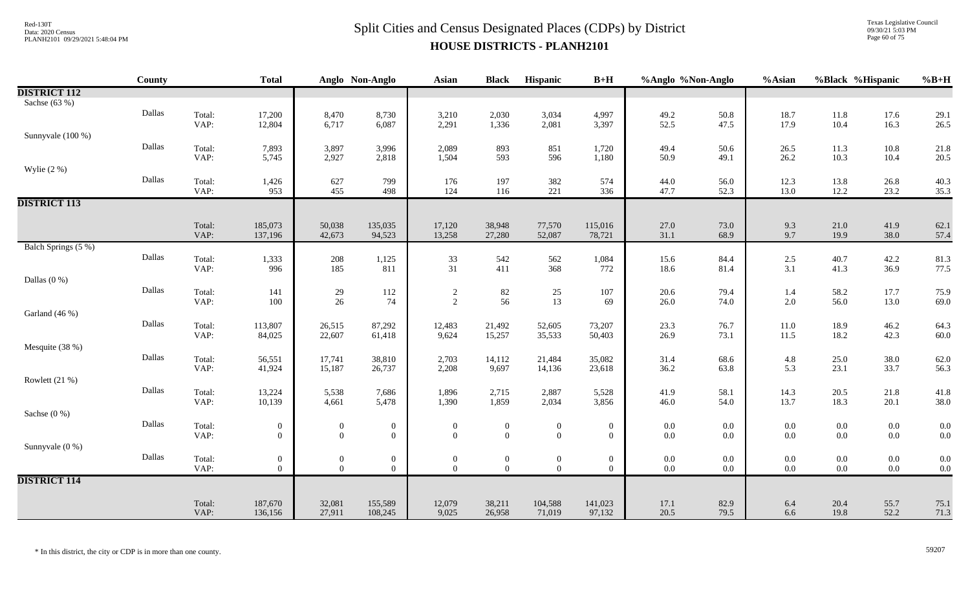Texas Legislative Council 09/30/21 5:03 PM Page 60 of 75

|                     | <b>County</b> |                | <b>Total</b>             |                                           | Anglo Non-Anglo              | <b>Asian</b>                 | <b>Black</b>                            | Hispanic                                    | $B+H$                        | %Anglo %Non-Anglo                         |              | %Asian            |                    | %Black %Hispanic                          | $%B+H$       |
|---------------------|---------------|----------------|--------------------------|-------------------------------------------|------------------------------|------------------------------|-----------------------------------------|---------------------------------------------|------------------------------|-------------------------------------------|--------------|-------------------|--------------------|-------------------------------------------|--------------|
| <b>DISTRICT 112</b> |               |                |                          |                                           |                              |                              |                                         |                                             |                              |                                           |              |                   |                    |                                           |              |
| Sachse (63 %)       |               |                |                          |                                           |                              |                              |                                         |                                             |                              |                                           |              |                   |                    |                                           |              |
|                     | Dallas        | Total:         | 17,200                   | 8,470                                     | 8,730                        | 3,210                        | 2,030                                   | 3,034                                       | 4,997                        | 49.2                                      | 50.8         | 18.7              | $11.8\,$           | 17.6                                      | 29.1         |
|                     |               | VAP:           | 12,804                   | 6,717                                     | 6,087                        | 2,291                        | 1,336                                   | 2,081                                       | 3,397                        | 52.5                                      | 47.5         | 17.9              | 10.4               | 16.3                                      | 26.5         |
| Sunnyvale (100 %)   |               |                |                          |                                           |                              |                              |                                         |                                             |                              |                                           |              |                   |                    |                                           |              |
|                     | Dallas        | Total:<br>VAP: | 7,893<br>5,745           | 3,897<br>2,927                            | 3,996<br>2,818               | 2,089<br>1,504               | 893<br>593                              | 851<br>596                                  | 1,720<br>1,180               | 49.4<br>50.9                              | 50.6<br>49.1 | 26.5<br>26.2      | 11.3<br>10.3       | $10.8\,$<br>10.4                          | 21.8<br>20.5 |
| Wylie $(2\%)$       |               |                |                          |                                           |                              |                              |                                         |                                             |                              |                                           |              |                   |                    |                                           |              |
|                     | Dallas        | Total:         | 1,426                    | 627                                       | 799                          | 176                          | 197                                     | 382                                         | 574                          | 44.0                                      | 56.0         | 12.3              | 13.8               | 26.8                                      | 40.3         |
|                     |               | VAP:           | 953                      | 455                                       | 498                          | 124                          | 116                                     | 221                                         | 336                          | 47.7                                      | 52.3         | 13.0              | 12.2               | 23.2                                      | 35.3         |
| <b>DISTRICT 113</b> |               |                |                          |                                           |                              |                              |                                         |                                             |                              |                                           |              |                   |                    |                                           |              |
|                     |               |                |                          |                                           |                              |                              |                                         |                                             |                              |                                           |              |                   |                    |                                           |              |
|                     |               | Total:         | 185,073                  | 50,038                                    | 135,035                      | 17,120                       | 38,948                                  | 77,570                                      | 115,016                      | 27.0                                      | 73.0         | 9.3               | $21.0\,$           | 41.9                                      | 62.1         |
|                     |               | VAP:           | 137,196                  | 42,673                                    | 94,523                       | 13,258                       | 27,280                                  | 52,087                                      | 78,721                       | 31.1                                      | 68.9         | 9.7               | 19.9               | 38.0                                      | 57.4         |
| Balch Springs (5 %) |               |                |                          |                                           |                              |                              |                                         |                                             |                              |                                           |              |                   |                    |                                           |              |
|                     | Dallas        | Total:         | 1,333                    | $\begin{array}{c} 208 \\ 185 \end{array}$ | 1,125                        | 33                           | 542                                     | 562                                         | 1,084                        | 15.6                                      | 84.4         | $\frac{2.5}{3.1}$ | 40.7               | 42.2                                      | 81.3         |
|                     |               | VAP:           | 996                      |                                           | 811                          | 31                           | 411                                     | 368                                         | 772                          | 18.6                                      | 81.4         |                   | 41.3               | 36.9                                      | 77.5         |
| Dallas $(0\%)$      | Dallas        |                |                          |                                           |                              |                              |                                         |                                             |                              |                                           |              |                   |                    |                                           |              |
|                     |               | Total:<br>VAP: | 141<br>100               | $\frac{29}{26}$                           | $112\,$<br>74                | $\frac{2}{2}$                | $\begin{array}{c} 82 \\ 56 \end{array}$ | $\begin{array}{c} 25 \\ 13 \end{array}$     | 107<br>69                    | $20.6\,$<br>26.0                          | 79.4<br>74.0 | 1.4<br>2.0        | $58.2\,$<br>56.0   | 17.7<br>13.0                              | 75.9<br>69.0 |
| Garland (46 %)      |               |                |                          |                                           |                              |                              |                                         |                                             |                              |                                           |              |                   |                    |                                           |              |
|                     | Dallas        | Total:         | 113,807                  | 26,515                                    | 87,292                       | 12,483                       | 21,492                                  | 52,605                                      | 73,207                       | 23.3                                      | 76.7         | 11.0              | 18.9               | 46.2                                      | 64.3         |
|                     |               | VAP:           | 84,025                   | 22,607                                    | 61,418                       | 9,624                        | 15,257                                  | 35,533                                      | 50,403                       | 26.9                                      | 73.1         | 11.5              | 18.2               | 42.3                                      | 60.0         |
| Mesquite (38 %)     |               |                |                          |                                           |                              |                              |                                         |                                             |                              |                                           |              |                   |                    |                                           |              |
|                     | Dallas        | Total:         | 56,551                   | 17,741                                    | 38,810                       | 2,703                        | 14,112                                  | 21,484                                      | 35,082                       | $31.4$<br>$36.2$                          | 68.6         | $\frac{4.8}{5.3}$ | 25.0               | $38.0$<br>$33.7$                          | 62.0         |
|                     |               | VAP:           | 41,924                   | 15,187                                    | 26,737                       | 2,208                        | 9,697                                   | 14,136                                      | 23,618                       |                                           | 63.8         |                   | 23.1               |                                           | 56.3         |
| Rowlett (21 %)      |               |                |                          |                                           |                              |                              |                                         |                                             |                              |                                           |              |                   |                    |                                           |              |
|                     | Dallas        | Total:         | 13,224                   | 5,538                                     | 7,686                        | 1,896                        | 2,715                                   | 2,887                                       | 5,528                        | 41.9                                      | 58.1         | 14.3              | 20.5               | 21.8                                      | 41.8         |
|                     |               | VAP:           | 10,139                   | 4,661                                     | 5,478                        | 1,390                        | 1,859                                   | 2,034                                       | 3,856                        | 46.0                                      | 54.0         | 13.7              | 18.3               | 20.1                                      | 38.0         |
| Sachse $(0\%)$      | Dallas        |                |                          |                                           |                              |                              |                                         |                                             |                              |                                           |              |                   |                    |                                           |              |
|                     |               | Total:<br>VAP: | $\mathbf{0}$<br>$\Omega$ | $\boldsymbol{0}$<br>$\overline{0}$        | $\boldsymbol{0}$<br>$\theta$ | $\boldsymbol{0}$<br>$\Omega$ | $\boldsymbol{0}$<br>$\overline{0}$      | $\boldsymbol{0}$<br>$\overline{0}$          | $\boldsymbol{0}$<br>$\Omega$ | $0.0\,$<br>$0.0\,$                        | 0.0<br>0.0   | $0.0\,$<br>0.0    | $0.0\,$<br>$0.0\,$ | $0.0\,$<br>$0.0\,$                        | 0.0<br>0.0   |
| Sunnyvale (0 %)     |               |                |                          |                                           |                              |                              |                                         |                                             |                              |                                           |              |                   |                    |                                           |              |
|                     | Dallas        | Total:         | $\mathbf{0}$             | $\overline{0}$                            | $\boldsymbol{0}$             | $\mathbf{0}$                 | $\boldsymbol{0}$                        |                                             | $\boldsymbol{0}$             |                                           | 0.0          | $0.0\,$           | $0.0\,$            |                                           | 0.0          |
|                     |               | VAP:           | $\overline{0}$           | $\overline{0}$                            | $\overline{0}$               | $\overline{0}$               | $\overline{0}$                          | $\begin{smallmatrix}0\0\0\end{smallmatrix}$ | $\theta$                     | $\begin{array}{c} 0.0 \\ 0.0 \end{array}$ | $0.0\,$      | $0.0\,$           | $0.0\,$            | $\begin{array}{c} 0.0 \\ 0.0 \end{array}$ | 0.0          |
| <b>DISTRICT 114</b> |               |                |                          |                                           |                              |                              |                                         |                                             |                              |                                           |              |                   |                    |                                           |              |
|                     |               |                |                          |                                           |                              |                              |                                         |                                             |                              |                                           |              |                   |                    |                                           |              |
|                     |               | Total:<br>VAP: | 187,670<br>136,156       | 32,081<br>27,911                          | 155,589<br>108,245           | 12,079<br>9,025              | 38,211<br>26,958                        | 104,588<br>71,019                           | 141,023<br>97,132            | 17.1<br>20.5                              | 82.9<br>79.5 | 6.4<br>6.6        | 20.4<br>19.8       | 55.7<br>52.2                              | 75.1<br>71.3 |
|                     |               |                |                          |                                           |                              |                              |                                         |                                             |                              |                                           |              |                   |                    |                                           |              |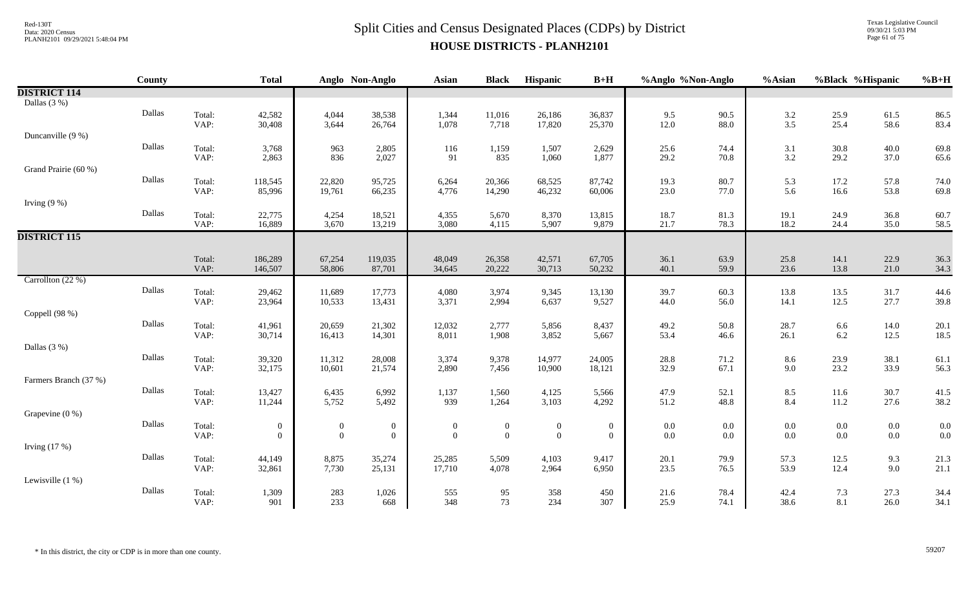Texas Legislative Council 09/30/21 5:03 PM Page 61 of 75

|                       | County |                | <b>Total</b>                   |                                    | Anglo Non-Anglo                  | <b>Asian</b>               | <b>Black</b>                       | Hispanic                           | $B+H$                              | %Anglo %Non-Anglo  |              | %Asian         | %Black %Hispanic   |                    | $%B+H$       |
|-----------------------|--------|----------------|--------------------------------|------------------------------------|----------------------------------|----------------------------|------------------------------------|------------------------------------|------------------------------------|--------------------|--------------|----------------|--------------------|--------------------|--------------|
| <b>DISTRICT 114</b>   |        |                |                                |                                    |                                  |                            |                                    |                                    |                                    |                    |              |                |                    |                    |              |
| Dallas $(3\%)$        |        |                |                                |                                    |                                  |                            |                                    |                                    |                                    |                    |              |                |                    |                    |              |
|                       | Dallas | Total:         | 42,582                         | 4,044                              | 38,538                           | 1,344                      | 11,016                             | 26,186                             | 36,837                             | 9.5                | 90.5         | 3.2            | 25.9               | 61.5               | 86.5         |
|                       |        | VAP:           | 30,408                         | 3,644                              | 26,764                           | 1,078                      | 7,718                              | 17,820                             | 25,370                             | 12.0               | 88.0         | 3.5            | 25.4               | 58.6               | 83.4         |
| Duncanville (9 %)     |        |                |                                |                                    |                                  |                            |                                    |                                    |                                    |                    |              |                |                    |                    |              |
|                       | Dallas | Total:         | 3,768                          | 963                                | 2,805                            | 116                        | 1,159                              | 1,507                              | 2,629                              | 25.6               | 74.4         | 3.1            | 30.8               | 40.0               | 69.8         |
|                       |        | VAP:           | 2,863                          | 836                                | 2,027                            | 91                         | 835                                | 1,060                              | 1,877                              | 29.2               | 70.8         | 3.2            | 29.2               | 37.0               | 65.6         |
| Grand Prairie (60 %)  |        |                |                                |                                    |                                  |                            |                                    |                                    |                                    |                    |              |                |                    |                    |              |
|                       | Dallas | Total:         | 118,545                        | 22,820                             | 95,725                           | 6,264                      | 20,366                             | 68,525                             | 87,742                             | 19.3               | 80.7         | 5.3            | 17.2               | 57.8               | 74.0         |
|                       |        | VAP:           | 85,996                         | 19,761                             | 66,235                           | 4,776                      | 14,290                             | 46,232                             | 60,006                             | 23.0               | 77.0         | 5.6            | 16.6               | 53.8               | 69.8         |
| Irving $(9\%)$        | Dallas |                |                                |                                    |                                  |                            |                                    |                                    |                                    |                    |              |                |                    |                    |              |
|                       |        | Total:<br>VAP: | 22,775<br>16,889               | 4,254<br>3,670                     | 18,521<br>13,219                 | 4,355<br>3,080             | 5,670<br>4,115                     | 8,370<br>5,907                     | 13,815<br>9,879                    | 18.7<br>21.7       | 81.3<br>78.3 | 19.1<br>18.2   | 24.9<br>24.4       | 36.8<br>35.0       | 60.7<br>58.5 |
| <b>DISTRICT 115</b>   |        |                |                                |                                    |                                  |                            |                                    |                                    |                                    |                    |              |                |                    |                    |              |
|                       |        |                |                                |                                    |                                  |                            |                                    |                                    |                                    |                    |              |                |                    |                    |              |
|                       |        | Total:         | 186,289                        | 67,254                             | 119,035                          | 48,049                     | 26,358                             | 42,571                             | 67,705                             | 36.1               | 63.9         | 25.8           | 14.1               | 22.9               | 36.3         |
|                       |        | VAP:           | 146,507                        | 58,806                             | 87,701                           | 34,645                     | 20,222                             | 30,713                             | 50,232                             | 40.1               | 59.9         | 23.6           | 13.8               | 21.0               | 34.3         |
| Carrollton (22 %)     |        |                |                                |                                    |                                  |                            |                                    |                                    |                                    |                    |              |                |                    |                    |              |
|                       | Dallas | Total:         | 29,462                         | 11,689                             | 17,773                           | 4,080                      | 3,974                              | 9,345                              | 13,130                             | 39.7               | 60.3         | 13.8           | 13.5               | 31.7               | 44.6         |
|                       |        | VAP:           | 23,964                         | 10,533                             | 13,431                           | 3,371                      | 2,994                              | 6,637                              | 9,527                              | 44.0               | 56.0         | 14.1           | 12.5               | 27.7               | 39.8         |
| Coppell (98 %)        |        |                |                                |                                    |                                  |                            |                                    |                                    |                                    |                    |              |                |                    |                    |              |
|                       | Dallas | Total:         | 41,961                         | 20,659                             | 21,302                           | 12,032                     | 2,777                              | 5,856                              | 8,437                              | 49.2               | 50.8         | 28.7           | 6.6                | 14.0               | 20.1         |
|                       |        | VAP:           | 30,714                         | 16,413                             | 14,301                           | 8,011                      | 1,908                              | 3,852                              | 5,667                              | 53.4               | 46.6         | 26.1           | 6.2                | 12.5               | 18.5         |
| Dallas (3 %)          |        |                |                                |                                    |                                  |                            |                                    |                                    |                                    |                    |              |                |                    |                    |              |
|                       | Dallas | Total:         | 39,320                         | 11,312                             | 28,008                           | 3,374                      | 9,378                              | 14,977                             | 24,005                             | 28.8               | 71.2         | 8.6            | 23.9               | 38.1               | 61.1         |
|                       |        | VAP:           | 32,175                         | 10,601                             | 21,574                           | 2,890                      | 7,456                              | 10,900                             | 18,121                             | 32.9               | 67.1         | 9.0            | 23.2               | 33.9               | 56.3         |
| Farmers Branch (37 %) |        |                |                                |                                    |                                  |                            |                                    |                                    |                                    |                    |              |                |                    |                    |              |
|                       | Dallas | Total:<br>VAP: | 13,427                         | 6,435                              | 6,992                            | 1,137<br>939               | 1,560                              | 4,125<br>3,103                     | 5,566                              | 47.9               | 52.1         | 8.5            | 11.6<br>11.2       | 30.7               | 41.5         |
| Grapevine $(0\%)$     |        |                | 11,244                         | 5,752                              | 5,492                            |                            | 1,264                              |                                    | 4,292                              | 51.2               | 48.8         | 8.4            |                    | 27.6               | 38.2         |
|                       | Dallas |                |                                |                                    |                                  |                            |                                    |                                    |                                    |                    |              |                |                    |                    |              |
|                       |        | Total:<br>VAP: | $\mathbf{0}$<br>$\overline{0}$ | $\boldsymbol{0}$<br>$\overline{0}$ | $\boldsymbol{0}$<br>$\mathbf{0}$ | $\overline{0}$<br>$\theta$ | $\boldsymbol{0}$<br>$\overline{0}$ | $\boldsymbol{0}$<br>$\overline{0}$ | $\boldsymbol{0}$<br>$\overline{0}$ | $0.0\,$<br>$0.0\,$ | 0.0<br>0.0   | $0.0\,$<br>0.0 | $0.0\,$<br>$0.0\,$ | $0.0\,$<br>$0.0\,$ | 0.0<br>0.0   |
| Irving $(17%)$        |        |                |                                |                                    |                                  |                            |                                    |                                    |                                    |                    |              |                |                    |                    |              |
|                       | Dallas | Total:         | 44,149                         | 8,875                              | 35,274                           | 25,285                     | 5,509                              | 4,103                              | 9,417                              | 20.1               | 79.9         | 57.3           | 12.5               | 9.3                | 21.3         |
|                       |        | VAP:           | 32,861                         | 7,730                              | 25,131                           | 17,710                     | 4,078                              | 2,964                              | 6,950                              | 23.5               | 76.5         | 53.9           | 12.4               | 9.0                | 21.1         |
| Lewisville $(1%)$     |        |                |                                |                                    |                                  |                            |                                    |                                    |                                    |                    |              |                |                    |                    |              |
|                       | Dallas | Total:         | 1,309                          | 283                                | 1,026                            | 555                        | 95                                 | 358                                | 450                                | 21.6               | 78.4         | 42.4           | 7.3                | 27.3               | 34.4         |
|                       |        | VAP:           | 901                            | 233                                | 668                              | 348                        | 73                                 | 234                                | 307                                | 25.9               | 74.1         | 38.6           | 8.1                | 26.0               | 34.1         |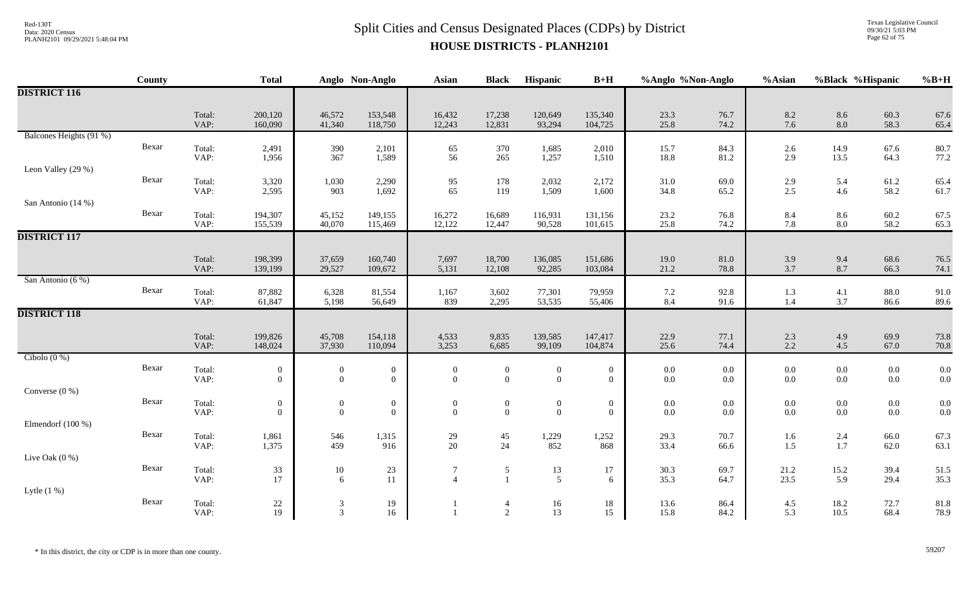# $Split$  Cities and Census Designated Places (CDPs) by District Data: 2020 Census **HOUSE DISTRICTS - PLANH2101**

Texas Legislative Council 09/30/21 5:03 PM Page 62 of 75

|                         | County |                | <b>Total</b>                 |                                  | Anglo Non-Anglo                    | Asian                              | <b>Black</b>                     | Hispanic                                  | $B+H$                              | %Anglo %Non-Anglo |                    | %Asian            | %Black %Hispanic   |                                           | $%B+H$       |
|-------------------------|--------|----------------|------------------------------|----------------------------------|------------------------------------|------------------------------------|----------------------------------|-------------------------------------------|------------------------------------|-------------------|--------------------|-------------------|--------------------|-------------------------------------------|--------------|
| <b>DISTRICT 116</b>     |        |                |                              |                                  |                                    |                                    |                                  |                                           |                                    |                   |                    |                   |                    |                                           |              |
|                         |        | Total:<br>VAP: | 200,120<br>160,090           | 46,572<br>41,340                 | 153,548<br>118,750                 | 16,432<br>12,243                   | 17,238<br>12,831                 | 120,649<br>93,294                         | 135,340<br>104,725                 | 23.3<br>25.8      | 76.7<br>74.2       | 8.2<br>7.6        | $8.6\,$<br>8.0     | 60.3<br>58.3                              | 67.6<br>65.4 |
| Balcones Heights (91 %) |        |                |                              |                                  |                                    |                                    |                                  |                                           |                                    |                   |                    |                   |                    |                                           |              |
|                         | Bexar  | Total:<br>VAP: | 2,491<br>1,956               | 390<br>367                       | 2,101<br>1,589                     | 65<br>56                           | 370<br>265                       | 1,685<br>1,257                            | 2,010<br>1,510                     | 15.7<br>18.8      | 84.3<br>81.2       | 2.6<br>2.9        | 14.9<br>13.5       | 67.6<br>64.3                              | 80.7<br>77.2 |
| Leon Valley (29 %)      |        |                |                              |                                  |                                    |                                    |                                  |                                           |                                    |                   |                    |                   |                    |                                           |              |
|                         | Bexar  | Total:<br>VAP: | 3,320<br>2,595               | 1,030<br>903                     | 2,290<br>1,692                     | $\frac{95}{65}$                    | 178<br>119                       | 2,032<br>1,509                            | 2,172<br>1,600                     | 31.0<br>34.8      | 69.0<br>65.2       | 2.9<br>2.5        | 5.4<br>4.6         | 61.2<br>58.2                              | 65.4<br>61.7 |
| San Antonio (14 %)      |        |                |                              |                                  |                                    |                                    |                                  |                                           |                                    |                   |                    |                   |                    |                                           |              |
|                         | Bexar  | Total:<br>VAP: | 194,307<br>155,539           | 45,152<br>40,070                 | 149,155<br>115,469                 | 16,272<br>12,122                   | 16,689<br>12,447                 | 116,931<br>90,528                         | 131,156<br>101,615                 | 23.2<br>25.8      | 76.8<br>74.2       | 8.4<br>7.8        | $8.6\,$<br>8.0     | 60.2<br>58.2                              | 67.5<br>65.3 |
| <b>DISTRICT 117</b>     |        |                |                              |                                  |                                    |                                    |                                  |                                           |                                    |                   |                    |                   |                    |                                           |              |
|                         |        | Total:         | 198,399                      | 37,659                           | 160,740                            | 7,697                              | 18,700                           | 136,085                                   | 151,686                            | 19.0              | 81.0               | 3.9               |                    | 68.6                                      | 76.5         |
|                         |        | VAP:           | 139,199                      | 29,527                           | 109,672                            | 5,131                              | 12,108                           | 92,285                                    | 103,084                            | 21.2              | 78.8               | 3.7               | 9.4<br>8.7         | 66.3                                      | 74.1         |
| San Antonio (6 %)       |        |                |                              |                                  |                                    |                                    |                                  |                                           |                                    |                   |                    |                   |                    |                                           |              |
|                         | Bexar  | Total:<br>VAP: | 87,882<br>61,847             | 6,328<br>5,198                   | 81,554<br>56,649                   | 1,167<br>839                       | 3,602<br>2,295                   | 77,301<br>53,535                          | 79,959<br>55,406                   | $7.2\,$<br>8.4    | 92.8<br>91.6       | 1.3<br>1.4        | 4.1<br>3.7         | 88.0<br>86.6                              | 91.0<br>89.6 |
| <b>DISTRICT 118</b>     |        |                |                              |                                  |                                    |                                    |                                  |                                           |                                    |                   |                    |                   |                    |                                           |              |
|                         |        | Total:         | 199,826                      | 45,708                           | 154,118                            | 4,533                              | 9,835                            | 139,585                                   | 147,417                            | 22.9              | 77.1               | $\frac{2.3}{2.2}$ | 4.9                | 69.9                                      | 73.8         |
|                         |        | VAP:           | 148,024                      | 37,930                           | 110,094                            | 3,253                              | 6,685                            | 99,109                                    | 104,874                            | 25.6              | 74.4               |                   | 4.5                | 67.0                                      | 70.8         |
| Cibolo $(0\%)$          | Bexar  | Total:         | $\bf{0}$                     | $\overline{0}$                   | $\boldsymbol{0}$                   | $\bf{0}$                           | $\boldsymbol{0}$                 | $\boldsymbol{0}$                          | $\boldsymbol{0}$                   | $0.0\,$           | $0.0\,$            | 0.0               | $0.0\,$            | $0.0\,$                                   | 0.0          |
|                         |        | VAP:           | $\theta$                     | $\boldsymbol{0}$                 | $\bf{0}$                           | $\overline{0}$                     | $\boldsymbol{0}$                 | $\overline{0}$                            | $\overline{0}$                     | $0.0\,$           | $0.0\,$            | 0.0               | $0.0\,$            | $0.0\,$                                   | 0.0          |
| Converse $(0\%)$        |        |                |                              |                                  |                                    |                                    |                                  |                                           |                                    |                   |                    |                   |                    |                                           |              |
|                         | Bexar  | Total:<br>VAP: | $\boldsymbol{0}$<br>$\theta$ | $\boldsymbol{0}$<br>$\mathbf{0}$ | $\boldsymbol{0}$<br>$\overline{0}$ | $\boldsymbol{0}$<br>$\overline{0}$ | $\boldsymbol{0}$<br>$\mathbf{0}$ | $\begin{smallmatrix}0\0\end{smallmatrix}$ | $\boldsymbol{0}$<br>$\overline{0}$ | $0.0\,$<br>0.0    | $0.0\,$<br>$0.0\,$ | $0.0\,$<br>0.0    | $0.0\,$<br>$0.0\,$ | $\begin{array}{c} 0.0 \\ 0.0 \end{array}$ | 0.0<br>0.0   |
| Elmendorf (100 %)       |        |                |                              |                                  |                                    |                                    |                                  |                                           |                                    |                   |                    |                   |                    |                                           |              |
|                         | Bexar  | Total:         | 1,861                        | 546                              | 1,315                              | 29                                 | 45                               | 1,229                                     | 1,252                              | 29.3              | 70.7               | 1.6               | 2.4                | 66.0                                      | 67.3         |
|                         |        | VAP:           | 1,375                        | 459                              | 916                                | 20                                 | 24                               | 852                                       | 868                                | 33.4              | 66.6               | 1.5               | $1.7\,$            | 62.0                                      | 63.1         |
| Live Oak (0 %)          | Bexar  | Total:         |                              |                                  |                                    | $\overline{7}$                     |                                  |                                           |                                    |                   |                    |                   |                    |                                           |              |
|                         |        | VAP:           | $33\,$<br>17                 | $10\,$<br>6                      | 23<br>11                           | $\boldsymbol{\Lambda}$             | 5<br>$\overline{1}$              | 13<br>$5\overline{)}$                     | 17<br>6                            | 30.3<br>35.3      | 69.7<br>64.7       | 21.2<br>23.5      | 15.2<br>5.9        | 39.4<br>29.4                              | 51.5<br>35.3 |
| Lytle $(1\%)$           |        |                |                              |                                  |                                    |                                    |                                  |                                           |                                    |                   |                    |                   |                    |                                           |              |
|                         | Bexar  | Total:         | $22\,$                       | $\mathfrak{Z}$                   | 19                                 |                                    | $\overline{4}$                   | 16                                        | 18                                 | 13.6              | 86.4               | 4.5               | 18.2               | 72.7                                      | 81.8         |
|                         |        | VAP:           | 19                           | $\overline{3}$                   | 16                                 |                                    | $\overline{2}$                   | 13                                        | 15                                 | 15.8              | 84.2               | 5.3               | 10.5               | 68.4                                      | 78.9         |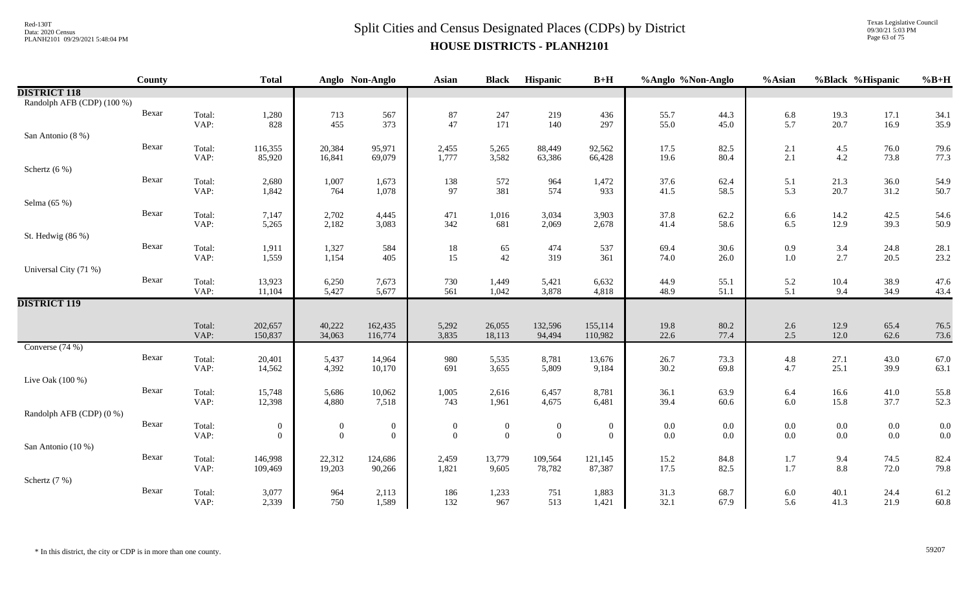### $Split$  Cities and Census Designated Places (CDPs) by District Data: 2020 Census **HOUSE DISTRICTS - PLANH2101**

Texas Legislative Council 09/30/21 5:03 PM Page 63 of 75

|                            | <b>County</b> |                | <b>Total</b>                   |                                  | Anglo Non-Anglo              | <b>Asian</b>                 | <b>Black</b>                       | Hispanic                         | $B+H$                            | %Anglo %Non-Anglo  |              | %Asian         | %Black %Hispanic |                    | $%B+H$       |
|----------------------------|---------------|----------------|--------------------------------|----------------------------------|------------------------------|------------------------------|------------------------------------|----------------------------------|----------------------------------|--------------------|--------------|----------------|------------------|--------------------|--------------|
| <b>DISTRICT 118</b>        |               |                |                                |                                  |                              |                              |                                    |                                  |                                  |                    |              |                |                  |                    |              |
| Randolph AFB (CDP) (100 %) |               |                |                                |                                  |                              |                              |                                    |                                  |                                  |                    |              |                |                  |                    |              |
|                            | Bexar         | Total:         | 1,280                          | 713                              | 567                          | 87                           | 247                                | 219                              | 436                              | 55.7               | 44.3         | 6.8            | 19.3             | 17.1               | 34.1         |
|                            |               | VAP:           | 828                            | 455                              | 373                          | 47                           | 171                                | 140                              | 297                              | 55.0               | 45.0         | 5.7            | 20.7             | 16.9               | 35.9         |
| San Antonio (8 %)          |               |                |                                |                                  |                              |                              |                                    |                                  |                                  |                    |              |                |                  |                    |              |
|                            | Bexar         | Total:<br>VAP: | 116,355<br>85,920              | 20,384<br>16,841                 | 95,971<br>69,079             | 2,455<br>1,777               | 5,265<br>3,582                     | 88,449                           | 92,562                           | 17.5               | 82.5<br>80.4 | 2.1<br>2.1     | 4.5<br>4.2       | 76.0<br>73.8       | 79.6<br>77.3 |
| Schertz $(6\%)$            |               |                |                                |                                  |                              |                              |                                    | 63,386                           | 66,428                           | 19.6               |              |                |                  |                    |              |
|                            | Bexar         | Total:         | 2,680                          | 1,007                            | 1,673                        | 138                          | 572                                | 964                              | 1,472                            | 37.6               | 62.4         | 5.1            | 21.3             | 36.0               | 54.9         |
|                            |               | VAP:           | 1,842                          | 764                              | 1,078                        | 97                           | 381                                | 574                              | 933                              | 41.5               | 58.5         | 5.3            | 20.7             | 31.2               | 50.7         |
| Selma (65 %)               |               |                |                                |                                  |                              |                              |                                    |                                  |                                  |                    |              |                |                  |                    |              |
|                            | Bexar         | Total:         | 7,147                          | 2,702                            | 4,445                        | 471                          | 1,016                              | 3,034                            | 3,903                            | 37.8               | 62.2         | 6.6            | 14.2             | 42.5               | 54.6         |
|                            |               | VAP:           | 5,265                          | 2,182                            | 3,083                        | 342                          | 681                                | 2,069                            | 2,678                            | 41.4               | 58.6         | 6.5            | 12.9             | 39.3               | 50.9         |
| St. Hedwig (86 %)          |               |                |                                |                                  |                              |                              |                                    |                                  |                                  |                    |              |                |                  |                    |              |
|                            | Bexar         | Total:         | 1,911                          | 1,327                            | 584                          | 18                           | 65                                 | 474                              | 537                              | 69.4               | 30.6         | 0.9            | 3.4              | 24.8               | 28.1         |
|                            |               | VAP:           | 1,559                          | 1,154                            | 405                          | 15                           | 42                                 | 319                              | 361                              | 74.0               | 26.0         | 1.0            | 2.7              | 20.5               | 23.2         |
| Universal City (71 %)      |               |                |                                |                                  |                              |                              |                                    |                                  |                                  |                    |              |                |                  |                    |              |
|                            | Bexar         | Total:         | 13,923                         | 6,250<br>5,427                   | 7,673                        | 730                          | 1,449                              | 5,421                            | 6,632                            | 44.9               | 55.1         | 5.2            | 10.4             | 38.9               | 47.6         |
| <b>DISTRICT 119</b>        |               | VAP:           | 11,104                         |                                  | 5,677                        | 561                          | 1,042                              | 3,878                            | 4,818                            | 48.9               | 51.1         | 5.1            | 9.4              | 34.9               | 43.4         |
|                            |               |                |                                |                                  |                              |                              |                                    |                                  |                                  |                    |              |                |                  |                    |              |
|                            |               | Total:         | 202,657                        | 40,222                           | 162,435                      | 5,292                        | 26,055                             | 132,596                          | 155,114                          | 19.8               | 80.2         | 2.6            | 12.9             | 65.4               | 76.5         |
|                            |               | VAP:           | 150,837                        | 34,063                           | 116,774                      | 3,835                        | 18,113                             | 94,494                           | 110,982                          | 22.6               | 77.4         | 2.5            | 12.0             | 62.6               | 73.6         |
| Converse $(74%)$           |               |                |                                |                                  |                              |                              |                                    |                                  |                                  |                    |              |                |                  |                    |              |
|                            | Bexar         | Total:         | 20,401                         | 5,437                            | 14,964                       | 980                          | 5,535                              | 8,781                            | 13,676                           | 26.7               | 73.3         | 4.8            | 27.1             | 43.0               | 67.0         |
|                            |               | VAP:           | 14,562                         | 4,392                            | 10,170                       | 691                          | 3,655                              | 5,809                            | 9,184                            | 30.2               | 69.8         | 4.7            | 25.1             | 39.9               | 63.1         |
| Live Oak (100 %)           |               |                |                                |                                  |                              |                              |                                    |                                  |                                  |                    |              |                |                  |                    |              |
|                            | Bexar         | Total:         | 15,748                         | 5,686                            | 10,062                       | 1,005                        | 2,616                              | 6,457                            | 8,781                            | 36.1               | 63.9         | 6.4            | 16.6             | 41.0               | 55.8         |
| Randolph AFB (CDP) (0 %)   |               | VAP:           | 12,398                         | 4,880                            | 7,518                        | 743                          | 1,961                              | 4,675                            | 6,481                            | 39.4               | 60.6         | 6.0            | 15.8             | 37.7               | 52.3         |
|                            | Bexar         | Total:         |                                |                                  |                              |                              |                                    |                                  |                                  |                    | 0.0          |                | $0.0\,$          |                    | 0.0          |
|                            |               | VAP:           | $\mathbf{0}$<br>$\overline{0}$ | $\overline{0}$<br>$\overline{0}$ | $\mathbf{0}$<br>$\mathbf{0}$ | $\boldsymbol{0}$<br>$\theta$ | $\boldsymbol{0}$<br>$\overline{0}$ | $\boldsymbol{0}$<br>$\mathbf{0}$ | $\overline{0}$<br>$\overline{0}$ | $0.0\,$<br>$0.0\,$ | 0.0          | $0.0\,$<br>0.0 | $0.0\,$          | $0.0\,$<br>$0.0\,$ | 0.0          |
| San Antonio (10 %)         |               |                |                                |                                  |                              |                              |                                    |                                  |                                  |                    |              |                |                  |                    |              |
|                            | Bexar         | Total:         | 146,998                        | 22,312                           | 124,686                      | 2,459                        | 13,779                             | 109,564                          | 121,145                          | 15.2               | 84.8         | 1.7            | 9.4              | 74.5               | 82.4         |
|                            |               | VAP:           | 109,469                        | 19,203                           | 90,266                       | 1,821                        | 9,605                              | 78,782                           | 87,387                           | 17.5               | 82.5         | 1.7            | $8.8\,$          | 72.0               | 79.8         |
| Schertz (7 %)              |               |                |                                |                                  |                              |                              |                                    |                                  |                                  |                    |              |                |                  |                    |              |
|                            | Bexar         | Total:         | 3,077                          | 964                              | 2,113                        | 186                          | 1,233                              | 751                              | 1,883                            | 31.3               | 68.7         | 6.0            | 40.1             | 24.4               | 61.2         |
|                            |               | VAP:           | 2,339                          | 750                              | 1,589                        | 132                          | 967                                | 513                              | 1,421                            | 32.1               | 67.9         | 5.6            | 41.3             | 21.9               | 60.8         |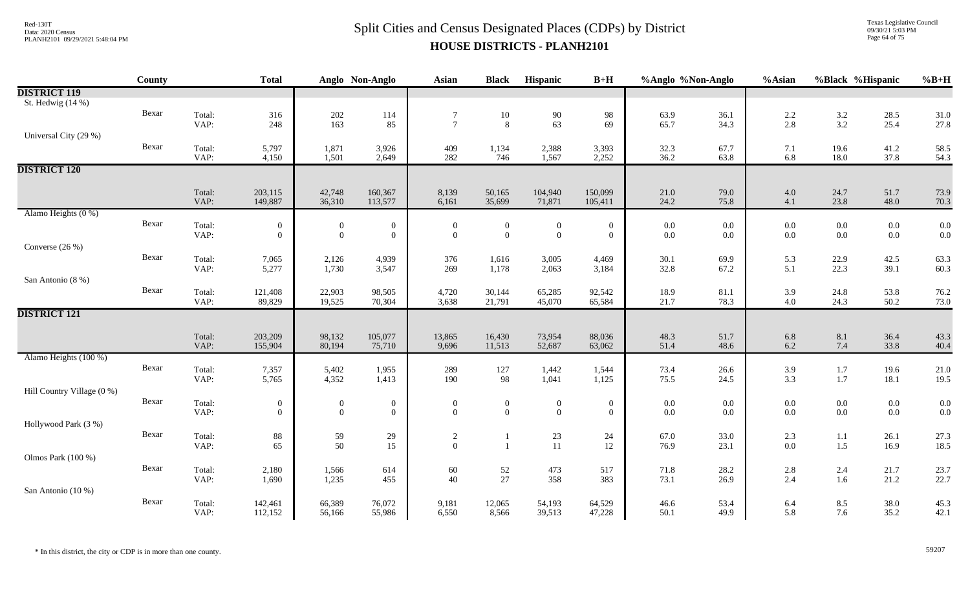### $Split$  Cities and Census Designated Places (CDPs) by District  $Split$  Cities and Census Designated Places (CDPs) by District **HOUSE DISTRICTS - PLANH2101**

Texas Legislative Council 09/30/21 5:03 PM Page 64 of 75

|                            | County |                | <b>Total</b>                 |                                    | Anglo Non-Anglo                    | <b>Asian</b>                     | <b>Black</b>                       | Hispanic                       | $B+H$                              | %Anglo %Non-Anglo |                | %Asian             | %Black %Hispanic |                    | $%B+H$       |
|----------------------------|--------|----------------|------------------------------|------------------------------------|------------------------------------|----------------------------------|------------------------------------|--------------------------------|------------------------------------|-------------------|----------------|--------------------|------------------|--------------------|--------------|
| <b>DISTRICT 119</b>        |        |                |                              |                                    |                                    |                                  |                                    |                                |                                    |                   |                |                    |                  |                    |              |
| St. Hedwig (14 %)          |        |                |                              |                                    |                                    |                                  |                                    |                                |                                    |                   |                |                    |                  |                    |              |
|                            | Bexar  | Total:         | 316                          | $202\,$                            | 114                                | $\overline{7}$                   | $10\,$                             | 90                             | 98                                 | 63.9              | 36.1           | 2.2                | $3.2$<br>$3.2$   | 28.5               | 31.0         |
|                            |        | VAP:           | 248                          | 163                                | 85                                 | $\overline{7}$                   | 8                                  | 63                             | 69                                 | 65.7              | 34.3           | 2.8                |                  | 25.4               | 27.8         |
| Universal City (29 %)      |        |                |                              |                                    |                                    |                                  |                                    |                                |                                    |                   |                |                    |                  |                    |              |
|                            | Bexar  | Total:         | 5,797                        | 1,871                              | 3,926                              | 409                              | 1,134                              | 2,388                          | 3,393                              | 32.3              | 67.7           | 7.1                | 19.6             | 41.2               | 58.5         |
|                            |        | VAP:           | 4,150                        | 1,501                              | 2,649                              | 282                              | 746                                | 1,567                          | 2,252                              | 36.2              | 63.8           | 6.8                | 18.0             | 37.8               | 54.3         |
| <b>DISTRICT 120</b>        |        |                |                              |                                    |                                    |                                  |                                    |                                |                                    |                   |                |                    |                  |                    |              |
|                            |        | Total:         | 203,115                      | 42,748                             | 160,367                            | 8,139                            | 50,165                             | 104,940                        | 150,099                            | 21.0              | 79.0           | 4.0                | 24.7             | 51.7               | 73.9         |
|                            |        | VAP:           | 149,887                      | 36,310                             | 113,577                            | 6,161                            | 35,699                             | 71,871                         | 105,411                            | 24.2              | 75.8           | 4.1                | 23.8             | 48.0               | 70.3         |
| Alamo Heights (0 %)        |        |                |                              |                                    |                                    |                                  |                                    |                                |                                    |                   |                |                    |                  |                    |              |
|                            | Bexar  | Total:         | $\overline{0}$               | $\overline{0}$                     | $\overline{0}$                     | $\mathbf{0}$                     | $\mathbf{0}$                       | $\boldsymbol{0}$               | $\boldsymbol{0}$                   | $0.0\,$           | $0.0\,$        | $0.0\,$            | $0.0\,$          | $0.0\,$            |              |
|                            |        | VAP:           | $\mathbf{0}$                 | $\mathbf{0}$                       | $\mathbf{0}$                       | $\mathbf{0}$                     | $\mathbf{0}$                       | $\overline{0}$                 | $\mathbf{0}$                       | 0.0               | $0.0\,$        | $0.0\,$            | 0.0              | $0.0\,$            | $0.0 \\ 0.0$ |
| Converse (26 %)            |        |                |                              |                                    |                                    |                                  |                                    |                                |                                    |                   |                |                    |                  |                    |              |
|                            | Bexar  | Total:         | 7,065                        | 2,126                              | 4,939                              | 376                              | 1,616                              | 3,005                          | 4,469                              | 30.1              | 69.9           | 5.3                | 22.9             | 42.5               | 63.3         |
|                            |        | VAP:           | 5,277                        | 1,730                              | 3,547                              | 269                              | 1,178                              | 2,063                          | 3,184                              | 32.8              | 67.2           | 5.1                | 22.3             | 39.1               | 60.3         |
| San Antonio (8 %)          |        |                |                              |                                    |                                    |                                  |                                    |                                |                                    |                   |                |                    |                  |                    |              |
|                            | Bexar  | Total:<br>VAP: | 121,408<br>89,829            | 22,903<br>19,525                   | 98,505<br>70,304                   | 4,720<br>3,638                   | 30,144<br>21,791                   | 65,285<br>45,070               | 92,542<br>65,584                   | 18.9<br>21.7      | 81.1<br>78.3   | 3.9<br>4.0         | 24.8<br>24.3     | 53.8<br>50.2       | 76.2<br>73.0 |
| <b>DISTRICT 121</b>        |        |                |                              |                                    |                                    |                                  |                                    |                                |                                    |                   |                |                    |                  |                    |              |
|                            |        |                |                              |                                    |                                    |                                  |                                    |                                |                                    |                   |                |                    |                  |                    |              |
|                            |        | Total:         | 203,209                      | 98,132                             | 105,077                            | 13,865                           | 16,430                             | 73,954                         | 88,036                             | 48.3              | 51.7           | 6.8                | 8.1              | 36.4               | 43.3         |
|                            |        | VAP:           | 155,904                      | 80,194                             | 75,710                             | 9,696                            | 11,513                             | 52,687                         | 63,062                             | 51.4              | 48.6           | $6.2\,$            | 7.4              | 33.8               | 40.4         |
| Alamo Heights (100 %)      |        |                |                              |                                    |                                    |                                  |                                    |                                |                                    |                   |                |                    |                  |                    |              |
|                            | Bexar  | Total:         | 7,357                        | 5,402                              | 1,955                              | 289                              | 127                                | 1,442                          | 1,544                              | 73.4              | 26.6           | 3.9                | 1.7              | 19.6               | 21.0         |
|                            |        | VAP:           | 5,765                        | 4,352                              | 1,413                              | 190                              | 98                                 | 1,041                          | 1,125                              | 75.5              | 24.5           | 3.3                | $1.7\,$          | 18.1               | 19.5         |
| Hill Country Village (0 %) |        |                |                              |                                    |                                    |                                  |                                    |                                |                                    |                   |                |                    |                  |                    |              |
|                            | Bexar  | Total:<br>VAP: | $\boldsymbol{0}$<br>$\theta$ | $\boldsymbol{0}$<br>$\overline{0}$ | $\boldsymbol{0}$<br>$\overline{0}$ | $\boldsymbol{0}$<br>$\mathbf{0}$ | $\boldsymbol{0}$<br>$\overline{0}$ | $\mathbf{0}$<br>$\overline{0}$ | $\boldsymbol{0}$<br>$\overline{0}$ | $0.0\,$<br>0.0    | $0.0\,$<br>0.0 | $0.0\,$<br>$0.0\,$ | $0.0\,$<br>0.0   | $0.0\,$<br>$0.0\,$ | $0.0 \\ 0.0$ |
| Hollywood Park (3 %)       |        |                |                              |                                    |                                    |                                  |                                    |                                |                                    |                   |                |                    |                  |                    |              |
|                            | Bexar  | Total:         | $88\,$                       | 59                                 | 29                                 | $\sqrt{2}$                       | $\mathbf{1}$                       | $23\,$                         |                                    | 67.0              | 33.0           | 2.3                |                  | 26.1               | 27.3         |
|                            |        | VAP:           | 65                           | 50                                 | 15                                 | $\overline{0}$                   | $\overline{1}$                     | 11                             | 24<br>12                           | 76.9              | 23.1           | 0.0                | 1.1<br>1.5       | 16.9               | 18.5         |
| Olmos Park (100 %)         |        |                |                              |                                    |                                    |                                  |                                    |                                |                                    |                   |                |                    |                  |                    |              |
|                            | Bexar  | Total:         | 2,180                        | 1,566                              | 614                                | $60\,$                           | 52                                 | 473                            | 517                                | 71.8              | 28.2           | 2.8                | 2.4              | 21.7               | 23.7         |
|                            |        | VAP:           | 1,690                        | 1,235                              | 455                                | 40                               | 27                                 | 358                            | 383                                | 73.1              | 26.9           | 2.4                | 1.6              | 21.2               | 22.7         |
| San Antonio (10 %)         |        |                |                              |                                    |                                    |                                  |                                    |                                |                                    |                   |                |                    |                  |                    |              |
|                            | Bexar  | Total:         | 142,461                      | 66,389                             | 76,072                             | 9,181                            | 12,065                             | 54,193                         | 64,529                             | 46.6              | 53.4           | 6.4                | 8.5              | 38.0               | 45.3         |
|                            |        | VAP:           | 112,152                      | 56,166                             | 55,986                             | 6,550                            | 8,566                              | 39,513                         | 47,228                             | 50.1              | 49.9           | 5.8                | 7.6              | 35.2               | 42.1         |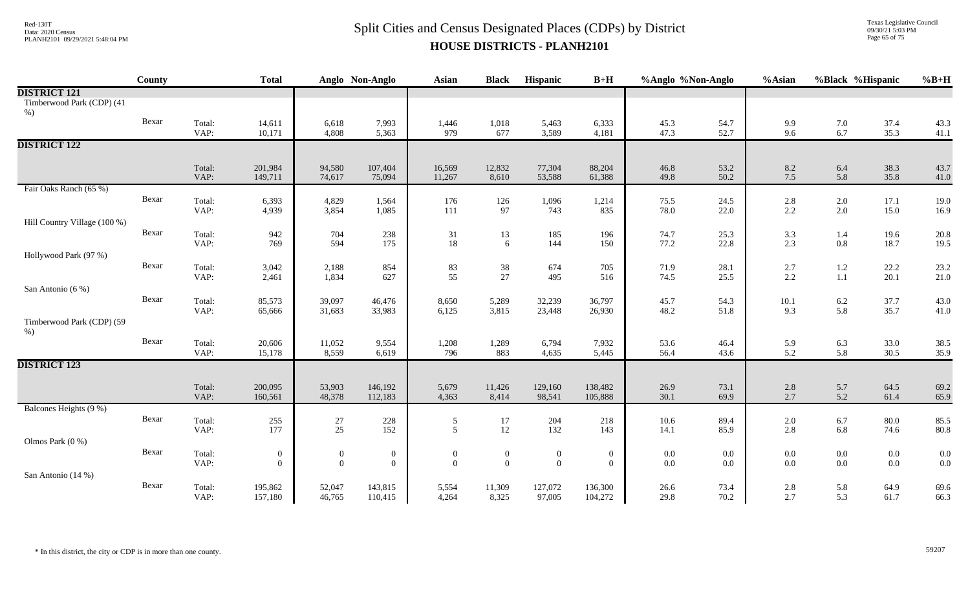Texas Legislative Council 09/30/21 5:03 PM Page 65 of 75

|                                     | County |                | <b>Total</b>                       |                                    | Anglo Non-Anglo                  | <b>Asian</b>                 | <b>Black</b>                   | Hispanic                         | $B+H$                        | %Anglo %Non-Anglo  |                    | %Asian        | %Black %Hispanic   |                    | $%B+H$       |
|-------------------------------------|--------|----------------|------------------------------------|------------------------------------|----------------------------------|------------------------------|--------------------------------|----------------------------------|------------------------------|--------------------|--------------------|---------------|--------------------|--------------------|--------------|
| <b>DISTRICT 121</b>                 |        |                |                                    |                                    |                                  |                              |                                |                                  |                              |                    |                    |               |                    |                    |              |
| Timberwood Park (CDP) (41<br>$%$ )  |        |                |                                    |                                    |                                  |                              |                                |                                  |                              |                    |                    |               |                    |                    |              |
|                                     | Bexar  | Total:<br>VAP: | 14,611<br>10,171                   | 6,618<br>4,808                     | 7,993<br>5,363                   | 1,446<br>979                 | 1,018<br>677                   | 5,463<br>3,589                   | 6,333<br>4,181               | 45.3<br>47.3       | 54.7<br>52.7       | 9.9<br>9.6    | $7.0\,$<br>6.7     | 37.4<br>35.3       | 43.3<br>41.1 |
| <b>DISTRICT 122</b>                 |        |                |                                    |                                    |                                  |                              |                                |                                  |                              |                    |                    |               |                    |                    |              |
|                                     |        | Total:<br>VAP: | 201,984<br>149,711                 | 94,580<br>74,617                   | 107,404<br>75,094                | 16,569<br>11,267             | 12,832<br>8,610                | 77,304<br>53,588                 | 88,204<br>61,388             | 46.8<br>49.8       | 53.2<br>50.2       | 8.2<br>7.5    | 6.4<br>5.8         | 38.3<br>35.8       | 43.7<br>41.0 |
| Fair Oaks Ranch (65 %)              |        |                |                                    |                                    |                                  |                              |                                |                                  |                              |                    |                    |               |                    |                    |              |
|                                     | Bexar  | Total:<br>VAP: | 6,393<br>4,939                     | 4,829<br>3,854                     | 1,564<br>1,085                   | 176<br>111                   | 126<br>97                      | 1,096<br>743                     | 1,214<br>835                 | 75.5<br>78.0       | 24.5<br>22.0       | 2.8<br>2.2    | $2.0\,$<br>$2.0\,$ | 17.1<br>15.0       | 19.0<br>16.9 |
| Hill Country Village (100 %)        |        |                |                                    |                                    |                                  |                              |                                |                                  |                              |                    |                    |               |                    |                    |              |
|                                     | Bexar  | Total:<br>VAP: | 942<br>769                         | 704<br>594                         | 238<br>175                       | 31<br>18                     | 13<br>6                        | 185<br>144                       | 196<br>150                   | 74.7<br>77.2       | 25.3<br>22.8       | 3.3<br>2.3    | 1.4<br>$0.8\,$     | 19.6<br>18.7       | 20.8<br>19.5 |
| Hollywood Park (97 %)               |        |                |                                    |                                    |                                  |                              |                                |                                  |                              |                    |                    |               |                    |                    |              |
|                                     | Bexar  | Total:<br>VAP: | 3,042<br>2,461                     | 2,188<br>1,834                     | 854<br>627                       | 83<br>55                     | 38<br>27                       | 674<br>495                       | 705<br>516                   | 71.9<br>74.5       | 28.1<br>25.5       | 2.7<br>2.2    | $1.2\,$<br>$1.1\,$ | 22.2<br>20.1       | 23.2<br>21.0 |
| San Antonio (6 %)                   |        |                |                                    |                                    |                                  |                              |                                |                                  |                              |                    |                    |               |                    |                    |              |
|                                     | Bexar  | Total:<br>VAP: | 85,573<br>65,666                   | 39,097<br>31,683                   | 46,476<br>33,983                 | 8,650<br>6,125               | 5,289<br>3,815                 | 32,239<br>23,448                 | 36,797<br>26,930             | 45.7<br>48.2       | 54.3<br>51.8       | $10.1$<br>9.3 | $6.2\,$<br>5.8     | 37.7<br>35.7       | 43.0<br>41.0 |
| Timberwood Park (CDP) (59<br>$\%$ ) |        |                |                                    |                                    |                                  |                              |                                |                                  |                              |                    |                    |               |                    |                    |              |
|                                     | Bexar  | Total:<br>VAP: | 20,606<br>15,178                   | 11,052<br>8,559                    | 9,554<br>6,619                   | 1,208<br>796                 | 1,289<br>883                   | 6,794<br>4,635                   | 7,932<br>5,445               | 53.6<br>56.4       | 46.4<br>43.6       | 5.9<br>5.2    | 6.3<br>5.8         | 33.0<br>30.5       | 38.5<br>35.9 |
| <b>DISTRICT 123</b>                 |        |                |                                    |                                    |                                  |                              |                                |                                  |                              |                    |                    |               |                    |                    |              |
|                                     |        | Total:<br>VAP: | 200,095<br>160,561                 | 53,903<br>48,378                   | 146,192<br>112,183               | 5,679<br>4,363               | 11,426<br>8,414                | 129,160<br>98,541                | 138,482<br>105,888           | 26.9<br>30.1       | 73.1<br>69.9       | 2.8<br>2.7    | 5.7<br>5.2         | 64.5<br>61.4       | 69.2<br>65.9 |
| Balcones Heights (9 %)              |        |                |                                    |                                    |                                  |                              |                                |                                  |                              |                    |                    |               |                    |                    |              |
|                                     | Bexar  | Total:<br>VAP: | 255<br>177                         | 27<br>25                           | 228<br>152                       | 5<br>5                       | 17<br>12                       | 204<br>132                       | 218<br>143                   | 10.6<br>14.1       | 89.4<br>85.9       | 2.0<br>2.8    | 6.7<br>6.8         | 80.0<br>74.6       | 85.5<br>80.8 |
| Olmos Park $(0\%)$                  |        |                |                                    |                                    |                                  |                              |                                |                                  |                              |                    |                    |               |                    |                    |              |
|                                     | Bexar  | Total:<br>VAP: | $\boldsymbol{0}$<br>$\overline{0}$ | $\boldsymbol{0}$<br>$\overline{0}$ | $\boldsymbol{0}$<br>$\mathbf{0}$ | $\boldsymbol{0}$<br>$\Omega$ | $\mathbf{0}$<br>$\overline{0}$ | $\overline{0}$<br>$\overline{0}$ | $\boldsymbol{0}$<br>$\theta$ | $0.0\,$<br>$0.0\,$ | $0.0\,$<br>$0.0\,$ | 0.0<br>0.0    | $0.0\,$<br>$0.0\,$ | $0.0\,$<br>$0.0\,$ | 0.0<br>0.0   |
| San Antonio (14 %)                  |        |                |                                    |                                    |                                  |                              |                                |                                  |                              |                    |                    |               |                    |                    |              |
|                                     | Bexar  | Total:<br>VAP: | 195,862<br>157,180                 | 52,047<br>46,765                   | 143,815<br>110,415               | 5,554<br>4,264               | 11,309<br>8,325                | 127,072<br>97,005                | 136,300<br>104,272           | 26.6<br>29.8       | 73.4<br>70.2       | 2.8<br>2.7    | 5.8<br>5.3         | 64.9<br>61.7       | 69.6<br>66.3 |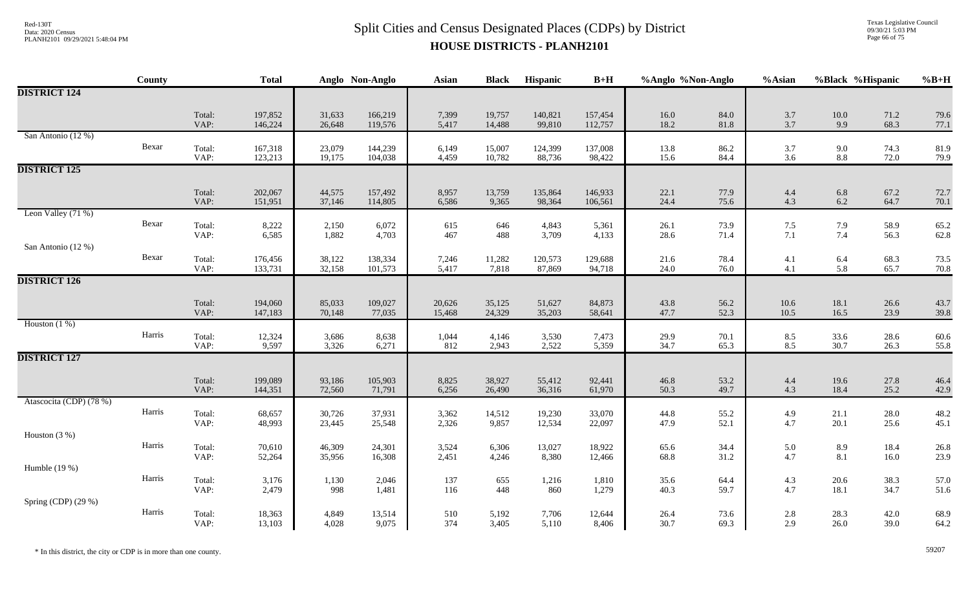Texas Legislative Council 09/30/21 5:03 PM Page 66 of 75

|                         | County |                | <b>Total</b>       |                  | Anglo Non-Anglo    | <b>Asian</b>     | <b>Black</b>     | Hispanic          | $B+H$              | %Anglo %Non-Anglo |              | %Asian                                    |                    | %Black %Hispanic | $%B+H$       |
|-------------------------|--------|----------------|--------------------|------------------|--------------------|------------------|------------------|-------------------|--------------------|-------------------|--------------|-------------------------------------------|--------------------|------------------|--------------|
| <b>DISTRICT 124</b>     |        |                |                    |                  |                    |                  |                  |                   |                    |                   |              |                                           |                    |                  |              |
|                         |        | Total:<br>VAP: | 197,852<br>146,224 | 31,633<br>26,648 | 166,219<br>119,576 | 7,399<br>5,417   | 19,757<br>14,488 | 140,821<br>99,810 | 157,454<br>112,757 | $16.0\,$<br>18.2  | 84.0<br>81.8 | 3.7<br>3.7                                | $10.0\,$<br>9.9    | 71.2<br>68.3     | 79.6<br>77.1 |
| San Antonio (12 %)      | Bexar  | Total:<br>VAP: | 167,318<br>123,213 | 23,079<br>19,175 | 144,239<br>104,038 | 6,149<br>4,459   | 15,007<br>10,782 | 124,399<br>88,736 | 137,008<br>98,422  | 13.8<br>15.6      | 86.2<br>84.4 | 3.7<br>3.6                                | $9.0\,$<br>$8.8\,$ | 74.3<br>72.0     | 81.9<br>79.9 |
| <b>DISTRICT 125</b>     |        |                |                    |                  |                    |                  |                  |                   |                    |                   |              |                                           |                    |                  |              |
|                         |        | Total:<br>VAP: | 202,067<br>151,951 | 44,575<br>37,146 | 157,492<br>114,805 | 8,957<br>6,586   | 13,759<br>9,365  | 135,864<br>98,364 | 146,933<br>106,561 | 22.1<br>24.4      | 77.9<br>75.6 | 4.4<br>4.3                                | 6.8<br>$6.2\,$     | 67.2<br>64.7     | 72.7<br>70.1 |
| Leon Valley (71 %)      | Bexar  | Total:<br>VAP: | 8,222<br>6,585     | 2,150<br>1,882   | 6,072<br>4,703     | 615<br>467       | 646<br>488       | 4,843<br>3,709    | 5,361<br>4,133     | 26.1<br>28.6      | 73.9<br>71.4 | $7.5$<br>7.1                              | 7.9<br>7.4         | 58.9<br>56.3     | 65.2<br>62.8 |
| San Antonio (12 %)      | Bexar  | Total:<br>VAP: | 176,456<br>133,731 | 38,122<br>32,158 | 138,334<br>101,573 | 7,246<br>5,417   | 11,282<br>7,818  | 120,573<br>87,869 | 129,688<br>94,718  | 21.6<br>24.0      | 78.4<br>76.0 | 4.1<br>4.1                                | 6.4<br>5.8         | 68.3<br>65.7     | 73.5<br>70.8 |
| <b>DISTRICT 126</b>     |        |                |                    |                  |                    |                  |                  |                   |                    |                   |              |                                           |                    |                  |              |
|                         |        | Total:<br>VAP: | 194,060<br>147,183 | 85,033<br>70,148 | 109,027<br>77,035  | 20,626<br>15,468 | 35,125<br>24,329 | 51,627<br>35,203  | 84,873<br>58,641   | 43.8<br>47.7      | 56.2<br>52.3 | $10.6\,$<br>10.5                          | 18.1<br>16.5       | 26.6<br>23.9     | 43.7<br>39.8 |
| Houston $(1%)$          | Harris | Total:<br>VAP: | 12,324<br>9,597    | 3,686<br>3,326   | 8,638<br>6,271     | 1,044<br>812     | 4,146<br>2,943   | 3,530<br>2,522    | 7,473<br>5,359     | 29.9<br>34.7      | 70.1<br>65.3 | $\begin{array}{c} 8.5 \\ 8.5 \end{array}$ | $33.6$<br>$30.7$   | 28.6<br>26.3     | 60.6<br>55.8 |
| <b>DISTRICT 127</b>     |        |                |                    |                  |                    |                  |                  |                   |                    |                   |              |                                           |                    |                  |              |
|                         |        | Total:<br>VAP: | 199,089<br>144,351 | 93,186<br>72,560 | 105,903<br>71,791  | 8,825<br>6,256   | 38,927<br>26,490 | 55,412<br>36,316  | 92,441<br>61,970   | 46.8<br>50.3      | 53.2<br>49.7 | 4.4<br>4.3                                | 19.6<br>18.4       | 27.8<br>25.2     | 46.4<br>42.9 |
| Atascocita (CDP) (78 %) | Harris | Total:<br>VAP: | 68,657<br>48,993   | 30,726<br>23,445 | 37,931<br>25,548   | 3,362<br>2,326   | 14,512<br>9,857  | 19,230<br>12,534  | 33,070<br>22,097   | 44.8<br>47.9      | 55.2<br>52.1 | 4.9<br>4.7                                | 21.1<br>20.1       | 28.0<br>25.6     | 48.2<br>45.1 |
| Houston $(3%)$          | Harris | Total:<br>VAP: | 70,610             | 46,309           | 24,301             | 3,524            | 6,306            | 13,027<br>8,380   | 18,922             | 65.6              | 34.4<br>31.2 | 5.0<br>4.7                                | 8.9<br>8.1         | 18.4<br>16.0     | 26.8         |
| Humble $(19%)$          |        |                | 52,264             | 35,956           | 16,308             | 2,451            | 4,246            |                   | 12,466             | 68.8              |              |                                           |                    |                  | 23.9         |
|                         | Harris | Total:<br>VAP: | 3,176<br>2,479     | 1,130<br>998     | 2,046<br>1,481     | 137<br>116       | 655<br>448       | 1,216<br>860      | 1,810<br>1,279     | 35.6<br>40.3      | 64.4<br>59.7 | 4.3<br>4.7                                | $20.6\,$<br>18.1   | 38.3<br>34.7     | 57.0<br>51.6 |
| Spring (CDP) (29 %)     | Harris | Total:<br>VAP: | 18,363<br>13,103   | 4,849<br>4,028   | 13,514<br>9,075    | 510<br>374       | 5,192<br>3,405   | 7,706<br>5,110    | 12,644<br>8,406    | 26.4<br>30.7      | 73.6<br>69.3 | 2.8<br>2.9                                | 28.3<br>26.0       | 42.0<br>39.0     | 68.9<br>64.2 |

\* In this district, the city or CDP is in more than one county. 59207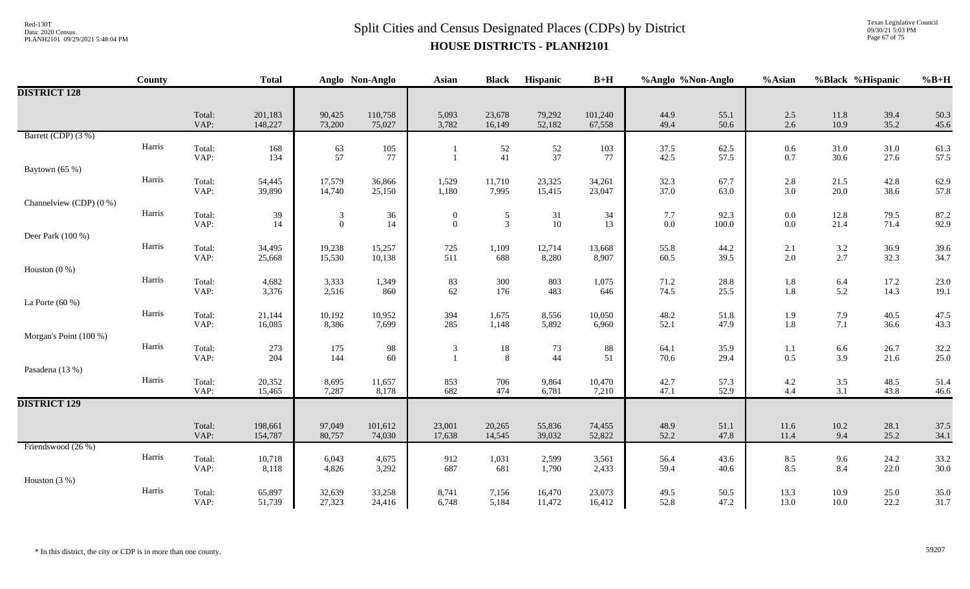# $Split$  Cities and Census Designated Places (CDPs) by District  $Split$  Cities and Census Designated Places (CDPs) by District **HOUSE DISTRICTS - PLANH2101**

Texas Legislative Council 09/30/21 5:03 PM Page 67 of 75

|                         | <b>County</b> |                | <b>Total</b>       |                     | Anglo Non-Anglo   | <b>Asian</b>             | <b>Black</b>                     | Hispanic         | $B+H$             | %Anglo %Non-Anglo |               | %Asian             | %Black %Hispanic |              | $%B+H$       |
|-------------------------|---------------|----------------|--------------------|---------------------|-------------------|--------------------------|----------------------------------|------------------|-------------------|-------------------|---------------|--------------------|------------------|--------------|--------------|
| <b>DISTRICT 128</b>     |               |                |                    |                     |                   |                          |                                  |                  |                   |                   |               |                    |                  |              |              |
|                         |               | Total:<br>VAP: | 201,183<br>148,227 | 90,425<br>73,200    | 110,758<br>75,027 | 5,093<br>3,782           | 23,678<br>16,149                 | 79,292<br>52,182 | 101,240<br>67,558 | 44.9<br>49.4      | 55.1<br>50.6  | 2.5<br>2.6         | 11.8<br>10.9     | 39.4<br>35.2 | 50.3<br>45.6 |
| Barrett (CDP) (3 %)     |               |                |                    |                     |                   |                          |                                  |                  |                   |                   |               |                    |                  |              |              |
|                         | Harris        | Total:<br>VAP: | 168<br>134         | $\frac{63}{57}$     | $105\,$<br>77     |                          | 52<br>41                         | $\frac{52}{37}$  | 103<br>77         | 37.5<br>42.5      | 62.5<br>57.5  | $0.6\,$<br>0.7     | 31.0<br>30.6     | 31.0<br>27.6 | 61.3<br>57.5 |
| Baytown (65 %)          |               |                |                    |                     |                   |                          |                                  |                  |                   |                   |               |                    |                  |              |              |
|                         | Harris        | Total:<br>VAP: | 54,445<br>39,890   | 17,579<br>14,740    | 36,866<br>25,150  | 1,529<br>1,180           | 11,710<br>7,995                  | 23,325<br>15,415 | 34,261<br>23,047  | 32.3<br>37.0      | 67.7<br>63.0  | 2.8<br>3.0         | 21.5<br>20.0     | 42.8<br>38.6 | 62.9<br>57.8 |
| Channelview (CDP) (0 %) |               |                |                    |                     |                   |                          |                                  |                  |                   |                   |               |                    |                  |              |              |
|                         | Harris        | Total:<br>VAP: | 39<br>14           | 3<br>$\overline{0}$ | $36\,$<br>14      | $\theta$<br>$\mathbf{0}$ | $\mathfrak{S}$<br>$\overline{3}$ | 31<br>10         | 34<br>13          | 7.7<br>$0.0\,$    | 92.3<br>100.0 | $0.0\,$<br>$0.0\,$ | 12.8<br>21.4     | 79.5<br>71.4 | 87.2<br>92.9 |
| Deer Park (100 %)       |               |                |                    |                     |                   |                          |                                  |                  |                   |                   |               |                    |                  |              |              |
|                         | Harris        | Total:<br>VAP: | 34,495<br>25,668   | 19,238<br>15,530    | 15,257<br>10,138  | 725<br>511               | 1,109<br>688                     | 12,714<br>8,280  | 13,668<br>8,907   | 55.8<br>60.5      | 44.2<br>39.5  | 2.1<br>$2.0\,$     | $3.2\,$<br>2.7   | 36.9<br>32.3 | 39.6<br>34.7 |
| Houston $(0\%)$         |               |                |                    |                     |                   |                          |                                  |                  |                   |                   |               |                    |                  |              |              |
|                         | Harris        | Total:<br>VAP: | 4,682<br>3,376     | 3,333<br>2,516      | 1,349<br>860      | 83<br>62                 | 300<br>176                       | 803<br>483       | 1,075<br>646      | 71.2<br>74.5      | 28.8<br>25.5  | 1.8<br>$1.8\,$     | $6.4\,$<br>5.2   | 17.2<br>14.3 | 23.0<br>19.1 |
| La Porte $(60\%)$       | Harris        |                |                    |                     |                   |                          |                                  |                  |                   |                   |               |                    |                  |              |              |
|                         |               | Total:<br>VAP: | 21,144<br>16,085   | 10,192<br>8,386     | 10,952<br>7,699   | 394<br>285               | 1,675<br>1,148                   | 8,556<br>5,892   | 10,050<br>6,960   | 48.2<br>52.1      | 51.8<br>47.9  | 1.9<br>$1.8\,$     | 7.9<br>7.1       | 40.5<br>36.6 | 47.5<br>43.3 |
| Morgan's Point (100 %)  |               |                |                    |                     |                   |                          |                                  |                  |                   |                   |               |                    |                  |              |              |
|                         | Harris        | Total:<br>VAP: | 273<br>204         | 175<br>144          | 98<br>60          | 3<br>$\mathbf{1}$        | 18<br>8                          | 73<br>44         | 88<br>51          | 64.1<br>70.6      | 35.9<br>29.4  | 1.1<br>$0.5\,$     | 6.6<br>3.9       | 26.7<br>21.6 | 32.2<br>25.0 |
| Pasadena (13 %)         |               |                |                    |                     |                   |                          |                                  |                  |                   |                   |               |                    |                  |              |              |
|                         | Harris        | Total:<br>VAP: | 20,352<br>15,465   | 8,695<br>7,287      | 11,657<br>8,178   | 853<br>682               | 706<br>474                       | 9,864<br>6,781   | 10,470<br>7,210   | 42.7<br>47.1      | 57.3<br>52.9  | $4.2$<br>$4.4$     | $3.5$<br>3.1     | 48.5<br>43.8 | 51.4<br>46.6 |
| <b>DISTRICT 129</b>     |               |                |                    |                     |                   |                          |                                  |                  |                   |                   |               |                    |                  |              |              |
|                         |               | Total:<br>VAP: | 198,661<br>154,787 | 97,049<br>80,757    | 101,612<br>74,030 | 23,001<br>17,638         | 20,265<br>14,545                 | 55,836<br>39,032 | 74,455<br>52,822  | 48.9<br>52.2      | 51.1<br>47.8  | $11.6\,$<br>11.4   | $10.2\,$<br>9.4  | 28.1<br>25.2 | 37.5<br>34.1 |
| Friendswood (26 %)      |               |                |                    |                     |                   |                          |                                  |                  |                   |                   |               |                    |                  |              |              |
|                         | Harris        | Total:<br>VAP: | 10,718<br>8,118    | 6,043<br>4,826      | 4,675<br>3,292    | 912<br>687               | 1,031<br>681                     | 2,599<br>1,790   | 3,561<br>2,433    | 56.4<br>59.4      | 43.6<br>40.6  | 8.5<br>8.5         | 9.6<br>8.4       | 24.2<br>22.0 | 33.2<br>30.0 |
| Houston $(3\%)$         |               |                |                    |                     |                   |                          |                                  |                  |                   |                   |               |                    |                  |              |              |
|                         | Harris        | Total:<br>VAP: | 65,897<br>51,739   | 32,639<br>27,323    | 33,258<br>24,416  | 8,741<br>6,748           | 7,156<br>5,184                   | 16,470<br>11,472 | 23,073<br>16,412  | 49.5<br>52.8      | 50.5<br>47.2  | 13.3<br>13.0       | 10.9<br>10.0     | 25.0<br>22.2 | 35.0<br>31.7 |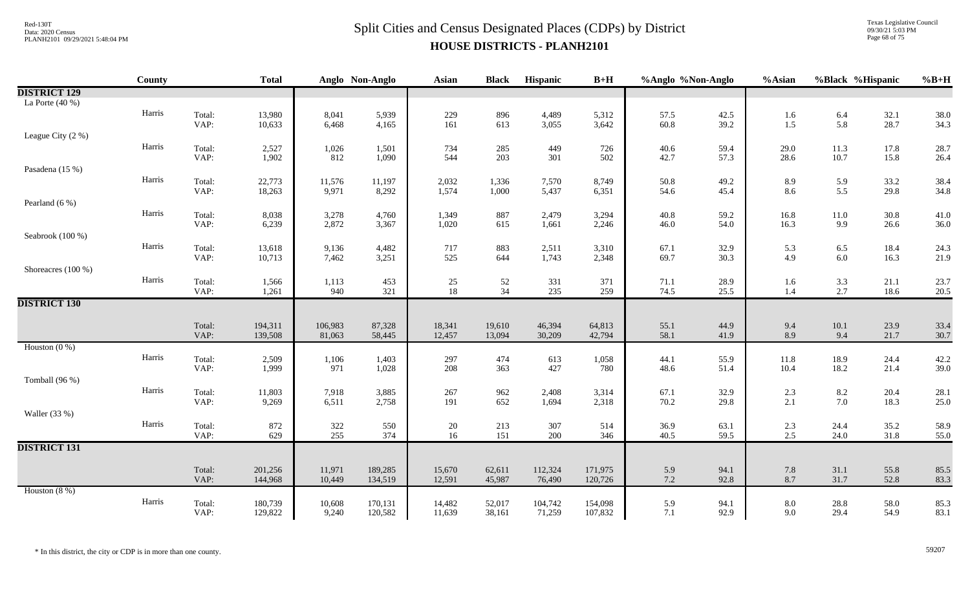Texas Legislative Council 09/30/21 5:03 PM Page 68 of 75

|                     | County |                | <b>Total</b>     |                 | Anglo Non-Anglo | <b>Asian</b>   | <b>Black</b>   | Hispanic       | $B+H$          | %Anglo %Non-Anglo |              | %Asian            | %Black %Hispanic  |              | $%B+H$       |
|---------------------|--------|----------------|------------------|-----------------|-----------------|----------------|----------------|----------------|----------------|-------------------|--------------|-------------------|-------------------|--------------|--------------|
| <b>DISTRICT 129</b> |        |                |                  |                 |                 |                |                |                |                |                   |              |                   |                   |              |              |
| La Porte $(40\%)$   |        |                |                  |                 |                 |                |                |                |                |                   |              |                   |                   |              |              |
|                     | Harris | Total:         | 13,980           | 8,041           | 5,939           | 229            | 896            | 4,489          | 5,312          | 57.5              | 42.5         | 1.6               | 6.4               | 32.1         | 38.0         |
|                     |        | VAP:           | 10,633           | 6,468           | 4,165           | 161            | 613            | 3,055          | 3,642          | 60.8              | 39.2         | 1.5               | 5.8               | 28.7         | 34.3         |
| League City (2 %)   |        |                |                  |                 |                 |                |                |                |                |                   |              |                   |                   |              |              |
|                     | Harris | Total:         | 2,527            | 1,026           | 1,501           | 734            | 285            | 449            | 726            | 40.6              | 59.4         | 29.0              | 11.3              | 17.8         | 28.7         |
| Pasadena (15 %)     |        | VAP:           | 1,902            | 812             | 1,090           | 544            | 203            | 301            | 502            | 42.7              | 57.3         | 28.6              | 10.7              | 15.8         | 26.4         |
|                     | Harris |                |                  |                 |                 |                |                |                |                |                   | 49.2         |                   |                   |              |              |
|                     |        | Total:<br>VAP: | 22,773<br>18,263 | 11,576<br>9,971 | 11,197<br>8,292 | 2,032<br>1,574 | 1,336<br>1,000 | 7,570<br>5,437 | 8,749<br>6,351 | 50.8<br>54.6      | 45.4         | 8.9<br>8.6        | 5.9<br>5.5        | 33.2<br>29.8 | 38.4<br>34.8 |
| Pearland $(6\%)$    |        |                |                  |                 |                 |                |                |                |                |                   |              |                   |                   |              |              |
|                     | Harris | Total:         | 8,038            | 3,278           | 4,760           | 1,349          | 887            | 2,479          | 3,294          | 40.8              | 59.2         | 16.8              | $11.0\,$          | 30.8         | 41.0         |
|                     |        | VAP:           | 6,239            | 2,872           | 3,367           | 1,020          | 615            | 1,661          | 2,246          | 46.0              | 54.0         | 16.3              | 9.9               | 26.6         | 36.0         |
| Seabrook (100 %)    |        |                |                  |                 |                 |                |                |                |                |                   |              |                   |                   |              |              |
|                     | Harris | Total:         | 13,618           | 9,136           | 4,482           | 717            | 883            | 2,511          | 3,310          | 67.1              | 32.9         | $\frac{5.3}{4.9}$ | $6.5$<br>$6.0$    | 18.4         | 24.3         |
|                     |        | VAP:           | 10,713           | 7,462           | 3,251           | 525            | 644            | 1,743          | 2,348          | 69.7              | 30.3         |                   |                   | 16.3         | 21.9         |
| Shoreacres (100 %)  |        |                |                  |                 |                 |                |                |                |                |                   |              |                   |                   |              |              |
|                     | Harris | Total:         | 1,566            | 1,113           | 453             | 25             | 52             | 331            | 371            | 71.1              | 28.9         | 1.6               | 3.3               | 21.1         | 23.7         |
|                     |        | VAP:           | 1,261            | 940             | 321             | $18\,$         | 34             | 235            | 259            | 74.5              | 25.5         | 1.4               | 2.7               | 18.6         | 20.5         |
| <b>DISTRICT 130</b> |        |                |                  |                 |                 |                |                |                |                |                   |              |                   |                   |              |              |
|                     |        | Total:         | 194,311          | 106,983         | 87,328          | 18,341         | 19,610         | 46,394         | 64,813         | 55.1              | 44.9         | 9.4               | $10.1\,$          | 23.9         | 33.4         |
|                     |        | VAP:           | 139,508          | 81,063          | 58,445          | 12,457         | 13,094         | 30,209         | 42,794         | 58.1              | 41.9         | 8.9               | 9.4               | 21.7         | 30.7         |
| Houston $(0\%)$     |        |                |                  |                 |                 |                |                |                |                |                   |              |                   |                   |              |              |
|                     | Harris | Total:         | 2,509            | 1,106           | 1,403           | 297            | 474            | 613            | 1,058          | 44.1              | 55.9         | 11.8              | 18.9              | 24.4         | 42.2         |
|                     |        | VAP:           | 1,999            | 971             | 1,028           | 208            | 363            | 427            | 780            | 48.6              | 51.4         | 10.4              | 18.2              | 21.4         | 39.0         |
| Tomball (96 %)      |        |                |                  |                 |                 |                |                |                |                |                   |              |                   |                   |              |              |
|                     | Harris | Total:         | 11,803           | 7,918           | 3,885           | 267            | 962            | 2,408          | 3,314          | 67.1              | 32.9         | 2.3               | $\frac{8.2}{7.0}$ | 20.4         | 28.1         |
|                     |        | VAP:           | 9,269            | 6,511           | 2,758           | 191            | 652            | 1,694          | 2,318          | 70.2              | 29.8         | 2.1               |                   | 18.3         | 25.0         |
| Waller (33 %)       | Harris |                |                  |                 |                 |                |                |                |                |                   |              |                   |                   |              |              |
|                     |        | Total:<br>VAP: | 872<br>629       | 322<br>255      | 550<br>374      | 20<br>$16\,$   | 213<br>151     | 307<br>200     | 514<br>346     | 36.9<br>40.5      | 63.1<br>59.5 | 2.3<br>2.5        | 24.4<br>24.0      | 35.2<br>31.8 | 58.9<br>55.0 |
| <b>DISTRICT 131</b> |        |                |                  |                 |                 |                |                |                |                |                   |              |                   |                   |              |              |
|                     |        |                |                  |                 |                 |                |                |                |                |                   |              |                   |                   |              |              |
|                     |        | Total:         | 201,256          | 11,971          | 189,285         | 15,670         | 62,611         | 112,324        | 171,975        | 5.9               | 94.1         | 7.8               | 31.1              | 55.8         | 85.5         |
|                     |        | VAP:           | 144,968          | 10,449          | 134,519         | 12,591         | 45,987         | 76,490         | 120,726        | $7.2\,$           | 92.8         | 8.7               | 31.7              | 52.8         | 83.3         |
| Houston $(8\%)$     |        |                |                  |                 |                 |                |                |                |                |                   |              |                   |                   |              |              |
|                     | Harris | Total:         | 180,739          | 10,608          | 170,131         | 14,482         | 52,017         | 104,742        | 154,098        | 5.9               | 94.1         | 8.0               | 28.8              | 58.0         | 85.3         |
|                     |        | VAP:           | 129,822          | 9,240           | 120,582         | 11,639         | 38,161         | 71,259         | 107,832        | 7.1               | 92.9         | 9.0               | 29.4              | 54.9         | 83.1         |

\* In this district, the city or CDP is in more than one county. 59207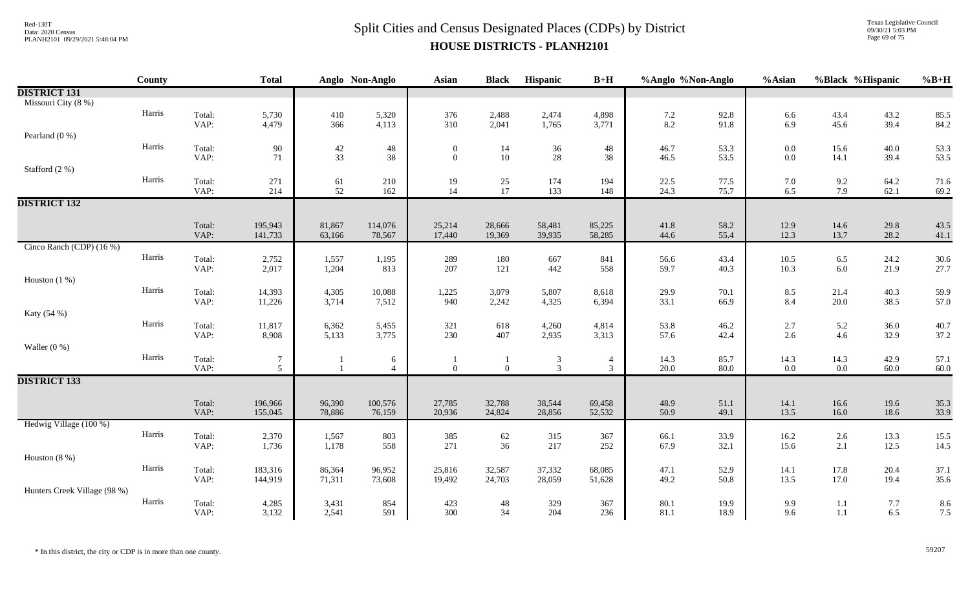Texas Legislative Council 09/30/21 5:03 PM Page 69 of 75

|                              | County |                | <b>Total</b>       |                  | Anglo Non-Anglo   | <b>Asian</b>                   | <b>Black</b>     | Hispanic         | $B+H$            | %Anglo %Non-Anglo |              | %Asian             |                | %Black %Hispanic | $%B+H$       |
|------------------------------|--------|----------------|--------------------|------------------|-------------------|--------------------------------|------------------|------------------|------------------|-------------------|--------------|--------------------|----------------|------------------|--------------|
| <b>DISTRICT 131</b>          |        |                |                    |                  |                   |                                |                  |                  |                  |                   |              |                    |                |                  |              |
| Missouri City (8 %)          |        |                |                    |                  |                   |                                |                  |                  |                  |                   |              |                    |                |                  |              |
|                              | Harris | Total:         | 5,730              | 410              | 5,320             | 376                            | 2,488            | 2,474            | 4,898            | $7.2\,$           | 92.8         | 6.6                | 43.4           | 43.2             | 85.5         |
|                              |        | VAP:           | 4,479              | 366              | 4,113             | 310                            | 2,041            | 1,765            | 3,771            | 8.2               | 91.8         | 6.9                | 45.6           | 39.4             | 84.2         |
| Pearland $(0\%)$             | Harris |                |                    |                  |                   |                                |                  |                  |                  |                   |              |                    |                |                  |              |
|                              |        | Total:<br>VAP: | 90<br>71           | $42\,$<br>33     | 48<br>38          | $\overline{0}$<br>$\mathbf{0}$ | 14<br>10         | 36<br>$28\,$     | 48<br>38         | 46.7<br>46.5      | 53.3<br>53.5 | $0.0\,$<br>$0.0\,$ | 15.6<br>14.1   | 40.0<br>39.4     | 53.3<br>53.5 |
| Stafford (2 %)               |        |                |                    |                  |                   |                                |                  |                  |                  |                   |              |                    |                |                  |              |
|                              | Harris | Total:         | 271                | 61               | 210               | 19                             | 25               | 174              | 194              | 22.5              | 77.5         | 7.0                | 9.2            | 64.2             | 71.6         |
|                              |        | VAP:           | 214                | 52               | 162               | 14                             | 17               | 133              | 148              | 24.3              | 75.7         | 6.5                | 7.9            | 62.1             | 69.2         |
| <b>DISTRICT 132</b>          |        |                |                    |                  |                   |                                |                  |                  |                  |                   |              |                    |                |                  |              |
|                              |        |                |                    |                  |                   |                                |                  |                  |                  |                   |              |                    |                |                  |              |
|                              |        | Total:<br>VAP: | 195,943<br>141,733 | 81,867<br>63,166 | 114,076<br>78,567 | 25,214<br>17,440               | 28,666<br>19,369 | 58,481<br>39,935 | 85,225<br>58,285 | 41.8<br>44.6      | 58.2<br>55.4 | 12.9<br>12.3       | 14.6<br>13.7   | 29.8<br>28.2     | 43.5<br>41.1 |
| Cinco Ranch (CDP) (16 %)     |        |                |                    |                  |                   |                                |                  |                  |                  |                   |              |                    |                |                  |              |
|                              | Harris | Total:         | 2,752              | 1,557            | 1,195             | 289                            | 180              | 667              | 841              | 56.6              | 43.4         | 10.5               | 6.5            | 24.2             | 30.6         |
|                              |        | VAP:           | 2,017              | 1,204            | 813               | 207                            | 121              | 442              | 558              | 59.7              | 40.3         | 10.3               | $6.0\,$        | 21.9             | 27.7         |
| Houston $(1%)$               |        |                |                    |                  |                   |                                |                  |                  |                  |                   |              |                    |                |                  |              |
|                              | Harris | Total:         | 14,393             | 4,305            | 10,088            | 1,225                          | 3,079            | 5,807            | 8,618            | 29.9              | 70.1         | 8.5                | 21.4           | 40.3             | 59.9         |
|                              |        | VAP:           | 11,226             | 3,714            | 7,512             | 940                            | 2,242            | 4,325            | 6,394            | 33.1              | 66.9         | 8.4                | 20.0           | 38.5             | 57.0         |
| Katy (54 %)                  | Harris |                |                    |                  |                   |                                |                  |                  |                  |                   |              |                    |                |                  |              |
|                              |        | Total:<br>VAP: | 11,817<br>8,908    | 6,362<br>5,133   | 5,455<br>3,775    | 321<br>230                     | 618<br>407       | 4,260<br>2,935   | 4,814<br>3,313   | 53.8<br>57.6      | 46.2<br>42.4 | 2.7<br>2.6         | 5.2<br>4.6     | 36.0<br>32.9     | 40.7<br>37.2 |
| Waller $(0\%)$               |        |                |                    |                  |                   |                                |                  |                  |                  |                   |              |                    |                |                  |              |
|                              | Harris | Total:         | $\tau$             |                  | 6                 |                                | 1                |                  | $\overline{4}$   | 14.3              | 85.7         | 14.3               | 14.3           | 42.9             | 57.1         |
|                              |        | VAP:           | $5\overline{)}$    |                  | $\overline{4}$    | $\overline{0}$                 | $\overline{0}$   | $\frac{3}{3}$    | $\overline{3}$   | 20.0              | 80.0         | 0.0                | $0.0\,$        | 60.0             | 60.0         |
| <b>DISTRICT 133</b>          |        |                |                    |                  |                   |                                |                  |                  |                  |                   |              |                    |                |                  |              |
|                              |        |                |                    |                  |                   |                                |                  |                  |                  |                   |              |                    |                |                  |              |
|                              |        | Total:<br>VAP: | 196,966<br>155,045 | 96,390<br>78,886 | 100,576<br>76,159 | 27,785<br>20,936               | 32,788<br>24,824 | 38,544<br>28,856 | 69,458<br>52,532 | 48.9<br>50.9      | 51.1<br>49.1 | 14.1<br>13.5       | 16.6<br>16.0   | 19.6<br>18.6     | 35.3<br>33.9 |
| Hedwig Village (100 %)       |        |                |                    |                  |                   |                                |                  |                  |                  |                   |              |                    |                |                  |              |
|                              | Harris | Total:         | 2,370              | 1,567            | 803               | 385                            | 62               | 315              | 367              | 66.1              | 33.9         | 16.2               | $2.6\,$        | 13.3             | 15.5         |
|                              |        | VAP:           | 1,736              | 1,178            | 558               | 271                            | 36               | 217              | 252              | 67.9              | 32.1         | 15.6               | 2.1            | 12.5             | 14.5         |
| Houston $(8\%)$              |        |                |                    |                  |                   |                                |                  |                  |                  |                   |              |                    |                |                  |              |
|                              | Harris | Total:         | 183,316            | 86,364           | 96,952            | 25,816                         | 32,587           | 37,332           | 68,085           | 47.1              | 52.9         | 14.1               | 17.8           | 20.4             | 37.1         |
|                              |        | VAP:           | 144,919            | 71,311           | 73,608            | 19,492                         | 24,703           | 28,059           | 51,628           | 49.2              | 50.8         | 13.5               | 17.0           | 19.4             | 35.6         |
| Hunters Creek Village (98 %) | Harris |                |                    |                  |                   |                                |                  |                  |                  |                   |              |                    |                |                  |              |
|                              |        | Total:<br>VAP: | 4,285<br>3,132     | 3,431<br>2,541   | 854<br>591        | 423<br>300                     | $48\,$<br>34     | 329<br>204       | 367<br>236       | 80.1<br>81.1      | 19.9<br>18.9 | 9.9<br>9.6         | $1.1\,$<br>1.1 | 7.7<br>6.5       | 8.6<br>7.5   |
|                              |        |                |                    |                  |                   |                                |                  |                  |                  |                   |              |                    |                |                  |              |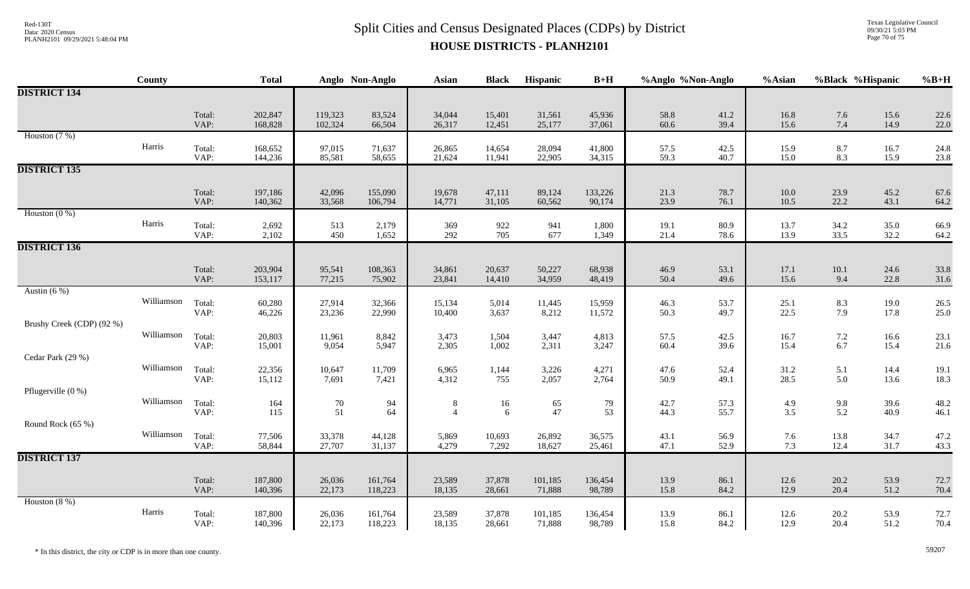Texas Legislative Council 09/30/21 5:03 PM Page 70 of 75

|                           | County     |                | <b>Total</b>       |                    | Anglo Non-Anglo    | <b>Asian</b>        | <b>Black</b>     | Hispanic          | $B+H$             | %Anglo %Non-Anglo |              | %Asian           |                   | %Black %Hispanic | $%B+H$       |
|---------------------------|------------|----------------|--------------------|--------------------|--------------------|---------------------|------------------|-------------------|-------------------|-------------------|--------------|------------------|-------------------|------------------|--------------|
| <b>DISTRICT 134</b>       |            |                |                    |                    |                    |                     |                  |                   |                   |                   |              |                  |                   |                  |              |
|                           |            | Total:<br>VAP: | 202,847<br>168,828 | 119,323<br>102,324 | 83,524<br>66,504   | 34,044<br>26,317    | 15,401<br>12,451 | 31,561<br>25,177  | 45,936<br>37,061  | 58.8<br>60.6      | 41.2<br>39.4 | 16.8<br>15.6     | 7.6<br>$7.4\,$    | 15.6<br>14.9     | 22.6<br>22.0 |
| Houston $(7%)$            | Harris     | Total:<br>VAP: | 168,652<br>144,236 | 97,015<br>85,581   | 71,637<br>58,655   | 26,865<br>21,624    | 14,654<br>11,941 | 28,094<br>22,905  | 41,800<br>34,315  | 57.5<br>59.3      | 42.5<br>40.7 | 15.9<br>15.0     | 8.7<br>8.3        | 16.7<br>15.9     | 24.8<br>23.8 |
| <b>DISTRICT 135</b>       |            |                |                    |                    |                    |                     |                  |                   |                   |                   |              |                  |                   |                  |              |
|                           |            | Total:<br>VAP: | 197,186<br>140,362 | 42,096<br>33,568   | 155,090<br>106,794 | 19,678<br>14,771    | 47,111<br>31,105 | 89,124<br>60,562  | 133,226<br>90,174 | 21.3<br>23.9      | 78.7<br>76.1 | $10.0\,$<br>10.5 | 23.9<br>22.2      | 45.2<br>43.1     | 67.6<br>64.2 |
| Houston $(0\%)$           | Harris     | Total:<br>VAP: | 2,692<br>2,102     | 513<br>450         | 2,179<br>1,652     | 369<br>292          | 922<br>705       | 941<br>677        | 1,800<br>1,349    | 19.1<br>21.4      | 80.9<br>78.6 | 13.7<br>13.9     | 34.2<br>33.5      | 35.0<br>32.2     | 66.9<br>64.2 |
| <b>DISTRICT 136</b>       |            |                |                    |                    |                    |                     |                  |                   |                   |                   |              |                  |                   |                  |              |
|                           |            | Total:<br>VAP: | 203,904<br>153,117 | 95,541<br>77,215   | 108,363<br>75,902  | 34,861<br>23,841    | 20,637<br>14,410 | 50,227<br>34,959  | 68,938<br>48,419  | 46.9<br>50.4      | 53.1<br>49.6 | 17.1<br>15.6     | 10.1<br>9.4       | 24.6<br>22.8     | 33.8<br>31.6 |
| Austin $(6\%)$            | Williamson | Total:<br>VAP: | 60,280<br>46,226   | 27,914<br>23,236   | 32,366<br>22,990   | 15,134<br>10,400    | 5,014<br>3,637   | 11,445<br>8,212   | 15,959<br>11,572  | 46.3<br>50.3      | 53.7<br>49.7 | 25.1<br>22.5     | 8.3<br>7.9        | 19.0<br>17.8     | 26.5<br>25.0 |
| Brushy Creek (CDP) (92 %) | Williamson | Total:<br>VAP: | 20,803             | 11,961<br>9,054    | 8,842<br>5,947     | 3,473               | 1,504<br>1,002   | 3,447             | 4,813<br>3,247    | 57.5<br>60.4      | 42.5<br>39.6 | 16.7<br>15.4     | $7.2\,$<br>6.7    | 16.6             | 23.1         |
| Cedar Park (29 %)         |            |                | 15,001             |                    |                    | 2,305               |                  | 2,311             |                   |                   |              |                  |                   | 15.4             | 21.6         |
|                           | Williamson | Total:<br>VAP: | 22,356<br>15,112   | 10,647<br>7,691    | 11,709<br>7,421    | 6,965<br>4,312      | 1,144<br>755     | 3,226<br>2,057    | 4,271<br>2,764    | 47.6<br>50.9      | 52.4<br>49.1 | 31.2<br>28.5     | 5.1<br>5.0        | 14.4<br>13.6     | 19.1<br>18.3 |
| Pflugerville $(0\%)$      | Williamson | Total:<br>VAP: | 164<br>115         | 70<br>51           | 94<br>64           | 8<br>$\overline{4}$ | $16\,$<br>6      | 65<br>47          | 79<br>53          | 42.7<br>44.3      | 57.3<br>55.7 | 4.9<br>3.5       | $\frac{9.8}{5.2}$ | 39.6<br>40.9     | 48.2<br>46.1 |
| Round Rock (65 %)         |            |                |                    |                    |                    |                     |                  |                   |                   |                   |              |                  |                   |                  |              |
|                           | Williamson | Total:<br>VAP: | 77,506<br>58,844   | 33,378<br>27,707   | 44,128<br>31,137   | 5,869<br>4,279      | 10,693<br>7,292  | 26,892<br>18,627  | 36,575<br>25,461  | 43.1<br>47.1      | 56.9<br>52.9 | 7.6<br>7.3       | 13.8<br>12.4      | 34.7<br>31.7     | 47.2<br>43.3 |
| <b>DISTRICT 137</b>       |            |                |                    |                    |                    |                     |                  |                   |                   |                   |              |                  |                   |                  |              |
|                           |            | Total:<br>VAP: | 187,800<br>140,396 | 26,036<br>22,173   | 161,764<br>118,223 | 23,589<br>18,135    | 37,878<br>28,661 | 101,185<br>71,888 | 136,454<br>98,789 | 13.9<br>15.8      | 86.1<br>84.2 | 12.6<br>12.9     | 20.2<br>20.4      | 53.9<br>51.2     | 72.7<br>70.4 |
| Houston $(8\%)$           | Harris     | Total:         | 187,800            | 26,036             | 161,764            | 23,589              | 37,878           | 101,185           | 136,454           | 13.9              | 86.1         | 12.6             | 20.2              | 53.9             | 72.7         |
|                           |            | VAP:           | 140,396            | 22,173             | 118,223            | 18,135              | 28,661           | 71,888            | 98,789            | 15.8              | 84.2         | 12.9             | 20.4              | 51.2             | 70.4         |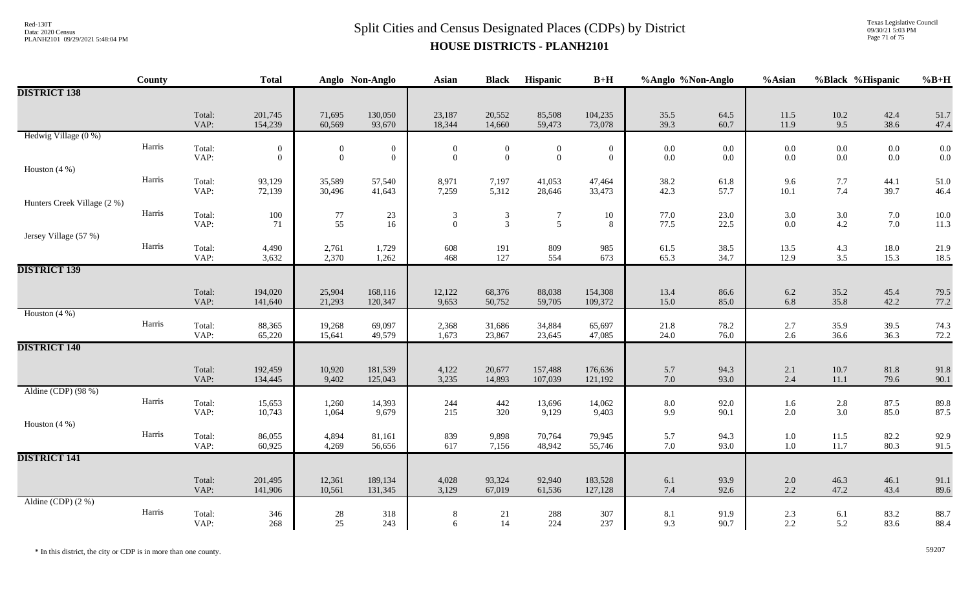Texas Legislative Council 09/30/21 5:03 PM Page 71 of 75

|                             | <b>County</b> |                | <b>Total</b>                     |                          | Anglo Non-Anglo                      | Asian                              | <b>Black</b>                     | Hispanic                         | $B+H$                        | %Anglo %Non-Anglo  |                | %Asian             | %Black %Hispanic   |                    | $%B+H$       |
|-----------------------------|---------------|----------------|----------------------------------|--------------------------|--------------------------------------|------------------------------------|----------------------------------|----------------------------------|------------------------------|--------------------|----------------|--------------------|--------------------|--------------------|--------------|
| <b>DISTRICT 138</b>         |               |                |                                  |                          |                                      |                                    |                                  |                                  |                              |                    |                |                    |                    |                    |              |
|                             |               | Total:<br>VAP: | 201,745<br>154,239               | 71,695<br>60,569         | 130,050<br>93,670                    | 23,187<br>18,344                   | 20,552<br>14,660                 | 85,508<br>59,473                 | 104,235<br>73,078            | 35.5<br>39.3       | 64.5<br>60.7   | 11.5<br>11.9       | $10.2\,$<br>9.5    | 42.4<br>38.6       | 51.7<br>47.4 |
| Hedwig Village (0 %)        |               |                |                                  |                          |                                      |                                    |                                  |                                  |                              |                    |                |                    |                    |                    |              |
|                             | Harris        | Total:<br>VAP: | $\mathbf{0}$<br>$\boldsymbol{0}$ | $\theta$<br>$\mathbf{0}$ | $\boldsymbol{0}$<br>$\boldsymbol{0}$ | $\overline{0}$<br>$\boldsymbol{0}$ | $\overline{0}$<br>$\overline{0}$ | $\overline{0}$<br>$\mathbf{0}$   | $\mathbf{0}$<br>$\mathbf{0}$ | $0.0\,$<br>$0.0\,$ | 0.0<br>$0.0\,$ | $0.0\,$<br>$0.0\,$ | $0.0\,$<br>$0.0\,$ | $0.0\,$<br>$0.0\,$ | 0.0<br>0.0   |
| Houston $(4\%)$             |               |                |                                  |                          |                                      |                                    |                                  |                                  |                              |                    |                |                    |                    |                    |              |
|                             | Harris        | Total:<br>VAP: | 93,129<br>72,139                 | 35,589<br>30,496         | 57,540<br>41,643                     | 8,971<br>7,259                     | 7,197<br>5,312                   | 41,053<br>28,646                 | 47,464<br>33,473             | 38.2<br>42.3       | 61.8<br>57.7   | 9.6<br>10.1        | 7.7<br>7.4         | 44.1<br>39.7       | 51.0<br>46.4 |
| Hunters Creek Village (2 %) |               |                |                                  |                          |                                      |                                    |                                  |                                  |                              |                    |                |                    |                    |                    |              |
|                             | Harris        | Total:<br>VAP: | 100<br>71                        | $77\,$<br>55             | 23<br>16                             | 3<br>$\overline{0}$                | 3<br>$\overline{3}$              | $\overline{7}$<br>$\mathfrak{S}$ | 10<br>8                      | 77.0<br>77.5       | 23.0<br>22.5   | 3.0<br>0.0         | $3.0\,$<br>4.2     | $7.0\,$<br>7.0     | 10.0<br>11.3 |
| Jersey Village (57 %)       |               |                |                                  |                          |                                      |                                    |                                  |                                  |                              |                    |                |                    |                    |                    |              |
|                             | Harris        | Total:<br>VAP: | 4,490<br>3,632                   | 2,761<br>2,370           | 1,729<br>1,262                       | 608<br>468                         | 191<br>127                       | 809<br>554                       | 985<br>673                   | 61.5<br>65.3       | 38.5<br>34.7   | 13.5<br>12.9       | 4.3<br>3.5         | 18.0<br>15.3       | 21.9<br>18.5 |
| <b>DISTRICT 139</b>         |               |                |                                  |                          |                                      |                                    |                                  |                                  |                              |                    |                |                    |                    |                    |              |
|                             |               | Total:<br>VAP: | 194,020<br>141,640               | 25,904<br>21,293         | 168,116<br>120,347                   | 12,122<br>9,653                    | 68,376<br>50,752                 | 88,038<br>59,705                 | 154,308<br>109,372           | 13.4<br>15.0       | 86.6<br>85.0   | 6.2<br>6.8         | 35.2<br>35.8       | 45.4<br>42.2       | 79.5<br>77.2 |
| Houston $(4\%)$             |               |                |                                  |                          |                                      |                                    |                                  |                                  |                              |                    |                |                    |                    |                    |              |
|                             | Harris        | Total:<br>VAP: | 88,365<br>65,220                 | 19,268<br>15,641         | 69,097<br>49,579                     | 2,368<br>1,673                     | 31,686<br>23,867                 | 34,884<br>23,645                 | 65,697<br>47,085             | 21.8<br>24.0       | 78.2<br>76.0   | 2.7<br>2.6         | 35.9<br>36.6       | 39.5<br>36.3       | 74.3<br>72.2 |
| <b>DISTRICT 140</b>         |               |                |                                  |                          |                                      |                                    |                                  |                                  |                              |                    |                |                    |                    |                    |              |
|                             |               | Total:<br>VAP: | 192,459<br>134,445               | 10,920<br>9,402          | 181,539<br>125,043                   | 4,122<br>3,235                     | 20,677<br>14,893                 | 157,488<br>107,039               | 176,636<br>121,192           | 5.7<br>$7.0\,$     | 94.3<br>93.0   | 2.1<br>2.4         | 10.7<br>11.1       | 81.8<br>79.6       | 91.8<br>90.1 |
| Aldine (CDP) (98 %)         |               |                |                                  |                          |                                      |                                    |                                  |                                  |                              |                    |                |                    |                    |                    |              |
|                             | Harris        | Total:<br>VAP: | 15,653<br>10,743                 | 1,260<br>1,064           | 14,393<br>9,679                      | 244<br>215                         | 442<br>320                       | 13,696<br>9,129                  | 14,062<br>9,403              | 8.0<br>9.9         | 92.0<br>90.1   | 1.6<br>2.0         | $2.8\,$<br>3.0     | 87.5<br>85.0       | 89.8<br>87.5 |
| Houston $(4\%)$             |               |                |                                  |                          |                                      |                                    |                                  |                                  |                              |                    |                |                    |                    |                    |              |
|                             | Harris        | Total:<br>VAP: | 86,055<br>60,925                 | 4,894<br>4,269           | 81,161<br>56,656                     | 839<br>617                         | 9,898<br>7,156                   | 70,764<br>48,942                 | 79,945<br>55,746             | 5.7<br>7.0         | 94.3<br>93.0   | $1.0\,$<br>1.0     | 11.5<br>11.7       | 82.2<br>80.3       | 92.9<br>91.5 |
| <b>DISTRICT 141</b>         |               |                |                                  |                          |                                      |                                    |                                  |                                  |                              |                    |                |                    |                    |                    |              |
|                             |               | Total:<br>VAP: | 201,495<br>141,906               | 12,361<br>10,561         | 189,134<br>131,345                   | 4,028<br>3,129                     | 93,324<br>67,019                 | 92,940<br>61,536                 | 183,528<br>127,128           | 6.1<br>7.4         | 93.9<br>92.6   | $2.0\,$<br>2.2     | 46.3<br>47.2       | 46.1<br>43.4       | 91.1<br>89.6 |
| Aldine (CDP) $(2\%)$        |               |                |                                  |                          |                                      |                                    |                                  |                                  |                              |                    |                |                    |                    |                    |              |
|                             | Harris        | Total:<br>VAP: | 346<br>268                       | $28\,$<br>25             | 318<br>243                           | 8<br>6                             | 21<br>14                         | 288<br>224                       | 307<br>237                   | 8.1<br>9.3         | 91.9<br>90.7   | 2.3<br>2.2         | 6.1<br>5.2         | 83.2<br>83.6       | 88.7<br>88.4 |

\* In this district, the city or CDP is in more than one county. 59207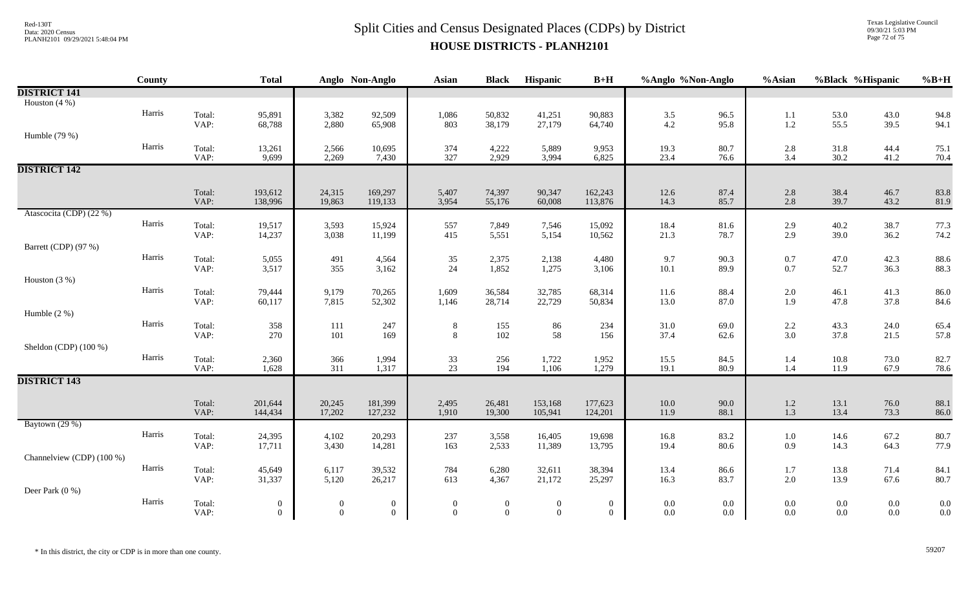Texas Legislative Council 09/30/21 5:03 PM Page 72 of 75

|                           | County |                | <b>Total</b>                       |                                  | Anglo Non-Anglo                    | <b>Asian</b>                       | <b>Black</b>                       | Hispanic                           | $B+H$                | %Anglo %Non-Anglo  |                | %Asian             | %Black %Hispanic |                    | $%B+H$       |
|---------------------------|--------|----------------|------------------------------------|----------------------------------|------------------------------------|------------------------------------|------------------------------------|------------------------------------|----------------------|--------------------|----------------|--------------------|------------------|--------------------|--------------|
| <b>DISTRICT 141</b>       |        |                |                                    |                                  |                                    |                                    |                                    |                                    |                      |                    |                |                    |                  |                    |              |
| Houston $(4\% )$          |        |                |                                    |                                  |                                    |                                    |                                    |                                    |                      |                    |                |                    |                  |                    |              |
|                           | Harris | Total:         | 95,891                             | 3,382                            | 92,509                             | 1,086                              | 50,832                             | 41,251                             | 90,883               | 3.5                | 96.5           | 1.1                | 53.0             | 43.0               | 94.8         |
|                           |        | VAP:           | 68,788                             | 2,880                            | 65,908                             | 803                                | 38,179                             | 27,179                             | 64,740               | 4.2                | 95.8           | $1.2\,$            | 55.5             | 39.5               | 94.1         |
| Humble (79 %)             |        |                |                                    |                                  |                                    |                                    |                                    |                                    |                      |                    |                |                    |                  |                    |              |
|                           | Harris | Total:<br>VAP: | 13,261<br>9,699                    | 2,566<br>2,269                   | 10,695<br>7,430                    | 374<br>327                         | 4,222<br>2,929                     | 5,889<br>3,994                     | 9,953<br>6,825       | 19.3<br>23.4       | 80.7<br>76.6   | 2.8<br>3.4         | 31.8<br>30.2     | 44.4<br>41.2       | 75.1<br>70.4 |
| <b>DISTRICT 142</b>       |        |                |                                    |                                  |                                    |                                    |                                    |                                    |                      |                    |                |                    |                  |                    |              |
|                           |        |                |                                    |                                  |                                    |                                    |                                    |                                    |                      |                    |                |                    |                  |                    |              |
|                           |        | Total:         | 193,612                            | 24,315                           | 169,297                            | 5,407                              | 74,397                             | 90,347                             | 162,243              | 12.6               | 87.4           | 2.8                | 38.4             | 46.7               | 83.8         |
|                           |        | VAP:           | 138,996                            | 19,863                           | 119,133                            | 3,954                              | 55,176                             | 60,008                             | 113,876              | 14.3               | 85.7           | 2.8                | 39.7             | 43.2               | 81.9         |
| Atascocita (CDP) (22 %)   |        |                |                                    |                                  |                                    |                                    |                                    |                                    |                      |                    |                |                    |                  |                    |              |
|                           | Harris | Total:         | 19,517                             | 3,593                            | 15,924                             | 557                                | 7,849                              | 7,546                              | 15,092               | 18.4               | 81.6           | 2.9                | 40.2             | 38.7               | 77.3         |
|                           |        | VAP:           | 14,237                             | 3,038                            | 11,199                             | 415                                | 5,551                              | 5,154                              | 10,562               | 21.3               | 78.7           | 2.9                | 39.0             | 36.2               | 74.2         |
| Barrett (CDP) (97 %)      |        |                |                                    |                                  |                                    |                                    |                                    |                                    |                      |                    |                |                    |                  |                    |              |
|                           | Harris | Total:         | 5,055                              | 491<br>355                       | 4,564                              | 35                                 | 2,375                              | 2,138<br>1,275                     | 4,480                | 9.7                | 90.3           | 0.7                | 47.0<br>52.7     | 42.3               | 88.6         |
| Houston $(3%)$            |        | VAP:           | 3,517                              |                                  | 3,162                              | 24                                 | 1,852                              |                                    | 3,106                | $10.1\,$           | 89.9           | 0.7                |                  | 36.3               | 88.3         |
|                           | Harris | Total:         | 79,444                             | 9,179                            | 70,265                             | 1,609                              | 36,584                             | 32,785                             | 68,314               | 11.6               | 88.4           | $2.0\,$            | 46.1             | 41.3               | 86.0         |
|                           |        | VAP:           | 60,117                             | 7,815                            | 52,302                             | 1,146                              | 28,714                             | 22,729                             | 50,834               | 13.0               | 87.0           | 1.9                | 47.8             | 37.8               | 84.6         |
| Humble $(2\%)$            |        |                |                                    |                                  |                                    |                                    |                                    |                                    |                      |                    |                |                    |                  |                    |              |
|                           | Harris | Total:         | 358                                | $111\,$                          | 247                                | $\,8\,$                            | 155                                | $86\,$                             | 234                  | 31.0               | 69.0           | 2.2                | 43.3             | 24.0               | 65.4         |
|                           |        | VAP:           | 270                                | $101\,$                          | 169                                | $\,8\,$                            | 102                                | 58                                 | 156                  | 37.4               | 62.6           | 3.0                | 37.8             | 21.5               | 57.8         |
| Sheldon (CDP) (100 %)     |        |                |                                    |                                  |                                    |                                    |                                    |                                    |                      |                    |                |                    |                  |                    |              |
|                           | Harris | Total:         | 2,360                              | 366                              | 1,994                              | $\frac{33}{23}$                    | 256                                | 1,722                              | 1,952                | 15.5               | 84.5           | 1.4                | 10.8             | 73.0               | 82.7         |
|                           |        | VAP:           | 1,628                              | 311                              | 1,317                              |                                    | 194                                | 1,106                              | 1,279                | 19.1               | 80.9           | $1.4\,$            | 11.9             | 67.9               | 78.6         |
| <b>DISTRICT 143</b>       |        |                |                                    |                                  |                                    |                                    |                                    |                                    |                      |                    |                |                    |                  |                    |              |
|                           |        |                |                                    |                                  |                                    |                                    |                                    |                                    |                      |                    |                |                    |                  |                    |              |
|                           |        | Total:<br>VAP: | 201,644<br>144,434                 | 20,245<br>17,202                 | 181,399<br>127,232                 | 2,495<br>1,910                     | 26,481<br>19,300                   | 153,168<br>105,941                 | 177,623<br>124,201   | $10.0\,$<br>11.9   | 90.0<br>88.1   | 1.2<br>1.3         | 13.1<br>13.4     | 76.0<br>73.3       | 88.1<br>86.0 |
| Baytown (29 %)            |        |                |                                    |                                  |                                    |                                    |                                    |                                    |                      |                    |                |                    |                  |                    |              |
|                           | Harris | Total:         | 24,395                             | 4,102                            | 20,293                             | 237                                | 3,558                              | 16,405                             | 19,698               | 16.8               | 83.2           | $1.0\,$            | 14.6             | 67.2               | 80.7         |
|                           |        | VAP:           | 17,711                             | 3,430                            | 14,281                             | 163                                | 2,533                              | 11,389                             | 13,795               | 19.4               | 80.6           | 0.9                | 14.3             | 64.3               | 77.9         |
| Channelview (CDP) (100 %) |        |                |                                    |                                  |                                    |                                    |                                    |                                    |                      |                    |                |                    |                  |                    |              |
|                           | Harris | Total:         | 45,649                             | 6,117                            | 39,532                             | 784                                | 6,280                              | 32,611                             | 38,394               | 13.4               | 86.6           | $1.7\,$            | 13.8             | 71.4               | 84.1         |
|                           |        | VAP:           | 31,337                             | 5,120                            | 26,217                             | 613                                | 4,367                              | 21,172                             | 25,297               | 16.3               | 83.7           | 2.0                | 13.9             | 67.6               | 80.7         |
| Deer Park (0 %)           | Harris |                |                                    |                                  |                                    |                                    |                                    |                                    |                      |                    |                |                    |                  |                    |              |
|                           |        | Total:<br>VAP: | $\boldsymbol{0}$<br>$\overline{0}$ | $\boldsymbol{0}$<br>$\mathbf{0}$ | $\boldsymbol{0}$<br>$\overline{0}$ | $\boldsymbol{0}$<br>$\overline{0}$ | $\boldsymbol{0}$<br>$\overline{0}$ | $\boldsymbol{0}$<br>$\overline{0}$ | $\bf{0}$<br>$\theta$ | $0.0\,$<br>$0.0\,$ | $0.0\,$<br>0.0 | $0.0\,$<br>$0.0\,$ | $0.0\,$<br>0.0   | $0.0\,$<br>$0.0\,$ | 0.0<br>0.0   |
|                           |        |                |                                    |                                  |                                    |                                    |                                    |                                    |                      |                    |                |                    |                  |                    |              |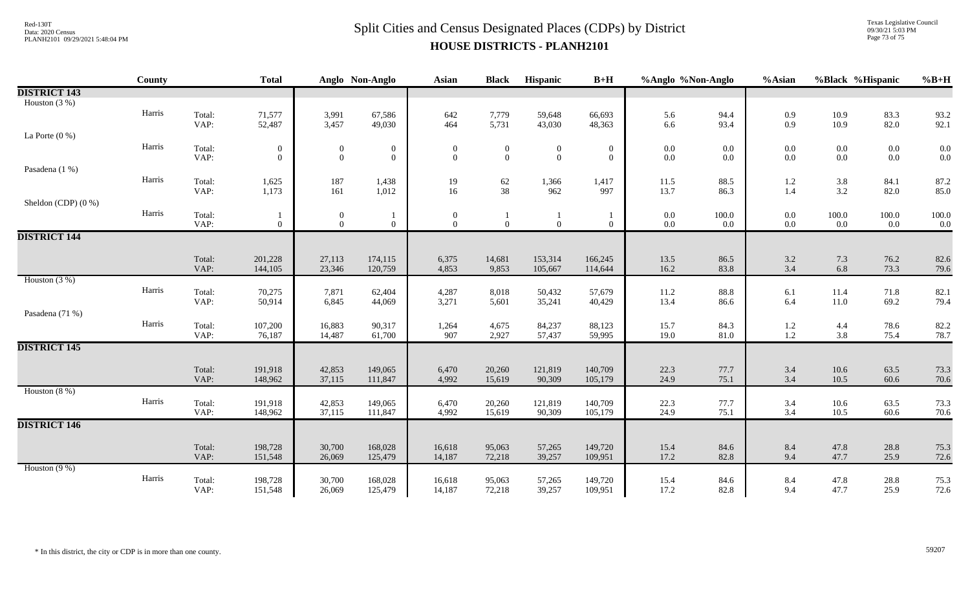## $Split$  Cities and Census Designated Places (CDPs) by District Data: 2020 Census **HOUSE DISTRICTS - PLANH2101**

Texas Legislative Council 09/30/21 5:03 PM Page 73 of 75

|                       | County |                | <b>Total</b>                 |                                      | Anglo Non-Anglo                  | Asian                            | <b>Black</b>                     | Hispanic                         | $B+H$                            | %Anglo %Non-Anglo  |                    | %Asian             | %Black %Hispanic   |                    | $%B+H$         |
|-----------------------|--------|----------------|------------------------------|--------------------------------------|----------------------------------|----------------------------------|----------------------------------|----------------------------------|----------------------------------|--------------------|--------------------|--------------------|--------------------|--------------------|----------------|
| <b>DISTRICT 143</b>   |        |                |                              |                                      |                                  |                                  |                                  |                                  |                                  |                    |                    |                    |                    |                    |                |
| Houston $(3%)$        |        |                |                              |                                      |                                  |                                  |                                  |                                  |                                  |                    |                    |                    |                    |                    |                |
|                       | Harris | Total:         | 71,577                       | 3,991                                | 67,586                           | 642                              | 7,779                            | 59,648                           | 66,693                           | 5.6                | 94.4               | 0.9                | $10.9\,$           | 83.3               | 93.2           |
|                       |        | VAP:           | 52,487                       | 3,457                                | 49,030                           | 464                              | 5,731                            | 43,030                           | 48,363                           | 6.6                | 93.4               | 0.9                | 10.9               | 82.0               | 92.1           |
| La Porte $(0\%)$      | Harris |                |                              |                                      |                                  |                                  |                                  |                                  |                                  |                    |                    |                    |                    |                    |                |
|                       |        | Total:<br>VAP: | $\boldsymbol{0}$<br>$\Omega$ | $\boldsymbol{0}$<br>$\boldsymbol{0}$ | $\boldsymbol{0}$<br>$\mathbf{0}$ | $\boldsymbol{0}$<br>$\mathbf{0}$ | $\boldsymbol{0}$<br>$\mathbf{0}$ | $\boldsymbol{0}$<br>$\mathbf{0}$ | $\boldsymbol{0}$<br>$\mathbf{0}$ | $0.0\,$<br>$0.0\,$ | $0.0\,$<br>$0.0\,$ | $0.0\,$<br>$0.0\,$ | $0.0\,$<br>$0.0\,$ | $0.0\,$<br>$0.0\,$ | $0.0\,$<br>0.0 |
| Pasadena (1 %)        |        |                |                              |                                      |                                  |                                  |                                  |                                  |                                  |                    |                    |                    |                    |                    |                |
|                       | Harris | Total:         | 1,625                        | 187                                  | 1,438                            | 19                               | 62                               | 1,366                            | 1,417                            | 11.5               | 88.5               | 1.2                |                    | 84.1               | 87.2           |
|                       |        | VAP:           | 1,173                        | 161                                  | 1,012                            | 16                               | 38                               | 962                              | 997                              | 13.7               | 86.3               | 1.4                | $3.8$<br>$3.2$     | 82.0               | 85.0           |
| Sheldon (CDP) $(0\%)$ |        |                |                              |                                      |                                  |                                  |                                  |                                  |                                  |                    |                    |                    |                    |                    |                |
|                       | Harris | Total:         |                              | $\boldsymbol{0}$                     |                                  | $\bf{0}$                         |                                  |                                  |                                  | $0.0\,$            | 100.0              | $0.0\,$            | 100.0              | $100.0\,$          | 100.0          |
|                       |        | VAP:           | $\overline{0}$               | $\overline{0}$                       | $\overline{0}$                   | $\overline{0}$                   | $\overline{0}$                   | $\overline{0}$                   | $\overline{0}$                   | $0.0\,$            | $0.0\,$            | $0.0\,$            | 0.0                | 0.0                | 0.0            |
| <b>DISTRICT 144</b>   |        |                |                              |                                      |                                  |                                  |                                  |                                  |                                  |                    |                    |                    |                    |                    |                |
|                       |        |                |                              |                                      |                                  |                                  |                                  |                                  |                                  |                    |                    |                    |                    |                    |                |
|                       |        | Total:<br>VAP: | 201,228                      | 27,113<br>23,346                     | 174,115<br>120,759               | 6,375<br>4,853                   | 14,681<br>9,853                  | 153,314                          | 166,245                          | 13.5<br>16.2       | 86.5<br>83.8       | 3.2<br>3.4         | $7.3\,$<br>6.8     | 76.2<br>73.3       | 82.6           |
| Houston $(3%)$        |        |                | 144,105                      |                                      |                                  |                                  |                                  | 105,667                          | 114,644                          |                    |                    |                    |                    |                    | 79.6           |
|                       | Harris | Total:         | 70,275                       | 7,871                                | 62,404                           | 4,287                            | 8,018                            | 50,432                           | 57,679                           | $11.2\,$           | 88.8               | 6.1                | $11.4\,$           | 71.8               | 82.1           |
|                       |        | VAP:           | 50,914                       | 6,845                                | 44,069                           | 3,271                            | 5,601                            | 35,241                           | 40,429                           | 13.4               | 86.6               | 6.4                | $11.0\,$           | 69.2               | 79.4           |
| Pasadena (71 %)       |        |                |                              |                                      |                                  |                                  |                                  |                                  |                                  |                    |                    |                    |                    |                    |                |
|                       | Harris | Total:         | 107,200                      | 16,883                               | 90,317                           | 1,264                            | 4,675                            | 84,237                           | 88,123                           | 15.7               | 84.3               | $1.2\,$            | 4.4                | 78.6               | 82.2           |
|                       |        | VAP:           | 76,187                       | 14,487                               | 61,700                           | 907                              | 2,927                            | 57,437                           | 59,995                           | 19.0               | 81.0               | 1.2                | 3.8                | 75.4               | 78.7           |
| <b>DISTRICT 145</b>   |        |                |                              |                                      |                                  |                                  |                                  |                                  |                                  |                    |                    |                    |                    |                    |                |
|                       |        |                |                              |                                      |                                  |                                  |                                  |                                  |                                  |                    |                    |                    |                    |                    |                |
|                       |        | Total:         | 191,918                      | 42,853                               | 149,065                          | 6,470                            | 20,260                           | 121,819                          | 140,709                          | 22.3               | 77.7               | 3.4                | $10.6\,$           | 63.5               | 73.3           |
|                       |        | VAP:           | 148,962                      | 37,115                               | 111,847                          | 4,992                            | 15,619                           | 90,309                           | 105,179                          | 24.9               | 75.1               | 3.4                | 10.5               | 60.6               | 70.6           |
| Houston $(8\%)$       | Harris |                |                              |                                      |                                  |                                  |                                  |                                  |                                  |                    |                    |                    |                    |                    |                |
|                       |        | Total:<br>VAP: | 191,918<br>148,962           | 42,853<br>37,115                     | 149,065<br>111,847               | 6,470<br>4,992                   | 20,260<br>15,619                 | 121,819<br>90,309                | 140,709<br>105,179               | 22.3<br>24.9       | 77.7<br>75.1       | 3.4<br>3.4         | $10.6\,$<br>10.5   | 63.5<br>60.6       | 73.3<br>70.6   |
| <b>DISTRICT 146</b>   |        |                |                              |                                      |                                  |                                  |                                  |                                  |                                  |                    |                    |                    |                    |                    |                |
|                       |        |                |                              |                                      |                                  |                                  |                                  |                                  |                                  |                    |                    |                    |                    |                    |                |
|                       |        | Total:         | 198,728                      | 30,700                               | 168,028                          | 16,618                           | 95,063                           | 57,265                           | 149,720                          | 15.4               | 84.6               | 8.4                | 47.8               | 28.8               | 75.3           |
|                       |        | VAP:           | 151,548                      | 26,069                               | 125,479                          | 14,187                           | 72,218                           | 39,257                           | 109,951                          | 17.2               | 82.8               | 9.4                | 47.7               | 25.9               | 72.6           |
| Houston $(9\%)$       |        |                |                              |                                      |                                  |                                  |                                  |                                  |                                  |                    |                    |                    |                    |                    |                |
|                       | Harris | Total:         | 198,728                      | 30,700                               | 168,028                          | 16,618                           | 95,063                           | 57,265                           | 149,720                          | 15.4               | 84.6               | 8.4                | 47.8               | 28.8               | 75.3           |
|                       |        | VAP:           | 151,548                      | 26,069                               | 125,479                          | 14,187                           | 72,218                           | 39,257                           | 109,951                          | 17.2               | 82.8               | 9.4                | 47.7               | 25.9               | 72.6           |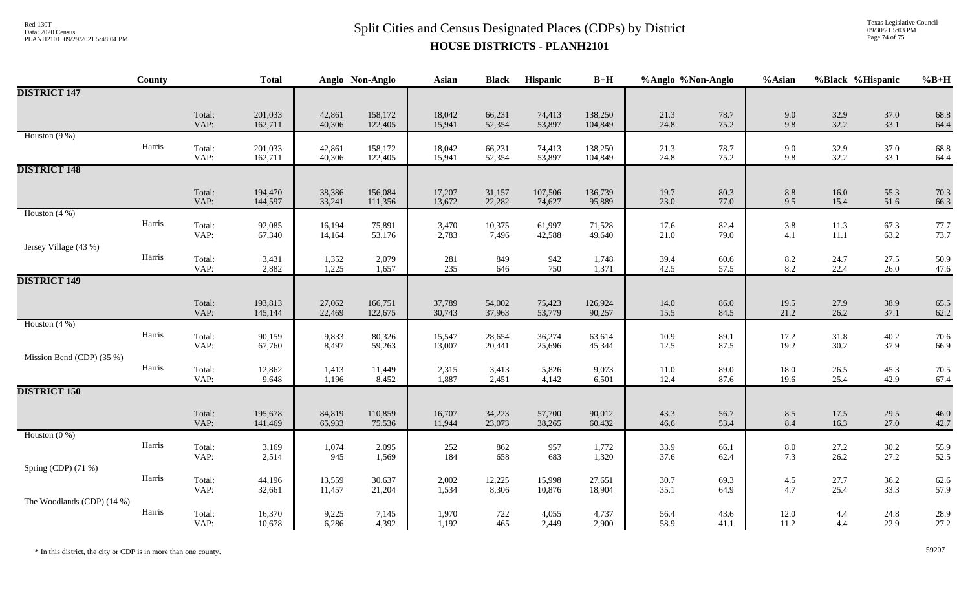## $Split Clities and Census$  Data: 2020 Census CODPs) by District Data: 2020 Census  $Split Clities$ **HOUSE DISTRICTS - PLANH2101**

Texas Legislative Council 09/30/21 5:03 PM Page 74 of 75

|                            | County |                | <b>Total</b>       |                  | Anglo Non-Anglo    | Asian            | <b>Black</b>     | Hispanic          | $B+H$              | %Anglo %Non-Anglo |              | %Asian                                    |                  | %Black %Hispanic | $%B+H$       |
|----------------------------|--------|----------------|--------------------|------------------|--------------------|------------------|------------------|-------------------|--------------------|-------------------|--------------|-------------------------------------------|------------------|------------------|--------------|
| <b>DISTRICT 147</b>        |        |                |                    |                  |                    |                  |                  |                   |                    |                   |              |                                           |                  |                  |              |
|                            |        | Total:<br>VAP: | 201,033<br>162,711 | 42,861<br>40,306 | 158,172<br>122,405 | 18,042<br>15,941 | 66,231<br>52,354 | 74,413<br>53,897  | 138,250<br>104,849 | 21.3<br>24.8      | 78.7<br>75.2 | 9.0<br>9.8                                | 32.9<br>32.2     | 37.0<br>33.1     | 68.8<br>64.4 |
| Houston $(9\%)$            | Harris | Total:<br>VAP: | 201,033<br>162,711 | 42,861<br>40,306 | 158,172<br>122,405 | 18,042<br>15,941 | 66,231<br>52,354 | 74,413<br>53,897  | 138,250<br>104,849 | 21.3<br>24.8      | 78.7<br>75.2 | 9.0<br>9.8                                | 32.9<br>32.2     | 37.0<br>33.1     | 68.8<br>64.4 |
| <b>DISTRICT 148</b>        |        |                |                    |                  |                    |                  |                  |                   |                    |                   |              |                                           |                  |                  |              |
|                            |        | Total:<br>VAP: | 194,470<br>144,597 | 38,386<br>33,241 | 156,084<br>111,356 | 17,207<br>13,672 | 31,157<br>22,282 | 107,506<br>74,627 | 136,739<br>95,889  | 19.7<br>23.0      | 80.3<br>77.0 | $8.8\,$<br>9.5                            | 16.0<br>15.4     | 55.3<br>51.6     | 70.3<br>66.3 |
| Houston $(4\%)$            | Harris | Total:<br>VAP: | 92,085<br>67,340   | 16,194<br>14,164 | 75,891<br>53,176   | 3,470<br>2,783   | 10,375<br>7,496  | 61,997<br>42,588  | 71,528<br>49,640   | 17.6<br>21.0      | 82.4<br>79.0 | 3.8<br>4.1                                | 11.3<br>$11.1\,$ | 67.3<br>63.2     | 77.7<br>73.7 |
| Jersey Village (43 %)      | Harris | Total:<br>VAP: | 3,431<br>2,882     | 1,352<br>1,225   | 2,079<br>1,657     | 281<br>235       | 849<br>646       | 942<br>750        | 1,748<br>1,371     | 39.4<br>42.5      | 60.6<br>57.5 | $\begin{array}{c} 8.2 \\ 8.2 \end{array}$ | 24.7<br>22.4     | 27.5<br>26.0     | 50.9<br>47.6 |
| <b>DISTRICT 149</b>        |        |                |                    |                  |                    |                  |                  |                   |                    |                   |              |                                           |                  |                  |              |
|                            |        | Total:<br>VAP: | 193,813<br>145,144 | 27,062<br>22,469 | 166,751<br>122,675 | 37,789<br>30,743 | 54,002<br>37,963 | 75,423<br>53,779  | 126,924<br>90,257  | 14.0<br>15.5      | 86.0<br>84.5 | 19.5<br>21.2                              | 27.9<br>26.2     | 38.9<br>37.1     | 65.5<br>62.2 |
| Houston $(4\%)$            | Harris | Total:<br>VAP: | 90,159<br>67,760   | 9,833<br>8,497   | 80,326<br>59,263   | 15,547<br>13,007 | 28,654<br>20,441 | 36,274<br>25,696  | 63,614<br>45,344   | 10.9<br>12.5      | 89.1<br>87.5 | 17.2<br>19.2                              | 31.8<br>30.2     | 40.2<br>37.9     | 70.6<br>66.9 |
| Mission Bend (CDP) (35 %)  |        |                |                    |                  |                    |                  |                  |                   |                    |                   |              |                                           |                  |                  |              |
|                            | Harris | Total:<br>VAP: | 12,862<br>9,648    | 1,413<br>1,196   | 11,449<br>8,452    | 2,315<br>1,887   | 3,413<br>2,451   | 5,826<br>4,142    | 9,073<br>6,501     | $11.0\,$<br>12.4  | 89.0<br>87.6 | 18.0<br>19.6                              | 26.5<br>25.4     | 45.3<br>42.9     | 70.5<br>67.4 |
| <b>DISTRICT 150</b>        |        |                |                    |                  |                    |                  |                  |                   |                    |                   |              |                                           |                  |                  |              |
|                            |        | Total:<br>VAP: | 195,678<br>141,469 | 84,819<br>65,933 | 110,859<br>75,536  | 16,707<br>11,944 | 34,223<br>23,073 | 57,700<br>38,265  | 90,012<br>60,432   | 43.3<br>46.6      | 56.7<br>53.4 | 8.5<br>8.4                                | 17.5<br>16.3     | 29.5<br>27.0     | 46.0<br>42.7 |
| Houston $(0\%)$            | Harris | Total:<br>VAP: | 3,169<br>2,514     | 1,074<br>945     | 2,095<br>1,569     | 252<br>184       | 862<br>658       | 957<br>683        | 1,772<br>1,320     | 33.9<br>37.6      | 66.1<br>62.4 | 8.0<br>7.3                                | 27.2<br>26.2     | 30.2<br>27.2     | 55.9<br>52.5 |
| Spring (CDP) (71 %)        |        |                |                    |                  |                    |                  |                  |                   |                    |                   |              |                                           |                  |                  |              |
|                            | Harris | Total:<br>VAP: | 44,196<br>32,661   | 13,559<br>11,457 | 30,637<br>21,204   | 2,002<br>1,534   | 12,225<br>8,306  | 15,998<br>10,876  | 27,651<br>18,904   | 30.7<br>35.1      | 69.3<br>64.9 | 4.5<br>4.7                                | 27.7<br>25.4     | 36.2<br>33.3     | 62.6<br>57.9 |
| The Woodlands (CDP) (14 %) | Harris | Total:<br>VAP: | 16,370<br>10,678   | 9,225<br>6,286   | 7,145<br>4,392     | 1,970<br>1,192   | 722<br>465       | 4,055<br>2,449    | 4,737<br>2,900     | 56.4<br>58.9      | 43.6<br>41.1 | $12.0\,$<br>11.2                          | 4.4<br>4.4       | 24.8<br>22.9     | 28.9<br>27.2 |

\* In this district, the city or CDP is in more than one county. 59207